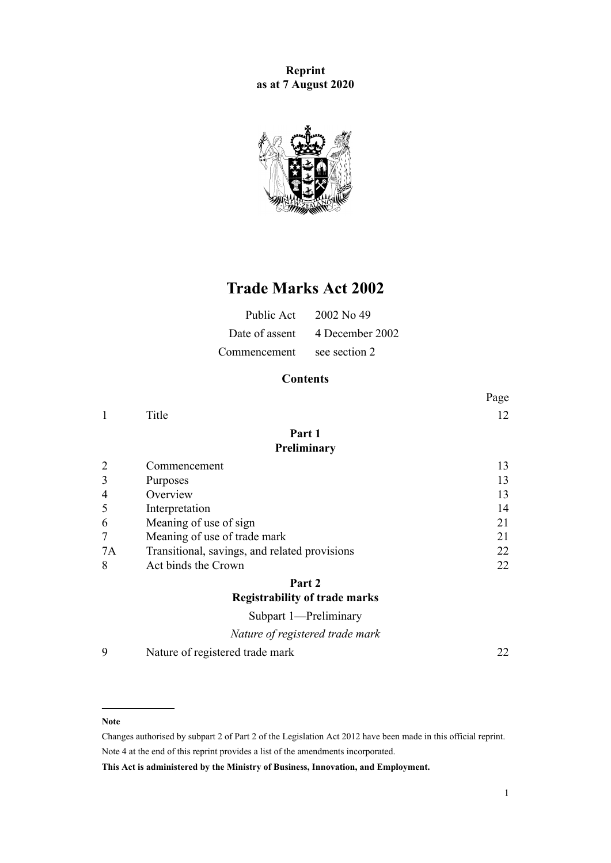**Reprint as at 7 August 2020**



# **Trade Marks Act 2002**

| Public Act   | 2002 No. 49                    |
|--------------|--------------------------------|
|              | Date of assent 4 December 2002 |
| Commencement | see section 2                  |

# **Contents**

|                |                                               | Page |
|----------------|-----------------------------------------------|------|
| 1              | Title                                         | 12   |
|                | Part 1                                        |      |
|                | Preliminary                                   |      |
| $\overline{2}$ | Commencement                                  | 13   |
| 3              | Purposes                                      | 13   |
| 4              | Overview                                      | 13   |
| 5              | Interpretation                                | 14   |
| 6              | Meaning of use of sign                        | 21   |
| 7              | Meaning of use of trade mark                  | 21   |
| 7A             | Transitional, savings, and related provisions | 22   |
| 8              | Act binds the Crown                           | 22   |
|                | Part 2                                        |      |
|                | <b>Registrability of trade marks</b>          |      |
|                | Subpart 1-Preliminary                         |      |
|                | Nature of registered trade mark               |      |

[9](#page-21-0) [Nature of registered trade mark](#page-21-0) [22](#page-21-0)

#### **Note**

Changes authorised by [subpart 2](http://legislation.govt.nz/pdflink.aspx?id=DLM2998524) of Part 2 of the Legislation Act 2012 have been made in this official reprint. Note 4 at the end of this reprint provides a list of the amendments incorporated.

**This Act is administered by the Ministry of Business, Innovation, and Employment.**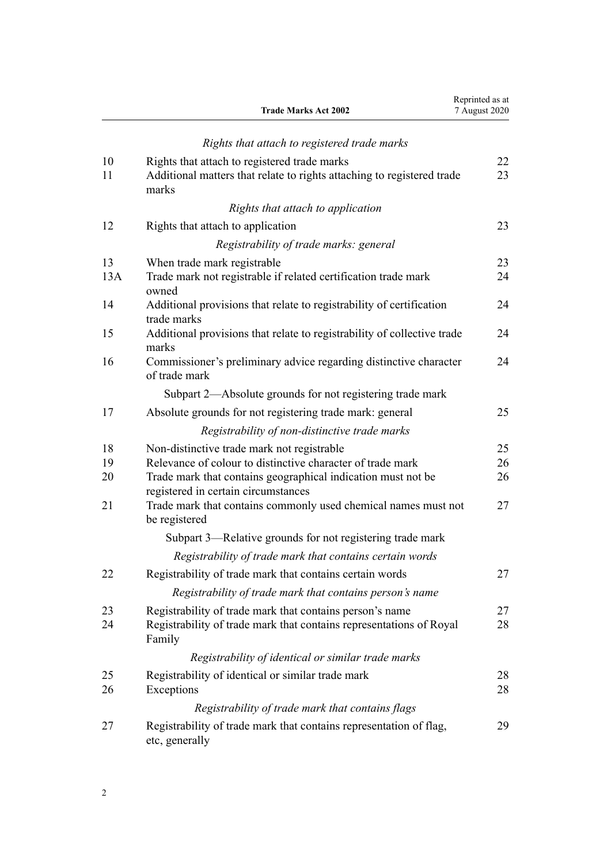|          | <b>Trade Marks Act 2002</b>                                                                                                               | 7 August 2020 |
|----------|-------------------------------------------------------------------------------------------------------------------------------------------|---------------|
|          | Rights that attach to registered trade marks                                                                                              |               |
| 10<br>11 | Rights that attach to registered trade marks<br>Additional matters that relate to rights attaching to registered trade<br>marks           | 22<br>23      |
|          | Rights that attach to application                                                                                                         |               |
| 12       | Rights that attach to application                                                                                                         | 23            |
|          | Registrability of trade marks: general                                                                                                    |               |
| 13       | When trade mark registrable                                                                                                               | 23            |
| 13A      | Trade mark not registrable if related certification trade mark<br>owned                                                                   | 24            |
| 14       | Additional provisions that relate to registrability of certification<br>trade marks                                                       | 24            |
| 15       | Additional provisions that relate to registrability of collective trade<br>marks                                                          | 24            |
| 16       | Commissioner's preliminary advice regarding distinctive character<br>of trade mark                                                        | 24            |
|          | Subpart 2-Absolute grounds for not registering trade mark                                                                                 |               |
| 17       | Absolute grounds for not registering trade mark: general                                                                                  | 25            |
|          | Registrability of non-distinctive trade marks                                                                                             |               |
| 18       | Non-distinctive trade mark not registrable                                                                                                | 25            |
| 19       | Relevance of colour to distinctive character of trade mark                                                                                | 26            |
| 20       | Trade mark that contains geographical indication must not be<br>registered in certain circumstances                                       | 26            |
| 21       | Trade mark that contains commonly used chemical names must not<br>be registered                                                           | 27            |
|          | Subpart 3—Relative grounds for not registering trade mark                                                                                 |               |
|          | Registrability of trade mark that contains certain words                                                                                  |               |
| 22       | Registrability of trade mark that contains certain words                                                                                  | 27            |
|          | Registrability of trade mark that contains person's name                                                                                  |               |
| 23<br>24 | Registrability of trade mark that contains person's name<br>Registrability of trade mark that contains representations of Royal<br>Family | 27<br>28      |
|          | Registrability of identical or similar trade marks                                                                                        |               |
| 25<br>26 | Registrability of identical or similar trade mark<br>Exceptions                                                                           | 28<br>28      |
|          | Registrability of trade mark that contains flags                                                                                          |               |
| 27       | Registrability of trade mark that contains representation of flag,<br>etc, generally                                                      | 29            |

Reprinted as at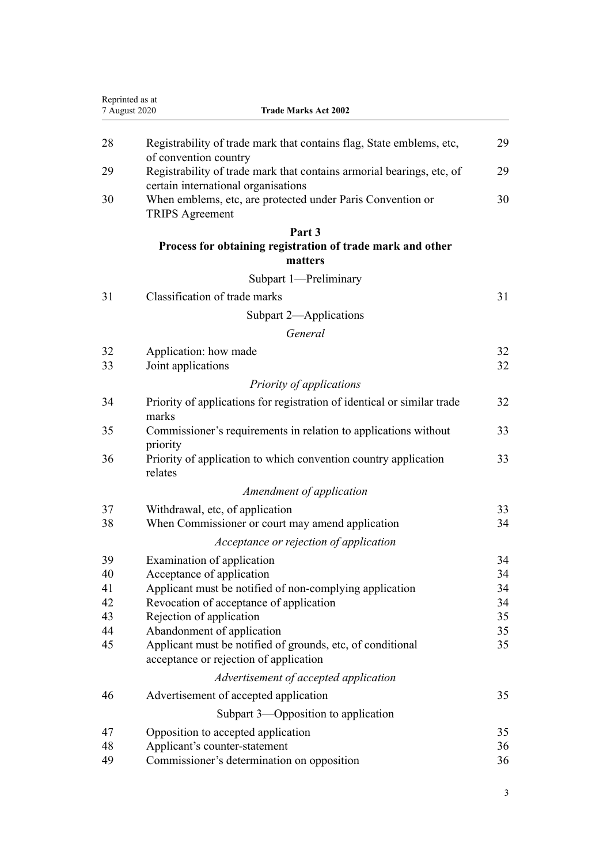| 7 August 2020 | <b>Trade Marks Act 2002</b>                                                                                  |    |
|---------------|--------------------------------------------------------------------------------------------------------------|----|
| 28            | Registrability of trade mark that contains flag, State emblems, etc,<br>of convention country                | 29 |
| 29            | Registrability of trade mark that contains armorial bearings, etc, of<br>certain international organisations | 29 |
| 30            | When emblems, etc, are protected under Paris Convention or<br><b>TRIPS</b> Agreement                         | 30 |
|               | Part 3                                                                                                       |    |
|               | Process for obtaining registration of trade mark and other<br>matters                                        |    |
|               | Subpart 1-Preliminary                                                                                        |    |
| 31            | Classification of trade marks                                                                                | 31 |
|               | Subpart 2-Applications                                                                                       |    |
|               | General                                                                                                      |    |
| 32            | Application: how made                                                                                        | 32 |
| 33            | Joint applications                                                                                           | 32 |
|               | Priority of applications                                                                                     |    |
| 34            | Priority of applications for registration of identical or similar trade<br>marks                             | 32 |
| 35            | Commissioner's requirements in relation to applications without<br>priority                                  | 33 |
| 36            | Priority of application to which convention country application<br>relates                                   | 33 |
|               | Amendment of application                                                                                     |    |
| 37            | Withdrawal, etc, of application                                                                              | 33 |
| 38            | When Commissioner or court may amend application                                                             | 34 |
|               | Acceptance or rejection of application                                                                       |    |
| 39            | Examination of application                                                                                   | 34 |
| 40            | Acceptance of application                                                                                    | 34 |
| 41            | Applicant must be notified of non-complying application                                                      | 34 |
| 42            | Revocation of acceptance of application                                                                      | 34 |
| 43            | Rejection of application                                                                                     | 35 |
| 44            | Abandonment of application                                                                                   | 35 |
| 45            | Applicant must be notified of grounds, etc, of conditional<br>acceptance or rejection of application         | 35 |
|               | Advertisement of accepted application                                                                        |    |
| 46            | Advertisement of accepted application                                                                        | 35 |
|               | Subpart 3—Opposition to application                                                                          |    |
| 47            | Opposition to accepted application                                                                           | 35 |
| 48            | Applicant's counter-statement                                                                                | 36 |
| 49            | Commissioner's determination on opposition                                                                   | 36 |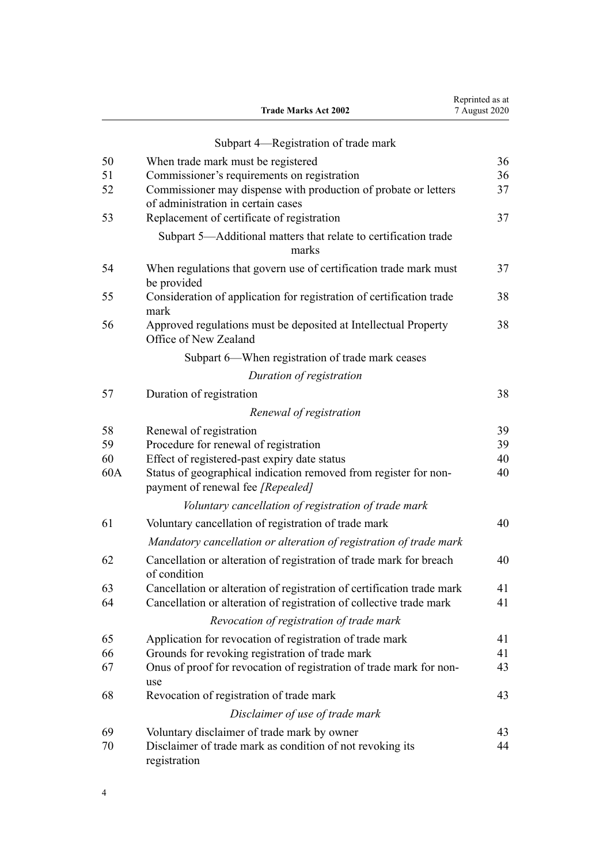|     | <b>Trade Marks Act 2002</b>                                                                           | Reprinted as at<br>7 August 2020 |
|-----|-------------------------------------------------------------------------------------------------------|----------------------------------|
|     | Subpart 4-Registration of trade mark                                                                  |                                  |
| 50  | When trade mark must be registered                                                                    | 36                               |
| 51  | Commissioner's requirements on registration                                                           | 36                               |
| 52  | Commissioner may dispense with production of probate or letters<br>of administration in certain cases | 37                               |
| 53  | Replacement of certificate of registration                                                            | 37                               |
|     | Subpart 5—Additional matters that relate to certification trade<br>marks                              |                                  |
| 54  | When regulations that govern use of certification trade mark must<br>be provided                      | 37                               |
| 55  | Consideration of application for registration of certification trade<br>mark                          | 38                               |
| 56  | Approved regulations must be deposited at Intellectual Property<br>Office of New Zealand              | 38                               |
|     | Subpart 6—When registration of trade mark ceases                                                      |                                  |
|     | Duration of registration                                                                              |                                  |
| 57  | Duration of registration                                                                              | 38                               |
|     | Renewal of registration                                                                               |                                  |
| 58  | Renewal of registration                                                                               | 39                               |
| 59  | Procedure for renewal of registration                                                                 | 39                               |
| 60  | Effect of registered-past expiry date status                                                          | 40                               |
| 60A | Status of geographical indication removed from register for non-<br>payment of renewal fee [Repealed] | 40                               |
|     | Voluntary cancellation of registration of trade mark                                                  |                                  |
| 61  | Voluntary cancellation of registration of trade mark                                                  | 40                               |
|     | Mandatory cancellation or alteration of registration of trade mark                                    |                                  |
| 62  | Cancellation or alteration of registration of trade mark for breach<br>of condition                   | 40                               |
| 63  | Cancellation or alteration of registration of certification trade mark                                | 41                               |
| 64  | Cancellation or alteration of registration of collective trade mark                                   | 41                               |
|     | Revocation of registration of trade mark                                                              |                                  |
| 65  | Application for revocation of registration of trade mark                                              | 41                               |
| 66  | Grounds for revoking registration of trade mark                                                       | 41                               |
| 67  | Onus of proof for revocation of registration of trade mark for non-<br>use                            | 43                               |
| 68  | Revocation of registration of trade mark                                                              | 43                               |
|     | Disclaimer of use of trade mark                                                                       |                                  |
| 69  | Voluntary disclaimer of trade mark by owner                                                           | 43                               |
| 70  | Disclaimer of trade mark as condition of not revoking its<br>registration                             | 44                               |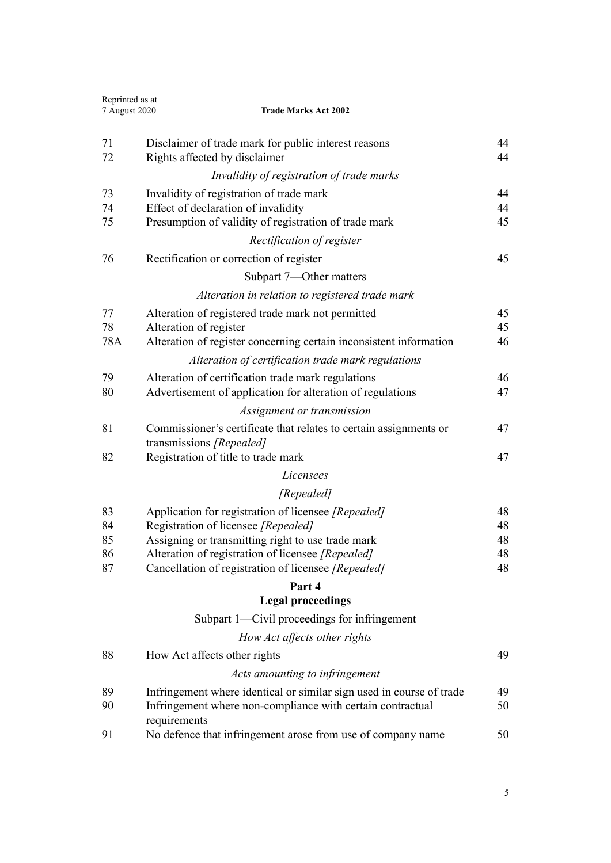| Reprinted as at<br>7 August 2020<br><b>Trade Marks Act 2002</b> |                                                                                               |          |
|-----------------------------------------------------------------|-----------------------------------------------------------------------------------------------|----------|
| 71<br>72                                                        | Disclaimer of trade mark for public interest reasons<br>Rights affected by disclaimer         | 44<br>44 |
|                                                                 | Invalidity of registration of trade marks                                                     |          |
| 73                                                              | Invalidity of registration of trade mark                                                      | 44       |
| 74                                                              | Effect of declaration of invalidity                                                           | 44       |
| 75                                                              | Presumption of validity of registration of trade mark                                         | 45       |
|                                                                 | Rectification of register                                                                     |          |
| 76                                                              | Rectification or correction of register                                                       | 45       |
|                                                                 | Subpart 7—Other matters                                                                       |          |
|                                                                 | Alteration in relation to registered trade mark                                               |          |
| 77                                                              | Alteration of registered trade mark not permitted                                             | 45       |
| 78                                                              | Alteration of register                                                                        | 45       |
| 78A                                                             | Alteration of register concerning certain inconsistent information                            | 46       |
|                                                                 | Alteration of certification trade mark regulations                                            |          |
| 79                                                              | Alteration of certification trade mark regulations                                            | 46       |
| 80                                                              | Advertisement of application for alteration of regulations                                    | 47       |
|                                                                 | Assignment or transmission                                                                    |          |
| 81                                                              | Commissioner's certificate that relates to certain assignments or<br>transmissions [Repealed] | 47       |
| 82                                                              | Registration of title to trade mark                                                           | 47       |
|                                                                 | Licensees                                                                                     |          |
|                                                                 | [Repealed]                                                                                    |          |
| 83                                                              | Application for registration of licensee [Repealed]                                           | 48       |
| 84                                                              | Registration of licensee [Repealed]                                                           | 48       |
| 85                                                              | Assigning or transmitting right to use trade mark                                             | 48       |
| 86                                                              | Alteration of registration of licensee [Repealed]                                             | 48       |
| 87                                                              | Cancellation of registration of licensee [Repealed]                                           | 48       |
|                                                                 | Part 4<br><b>Legal proceedings</b>                                                            |          |
|                                                                 |                                                                                               |          |
|                                                                 | Subpart 1—Civil proceedings for infringement                                                  |          |
|                                                                 | How Act affects other rights                                                                  |          |
| 88                                                              | How Act affects other rights                                                                  | 49       |
|                                                                 | Acts amounting to infringement                                                                |          |
| 89                                                              | Infringement where identical or similar sign used in course of trade                          | 49       |
| 90                                                              | Infringement where non-compliance with certain contractual<br>requirements                    | 50       |
| 91                                                              | No defence that infringement arose from use of company name                                   | 50       |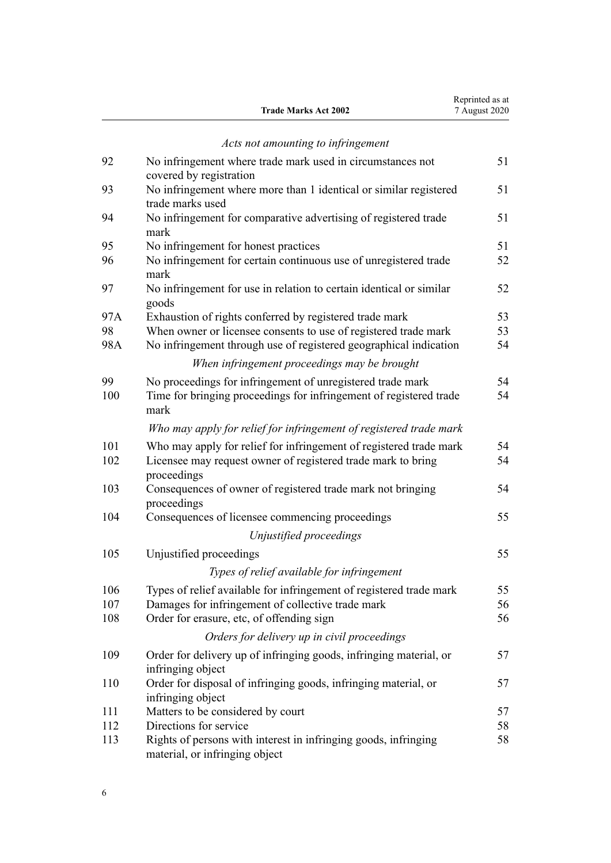|     | <b>Trade Marks Act 2002</b>                                                           | 7 August 2020 |
|-----|---------------------------------------------------------------------------------------|---------------|
|     | Acts not amounting to infringement                                                    |               |
| 92  | No infringement where trade mark used in circumstances not<br>covered by registration | 51            |
| 93  | No infringement where more than 1 identical or similar registered<br>trade marks used | 51            |
| 94  | No infringement for comparative advertising of registered trade<br>mark               | 51            |
| 95  | No infringement for honest practices                                                  | 51            |
| 96  | No infringement for certain continuous use of unregistered trade<br>mark              | 52            |
| 97  | No infringement for use in relation to certain identical or similar<br>goods          | 52            |
| 97A | Exhaustion of rights conferred by registered trade mark                               | 53            |
| 98  | When owner or licensee consents to use of registered trade mark                       | 53            |
| 98A | No infringement through use of registered geographical indication                     | 54            |
|     | When infringement proceedings may be brought                                          |               |
| 99  | No proceedings for infringement of unregistered trade mark                            | 54            |
| 100 | Time for bringing proceedings for infringement of registered trade<br>mark            | 54            |
|     | Who may apply for relief for infringement of registered trade mark                    |               |
| 101 | Who may apply for relief for infringement of registered trade mark                    | 54            |
| 102 | Licensee may request owner of registered trade mark to bring<br>proceedings           | 54            |
| 103 | Consequences of owner of registered trade mark not bringing<br>proceedings            | 54            |
| 104 | Consequences of licensee commencing proceedings                                       | 55            |
|     | Unjustified proceedings                                                               |               |

Reprinted as at

# [Unjustified proceedings](#page-54-0) [55](#page-54-0) *[Types of relief available for infringement](#page-54-0)* [Types of relief available for infringement of registered trade mark](#page-54-0) [55](#page-54-0) [Damages for infringement of collective trade mark](#page-55-0) [56](#page-55-0) [Order for erasure, etc, of offending sign](#page-55-0) [56](#page-55-0) *[Orders for delivery up in civil proceedings](#page-56-0)* [Order for delivery up of infringing goods, infringing material, or](#page-56-0) [infringing object](#page-56-0) [Order for disposal of infringing goods, infringing material, or](#page-56-0) [infringing object](#page-56-0) [Matters to be considered by court](#page-56-0) [57](#page-56-0) [Directions for service](#page-57-0) [58](#page-57-0) [Rights of persons with interest in infringing goods, infringing](#page-57-0) [material, or infringing object](#page-57-0)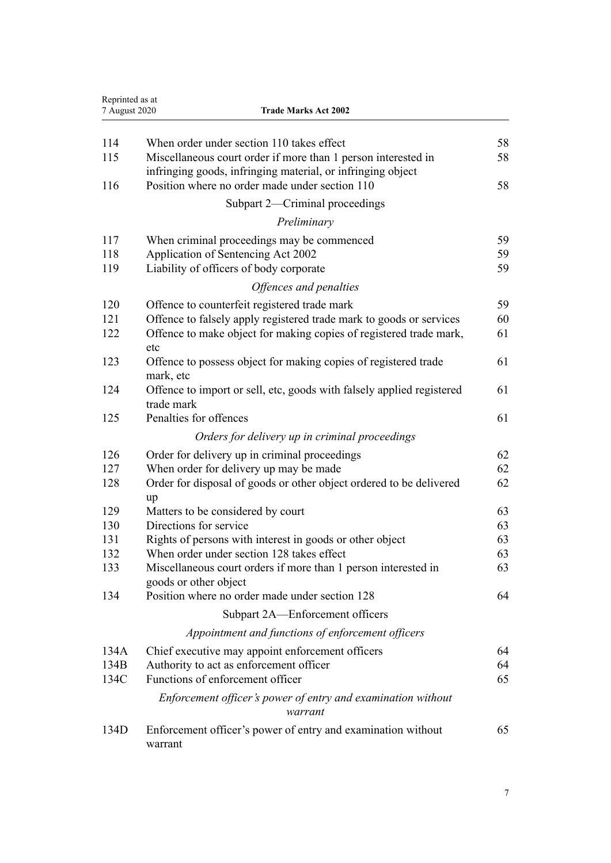| 7 August 2020 | <b>Trade Marks Act 2002</b>                                                                                                  |          |
|---------------|------------------------------------------------------------------------------------------------------------------------------|----------|
| 114           | When order under section 110 takes effect                                                                                    | 58       |
| 115           | Miscellaneous court order if more than 1 person interested in<br>infringing goods, infringing material, or infringing object | 58       |
| 116           | Position where no order made under section 110                                                                               | 58       |
|               | Subpart 2—Criminal proceedings                                                                                               |          |
|               | Preliminary                                                                                                                  |          |
| 117           | When criminal proceedings may be commenced                                                                                   | 59       |
| 118           | Application of Sentencing Act 2002                                                                                           | 59       |
| 119           | Liability of officers of body corporate                                                                                      | 59       |
|               | Offences and penalties                                                                                                       |          |
| 120           | Offence to counterfeit registered trade mark                                                                                 | 59       |
| 121           | Offence to falsely apply registered trade mark to goods or services                                                          | 60       |
| 122           | Offence to make object for making copies of registered trade mark,                                                           | 61       |
| 123           | etc<br>Offence to possess object for making copies of registered trade<br>mark, etc                                          | 61       |
| 124           | Offence to import or sell, etc, goods with falsely applied registered<br>trade mark                                          | 61       |
| 125           | Penalties for offences                                                                                                       | 61       |
|               | Orders for delivery up in criminal proceedings                                                                               |          |
| 126           | Order for delivery up in criminal proceedings                                                                                | 62       |
| 127           | When order for delivery up may be made                                                                                       | 62       |
| 128           | Order for disposal of goods or other object ordered to be delivered<br>up                                                    | 62       |
| 129           | Matters to be considered by court                                                                                            | 63       |
| 130           | Directions for service                                                                                                       | 63<br>63 |
| 131<br>132    | Rights of persons with interest in goods or other object<br>When order under section 128 takes effect                        | 63       |
| 133           | Miscellaneous court orders if more than 1 person interested in<br>goods or other object                                      | 63       |
| 134           | Position where no order made under section 128                                                                               | 64       |
|               | Subpart 2A—Enforcement officers                                                                                              |          |
|               | Appointment and functions of enforcement officers                                                                            |          |
| 134A          | Chief executive may appoint enforcement officers                                                                             | 64       |
| 134B          | Authority to act as enforcement officer                                                                                      | 64       |
| 134C          | Functions of enforcement officer                                                                                             | 65       |
|               | Enforcement officer's power of entry and examination without<br>warrant                                                      |          |
| 134D          | Enforcement officer's power of entry and examination without<br>warrant                                                      | 65       |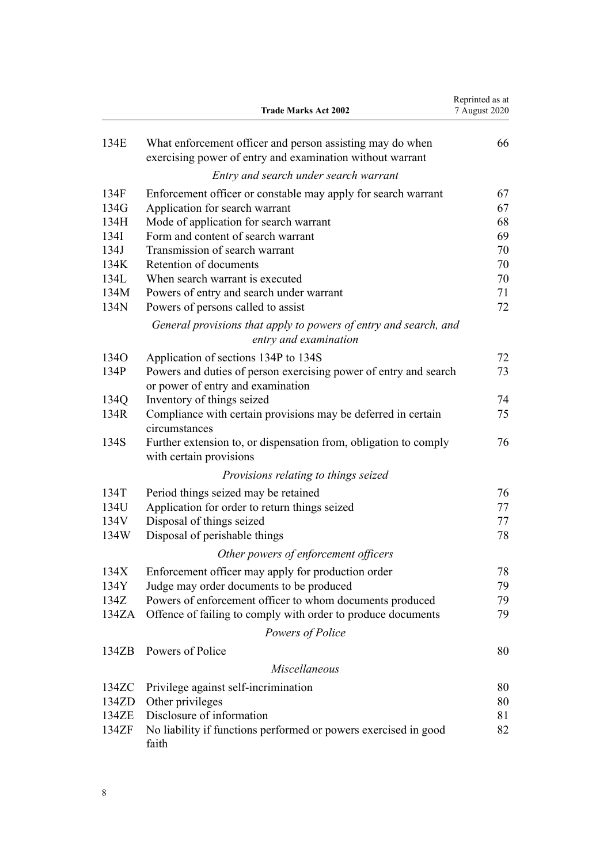|       | <b>Trade Marks Act 2002</b>                                                                                            | Reprinted as at<br>7 August 2020 |
|-------|------------------------------------------------------------------------------------------------------------------------|----------------------------------|
| 134E  | What enforcement officer and person assisting may do when<br>exercising power of entry and examination without warrant | 66                               |
|       | Entry and search under search warrant                                                                                  |                                  |
| 134F  | Enforcement officer or constable may apply for search warrant                                                          | 67                               |
| 134G  | Application for search warrant                                                                                         | 67                               |
| 134H  | Mode of application for search warrant                                                                                 | 68                               |
| 134I  | Form and content of search warrant                                                                                     | 69                               |
| 134J  | Transmission of search warrant                                                                                         | 70                               |
| 134K  | Retention of documents                                                                                                 | 70                               |
| 134L  | When search warrant is executed                                                                                        | 70                               |
| 134M  | Powers of entry and search under warrant                                                                               | 71                               |
| 134N  | Powers of persons called to assist                                                                                     | 72                               |
|       | General provisions that apply to powers of entry and search, and<br>entry and examination                              |                                  |
| 134O  | Application of sections 134P to 134S                                                                                   | 72                               |
| 134P  | Powers and duties of person exercising power of entry and search<br>or power of entry and examination                  | 73                               |
| 134Q  | Inventory of things seized                                                                                             | 74                               |
| 134R  | Compliance with certain provisions may be deferred in certain<br>circumstances                                         | 75                               |
| 134S  | Further extension to, or dispensation from, obligation to comply<br>with certain provisions                            | 76                               |
|       | Provisions relating to things seized                                                                                   |                                  |
| 134T  | Period things seized may be retained                                                                                   | 76                               |
| 134U  | Application for order to return things seized                                                                          | 77                               |
| 134V  | Disposal of things seized                                                                                              | 77                               |
| 134W  | Disposal of perishable things                                                                                          | 78                               |
|       | Other powers of enforcement officers                                                                                   |                                  |
| 134X  | Enforcement officer may apply for production order                                                                     | 78                               |
| 134Y  | Judge may order documents to be produced                                                                               | 79                               |
| 134Z  | Powers of enforcement officer to whom documents produced                                                               | 79                               |
| 134ZA | Offence of failing to comply with order to produce documents                                                           | 79                               |
|       | Powers of Police                                                                                                       |                                  |
| 134ZB | Powers of Police                                                                                                       |                                  |
|       |                                                                                                                        | 80                               |
|       | Miscellaneous                                                                                                          |                                  |
| 134ZC | Privilege against self-incrimination                                                                                   | 80                               |
| 134ZD | Other privileges                                                                                                       | 80                               |
| 134ZE | Disclosure of information                                                                                              | 81                               |
| 134ZF | No liability if functions performed or powers exercised in good<br>faith                                               | 82                               |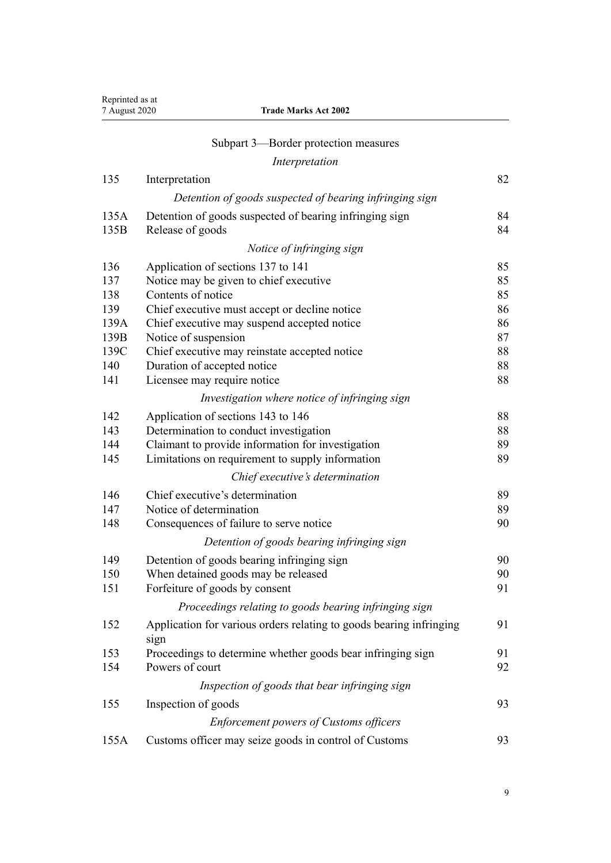| 7 August 2020 | <b>Trade Marks Act 2002</b>                                                                 |          |
|---------------|---------------------------------------------------------------------------------------------|----------|
|               | Subpart 3—Border protection measures                                                        |          |
|               | Interpretation                                                                              |          |
| 135           | Interpretation                                                                              | 82       |
|               | Detention of goods suspected of bearing infringing sign                                     |          |
| 135A          | Detention of goods suspected of bearing infringing sign                                     | 84       |
| 135B          | Release of goods                                                                            | 84       |
|               | Notice of infringing sign                                                                   |          |
| 136           | Application of sections 137 to 141                                                          | 85       |
| 137           | Notice may be given to chief executive                                                      | 85       |
| 138           | Contents of notice                                                                          | 85       |
| 139           | Chief executive must accept or decline notice                                               | 86       |
| 139A          | Chief executive may suspend accepted notice                                                 | 86       |
| 139B          | Notice of suspension                                                                        | 87       |
| 139C          | Chief executive may reinstate accepted notice                                               | 88       |
| 140           | Duration of accepted notice                                                                 | 88       |
| 141           | Licensee may require notice                                                                 | 88       |
|               | Investigation where notice of infringing sign                                               |          |
| 142<br>143    | Application of sections 143 to 146                                                          | 88<br>88 |
| 144           | Determination to conduct investigation<br>Claimant to provide information for investigation | 89       |
| 145           | Limitations on requirement to supply information                                            | 89       |
|               | Chief executive's determination                                                             |          |
| 146           | Chief executive's determination                                                             | 89       |
| 147           | Notice of determination                                                                     | 89       |
| 148           | Consequences of failure to serve notice                                                     | 90       |
|               | Detention of goods bearing infringing sign                                                  |          |
| 149           | Detention of goods bearing infringing sign                                                  | 90       |
| 150           | When detained goods may be released                                                         | 90       |
| 151           | Forfeiture of goods by consent                                                              | 91       |
|               | Proceedings relating to goods bearing infringing sign                                       |          |
| 152           | Application for various orders relating to goods bearing infringing<br>sign                 | 91       |
| 153           | Proceedings to determine whether goods bear infringing sign                                 | 91       |
| 154           | Powers of court                                                                             | 92       |
|               | Inspection of goods that bear infringing sign                                               |          |
| 155           | Inspection of goods                                                                         | 93       |
|               | <b>Enforcement powers of Customs officers</b>                                               |          |
| 155A          | Customs officer may seize goods in control of Customs                                       | 93       |
|               |                                                                                             |          |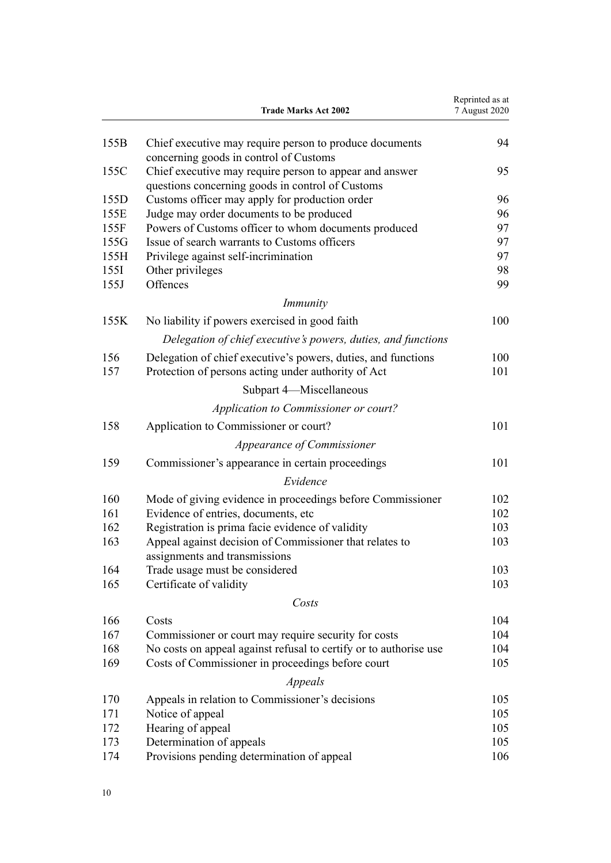| 155B<br>Chief executive may require person to produce documents<br>concerning goods in control of Customs<br>155C<br>Chief executive may require person to appear and answer<br>questions concerning goods in control of Customs<br>Customs officer may apply for production order<br>155D<br>Judge may order documents to be produced<br>155E<br>155F<br>Powers of Customs officer to whom documents produced<br>155G<br>Issue of search warrants to Customs officers<br>155H<br>Privilege against self-incrimination<br>Other privileges<br>155I<br>Offences<br>155J<br><i>Immunity</i><br>No liability if powers exercised in good faith<br>155K<br>Delegation of chief executive's powers, duties, and functions<br>Delegation of chief executive's powers, duties, and functions<br>156<br>157<br>Protection of persons acting under authority of Act<br>Subpart 4-Miscellaneous<br>Application to Commissioner or court?<br>158<br>Application to Commissioner or court?<br>Appearance of Commissioner<br>159<br>Commissioner's appearance in certain proceedings<br>Evidence<br>160<br>Mode of giving evidence in proceedings before Commissioner<br>Evidence of entries, documents, etc<br>161<br>Registration is prima facie evidence of validity<br>162<br>163<br>Appeal against decision of Commissioner that relates to<br>assignments and transmissions<br>164<br>Trade usage must be considered<br>Certificate of validity<br>165<br>Costs<br>166<br>Costs<br>167<br>Commissioner or court may require security for costs<br>168<br>No costs on appeal against refusal to certify or to authorise use<br>169<br>Costs of Commissioner in proceedings before court<br>Appeals<br>Appeals in relation to Commissioner's decisions<br>170<br>171<br>Notice of appeal |     | <b>Trade Marks Act 2002</b> | Reprinted as at<br>7 August 2020 |
|---------------------------------------------------------------------------------------------------------------------------------------------------------------------------------------------------------------------------------------------------------------------------------------------------------------------------------------------------------------------------------------------------------------------------------------------------------------------------------------------------------------------------------------------------------------------------------------------------------------------------------------------------------------------------------------------------------------------------------------------------------------------------------------------------------------------------------------------------------------------------------------------------------------------------------------------------------------------------------------------------------------------------------------------------------------------------------------------------------------------------------------------------------------------------------------------------------------------------------------------------------------------------------------------------------------------------------------------------------------------------------------------------------------------------------------------------------------------------------------------------------------------------------------------------------------------------------------------------------------------------------------------------------------------------------------------------------------------------------------------------------------------------------|-----|-----------------------------|----------------------------------|
|                                                                                                                                                                                                                                                                                                                                                                                                                                                                                                                                                                                                                                                                                                                                                                                                                                                                                                                                                                                                                                                                                                                                                                                                                                                                                                                                                                                                                                                                                                                                                                                                                                                                                                                                                                                 |     |                             | 94                               |
|                                                                                                                                                                                                                                                                                                                                                                                                                                                                                                                                                                                                                                                                                                                                                                                                                                                                                                                                                                                                                                                                                                                                                                                                                                                                                                                                                                                                                                                                                                                                                                                                                                                                                                                                                                                 |     |                             | 95                               |
|                                                                                                                                                                                                                                                                                                                                                                                                                                                                                                                                                                                                                                                                                                                                                                                                                                                                                                                                                                                                                                                                                                                                                                                                                                                                                                                                                                                                                                                                                                                                                                                                                                                                                                                                                                                 |     |                             | 96                               |
|                                                                                                                                                                                                                                                                                                                                                                                                                                                                                                                                                                                                                                                                                                                                                                                                                                                                                                                                                                                                                                                                                                                                                                                                                                                                                                                                                                                                                                                                                                                                                                                                                                                                                                                                                                                 |     |                             | 96                               |
|                                                                                                                                                                                                                                                                                                                                                                                                                                                                                                                                                                                                                                                                                                                                                                                                                                                                                                                                                                                                                                                                                                                                                                                                                                                                                                                                                                                                                                                                                                                                                                                                                                                                                                                                                                                 |     |                             | 97                               |
|                                                                                                                                                                                                                                                                                                                                                                                                                                                                                                                                                                                                                                                                                                                                                                                                                                                                                                                                                                                                                                                                                                                                                                                                                                                                                                                                                                                                                                                                                                                                                                                                                                                                                                                                                                                 |     |                             | 97                               |
|                                                                                                                                                                                                                                                                                                                                                                                                                                                                                                                                                                                                                                                                                                                                                                                                                                                                                                                                                                                                                                                                                                                                                                                                                                                                                                                                                                                                                                                                                                                                                                                                                                                                                                                                                                                 |     |                             | 97                               |
|                                                                                                                                                                                                                                                                                                                                                                                                                                                                                                                                                                                                                                                                                                                                                                                                                                                                                                                                                                                                                                                                                                                                                                                                                                                                                                                                                                                                                                                                                                                                                                                                                                                                                                                                                                                 |     |                             | 98                               |
|                                                                                                                                                                                                                                                                                                                                                                                                                                                                                                                                                                                                                                                                                                                                                                                                                                                                                                                                                                                                                                                                                                                                                                                                                                                                                                                                                                                                                                                                                                                                                                                                                                                                                                                                                                                 |     |                             | 99                               |
|                                                                                                                                                                                                                                                                                                                                                                                                                                                                                                                                                                                                                                                                                                                                                                                                                                                                                                                                                                                                                                                                                                                                                                                                                                                                                                                                                                                                                                                                                                                                                                                                                                                                                                                                                                                 |     |                             |                                  |
|                                                                                                                                                                                                                                                                                                                                                                                                                                                                                                                                                                                                                                                                                                                                                                                                                                                                                                                                                                                                                                                                                                                                                                                                                                                                                                                                                                                                                                                                                                                                                                                                                                                                                                                                                                                 |     |                             | 100                              |
|                                                                                                                                                                                                                                                                                                                                                                                                                                                                                                                                                                                                                                                                                                                                                                                                                                                                                                                                                                                                                                                                                                                                                                                                                                                                                                                                                                                                                                                                                                                                                                                                                                                                                                                                                                                 |     |                             |                                  |
|                                                                                                                                                                                                                                                                                                                                                                                                                                                                                                                                                                                                                                                                                                                                                                                                                                                                                                                                                                                                                                                                                                                                                                                                                                                                                                                                                                                                                                                                                                                                                                                                                                                                                                                                                                                 |     |                             | 100                              |
|                                                                                                                                                                                                                                                                                                                                                                                                                                                                                                                                                                                                                                                                                                                                                                                                                                                                                                                                                                                                                                                                                                                                                                                                                                                                                                                                                                                                                                                                                                                                                                                                                                                                                                                                                                                 |     |                             | 101                              |
|                                                                                                                                                                                                                                                                                                                                                                                                                                                                                                                                                                                                                                                                                                                                                                                                                                                                                                                                                                                                                                                                                                                                                                                                                                                                                                                                                                                                                                                                                                                                                                                                                                                                                                                                                                                 |     |                             |                                  |
|                                                                                                                                                                                                                                                                                                                                                                                                                                                                                                                                                                                                                                                                                                                                                                                                                                                                                                                                                                                                                                                                                                                                                                                                                                                                                                                                                                                                                                                                                                                                                                                                                                                                                                                                                                                 |     |                             |                                  |
|                                                                                                                                                                                                                                                                                                                                                                                                                                                                                                                                                                                                                                                                                                                                                                                                                                                                                                                                                                                                                                                                                                                                                                                                                                                                                                                                                                                                                                                                                                                                                                                                                                                                                                                                                                                 |     |                             |                                  |
|                                                                                                                                                                                                                                                                                                                                                                                                                                                                                                                                                                                                                                                                                                                                                                                                                                                                                                                                                                                                                                                                                                                                                                                                                                                                                                                                                                                                                                                                                                                                                                                                                                                                                                                                                                                 |     |                             | 101                              |
|                                                                                                                                                                                                                                                                                                                                                                                                                                                                                                                                                                                                                                                                                                                                                                                                                                                                                                                                                                                                                                                                                                                                                                                                                                                                                                                                                                                                                                                                                                                                                                                                                                                                                                                                                                                 |     |                             |                                  |
|                                                                                                                                                                                                                                                                                                                                                                                                                                                                                                                                                                                                                                                                                                                                                                                                                                                                                                                                                                                                                                                                                                                                                                                                                                                                                                                                                                                                                                                                                                                                                                                                                                                                                                                                                                                 |     |                             | 101                              |
|                                                                                                                                                                                                                                                                                                                                                                                                                                                                                                                                                                                                                                                                                                                                                                                                                                                                                                                                                                                                                                                                                                                                                                                                                                                                                                                                                                                                                                                                                                                                                                                                                                                                                                                                                                                 |     |                             |                                  |
|                                                                                                                                                                                                                                                                                                                                                                                                                                                                                                                                                                                                                                                                                                                                                                                                                                                                                                                                                                                                                                                                                                                                                                                                                                                                                                                                                                                                                                                                                                                                                                                                                                                                                                                                                                                 |     |                             | 102                              |
|                                                                                                                                                                                                                                                                                                                                                                                                                                                                                                                                                                                                                                                                                                                                                                                                                                                                                                                                                                                                                                                                                                                                                                                                                                                                                                                                                                                                                                                                                                                                                                                                                                                                                                                                                                                 |     |                             | 102                              |
|                                                                                                                                                                                                                                                                                                                                                                                                                                                                                                                                                                                                                                                                                                                                                                                                                                                                                                                                                                                                                                                                                                                                                                                                                                                                                                                                                                                                                                                                                                                                                                                                                                                                                                                                                                                 |     |                             | 103                              |
|                                                                                                                                                                                                                                                                                                                                                                                                                                                                                                                                                                                                                                                                                                                                                                                                                                                                                                                                                                                                                                                                                                                                                                                                                                                                                                                                                                                                                                                                                                                                                                                                                                                                                                                                                                                 |     |                             | 103                              |
|                                                                                                                                                                                                                                                                                                                                                                                                                                                                                                                                                                                                                                                                                                                                                                                                                                                                                                                                                                                                                                                                                                                                                                                                                                                                                                                                                                                                                                                                                                                                                                                                                                                                                                                                                                                 |     |                             |                                  |
|                                                                                                                                                                                                                                                                                                                                                                                                                                                                                                                                                                                                                                                                                                                                                                                                                                                                                                                                                                                                                                                                                                                                                                                                                                                                                                                                                                                                                                                                                                                                                                                                                                                                                                                                                                                 |     |                             | 103                              |
|                                                                                                                                                                                                                                                                                                                                                                                                                                                                                                                                                                                                                                                                                                                                                                                                                                                                                                                                                                                                                                                                                                                                                                                                                                                                                                                                                                                                                                                                                                                                                                                                                                                                                                                                                                                 |     |                             | 103                              |
|                                                                                                                                                                                                                                                                                                                                                                                                                                                                                                                                                                                                                                                                                                                                                                                                                                                                                                                                                                                                                                                                                                                                                                                                                                                                                                                                                                                                                                                                                                                                                                                                                                                                                                                                                                                 |     |                             |                                  |
|                                                                                                                                                                                                                                                                                                                                                                                                                                                                                                                                                                                                                                                                                                                                                                                                                                                                                                                                                                                                                                                                                                                                                                                                                                                                                                                                                                                                                                                                                                                                                                                                                                                                                                                                                                                 |     |                             | 104                              |
|                                                                                                                                                                                                                                                                                                                                                                                                                                                                                                                                                                                                                                                                                                                                                                                                                                                                                                                                                                                                                                                                                                                                                                                                                                                                                                                                                                                                                                                                                                                                                                                                                                                                                                                                                                                 |     |                             | 104                              |
|                                                                                                                                                                                                                                                                                                                                                                                                                                                                                                                                                                                                                                                                                                                                                                                                                                                                                                                                                                                                                                                                                                                                                                                                                                                                                                                                                                                                                                                                                                                                                                                                                                                                                                                                                                                 |     |                             | 104                              |
|                                                                                                                                                                                                                                                                                                                                                                                                                                                                                                                                                                                                                                                                                                                                                                                                                                                                                                                                                                                                                                                                                                                                                                                                                                                                                                                                                                                                                                                                                                                                                                                                                                                                                                                                                                                 |     |                             | 105                              |
|                                                                                                                                                                                                                                                                                                                                                                                                                                                                                                                                                                                                                                                                                                                                                                                                                                                                                                                                                                                                                                                                                                                                                                                                                                                                                                                                                                                                                                                                                                                                                                                                                                                                                                                                                                                 |     |                             |                                  |
|                                                                                                                                                                                                                                                                                                                                                                                                                                                                                                                                                                                                                                                                                                                                                                                                                                                                                                                                                                                                                                                                                                                                                                                                                                                                                                                                                                                                                                                                                                                                                                                                                                                                                                                                                                                 |     |                             | 105                              |
|                                                                                                                                                                                                                                                                                                                                                                                                                                                                                                                                                                                                                                                                                                                                                                                                                                                                                                                                                                                                                                                                                                                                                                                                                                                                                                                                                                                                                                                                                                                                                                                                                                                                                                                                                                                 |     |                             | 105                              |
|                                                                                                                                                                                                                                                                                                                                                                                                                                                                                                                                                                                                                                                                                                                                                                                                                                                                                                                                                                                                                                                                                                                                                                                                                                                                                                                                                                                                                                                                                                                                                                                                                                                                                                                                                                                 | 172 | Hearing of appeal           | 105                              |
| Determination of appeals<br>173                                                                                                                                                                                                                                                                                                                                                                                                                                                                                                                                                                                                                                                                                                                                                                                                                                                                                                                                                                                                                                                                                                                                                                                                                                                                                                                                                                                                                                                                                                                                                                                                                                                                                                                                                 |     |                             | 105                              |
| Provisions pending determination of appeal<br>174                                                                                                                                                                                                                                                                                                                                                                                                                                                                                                                                                                                                                                                                                                                                                                                                                                                                                                                                                                                                                                                                                                                                                                                                                                                                                                                                                                                                                                                                                                                                                                                                                                                                                                                               |     |                             | 106                              |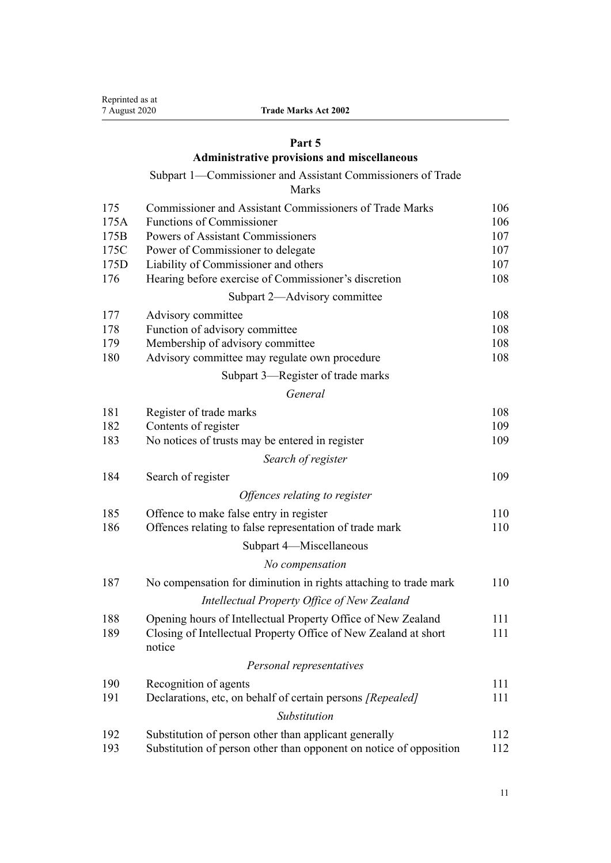# **[Part 5](#page-105-0)**

# **[Administrative provisions and miscellaneous](#page-105-0)**

# [Subpart 1—Commissioner and Assistant Commissioners of Trade](#page-105-0)

[Marks](#page-105-0)

| 175  | <b>Commissioner and Assistant Commissioners of Trade Marks</b>            | 106 |
|------|---------------------------------------------------------------------------|-----|
| 175A | <b>Functions of Commissioner</b>                                          | 106 |
| 175B | Powers of Assistant Commissioners                                         | 107 |
| 175C | Power of Commissioner to delegate                                         | 107 |
| 175D | Liability of Commissioner and others                                      | 107 |
| 176  | Hearing before exercise of Commissioner's discretion                      | 108 |
|      | Subpart 2—Advisory committee                                              |     |
| 177  | Advisory committee                                                        | 108 |
| 178  | Function of advisory committee                                            | 108 |
| 179  | Membership of advisory committee                                          | 108 |
| 180  | Advisory committee may regulate own procedure                             | 108 |
|      | Subpart 3—Register of trade marks                                         |     |
|      | General                                                                   |     |
| 181  | Register of trade marks                                                   | 108 |
| 182  | Contents of register                                                      | 109 |
| 183  | No notices of trusts may be entered in register                           | 109 |
|      | Search of register                                                        |     |
| 184  | Search of register                                                        | 109 |
|      | Offences relating to register                                             |     |
| 185  | Offence to make false entry in register                                   | 110 |
| 186  | Offences relating to false representation of trade mark                   | 110 |
|      | Subpart 4-Miscellaneous                                                   |     |
|      | No compensation                                                           |     |
| 187  | No compensation for diminution in rights attaching to trade mark          | 110 |
|      | Intellectual Property Office of New Zealand                               |     |
| 188  | Opening hours of Intellectual Property Office of New Zealand              | 111 |
| 189  | Closing of Intellectual Property Office of New Zealand at short<br>notice | 111 |
|      | Personal representatives                                                  |     |
| 190  | Recognition of agents                                                     | 111 |
| 191  | Declarations, etc, on behalf of certain persons [Repealed]                | 111 |
|      | Substitution                                                              |     |
| 192  | Substitution of person other than applicant generally                     | 112 |
| 193  | Substitution of person other than opponent on notice of opposition        | 112 |
|      |                                                                           |     |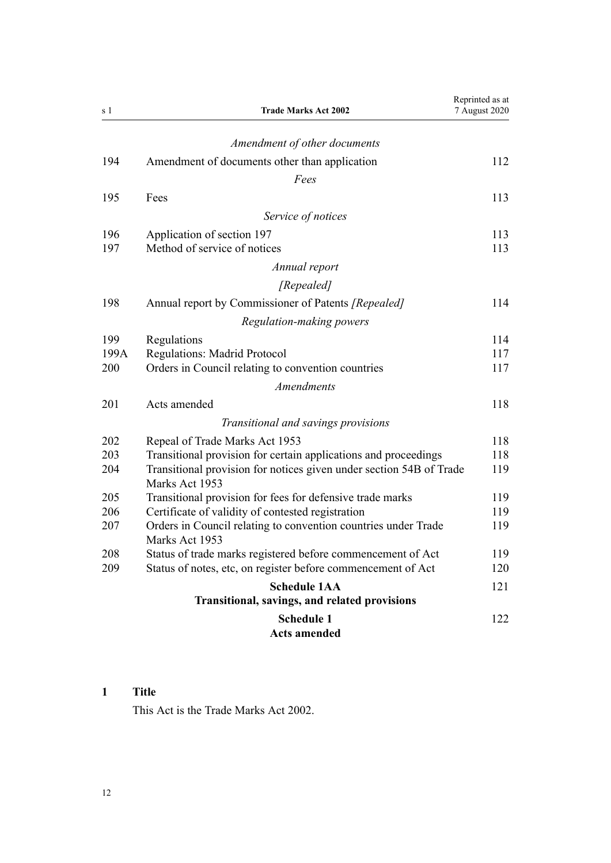<span id="page-11-0"></span>

| s <sub>1</sub> | <b>Trade Marks Act 2002</b>                                                           | Reprinted as at<br>7 August 2020 |
|----------------|---------------------------------------------------------------------------------------|----------------------------------|
|                | Amendment of other documents                                                          |                                  |
| 194            | Amendment of documents other than application                                         | 112                              |
|                | Fees                                                                                  |                                  |
| 195            | Fees                                                                                  | 113                              |
|                |                                                                                       |                                  |
|                | Service of notices                                                                    |                                  |
| 196            | Application of section 197                                                            | 113                              |
| 197            | Method of service of notices                                                          | 113                              |
|                | Annual report                                                                         |                                  |
|                | [Repealed]                                                                            |                                  |
| 198            | Annual report by Commissioner of Patents [Repealed]                                   | 114                              |
|                | Regulation-making powers                                                              |                                  |
| 199            | Regulations                                                                           | 114                              |
| 199A           | <b>Regulations: Madrid Protocol</b>                                                   | 117                              |
| 200            | Orders in Council relating to convention countries                                    | 117                              |
|                | <b>Amendments</b>                                                                     |                                  |
| 201            | Acts amended                                                                          | 118                              |
|                | Transitional and savings provisions                                                   |                                  |
| 202            | Repeal of Trade Marks Act 1953                                                        | 118                              |
| 203            | Transitional provision for certain applications and proceedings                       | 118                              |
| 204            | Transitional provision for notices given under section 54B of Trade<br>Marks Act 1953 | 119                              |
| 205            | Transitional provision for fees for defensive trade marks                             | 119                              |
| 206            | Certificate of validity of contested registration                                     | 119                              |
| 207            | Orders in Council relating to convention countries under Trade<br>Marks Act 1953      | 119                              |
| 208            | Status of trade marks registered before commencement of Act                           | 119                              |
| 209            | Status of notes, etc, on register before commencement of Act                          | 120                              |
|                | <b>Schedule 1AA</b><br>Transitional, savings, and related provisions                  | 121                              |
|                | <b>Schedule 1</b><br><b>Acts amended</b>                                              | 122                              |

# **1 Title**

This Act is the Trade Marks Act 2002.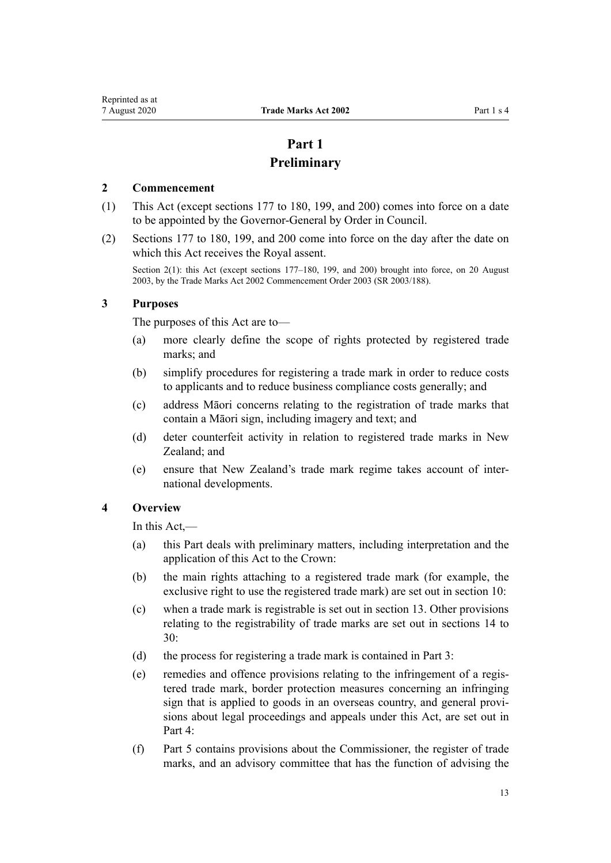# **Part 1 Preliminary**

#### <span id="page-12-0"></span>**2 Commencement**

- (1) This Act (except [sections 177 to 180,](#page-107-0) [199](#page-113-0), and [200](#page-116-0)) comes into force on a date to be appointed by the Governor-General by Order in Council.
- (2) [Sections 177 to 180,](#page-107-0) [199](#page-113-0), and [200](#page-116-0) come into force on the day after the date on which this Act receives the Royal assent.

Section 2(1): this Act (except sections 177–180, 199, and 200) brought into force, on 20 August 2003, by the Trade Marks Act 2002 Commencement Order 2003 (SR 2003/188).

#### **3 Purposes**

The purposes of this Act are to—

- (a) more clearly define the scope of rights protected by registered trade marks; and
- (b) simplify procedures for registering a trade mark in order to reduce costs to applicants and to reduce business compliance costs generally; and
- (c) address Māori concerns relating to the registration of trade marks that contain a Māori sign, including imagery and text; and
- (d) deter counterfeit activity in relation to registered trade marks in New Zealand: and
- (e) ensure that New Zealand's trade mark regime takes account of international developments.

# **4 Overview**

In this Act,—

- (a) this Part deals with preliminary matters, including interpretation and the application of this Act to the Crown:
- (b) the main rights attaching to a registered trade mark (for example, the exclusive right to use the registered trade mark) are set out in [section 10](#page-21-0):
- (c) when a trade mark is registrable is set out in [section 13](#page-22-0). Other provisions relating to the registrability of trade marks are set out in [sections 14 to](#page-23-0) [30:](#page-23-0)
- (d) the process for registering a trade mark is contained in [Part 3](#page-30-0):
- (e) remedies and offence provisions relating to the infringement of a registered trade mark, border protection measures concerning an infringing sign that is applied to goods in an overseas country, and general provisions about legal proceedings and appeals under this Act, are set out in [Part 4](#page-48-0):
- (f) [Part 5](#page-105-0) contains provisions about the Commissioner, the register of trade marks, and an advisory committee that has the function of advising the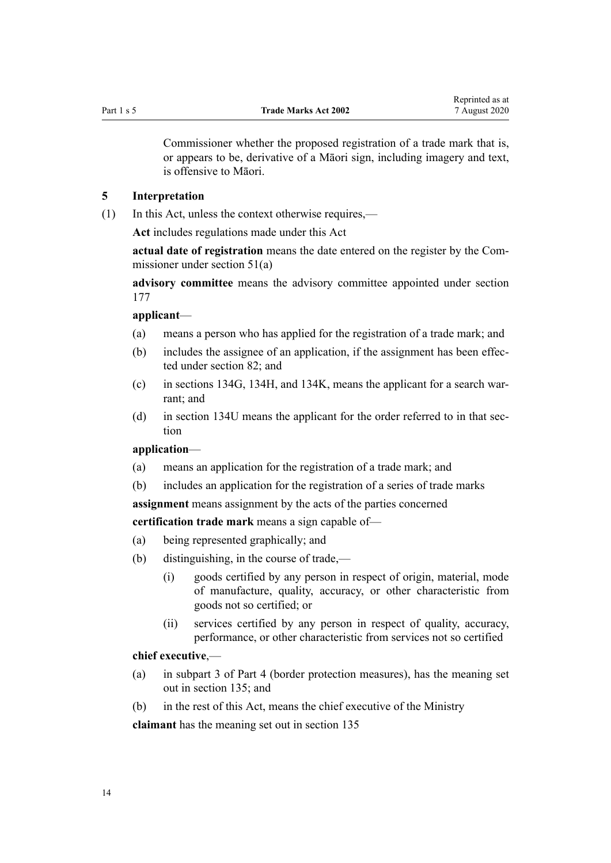<span id="page-13-0"></span>

Commissioner whether the proposed registration of a trade mark that is, or appears to be, derivative of a Māori sign, including imagery and text, is offensive to Māori.

#### **5 Interpretation**

(1) In this Act, unless the context otherwise requires,—

**Act** includes regulations made under this Act

**actual date of registration** means the date entered on the register by the Commissioner under [section 51\(a\)](#page-35-0)

**advisory committee** means the advisory committee appointed under [section](#page-107-0) [177](#page-107-0)

#### **applicant**—

- (a) means a person who has applied for the registration of a trade mark; and
- (b) includes the assignee of an application, if the assignment has been effected under [section 82](#page-46-0); and
- (c) in [sections 134G,](#page-66-0) [134H,](#page-67-0) and [134K,](#page-69-0) means the applicant for a search warrant; and
- (d) in [section 134U](#page-76-0) means the applicant for the order referred to in that section

# **application**—

- (a) means an application for the registration of a trade mark; and
- (b) includes an application for the registration of a series of trade marks

**assignment** means assignment by the acts of the parties concerned

**certification trade mark** means a sign capable of—

- (a) being represented graphically; and
- (b) distinguishing, in the course of trade,—
	- (i) goods certified by any person in respect of origin, material, mode of manufacture, quality, accuracy, or other characteristic from goods not so certified; or
	- (ii) services certified by any person in respect of quality, accuracy, performance, or other characteristic from services not so certified

#### **chief executive**,—

- (a) in [subpart 3](#page-81-0) of Part 4 (border protection measures), has the meaning set out in [section 135](#page-81-0); and
- (b) in the rest of this Act, means the chief executive of the Ministry

**claimant** has the meaning set out in [section 135](#page-81-0)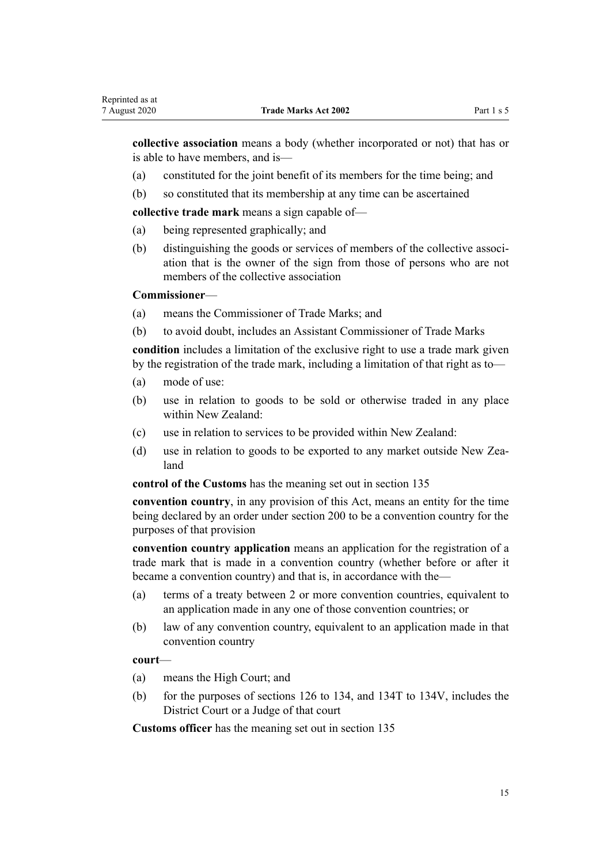**collective association** means a body (whether incorporated or not) that has or is able to have members, and is—

- (a) constituted for the joint benefit of its members for the time being; and
- (b) so constituted that its membership at any time can be ascertained

**collective trade mark** means a sign capable of—

- (a) being represented graphically; and
- (b) distinguishing the goods or services of members of the collective association that is the owner of the sign from those of persons who are not members of the collective association

#### **Commissioner**—

- (a) means the Commissioner of Trade Marks; and
- (b) to avoid doubt, includes an Assistant Commissioner of Trade Marks

**condition** includes a limitation of the exclusive right to use a trade mark given by the registration of the trade mark, including a limitation of that right as to—

- (a) mode of use:
- (b) use in relation to goods to be sold or otherwise traded in any place within New Zealand:
- (c) use in relation to services to be provided within New Zealand:
- (d) use in relation to goods to be exported to any market outside New Zealand

**control of the Customs** has the meaning set out in [section 135](#page-81-0)

**convention country**, in any provision of this Act, means an entity for the time being declared by an order under [section 200](#page-116-0) to be a convention country for the purposes of that provision

**convention country application** means an application for the registration of a trade mark that is made in a convention country (whether before or after it became a convention country) and that is, in accordance with the—

- (a) terms of a treaty between 2 or more convention countries, equivalent to an application made in any one of those convention countries; or
- (b) law of any convention country, equivalent to an application made in that convention country

#### **court**—

- (a) means the High Court; and
- (b) for the purposes of [sections 126 to 134,](#page-61-0) and [134T to 134V,](#page-75-0) includes the District Court or a Judge of that court

**Customs officer** has the meaning set out in [section 135](#page-81-0)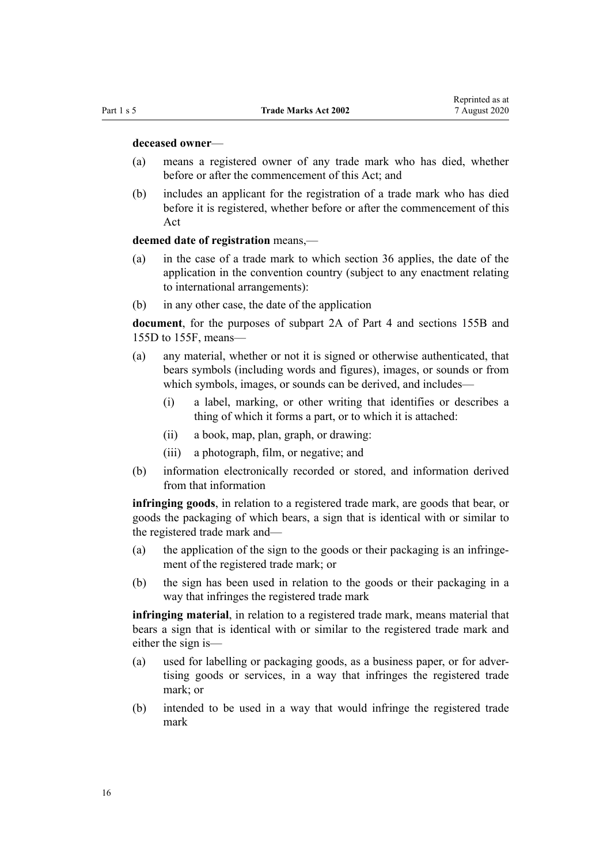**deceased owner**—

- (a) means a registered owner of any trade mark who has died, whether before or after the commencement of this Act: and
- (b) includes an applicant for the registration of a trade mark who has died before it is registered, whether before or after the commencement of this Act

#### **deemed date of registration** means,—

- (a) in the case of a trade mark to which [section 36](#page-32-0) applies, the date of the application in the convention country (subject to any enactment relating to international arrangements):
- (b) in any other case, the date of the application

**document**, for the purposes of [subpart 2A](#page-63-0) of Part 4 and [sections 155B](#page-93-0) and [155D to 155F](#page-95-0), means—

- (a) any material, whether or not it is signed or otherwise authenticated, that bears symbols (including words and figures), images, or sounds or from which symbols, images, or sounds can be derived, and includes—
	- (i) a label, marking, or other writing that identifies or describes a thing of which it forms a part, or to which it is attached:
	- (ii) a book, map, plan, graph, or drawing:
	- (iii) a photograph, film, or negative; and
- (b) information electronically recorded or stored, and information derived from that information

**infringing goods**, in relation to a registered trade mark, are goods that bear, or goods the packaging of which bears, a sign that is identical with or similar to the registered trade mark and—

- (a) the application of the sign to the goods or their packaging is an infringement of the registered trade mark; or
- (b) the sign has been used in relation to the goods or their packaging in a way that infringes the registered trade mark

**infringing material**, in relation to a registered trade mark, means material that bears a sign that is identical with or similar to the registered trade mark and either the sign is—

- (a) used for labelling or packaging goods, as a business paper, or for advertising goods or services, in a way that infringes the registered trade mark; or
- (b) intended to be used in a way that would infringe the registered trade mark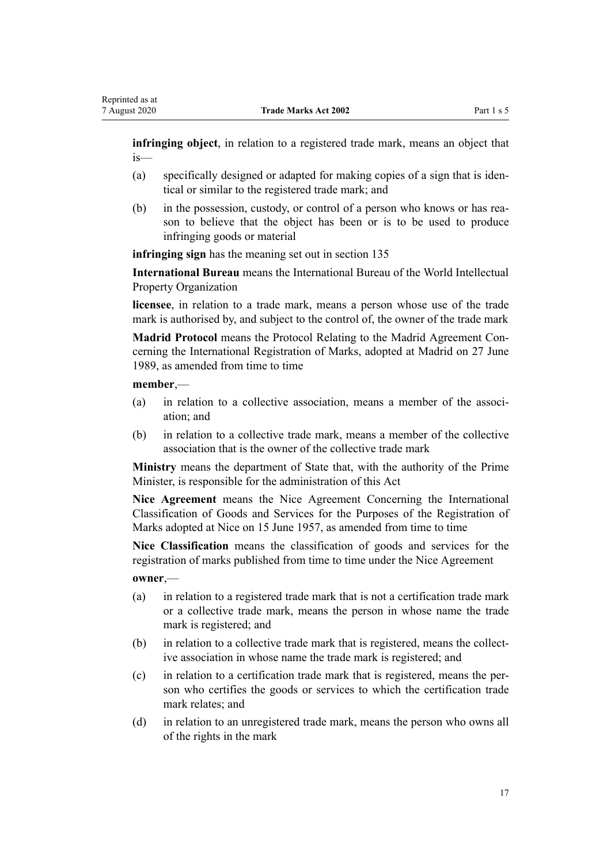**infringing object**, in relation to a registered trade mark, means an object that is—

- (a) specifically designed or adapted for making copies of a sign that is identical or similar to the registered trade mark; and
- (b) in the possession, custody, or control of a person who knows or has reason to believe that the object has been or is to be used to produce infringing goods or material

**infringing sign** has the meaning set out in [section 135](#page-81-0)

**International Bureau** means the International Bureau of the World Intellectual Property Organization

**licensee**, in relation to a trade mark, means a person whose use of the trade mark is authorised by, and subject to the control of, the owner of the trade mark

**Madrid Protocol** means the Protocol Relating to the Madrid Agreement Concerning the International Registration of Marks, adopted at Madrid on 27 June 1989, as amended from time to time

**member**,—

- (a) in relation to a collective association, means a member of the association; and
- (b) in relation to a collective trade mark, means a member of the collective association that is the owner of the collective trade mark

**Ministry** means the department of State that, with the authority of the Prime Minister, is responsible for the administration of this Act

**Nice Agreement** means the Nice Agreement Concerning the International Classification of Goods and Services for the Purposes of the Registration of Marks adopted at Nice on 15 June 1957, as amended from time to time

**Nice Classification** means the classification of goods and services for the registration of marks published from time to time under the Nice Agreement

**owner**,—

- (a) in relation to a registered trade mark that is not a certification trade mark or a collective trade mark, means the person in whose name the trade mark is registered; and
- (b) in relation to a collective trade mark that is registered, means the collective association in whose name the trade mark is registered; and
- (c) in relation to a certification trade mark that is registered, means the person who certifies the goods or services to which the certification trade mark relates; and
- (d) in relation to an unregistered trade mark, means the person who owns all of the rights in the mark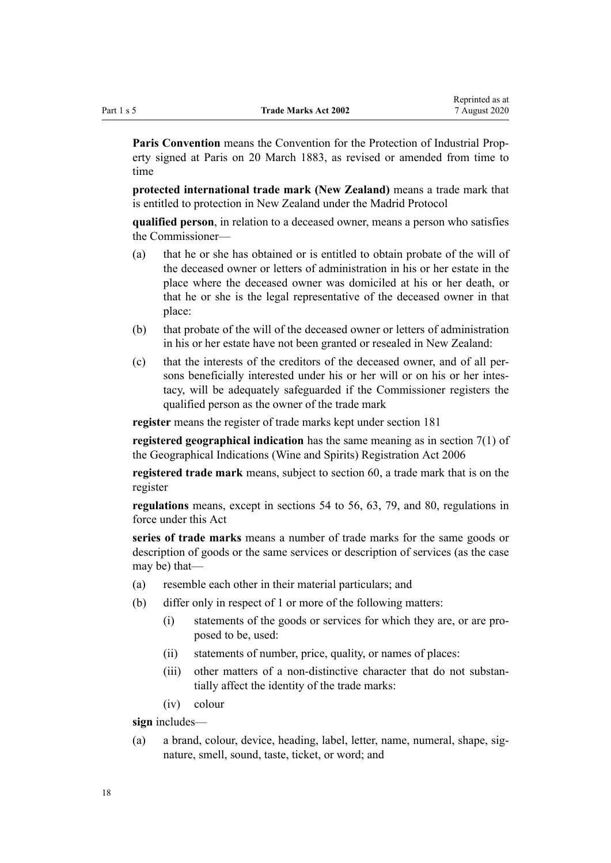**Paris Convention** means the Convention for the Protection of Industrial Property signed at Paris on 20 March 1883, as revised or amended from time to time

**protected international trade mark (New Zealand)** means a trade mark that is entitled to protection in New Zealand under the Madrid Protocol

**qualified person**, in relation to a deceased owner, means a person who satisfies the Commissioner—

- (a) that he or she has obtained or is entitled to obtain probate of the will of the deceased owner or letters of administration in his or her estate in the place where the deceased owner was domiciled at his or her death, or that he or she is the legal representative of the deceased owner in that place:
- (b) that probate of the will of the deceased owner or letters of administration in his or her estate have not been granted or resealed in New Zealand:
- (c) that the interests of the creditors of the deceased owner, and of all persons beneficially interested under his or her will or on his or her intestacy, will be adequately safeguarded if the Commissioner registers the qualified person as the owner of the trade mark

**register** means the register of trade marks kept under [section 181](#page-107-0)

**registered geographical indication** has the same meaning as in [section 7\(1\)](http://legislation.govt.nz/pdflink.aspx?id=DLM390819) of the Geographical Indications (Wine and Spirits) Registration Act 2006

**registered trade mark** means, subject to [section 60,](#page-39-0) a trade mark that is on the register

**regulations** means, except in [sections 54 to 56,](#page-36-0) [63,](#page-40-0) [79](#page-45-0), and [80,](#page-46-0) regulations in force under this Act

**series of trade marks** means a number of trade marks for the same goods or description of goods or the same services or description of services (as the case may be) that—

- (a) resemble each other in their material particulars; and
- (b) differ only in respect of 1 or more of the following matters:
	- (i) statements of the goods or services for which they are, or are proposed to be, used:
	- (ii) statements of number, price, quality, or names of places:
	- (iii) other matters of a non-distinctive character that do not substantially affect the identity of the trade marks:
	- (iv) colour

**sign** includes—

(a) a brand, colour, device, heading, label, letter, name, numeral, shape, signature, smell, sound, taste, ticket, or word; and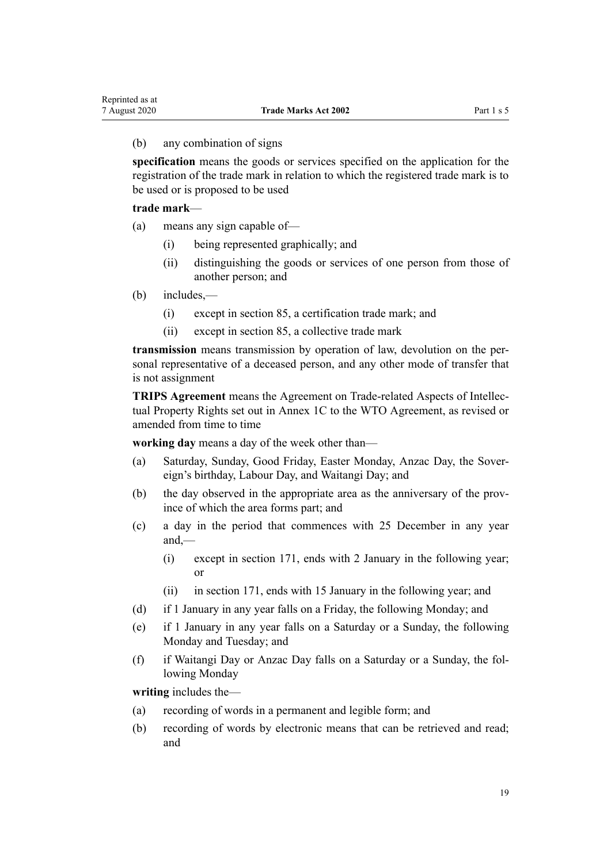# (b) any combination of signs

**specification** means the goods or services specified on the application for the registration of the trade mark in relation to which the registered trade mark is to be used or is proposed to be used

#### **trade mark**—

- (a) means any sign capable of—
	- (i) being represented graphically; and
	- (ii) distinguishing the goods or services of one person from those of another person; and
- (b) includes,—
	- (i) except in [section 85,](#page-47-0) a certification trade mark; and
	- (ii) except in [section 85,](#page-47-0) a collective trade mark

**transmission** means transmission by operation of law, devolution on the personal representative of a deceased person, and any other mode of transfer that is not assignment

**TRIPS Agreement** means the Agreement on Trade-related Aspects of Intellectual Property Rights set out in Annex 1C to the WTO Agreement, as revised or amended from time to time

**working day** means a day of the week other than—

- (a) Saturday, Sunday, Good Friday, Easter Monday, Anzac Day, the Sovereign's birthday, Labour Day, and Waitangi Day; and
- (b) the day observed in the appropriate area as the anniversary of the province of which the area forms part; and
- (c) a day in the period that commences with 25 December in any year and,—
	- (i) except in [section 171](#page-104-0), ends with 2 January in the following year; or
	- (ii) in [section 171,](#page-104-0) ends with 15 January in the following year; and
- (d) if 1 January in any year falls on a Friday, the following Monday; and
- (e) if 1 January in any year falls on a Saturday or a Sunday, the following Monday and Tuesday; and
- (f) if Waitangi Day or Anzac Day falls on a Saturday or a Sunday, the following Monday

**writing** includes the—

- (a) recording of words in a permanent and legible form; and
- (b) recording of words by electronic means that can be retrieved and read; and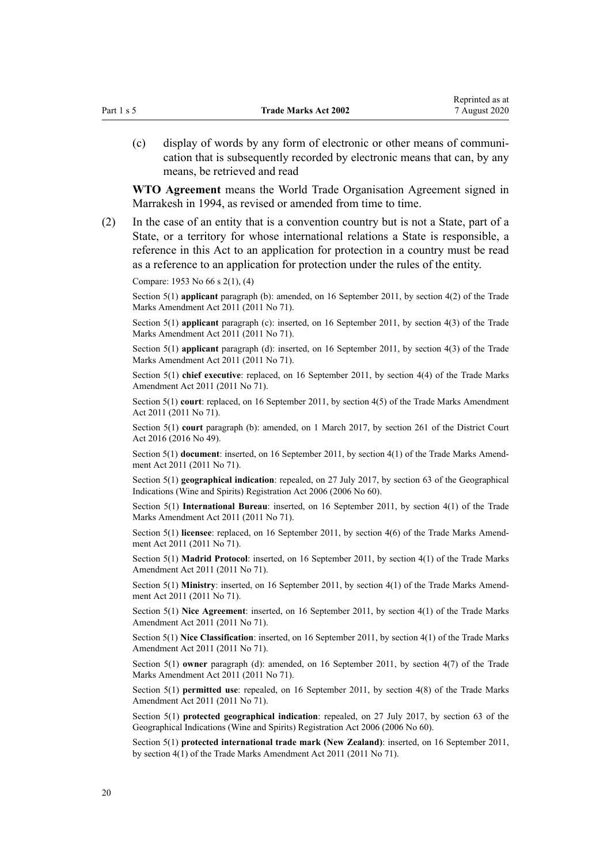(c) display of words by any form of electronic or other means of communication that is subsequently recorded by electronic means that can, by any means, be retrieved and read

**WTO Agreement** means the World Trade Organisation Agreement signed in Marrakesh in 1994, as revised or amended from time to time.

(2) In the case of an entity that is a convention country but is not a State, part of a State, or a territory for whose international relations a State is responsible, a reference in this Act to an application for protection in a country must be read as a reference to an application for protection under the rules of the entity.

Compare: 1953 No 66 s 2(1), (4)

Section 5(1) **applicant** paragraph (b): amended, on 16 September 2011, by [section 4\(2\)](http://legislation.govt.nz/pdflink.aspx?id=DLM2290008) of the Trade Marks Amendment Act 2011 (2011 No 71).

Section 5(1) **applicant** paragraph (c): inserted, on 16 September 2011, by [section 4\(3\)](http://legislation.govt.nz/pdflink.aspx?id=DLM2290008) of the Trade Marks Amendment Act 2011 (2011 No 71).

Section 5(1) **applicant** paragraph (d): inserted, on 16 September 2011, by [section 4\(3\)](http://legislation.govt.nz/pdflink.aspx?id=DLM2290008) of the Trade Marks Amendment Act 2011 (2011 No 71).

Section 5(1) **chief executive**: replaced, on 16 September 2011, by [section 4\(4\)](http://legislation.govt.nz/pdflink.aspx?id=DLM2290008) of the Trade Marks Amendment Act 2011 (2011 No 71).

Section 5(1) **court**: replaced, on 16 September 2011, by [section 4\(5\)](http://legislation.govt.nz/pdflink.aspx?id=DLM2290008) of the Trade Marks Amendment Act 2011 (2011 No 71).

Section 5(1) **court** paragraph (b): amended, on 1 March 2017, by [section 261](http://legislation.govt.nz/pdflink.aspx?id=DLM6942680) of the District Court Act 2016 (2016 No 49).

Section 5(1) **document**: inserted, on 16 September 2011, by [section 4\(1\)](http://legislation.govt.nz/pdflink.aspx?id=DLM2290008) of the Trade Marks Amendment Act 2011 (2011 No 71).

Section 5(1) **geographical indication**: repealed, on 27 July 2017, by [section 63](http://legislation.govt.nz/pdflink.aspx?id=DLM390893) of the Geographical Indications (Wine and Spirits) Registration Act 2006 (2006 No 60).

Section 5(1) **International Bureau**: inserted, on 16 September 2011, by [section 4\(1\)](http://legislation.govt.nz/pdflink.aspx?id=DLM2290008) of the Trade Marks Amendment Act 2011 (2011 No 71).

Section 5(1) **licensee**: replaced, on 16 September 2011, by [section 4\(6\)](http://legislation.govt.nz/pdflink.aspx?id=DLM2290008) of the Trade Marks Amendment Act 2011 (2011 No 71).

Section 5(1) **Madrid Protocol**: inserted, on 16 September 2011, by [section 4\(1\)](http://legislation.govt.nz/pdflink.aspx?id=DLM2290008) of the Trade Marks Amendment Act 2011 (2011 No 71).

Section 5(1) **Ministry**: inserted, on 16 September 2011, by [section 4\(1\)](http://legislation.govt.nz/pdflink.aspx?id=DLM2290008) of the Trade Marks Amendment Act 2011 (2011 No 71).

Section 5(1) **Nice Agreement**: inserted, on 16 September 2011, by [section 4\(1\)](http://legislation.govt.nz/pdflink.aspx?id=DLM2290008) of the Trade Marks Amendment Act 2011 (2011 No 71).

Section 5(1) **Nice Classification**: inserted, on 16 September 2011, by [section 4\(1\)](http://legislation.govt.nz/pdflink.aspx?id=DLM2290008) of the Trade Marks Amendment Act 2011 (2011 No 71).

Section 5(1) **owner** paragraph (d): amended, on 16 September 2011, by [section 4\(7\)](http://legislation.govt.nz/pdflink.aspx?id=DLM2290008) of the Trade Marks Amendment Act 2011 (2011 No 71).

Section 5(1) **permitted use**: repealed, on 16 September 2011, by [section 4\(8\)](http://legislation.govt.nz/pdflink.aspx?id=DLM2290008) of the Trade Marks Amendment Act 2011 (2011 No 71).

Section 5(1) **protected geographical indication**: repealed, on 27 July 2017, by [section 63](http://legislation.govt.nz/pdflink.aspx?id=DLM390893) of the Geographical Indications (Wine and Spirits) Registration Act 2006 (2006 No 60).

Section 5(1) **protected international trade mark (New Zealand)**: inserted, on 16 September 2011, by [section 4\(1\)](http://legislation.govt.nz/pdflink.aspx?id=DLM2290008) of the Trade Marks Amendment Act 2011 (2011 No 71).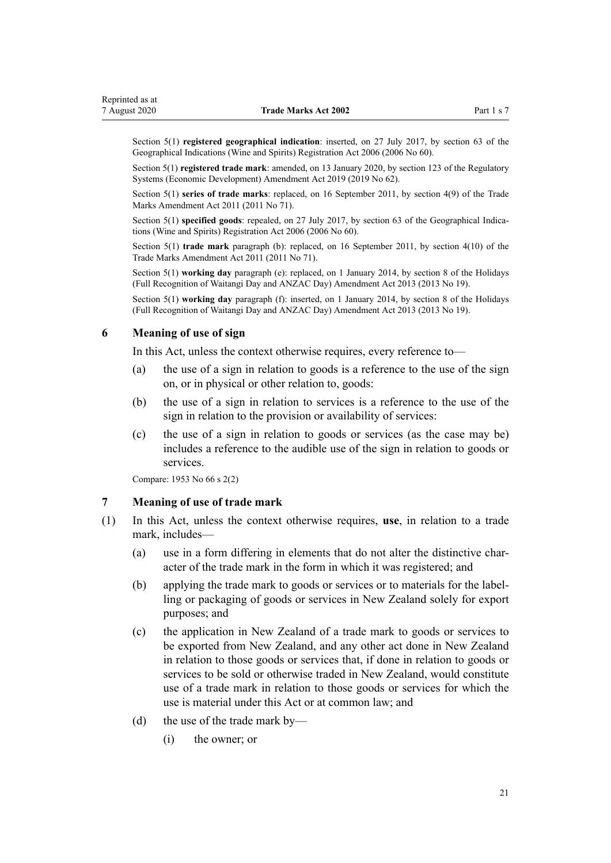<span id="page-20-0"></span>Section 5(1) **registered geographical indication**: inserted, on 27 July 2017, by [section 63](http://legislation.govt.nz/pdflink.aspx?id=DLM390893) of the Geographical Indications (Wine and Spirits) Registration Act 2006 (2006 No 60).

Section 5(1) **registered trade mark**: amended, on 13 January 2020, by [section 123](http://legislation.govt.nz/pdflink.aspx?id=LMS85747) of the Regulatory Systems (Economic Development) Amendment Act 2019 (2019 No 62).

Section 5(1) series of trade marks: replaced, on 16 September 2011, by [section 4\(9\)](http://legislation.govt.nz/pdflink.aspx?id=DLM2290008) of the Trade Marks Amendment Act 2011 (2011 No 71).

Section 5(1) **specified goods**: repealed, on 27 July 2017, by [section 63](http://legislation.govt.nz/pdflink.aspx?id=DLM390893) of the Geographical Indications (Wine and Spirits) Registration Act 2006 (2006 No 60).

Section 5(1) **trade mark** paragraph (b): replaced, on 16 September 2011, by [section 4\(10\)](http://legislation.govt.nz/pdflink.aspx?id=DLM2290008) of the Trade Marks Amendment Act 2011 (2011 No 71).

Section 5(1) **working day** paragraph (e): replaced, on 1 January 2014, by [section 8](http://legislation.govt.nz/pdflink.aspx?id=DLM4929207) of the Holidays (Full Recognition of Waitangi Day and ANZAC Day) Amendment Act 2013 (2013 No 19).

Section 5(1) **working day** paragraph (f): inserted, on 1 January 2014, by [section 8](http://legislation.govt.nz/pdflink.aspx?id=DLM4929207) of the Holidays (Full Recognition of Waitangi Day and ANZAC Day) Amendment Act 2013 (2013 No 19).

#### **6 Meaning of use of sign**

In this Act, unless the context otherwise requires, every reference to—

- (a) the use of a sign in relation to goods is a reference to the use of the sign on, or in physical or other relation to, goods:
- (b) the use of a sign in relation to services is a reference to the use of the sign in relation to the provision or availability of services:
- (c) the use of a sign in relation to goods or services (as the case may be) includes a reference to the audible use of the sign in relation to goods or services.

Compare: 1953 No 66 s 2(2)

#### **7 Meaning of use of trade mark**

- (1) In this Act, unless the context otherwise requires, **use**, in relation to a trade mark, includes—
	- (a) use in a form differing in elements that do not alter the distinctive character of the trade mark in the form in which it was registered; and
	- (b) applying the trade mark to goods or services or to materials for the labelling or packaging of goods or services in New Zealand solely for export purposes; and
	- (c) the application in New Zealand of a trade mark to goods or services to be exported from New Zealand, and any other act done in New Zealand in relation to those goods or services that, if done in relation to goods or services to be sold or otherwise traded in New Zealand, would constitute use of a trade mark in relation to those goods or services for which the use is material under this Act or at common law; and
	- (d) the use of the trade mark by—
		- (i) the owner; or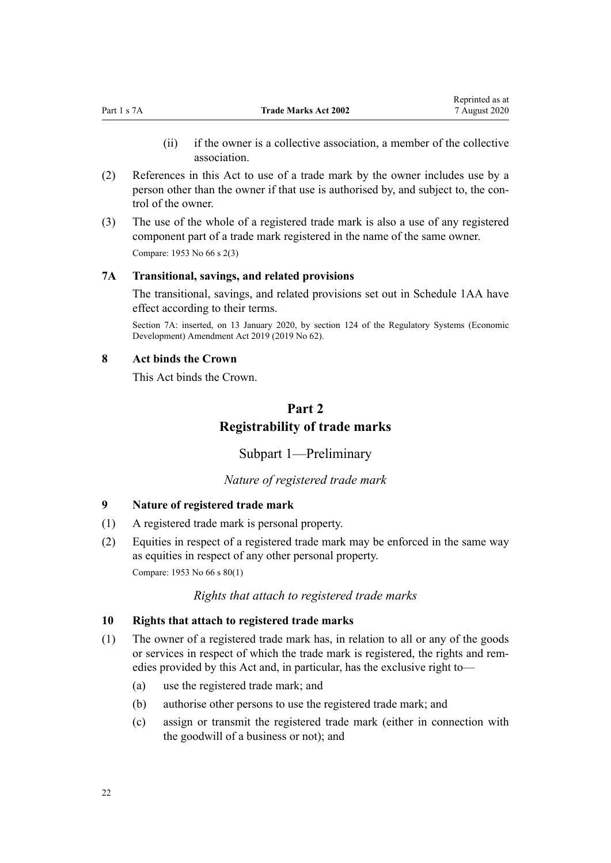(ii) if the owner is a collective association, a member of the collective association.

Reprinted as at

- <span id="page-21-0"></span>(2) References in this Act to use of a trade mark by the owner includes use by a person other than the owner if that use is authorised by, and subject to, the control of the owner.
- (3) The use of the whole of a registered trade mark is also a use of any registered component part of a trade mark registered in the name of the same owner. Compare: 1953 No 66 s 2(3)

# **7A Transitional, savings, and related provisions**

The transitional, savings, and related provisions set out in [Schedule 1AA](#page-120-0) have effect according to their terms.

Section 7A: inserted, on 13 January 2020, by [section 124](http://legislation.govt.nz/pdflink.aspx?id=LMS85749) of the Regulatory Systems (Economic Development) Amendment Act 2019 (2019 No 62).

## **8 Act binds the Crown**

This Act binds the Crown.

# **Part 2 Registrability of trade marks**

Subpart 1—Preliminary

# *Nature of registered trade mark*

#### **9 Nature of registered trade mark**

- (1) A registered trade mark is personal property.
- (2) Equities in respect of a registered trade mark may be enforced in the same way as equities in respect of any other personal property. Compare: 1953 No 66 s 80(1)

# *Rights that attach to registered trade marks*

#### **10 Rights that attach to registered trade marks**

- (1) The owner of a registered trade mark has, in relation to all or any of the goods or services in respect of which the trade mark is registered, the rights and remedies provided by this Act and, in particular, has the exclusive right to—
	- (a) use the registered trade mark; and
	- (b) authorise other persons to use the registered trade mark; and
	- (c) assign or transmit the registered trade mark (either in connection with the goodwill of a business or not); and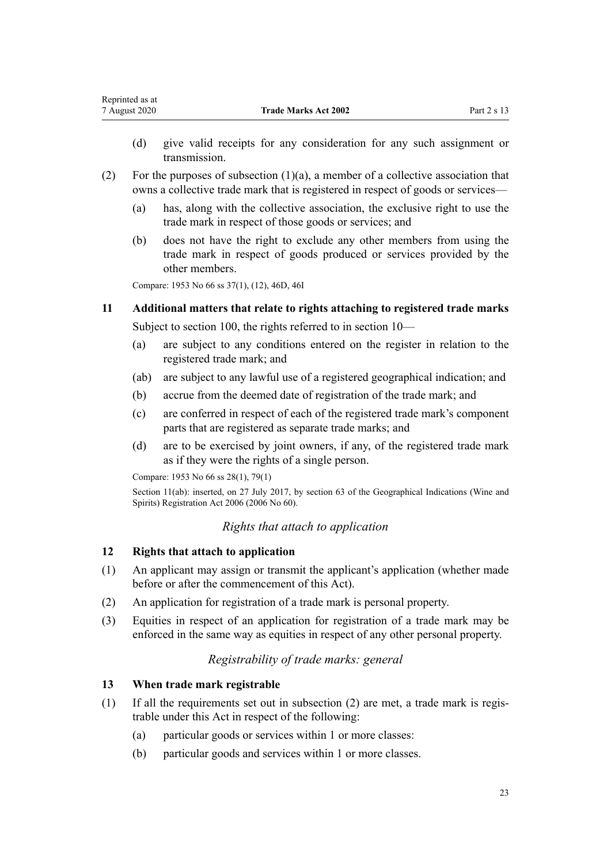- <span id="page-22-0"></span>(d) give valid receipts for any consideration for any such assignment or transmission.
- (2) For the purposes of subsection (1)(a), a member of a collective association that owns a collective trade mark that is registered in respect of goods or services—
	- (a) has, along with the collective association, the exclusive right to use the trade mark in respect of those goods or services; and
	- (b) does not have the right to exclude any other members from using the trade mark in respect of goods produced or services provided by the other members.

Compare: 1953 No 66 ss 37(1), (12), 46D, 46I

# **11 Additional matters that relate to rights attaching to registered trade marks** Subject to [section 100](#page-53-0), the rights referred to in [section 10—](#page-21-0)

- (a) are subject to any conditions entered on the register in relation to the registered trade mark; and
- (ab) are subject to any lawful use of a registered geographical indication; and
- (b) accrue from the deemed date of registration of the trade mark; and
- (c) are conferred in respect of each of the registered trade mark's component parts that are registered as separate trade marks; and
- (d) are to be exercised by joint owners, if any, of the registered trade mark as if they were the rights of a single person.

Compare: 1953 No 66 ss 28(1), 79(1)

Section 11(ab): inserted, on 27 July 2017, by [section 63](http://legislation.govt.nz/pdflink.aspx?id=DLM390893) of the Geographical Indications (Wine and Spirits) Registration Act 2006 (2006 No 60).

# *Rights that attach to application*

## **12 Rights that attach to application**

- (1) An applicant may assign or transmit the applicant's application (whether made before or after the commencement of this Act).
- (2) An application for registration of a trade mark is personal property.
- (3) Equities in respect of an application for registration of a trade mark may be enforced in the same way as equities in respect of any other personal property.

# *Registrability of trade marks: general*

# **13 When trade mark registrable**

- (1) If all the requirements set out in subsection (2) are met, a trade mark is registrable under this Act in respect of the following:
	- (a) particular goods or services within 1 or more classes:
	- (b) particular goods and services within 1 or more classes.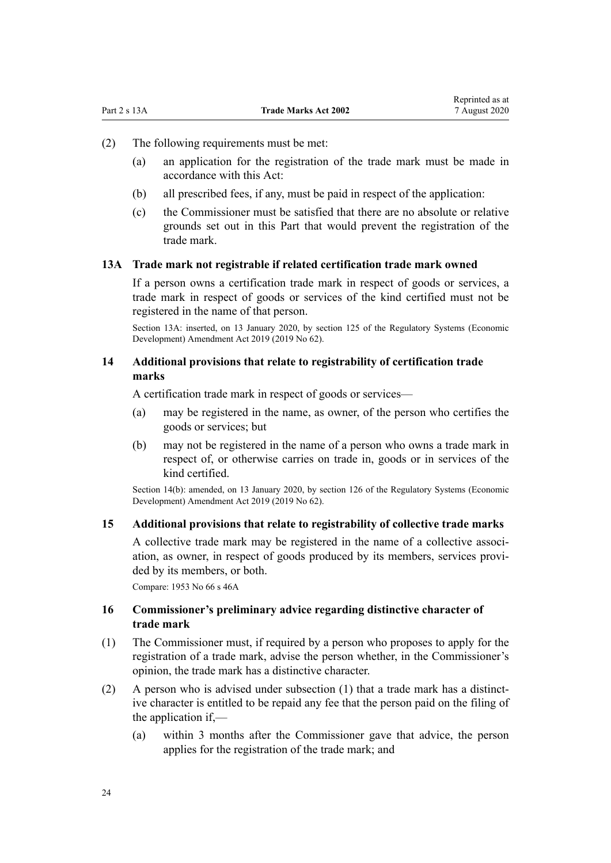- <span id="page-23-0"></span>(2) The following requirements must be met:
	- (a) an application for the registration of the trade mark must be made in accordance with this Act:
	- (b) all prescribed fees, if any, must be paid in respect of the application:
	- (c) the Commissioner must be satisfied that there are no absolute or relative grounds set out in this Part that would prevent the registration of the trade mark.

# **13A Trade mark not registrable if related certification trade mark owned**

If a person owns a certification trade mark in respect of goods or services, a trade mark in respect of goods or services of the kind certified must not be registered in the name of that person.

Section 13A: inserted, on 13 January 2020, by [section 125](http://legislation.govt.nz/pdflink.aspx?id=LMS85751) of the Regulatory Systems (Economic Development) Amendment Act 2019 (2019 No 62).

## **14 Additional provisions that relate to registrability of certification trade marks**

A certification trade mark in respect of goods or services—

- (a) may be registered in the name, as owner, of the person who certifies the goods or services; but
- (b) may not be registered in the name of a person who owns a trade mark in respect of, or otherwise carries on trade in, goods or in services of the kind certified.

Section 14(b): amended, on 13 January 2020, by [section 126](http://legislation.govt.nz/pdflink.aspx?id=LMS85752) of the Regulatory Systems (Economic Development) Amendment Act 2019 (2019 No 62).

# **15 Additional provisions that relate to registrability of collective trade marks**

A collective trade mark may be registered in the name of a collective association, as owner, in respect of goods produced by its members, services provided by its members, or both.

Compare: 1953 No 66 s 46A

#### **16 Commissioner's preliminary advice regarding distinctive character of trade mark**

- (1) The Commissioner must, if required by a person who proposes to apply for the registration of a trade mark, advise the person whether, in the Commissioner's opinion, the trade mark has a distinctive character.
- (2) A person who is advised under subsection (1) that a trade mark has a distinctive character is entitled to be repaid any fee that the person paid on the filing of the application if,—
	- (a) within 3 months after the Commissioner gave that advice, the person applies for the registration of the trade mark; and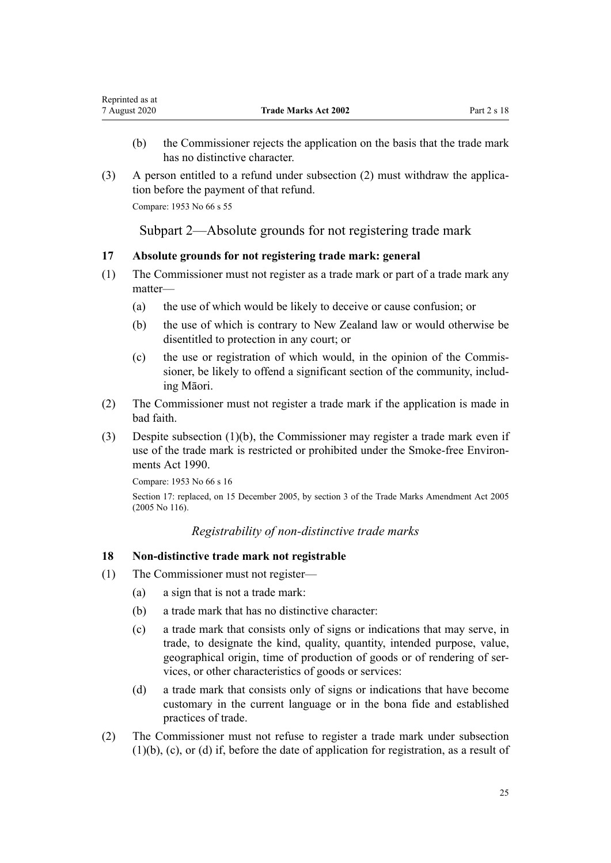- <span id="page-24-0"></span>(b) the Commissioner rejects the application on the basis that the trade mark has no distinctive character.
- (3) A person entitled to a refund under subsection (2) must withdraw the application before the payment of that refund.

Compare: 1953 No 66 s 55

Subpart 2—Absolute grounds for not registering trade mark

# **17 Absolute grounds for not registering trade mark: general**

- (1) The Commissioner must not register as a trade mark or part of a trade mark any matter—
	- (a) the use of which would be likely to deceive or cause confusion; or
	- (b) the use of which is contrary to New Zealand law or would otherwise be disentitled to protection in any court; or
	- (c) the use or registration of which would, in the opinion of the Commissioner, be likely to offend a significant section of the community, including Māori.
- (2) The Commissioner must not register a trade mark if the application is made in bad faith.
- (3) Despite subsection (1)(b), the Commissioner may register a trade mark even if use of the trade mark is restricted or prohibited under the [Smoke-free Environ](http://legislation.govt.nz/pdflink.aspx?id=DLM223190)[ments Act 1990](http://legislation.govt.nz/pdflink.aspx?id=DLM223190).

Compare: 1953 No 66 s 16

Section 17: replaced, on 15 December 2005, by [section 3](http://legislation.govt.nz/pdflink.aspx?id=DLM362636) of the Trade Marks Amendment Act 2005 (2005 No 116).

# *Registrability of non-distinctive trade marks*

# **18 Non-distinctive trade mark not registrable**

- (1) The Commissioner must not register—
	- (a) a sign that is not a trade mark:
	- (b) a trade mark that has no distinctive character:
	- (c) a trade mark that consists only of signs or indications that may serve, in trade, to designate the kind, quality, quantity, intended purpose, value, geographical origin, time of production of goods or of rendering of services, or other characteristics of goods or services:
	- (d) a trade mark that consists only of signs or indications that have become customary in the current language or in the bona fide and established practices of trade.
- (2) The Commissioner must not refuse to register a trade mark under subsection (1)(b), (c), or (d) if, before the date of application for registration, as a result of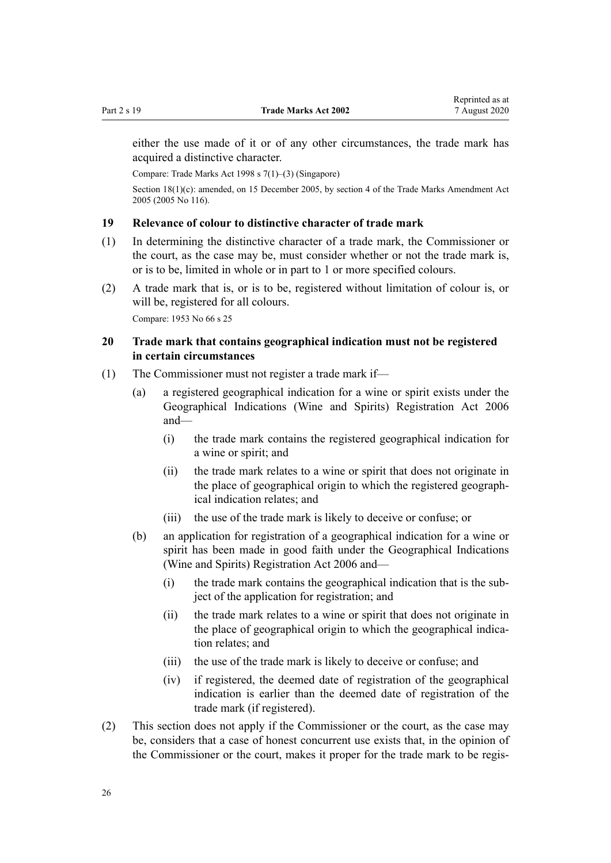<span id="page-25-0"></span>either the use made of it or of any other circumstances, the trade mark has acquired a distinctive character.

Compare: Trade Marks Act 1998 s 7(1)–(3) (Singapore)

Section 18(1)(c): amended, on 15 December 2005, by [section 4](http://legislation.govt.nz/pdflink.aspx?id=DLM362638) of the Trade Marks Amendment Act 2005 (2005 No 116).

#### **19 Relevance of colour to distinctive character of trade mark**

- (1) In determining the distinctive character of a trade mark, the Commissioner or the court, as the case may be, must consider whether or not the trade mark is, or is to be, limited in whole or in part to 1 or more specified colours.
- (2) A trade mark that is, or is to be, registered without limitation of colour is, or will be, registered for all colours.

Compare: 1953 No 66 s 25

## **20 Trade mark that contains geographical indication must not be registered in certain circumstances**

- (1) The Commissioner must not register a trade mark if—
	- (a) a registered geographical indication for a wine or spirit exists under the [Geographical Indications \(Wine and Spirits\) Registration Act 2006](http://legislation.govt.nz/pdflink.aspx?id=DLM390755) and—
		- (i) the trade mark contains the registered geographical indication for a wine or spirit; and
		- (ii) the trade mark relates to a wine or spirit that does not originate in the place of geographical origin to which the registered geographical indication relates; and
		- (iii) the use of the trade mark is likely to deceive or confuse; or
	- (b) an application for registration of a geographical indication for a wine or spirit has been made in good faith under the [Geographical Indications](http://legislation.govt.nz/pdflink.aspx?id=DLM390755) [\(Wine and Spirits\) Registration Act 2006](http://legislation.govt.nz/pdflink.aspx?id=DLM390755) and—
		- (i) the trade mark contains the geographical indication that is the subject of the application for registration; and
		- (ii) the trade mark relates to a wine or spirit that does not originate in the place of geographical origin to which the geographical indication relates; and
		- (iii) the use of the trade mark is likely to deceive or confuse; and
		- (iv) if registered, the deemed date of registration of the geographical indication is earlier than the deemed date of registration of the trade mark (if registered).
- (2) This section does not apply if the Commissioner or the court, as the case may be, considers that a case of honest concurrent use exists that, in the opinion of the Commissioner or the court, makes it proper for the trade mark to be regis-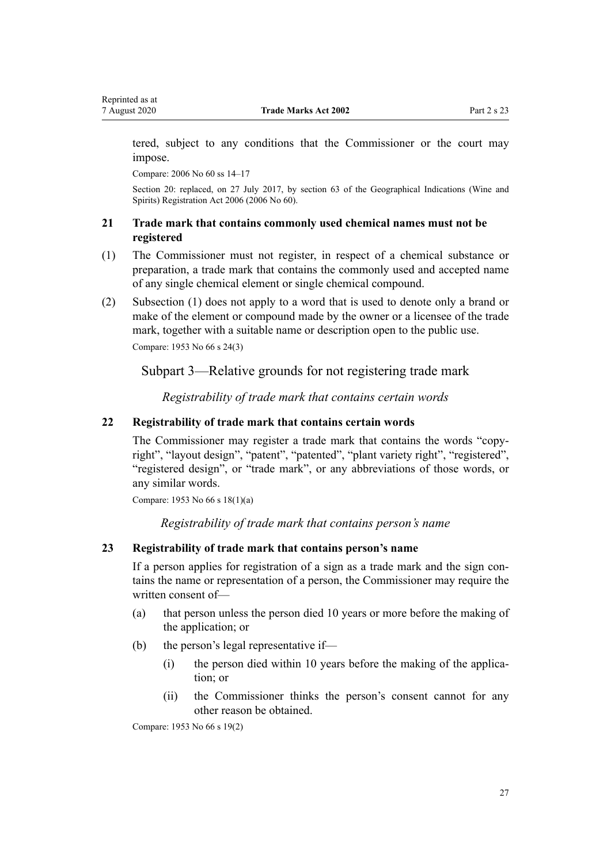<span id="page-26-0"></span>tered, subject to any conditions that the Commissioner or the court may impose.

Compare: 2006 No 60 [ss 14–17](http://legislation.govt.nz/pdflink.aspx?id=DLM390831)

Section 20: replaced, on 27 July 2017, by [section 63](http://legislation.govt.nz/pdflink.aspx?id=DLM390893) of the Geographical Indications (Wine and Spirits) Registration Act 2006 (2006 No 60).

# **21 Trade mark that contains commonly used chemical names must not be registered**

- (1) The Commissioner must not register, in respect of a chemical substance or preparation, a trade mark that contains the commonly used and accepted name of any single chemical element or single chemical compound.
- (2) Subsection (1) does not apply to a word that is used to denote only a brand or make of the element or compound made by the owner or a licensee of the trade mark, together with a suitable name or description open to the public use. Compare: 1953 No 66 s 24(3)

Subpart 3—Relative grounds for not registering trade mark

*Registrability of trade mark that contains certain words*

#### **22 Registrability of trade mark that contains certain words**

The Commissioner may register a trade mark that contains the words "copyright", "layout design", "patent", "patented", "plant variety right", "registered", "registered design", or "trade mark", or any abbreviations of those words, or any similar words.

Compare: 1953 No 66 s 18(1)(a)

*Registrability of trade mark that contains person's name*

#### **23 Registrability of trade mark that contains person's name**

If a person applies for registration of a sign as a trade mark and the sign contains the name or representation of a person, the Commissioner may require the written consent of—

- (a) that person unless the person died 10 years or more before the making of the application; or
- (b) the person's legal representative if—
	- (i) the person died within 10 years before the making of the application; or
	- (ii) the Commissioner thinks the person's consent cannot for any other reason be obtained.

Compare: 1953 No 66 s 19(2)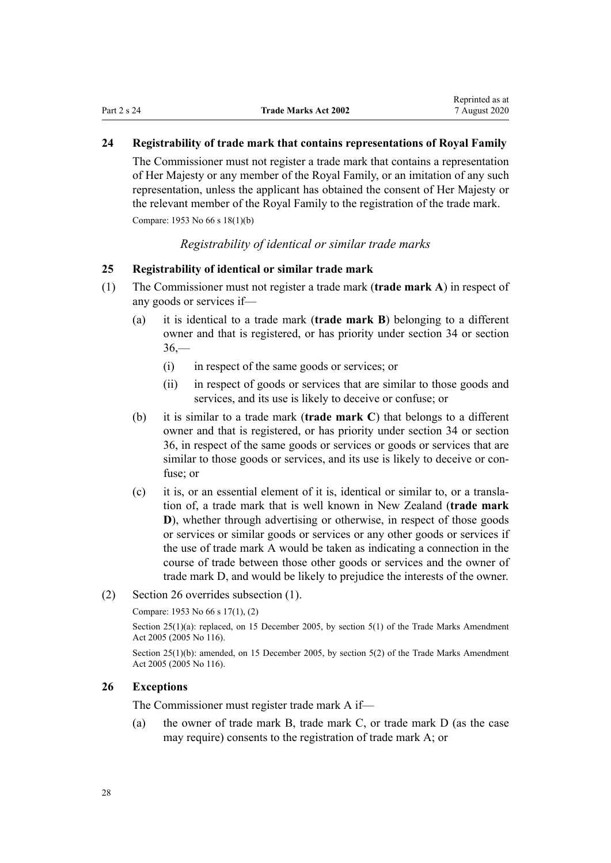#### <span id="page-27-0"></span>**24 Registrability of trade mark that contains representations of Royal Family**

The Commissioner must not register a trade mark that contains a representation of Her Majesty or any member of the Royal Family, or an imitation of any such representation, unless the applicant has obtained the consent of Her Majesty or the relevant member of the Royal Family to the registration of the trade mark. Compare: 1953 No 66 s 18(1)(b)

#### *Registrability of identical or similar trade marks*

#### **25 Registrability of identical or similar trade mark**

- (1) The Commissioner must not register a trade mark (**trade mark A**) in respect of any goods or services if—
	- (a) it is identical to a trade mark (**trade mark B**) belonging to a different owner and that is registered, or has priority under [section 34](#page-31-0) or [section](#page-32-0)  $36 -$ 
		- (i) in respect of the same goods or services; or
		- (ii) in respect of goods or services that are similar to those goods and services, and its use is likely to deceive or confuse; or
	- (b) it is similar to a trade mark (**trade mark C**) that belongs to a different owner and that is registered, or has priority under [section 34](#page-31-0) or [section](#page-32-0) [36,](#page-32-0) in respect of the same goods or services or goods or services that are similar to those goods or services, and its use is likely to deceive or confuse; or
	- (c) it is, or an essential element of it is, identical or similar to, or a translation of, a trade mark that is well known in New Zealand (**trade mark D**), whether through advertising or otherwise, in respect of those goods or services or similar goods or services or any other goods or services if the use of trade mark A would be taken as indicating a connection in the course of trade between those other goods or services and the owner of trade mark D, and would be likely to prejudice the interests of the owner.
- (2) Section 26 overrides subsection (1).

Compare: 1953 No 66 s 17(1), (2)

Section 25(1)(a): replaced, on 15 December 2005, by [section 5\(1\)](http://legislation.govt.nz/pdflink.aspx?id=DLM362639) of the Trade Marks Amendment Act 2005 (2005 No 116).

Section 25(1)(b): amended, on 15 December 2005, by [section 5\(2\)](http://legislation.govt.nz/pdflink.aspx?id=DLM362639) of the Trade Marks Amendment Act 2005 (2005 No 116).

#### **26 Exceptions**

The Commissioner must register trade mark A if—

(a) the owner of trade mark B, trade mark C, or trade mark D (as the case may require) consents to the registration of trade mark A; or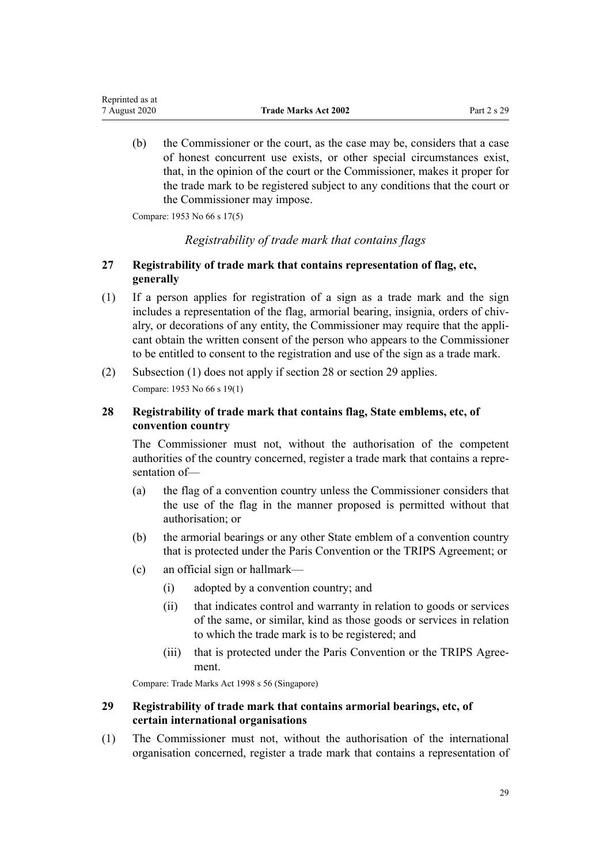(b) the Commissioner or the court, as the case may be, considers that a case of honest concurrent use exists, or other special circumstances exist, that, in the opinion of the court or the Commissioner, makes it proper for the trade mark to be registered subject to any conditions that the court or the Commissioner may impose.

Compare: 1953 No 66 s 17(5)

<span id="page-28-0"></span>Reprinted as at

# *Registrability of trade mark that contains flags*

# **27 Registrability of trade mark that contains representation of flag, etc, generally**

- (1) If a person applies for registration of a sign as a trade mark and the sign includes a representation of the flag, armorial bearing, insignia, orders of chivalry, or decorations of any entity, the Commissioner may require that the applicant obtain the written consent of the person who appears to the Commissioner to be entitled to consent to the registration and use of the sign as a trade mark.
- (2) Subsection (1) does not apply if section 28 or section 29 applies. Compare: 1953 No 66 s 19(1)

# **28 Registrability of trade mark that contains flag, State emblems, etc, of convention country**

The Commissioner must not, without the authorisation of the competent authorities of the country concerned, register a trade mark that contains a representation of—

- (a) the flag of a convention country unless the Commissioner considers that the use of the flag in the manner proposed is permitted without that authorisation; or
- (b) the armorial bearings or any other State emblem of a convention country that is protected under the Paris Convention or the TRIPS Agreement; or
- (c) an official sign or hallmark—
	- (i) adopted by a convention country; and
	- (ii) that indicates control and warranty in relation to goods or services of the same, or similar, kind as those goods or services in relation to which the trade mark is to be registered; and
	- (iii) that is protected under the Paris Convention or the TRIPS Agreement.

Compare: Trade Marks Act 1998 s 56 (Singapore)

# **29 Registrability of trade mark that contains armorial bearings, etc, of certain international organisations**

(1) The Commissioner must not, without the authorisation of the international organisation concerned, register a trade mark that contains a representation of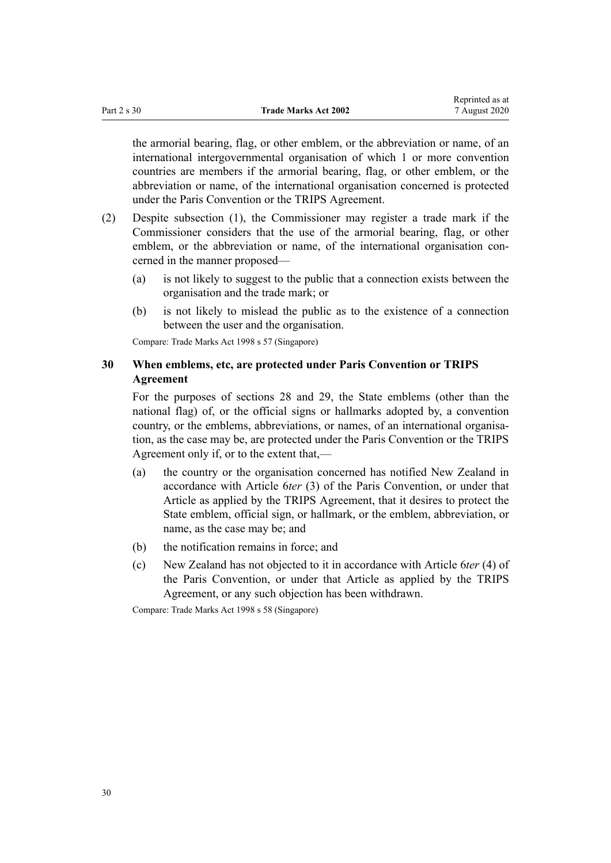<span id="page-29-0"></span>the armorial bearing, flag, or other emblem, or the abbreviation or name, of an international intergovernmental organisation of which 1 or more convention countries are members if the armorial bearing, flag, or other emblem, or the abbreviation or name, of the international organisation concerned is protected under the Paris Convention or the TRIPS Agreement.

- (2) Despite subsection (1), the Commissioner may register a trade mark if the Commissioner considers that the use of the armorial bearing, flag, or other emblem, or the abbreviation or name, of the international organisation concerned in the manner proposed—
	- (a) is not likely to suggest to the public that a connection exists between the organisation and the trade mark; or
	- (b) is not likely to mislead the public as to the existence of a connection between the user and the organisation.

Compare: Trade Marks Act 1998 s 57 (Singapore)

## **30 When emblems, etc, are protected under Paris Convention or TRIPS Agreement**

For the purposes of [sections 28](#page-28-0) and [29](#page-28-0), the State emblems (other than the national flag) of, or the official signs or hallmarks adopted by, a convention country, or the emblems, abbreviations, or names, of an international organisation, as the case may be, are protected under the Paris Convention or the TRIPS Agreement only if, or to the extent that,—

- (a) the country or the organisation concerned has notified New Zealand in accordance with Article 6*ter* (3) of the Paris Convention, or under that Article as applied by the TRIPS Agreement, that it desires to protect the State emblem, official sign, or hallmark, or the emblem, abbreviation, or name, as the case may be; and
- (b) the notification remains in force; and
- (c) New Zealand has not objected to it in accordance with Article 6*ter* (4) of the Paris Convention, or under that Article as applied by the TRIPS Agreement, or any such objection has been withdrawn.

Compare: Trade Marks Act 1998 s 58 (Singapore)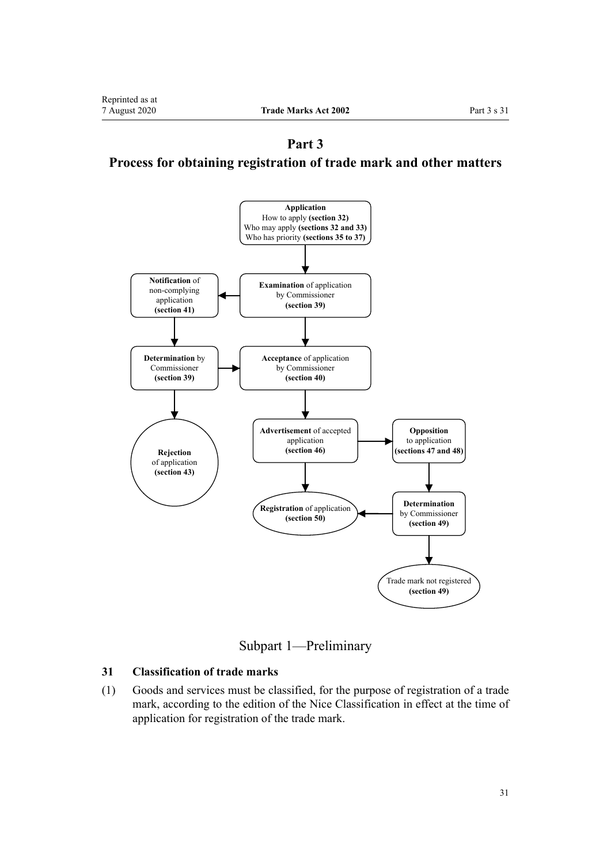<span id="page-30-0"></span>



Subpart 1—Preliminary

# **31 Classification of trade marks**

(1) Goods and services must be classified, for the purpose of registration of a trade mark, according to the edition of the Nice Classification in effect at the time of application for registration of the trade mark.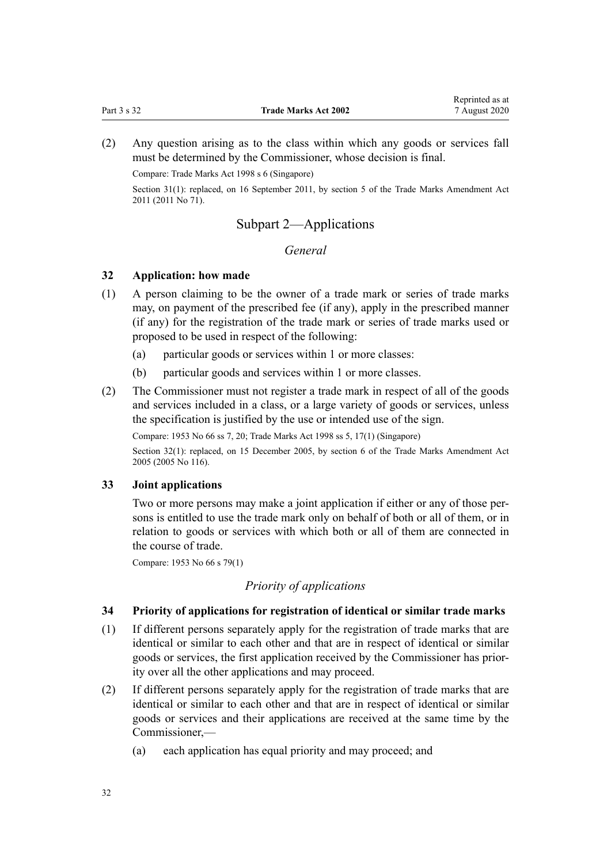<span id="page-31-0"></span>(2) Any question arising as to the class within which any goods or services fall must be determined by the Commissioner, whose decision is final.

Compare: Trade Marks Act 1998 s 6 (Singapore)

Section 31(1): replaced, on 16 September 2011, by [section 5](http://legislation.govt.nz/pdflink.aspx?id=DLM2290037) of the Trade Marks Amendment Act 2011 (2011 No 71).

# Subpart 2—Applications

#### *General*

#### **32 Application: how made**

- (1) A person claiming to be the owner of a trade mark or series of trade marks may, on payment of the prescribed fee (if any), apply in the prescribed manner (if any) for the registration of the trade mark or series of trade marks used or proposed to be used in respect of the following:
	- (a) particular goods or services within 1 or more classes:
	- (b) particular goods and services within 1 or more classes.
- (2) The Commissioner must not register a trade mark in respect of all of the goods and services included in a class, or a large variety of goods or services, unless the specification is justified by the use or intended use of the sign.

Compare: 1953 No 66 ss 7, 20; Trade Marks Act 1998 ss 5, 17(1) (Singapore)

Section 32(1): replaced, on 15 December 2005, by [section 6](http://legislation.govt.nz/pdflink.aspx?id=DLM362640) of the Trade Marks Amendment Act 2005 (2005 No 116).

#### **33 Joint applications**

Two or more persons may make a joint application if either or any of those persons is entitled to use the trade mark only on behalf of both or all of them, or in relation to goods or services with which both or all of them are connected in the course of trade.

Compare: 1953 No 66 s 79(1)

#### *Priority of applications*

#### **34 Priority of applications for registration of identical or similar trade marks**

- (1) If different persons separately apply for the registration of trade marks that are identical or similar to each other and that are in respect of identical or similar goods or services, the first application received by the Commissioner has priority over all the other applications and may proceed.
- (2) If different persons separately apply for the registration of trade marks that are identical or similar to each other and that are in respect of identical or similar goods or services and their applications are received at the same time by the Commissioner,—
	- (a) each application has equal priority and may proceed; and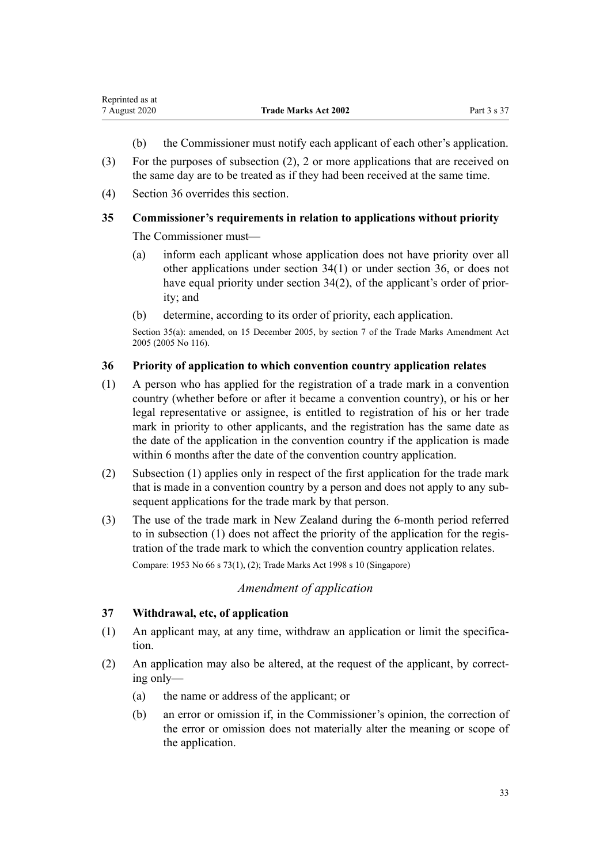- (b) the Commissioner must notify each applicant of each other's application.
- <span id="page-32-0"></span>(3) For the purposes of subsection (2), 2 or more applications that are received on the same day are to be treated as if they had been received at the same time.
- (4) Section 36 overrides this section.

## **35 Commissioner's requirements in relation to applications without priority**

The Commissioner must—

- (a) inform each applicant whose application does not have priority over all other applications under [section 34\(1\)](#page-31-0) or under section 36, or does not have equal priority under [section 34\(2\)](#page-31-0), of the applicant's order of priority; and
- (b) determine, according to its order of priority, each application.

Section 35(a): amended, on 15 December 2005, by [section 7](http://legislation.govt.nz/pdflink.aspx?id=DLM362641) of the Trade Marks Amendment Act 2005 (2005 No 116).

#### **36 Priority of application to which convention country application relates**

- (1) A person who has applied for the registration of a trade mark in a convention country (whether before or after it became a convention country), or his or her legal representative or assignee, is entitled to registration of his or her trade mark in priority to other applicants, and the registration has the same date as the date of the application in the convention country if the application is made within 6 months after the date of the convention country application.
- (2) Subsection (1) applies only in respect of the first application for the trade mark that is made in a convention country by a person and does not apply to any subsequent applications for the trade mark by that person.
- (3) The use of the trade mark in New Zealand during the 6-month period referred to in subsection (1) does not affect the priority of the application for the registration of the trade mark to which the convention country application relates.

Compare: 1953 No 66 s 73(1), (2); Trade Marks Act 1998 s 10 (Singapore)

# *Amendment of application*

#### **37 Withdrawal, etc, of application**

- (1) An applicant may, at any time, withdraw an application or limit the specification.
- (2) An application may also be altered, at the request of the applicant, by correcting only—
	- (a) the name or address of the applicant; or
	- (b) an error or omission if, in the Commissioner's opinion, the correction of the error or omission does not materially alter the meaning or scope of the application.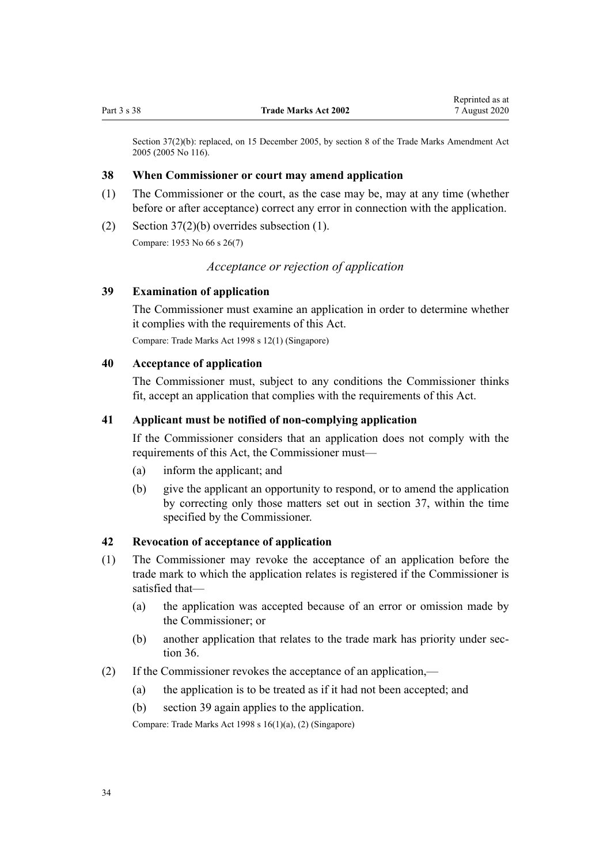<span id="page-33-0"></span>Section 37(2)(b): replaced, on 15 December 2005, by [section 8](http://legislation.govt.nz/pdflink.aspx?id=DLM362642) of the Trade Marks Amendment Act 2005 (2005 No 116).

#### **38 When Commissioner or court may amend application**

- (1) The Commissioner or the court, as the case may be, may at any time (whether before or after acceptance) correct any error in connection with the application.
- (2) Section  $37(2)(b)$  overrides subsection (1).

Compare: 1953 No 66 s 26(7)

#### *Acceptance or rejection of application*

#### **39 Examination of application**

The Commissioner must examine an application in order to determine whether it complies with the requirements of this Act.

Compare: Trade Marks Act 1998 s 12(1) (Singapore)

#### **40 Acceptance of application**

The Commissioner must, subject to any conditions the Commissioner thinks fit, accept an application that complies with the requirements of this Act.

#### **41 Applicant must be notified of non-complying application**

If the Commissioner considers that an application does not comply with the requirements of this Act, the Commissioner must—

- (a) inform the applicant; and
- (b) give the applicant an opportunity to respond, or to amend the application by correcting only those matters set out in [section 37](#page-32-0), within the time specified by the Commissioner.

#### **42 Revocation of acceptance of application**

- (1) The Commissioner may revoke the acceptance of an application before the trade mark to which the application relates is registered if the Commissioner is satisfied that—
	- (a) the application was accepted because of an error or omission made by the Commissioner; or
	- (b) another application that relates to the trade mark has priority under [sec](#page-32-0)[tion 36](#page-32-0).
- (2) If the Commissioner revokes the acceptance of an application,—
	- (a) the application is to be treated as if it had not been accepted; and
	- (b) section 39 again applies to the application.

Compare: Trade Marks Act 1998 s 16(1)(a), (2) (Singapore)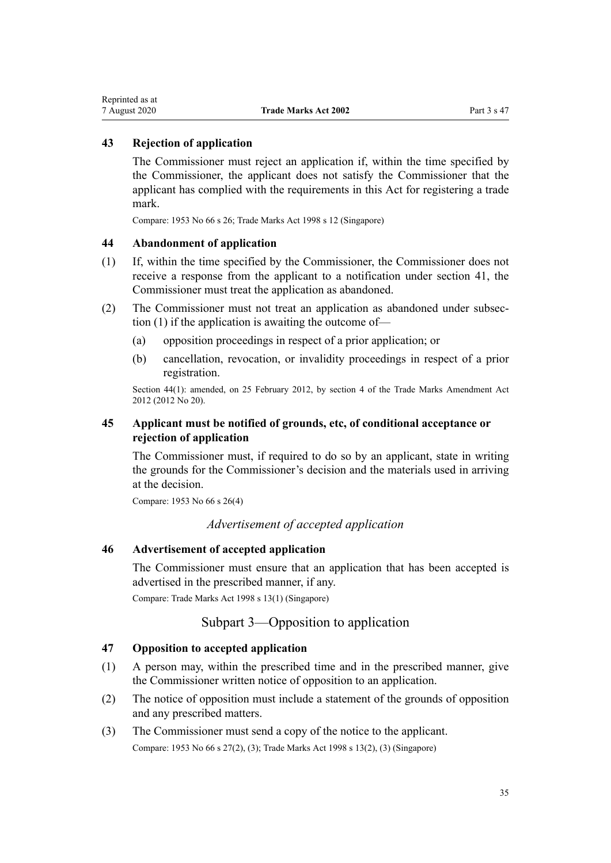# <span id="page-34-0"></span>**43 Rejection of application**

The Commissioner must reject an application if, within the time specified by the Commissioner, the applicant does not satisfy the Commissioner that the applicant has complied with the requirements in this Act for registering a trade mark.

Compare: 1953 No 66 s 26; Trade Marks Act 1998 s 12 (Singapore)

#### **44 Abandonment of application**

- (1) If, within the time specified by the Commissioner, the Commissioner does not receive a response from the applicant to a notification under [section 41,](#page-33-0) the Commissioner must treat the application as abandoned.
- (2) The Commissioner must not treat an application as abandoned under subsection (1) if the application is awaiting the outcome of—
	- (a) opposition proceedings in respect of a prior application; or
	- (b) cancellation, revocation, or invalidity proceedings in respect of a prior registration.

Section 44(1): amended, on 25 February 2012, by [section 4](http://legislation.govt.nz/pdflink.aspx?id=DLM4015207) of the Trade Marks Amendment Act 2012 (2012 No 20).

# **45 Applicant must be notified of grounds, etc, of conditional acceptance or rejection of application**

The Commissioner must, if required to do so by an applicant, state in writing the grounds for the Commissioner's decision and the materials used in arriving at the decision.

Compare: 1953 No 66 s 26(4)

*Advertisement of accepted application*

## **46 Advertisement of accepted application**

The Commissioner must ensure that an application that has been accepted is advertised in the prescribed manner, if any.

Compare: Trade Marks Act 1998 s 13(1) (Singapore)

# Subpart 3—Opposition to application

#### **47 Opposition to accepted application**

- (1) A person may, within the prescribed time and in the prescribed manner, give the Commissioner written notice of opposition to an application.
- (2) The notice of opposition must include a statement of the grounds of opposition and any prescribed matters.
- (3) The Commissioner must send a copy of the notice to the applicant. Compare: 1953 No 66 s 27(2), (3); Trade Marks Act 1998 s 13(2), (3) (Singapore)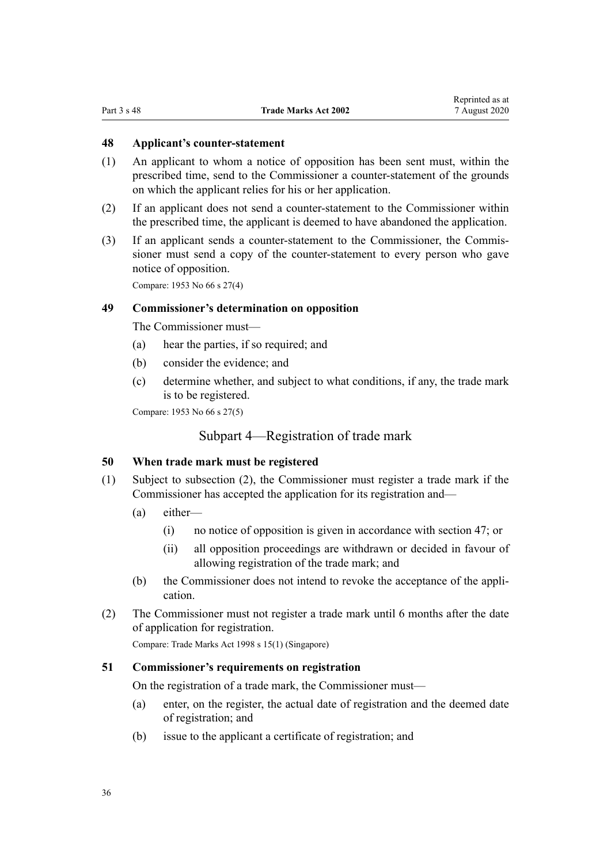## <span id="page-35-0"></span>**48 Applicant's counter-statement**

- (1) An applicant to whom a notice of opposition has been sent must, within the prescribed time, send to the Commissioner a counter-statement of the grounds on which the applicant relies for his or her application.
- (2) If an applicant does not send a counter-statement to the Commissioner within the prescribed time, the applicant is deemed to have abandoned the application.
- (3) If an applicant sends a counter-statement to the Commissioner, the Commissioner must send a copy of the counter-statement to every person who gave notice of opposition.

Compare: 1953 No 66 s 27(4)

#### **49 Commissioner's determination on opposition**

The Commissioner must—

- (a) hear the parties, if so required; and
- (b) consider the evidence; and
- (c) determine whether, and subject to what conditions, if any, the trade mark is to be registered.

Compare: 1953 No 66 s 27(5)

# Subpart 4—Registration of trade mark

#### **50 When trade mark must be registered**

- (1) Subject to subsection (2), the Commissioner must register a trade mark if the Commissioner has accepted the application for its registration and—
	- (a) either—
		- (i) no notice of opposition is given in accordance with [section 47](#page-34-0); or
		- (ii) all opposition proceedings are withdrawn or decided in favour of allowing registration of the trade mark; and
	- (b) the Commissioner does not intend to revoke the acceptance of the application.
- (2) The Commissioner must not register a trade mark until 6 months after the date of application for registration.

Compare: Trade Marks Act 1998 s 15(1) (Singapore)

#### **51 Commissioner's requirements on registration**

On the registration of a trade mark, the Commissioner must—

- (a) enter, on the register, the actual date of registration and the deemed date of registration; and
- (b) issue to the applicant a certificate of registration; and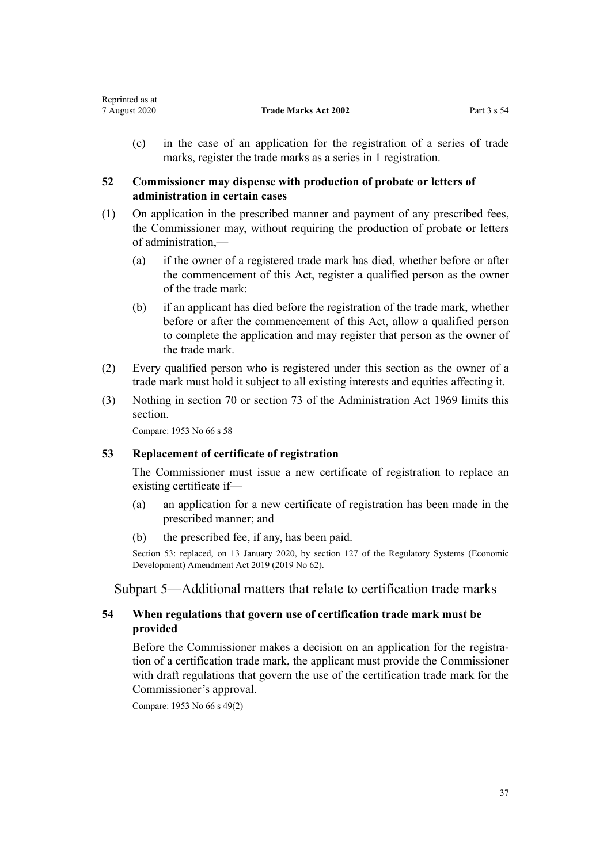(c) in the case of an application for the registration of a series of trade marks, register the trade marks as a series in 1 registration.

## **52 Commissioner may dispense with production of probate or letters of administration in certain cases**

- (1) On application in the prescribed manner and payment of any prescribed fees, the Commissioner may, without requiring the production of probate or letters of administration,—
	- (a) if the owner of a registered trade mark has died, whether before or after the commencement of this Act, register a qualified person as the owner of the trade mark:
	- (b) if an applicant has died before the registration of the trade mark, whether before or after the commencement of this Act, allow a qualified person to complete the application and may register that person as the owner of the trade mark.
- (2) Every qualified person who is registered under this section as the owner of a trade mark must hold it subject to all existing interests and equities affecting it.
- (3) Nothing in [section 70](http://legislation.govt.nz/pdflink.aspx?id=DLM393092) or [section 73](http://legislation.govt.nz/pdflink.aspx?id=DLM393097) of the Administration Act 1969 limits this section.

Compare: 1953 No 66 s 58

## **53 Replacement of certificate of registration**

The Commissioner must issue a new certificate of registration to replace an existing certificate if—

- (a) an application for a new certificate of registration has been made in the prescribed manner; and
- (b) the prescribed fee, if any, has been paid.

Section 53: replaced, on 13 January 2020, by [section 127](http://legislation.govt.nz/pdflink.aspx?id=LMS85754) of the Regulatory Systems (Economic Development) Amendment Act 2019 (2019 No 62).

Subpart 5—Additional matters that relate to certification trade marks

## **54 When regulations that govern use of certification trade mark must be provided**

Before the Commissioner makes a decision on an application for the registration of a certification trade mark, the applicant must provide the Commissioner with draft regulations that govern the use of the certification trade mark for the Commissioner's approval.

Compare: 1953 No 66 s 49(2)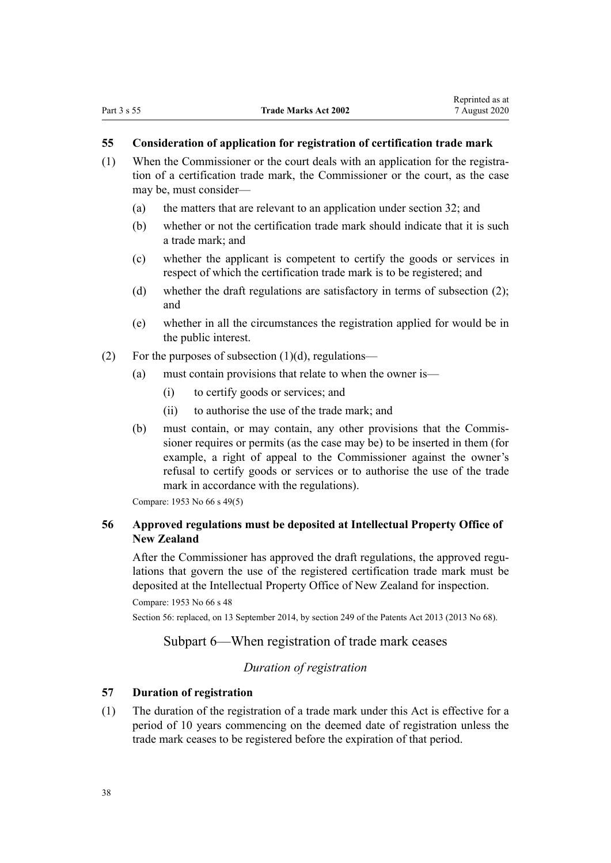#### **55 Consideration of application for registration of certification trade mark**

- (1) When the Commissioner or the court deals with an application for the registration of a certification trade mark, the Commissioner or the court, as the case may be, must consider—
	- (a) the matters that are relevant to an application under [section 32](#page-31-0); and
	- (b) whether or not the certification trade mark should indicate that it is such a trade mark; and
	- (c) whether the applicant is competent to certify the goods or services in respect of which the certification trade mark is to be registered; and
	- (d) whether the draft regulations are satisfactory in terms of subsection (2); and
	- (e) whether in all the circumstances the registration applied for would be in the public interest.
- (2) For the purposes of subsection  $(1)(d)$ , regulations—
	- (a) must contain provisions that relate to when the owner is—
		- (i) to certify goods or services; and
		- (ii) to authorise the use of the trade mark; and
	- (b) must contain, or may contain, any other provisions that the Commissioner requires or permits (as the case may be) to be inserted in them (for example, a right of appeal to the Commissioner against the owner's refusal to certify goods or services or to authorise the use of the trade mark in accordance with the regulations).

Compare: 1953 No 66 s 49(5)

## **56 Approved regulations must be deposited at Intellectual Property Office of New Zealand**

After the Commissioner has approved the draft regulations, the approved regulations that govern the use of the registered certification trade mark must be deposited at the Intellectual Property Office of New Zealand for inspection.

```
Compare: 1953 No 66 s 48
```
Section 56: replaced, on 13 September 2014, by [section 249](http://legislation.govt.nz/pdflink.aspx?id=DLM1419624) of the Patents Act 2013 (2013 No 68).

## Subpart 6—When registration of trade mark ceases

## *Duration of registration*

#### **57 Duration of registration**

(1) The duration of the registration of a trade mark under this Act is effective for a period of 10 years commencing on the deemed date of registration unless the trade mark ceases to be registered before the expiration of that period.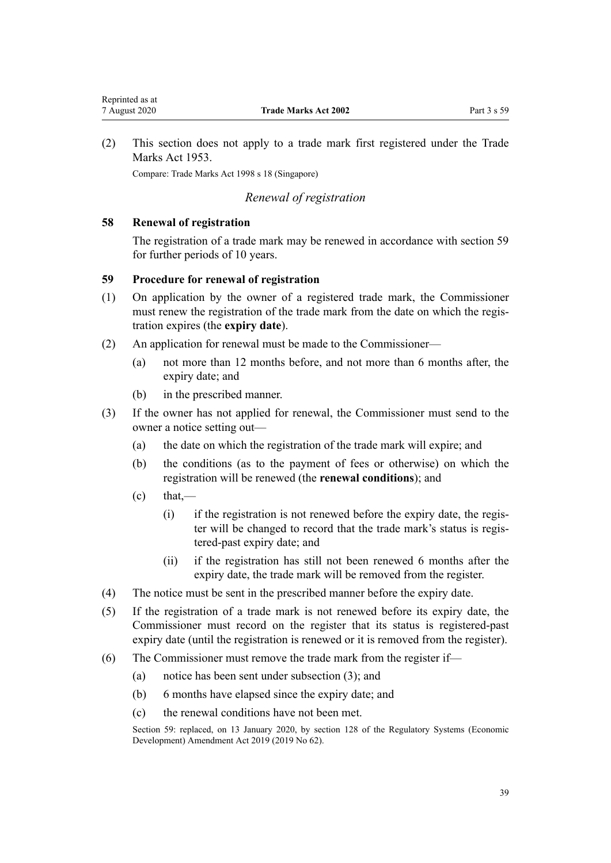<span id="page-38-0"></span>(2) This section does not apply to a trade mark first registered under the Trade Marks Act 1953.

Compare: Trade Marks Act 1998 s 18 (Singapore)

## *Renewal of registration*

## **58 Renewal of registration**

The registration of a trade mark may be renewed in accordance with section 59 for further periods of 10 years.

## **59 Procedure for renewal of registration**

- (1) On application by the owner of a registered trade mark, the Commissioner must renew the registration of the trade mark from the date on which the registration expires (the **expiry date**).
- (2) An application for renewal must be made to the Commissioner—
	- (a) not more than 12 months before, and not more than 6 months after, the expiry date; and
	- (b) in the prescribed manner.
- (3) If the owner has not applied for renewal, the Commissioner must send to the owner a notice setting out—
	- (a) the date on which the registration of the trade mark will expire; and
	- (b) the conditions (as to the payment of fees or otherwise) on which the registration will be renewed (the **renewal conditions**); and
	- $\text{(c)}$  that,—
		- (i) if the registration is not renewed before the expiry date, the register will be changed to record that the trade mark's status is registered-past expiry date; and
		- (ii) if the registration has still not been renewed 6 months after the expiry date, the trade mark will be removed from the register.
- (4) The notice must be sent in the prescribed manner before the expiry date.
- (5) If the registration of a trade mark is not renewed before its expiry date, the Commissioner must record on the register that its status is registered-past expiry date (until the registration is renewed or it is removed from the register).
- (6) The Commissioner must remove the trade mark from the register if—
	- (a) notice has been sent under subsection (3); and
	- (b) 6 months have elapsed since the expiry date; and
	- (c) the renewal conditions have not been met.

Section 59: replaced, on 13 January 2020, by [section 128](http://legislation.govt.nz/pdflink.aspx?id=LMS85760) of the Regulatory Systems (Economic Development) Amendment Act 2019 (2019 No 62).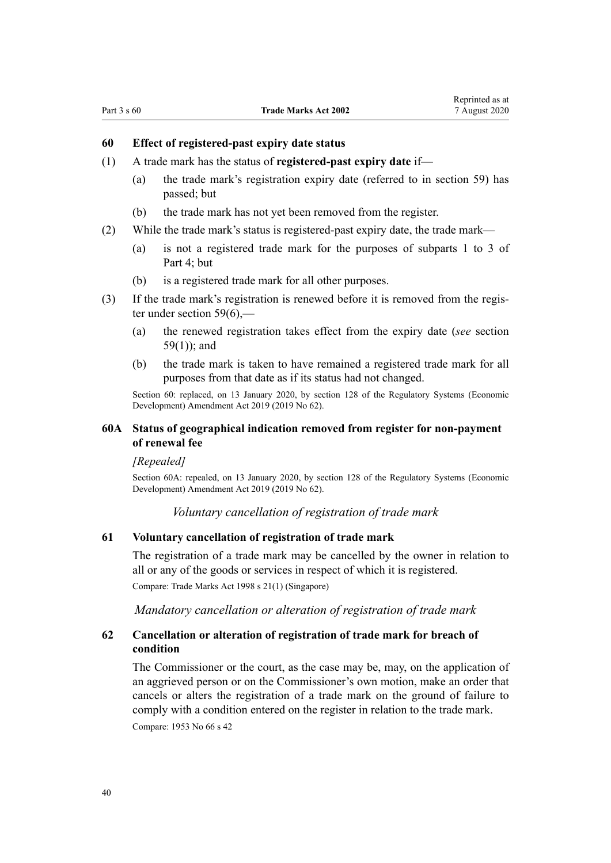#### **60 Effect of registered-past expiry date status**

- (1) A trade mark has the status of **registered-past expiry date** if—
	- (a) the trade mark's registration expiry date (referred to in [section 59\)](#page-38-0) has passed; but
	- (b) the trade mark has not yet been removed from the register.
- (2) While the trade mark's status is registered-past expiry date, the trade mark—
	- (a) is not a registered trade mark for the purposes of [subparts 1 to 3](#page-48-0) of Part 4; but
	- (b) is a registered trade mark for all other purposes.
- (3) If the trade mark's registration is renewed before it is removed from the register under [section 59\(6\),](#page-38-0)—
	- (a) the renewed registration takes effect from the expiry date (*see* [section](#page-38-0) [59\(1\)](#page-38-0)); and
	- (b) the trade mark is taken to have remained a registered trade mark for all purposes from that date as if its status had not changed.

Section 60: replaced, on 13 January 2020, by [section 128](http://legislation.govt.nz/pdflink.aspx?id=LMS85760) of the Regulatory Systems (Economic Development) Amendment Act 2019 (2019 No 62).

#### **60A Status of geographical indication removed from register for non-payment of renewal fee**

#### *[Repealed]*

Section 60A: repealed, on 13 January 2020, by [section 128](http://legislation.govt.nz/pdflink.aspx?id=LMS85760) of the Regulatory Systems (Economic Development) Amendment Act 2019 (2019 No 62).

*Voluntary cancellation of registration of trade mark*

#### **61 Voluntary cancellation of registration of trade mark**

The registration of a trade mark may be cancelled by the owner in relation to all or any of the goods or services in respect of which it is registered.

Compare: Trade Marks Act 1998 s 21(1) (Singapore)

*Mandatory cancellation or alteration of registration of trade mark*

## **62 Cancellation or alteration of registration of trade mark for breach of condition**

The Commissioner or the court, as the case may be, may, on the application of an aggrieved person or on the Commissioner's own motion, make an order that cancels or alters the registration of a trade mark on the ground of failure to comply with a condition entered on the register in relation to the trade mark. Compare: 1953 No 66 s 42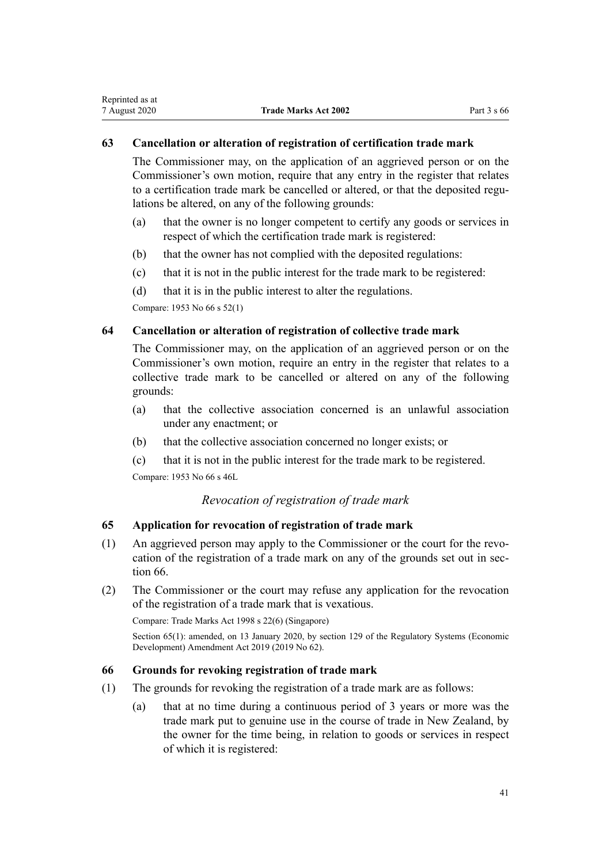#### <span id="page-40-0"></span>**63 Cancellation or alteration of registration of certification trade mark**

The Commissioner may, on the application of an aggrieved person or on the Commissioner's own motion, require that any entry in the register that relates to a certification trade mark be cancelled or altered, or that the deposited regulations be altered, on any of the following grounds:

- (a) that the owner is no longer competent to certify any goods or services in respect of which the certification trade mark is registered:
- (b) that the owner has not complied with the deposited regulations:
- (c) that it is not in the public interest for the trade mark to be registered:
- (d) that it is in the public interest to alter the regulations.

Compare: 1953 No 66 s 52(1)

## **64 Cancellation or alteration of registration of collective trade mark**

The Commissioner may, on the application of an aggrieved person or on the Commissioner's own motion, require an entry in the register that relates to a collective trade mark to be cancelled or altered on any of the following grounds:

- (a) that the collective association concerned is an unlawful association under any enactment; or
- (b) that the collective association concerned no longer exists; or
- (c) that it is not in the public interest for the trade mark to be registered.

Compare: 1953 No 66 s 46L

## *Revocation of registration of trade mark*

## **65 Application for revocation of registration of trade mark**

- (1) An aggrieved person may apply to the Commissioner or the court for the revocation of the registration of a trade mark on any of the grounds set out in section 66.
- (2) The Commissioner or the court may refuse any application for the revocation of the registration of a trade mark that is vexatious.

Compare: Trade Marks Act 1998 s 22(6) (Singapore)

Section 65(1): amended, on 13 January 2020, by [section 129](http://legislation.govt.nz/pdflink.aspx?id=LMS85761) of the Regulatory Systems (Economic Development) Amendment Act 2019 (2019 No 62).

#### **66 Grounds for revoking registration of trade mark**

- (1) The grounds for revoking the registration of a trade mark are as follows:
	- (a) that at no time during a continuous period of 3 years or more was the trade mark put to genuine use in the course of trade in New Zealand, by the owner for the time being, in relation to goods or services in respect of which it is registered: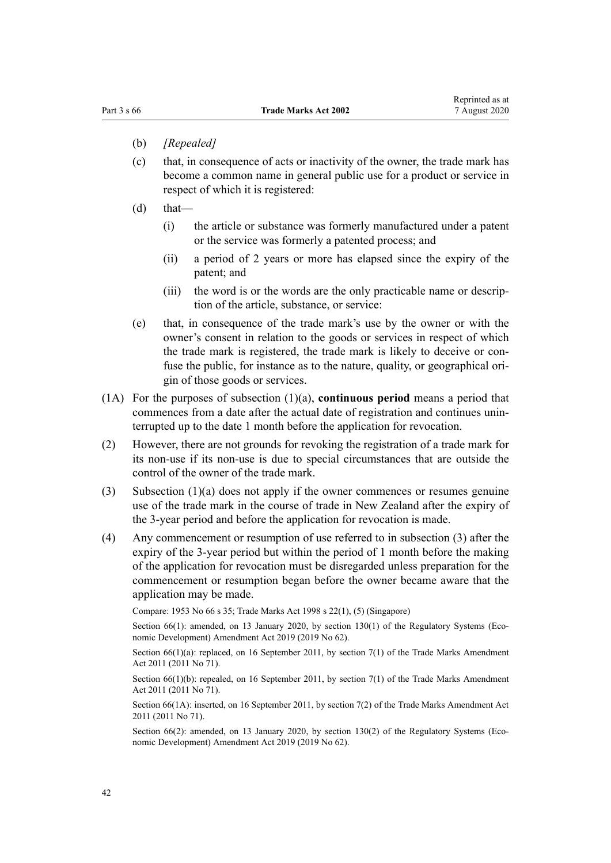- (b) *[Repealed]*
- (c) that, in consequence of acts or inactivity of the owner, the trade mark has become a common name in general public use for a product or service in respect of which it is registered:
- $(d)$  that—
	- (i) the article or substance was formerly manufactured under a patent or the service was formerly a patented process; and
	- (ii) a period of 2 years or more has elapsed since the expiry of the patent; and
	- (iii) the word is or the words are the only practicable name or description of the article, substance, or service:
- (e) that, in consequence of the trade mark's use by the owner or with the owner's consent in relation to the goods or services in respect of which the trade mark is registered, the trade mark is likely to deceive or confuse the public, for instance as to the nature, quality, or geographical origin of those goods or services.
- (1A) For the purposes of subsection (1)(a), **continuous period** means a period that commences from a date after the actual date of registration and continues uninterrupted up to the date 1 month before the application for revocation.
- (2) However, there are not grounds for revoking the registration of a trade mark for its non-use if its non-use is due to special circumstances that are outside the control of the owner of the trade mark.
- (3) Subsection (1)(a) does not apply if the owner commences or resumes genuine use of the trade mark in the course of trade in New Zealand after the expiry of the 3-year period and before the application for revocation is made.
- (4) Any commencement or resumption of use referred to in subsection (3) after the expiry of the 3-year period but within the period of 1 month before the making of the application for revocation must be disregarded unless preparation for the commencement or resumption began before the owner became aware that the application may be made.

Compare: 1953 No 66 s 35; Trade Marks Act 1998 s 22(1), (5) (Singapore)

Section 66(1): amended, on 13 January 2020, by [section 130\(1\)](http://legislation.govt.nz/pdflink.aspx?id=LMS85762) of the Regulatory Systems (Economic Development) Amendment Act 2019 (2019 No 62).

Section 66(1)(a): replaced, on 16 September 2011, by [section 7\(1\)](http://legislation.govt.nz/pdflink.aspx?id=DLM2290040) of the Trade Marks Amendment Act 2011 (2011 No 71).

Section  $66(1)(b)$ : repealed, on 16 September 2011, by [section 7\(1\)](http://legislation.govt.nz/pdflink.aspx?id=DLM2290040) of the Trade Marks Amendment Act 2011 (2011 No 71).

Section 66(1A): inserted, on 16 September 2011, by [section 7\(2\)](http://legislation.govt.nz/pdflink.aspx?id=DLM2290040) of the Trade Marks Amendment Act 2011 (2011 No 71).

Section 66(2): amended, on 13 January 2020, by [section 130\(2\)](http://legislation.govt.nz/pdflink.aspx?id=LMS85762) of the Regulatory Systems (Economic Development) Amendment Act 2019 (2019 No 62).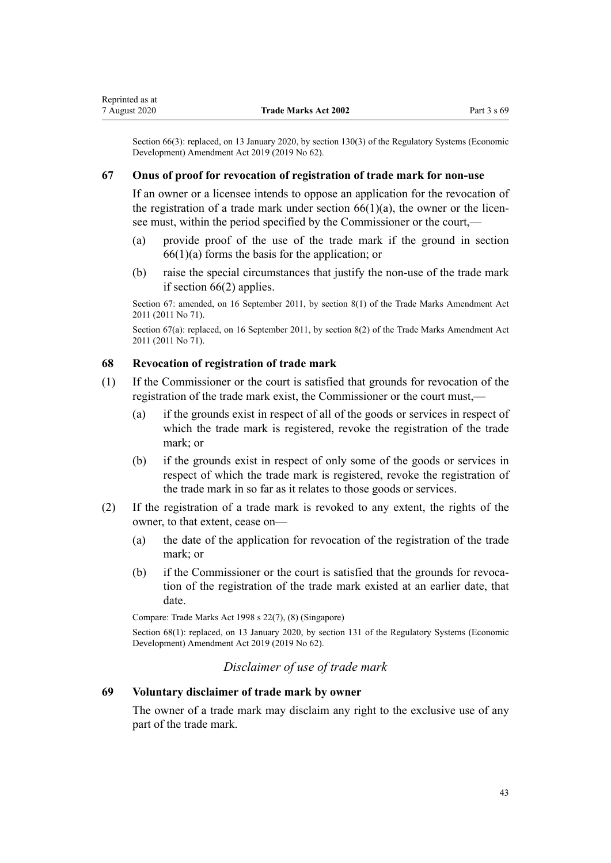Section 66(3): replaced, on 13 January 2020, by [section 130\(3\)](http://legislation.govt.nz/pdflink.aspx?id=LMS85762) of the Regulatory Systems (Economic Development) Amendment Act 2019 (2019 No 62).

#### **67 Onus of proof for revocation of registration of trade mark for non-use**

If an owner or a licensee intends to oppose an application for the revocation of the registration of a trade mark under section  $66(1)(a)$ , the owner or the licensee must, within the period specified by the Commissioner or the court,—

- (a) provide proof of the use of the trade mark if the ground in [section](#page-40-0)  $66(1)(a)$  forms the basis for the application; or
- (b) raise the special circumstances that justify the non-use of the trade mark if [section 66\(2\)](#page-40-0) applies.

Section 67: amended, on 16 September 2011, by [section 8\(1\)](http://legislation.govt.nz/pdflink.aspx?id=DLM2290042) of the Trade Marks Amendment Act 2011 (2011 No 71).

Section 67(a): replaced, on 16 September 2011, by [section 8\(2\)](http://legislation.govt.nz/pdflink.aspx?id=DLM2290042) of the Trade Marks Amendment Act 2011 (2011 No 71).

#### **68 Revocation of registration of trade mark**

- (1) If the Commissioner or the court is satisfied that grounds for revocation of the registration of the trade mark exist, the Commissioner or the court must,—
	- (a) if the grounds exist in respect of all of the goods or services in respect of which the trade mark is registered, revoke the registration of the trade mark; or
	- (b) if the grounds exist in respect of only some of the goods or services in respect of which the trade mark is registered, revoke the registration of the trade mark in so far as it relates to those goods or services.
- (2) If the registration of a trade mark is revoked to any extent, the rights of the owner, to that extent, cease on—
	- (a) the date of the application for revocation of the registration of the trade mark; or
	- (b) if the Commissioner or the court is satisfied that the grounds for revocation of the registration of the trade mark existed at an earlier date, that date.

Compare: Trade Marks Act 1998 s 22(7), (8) (Singapore)

Section 68(1): replaced, on 13 January 2020, by [section 131](http://legislation.govt.nz/pdflink.aspx?id=LMS85763) of the Regulatory Systems (Economic Development) Amendment Act 2019 (2019 No 62).

#### *Disclaimer of use of trade mark*

## **69 Voluntary disclaimer of trade mark by owner**

The owner of a trade mark may disclaim any right to the exclusive use of any part of the trade mark.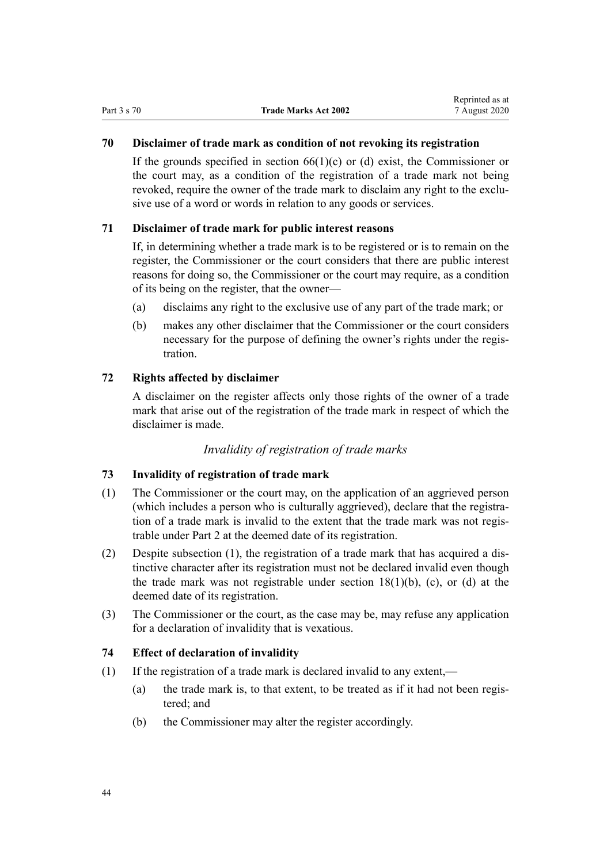## **70 Disclaimer of trade mark as condition of not revoking its registration**

If the grounds specified in section  $66(1)(c)$  or (d) exist, the Commissioner or the court may, as a condition of the registration of a trade mark not being revoked, require the owner of the trade mark to disclaim any right to the exclusive use of a word or words in relation to any goods or services.

## **71 Disclaimer of trade mark for public interest reasons**

If, in determining whether a trade mark is to be registered or is to remain on the register, the Commissioner or the court considers that there are public interest reasons for doing so, the Commissioner or the court may require, as a condition of its being on the register, that the owner—

- (a) disclaims any right to the exclusive use of any part of the trade mark; or
- (b) makes any other disclaimer that the Commissioner or the court considers necessary for the purpose of defining the owner's rights under the registration.

#### **72 Rights affected by disclaimer**

A disclaimer on the register affects only those rights of the owner of a trade mark that arise out of the registration of the trade mark in respect of which the disclaimer is made.

#### *Invalidity of registration of trade marks*

#### **73 Invalidity of registration of trade mark**

- (1) The Commissioner or the court may, on the application of an aggrieved person (which includes a person who is culturally aggrieved), declare that the registration of a trade mark is invalid to the extent that the trade mark was not registrable under [Part 2](#page-21-0) at the deemed date of its registration.
- (2) Despite subsection (1), the registration of a trade mark that has acquired a distinctive character after its registration must not be declared invalid even though the trade mark was not registrable under section  $18(1)(b)$ , (c), or (d) at the deemed date of its registration.
- (3) The Commissioner or the court, as the case may be, may refuse any application for a declaration of invalidity that is vexatious.

#### **74 Effect of declaration of invalidity**

- (1) If the registration of a trade mark is declared invalid to any extent,—
	- (a) the trade mark is, to that extent, to be treated as if it had not been registered; and
	- (b) the Commissioner may alter the register accordingly.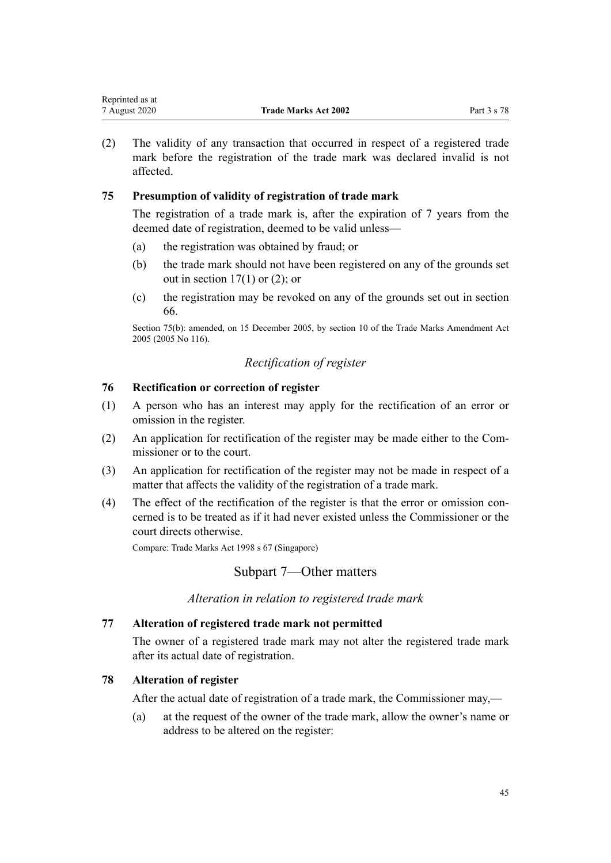| Reprinted as at |                             |             |
|-----------------|-----------------------------|-------------|
| 7 August 2020   | <b>Trade Marks Act 2002</b> | Part 3 s 78 |

(2) The validity of any transaction that occurred in respect of a registered trade mark before the registration of the trade mark was declared invalid is not affected.

#### **75 Presumption of validity of registration of trade mark**

The registration of a trade mark is, after the expiration of 7 years from the deemed date of registration, deemed to be valid unless—

- (a) the registration was obtained by fraud; or
- (b) the trade mark should not have been registered on any of the grounds set out in section  $17(1)$  or  $(2)$ ; or
- (c) the registration may be revoked on any of the grounds set out in [section](#page-40-0) [66.](#page-40-0)

Section 75(b): amended, on 15 December 2005, by [section 10](http://legislation.govt.nz/pdflink.aspx?id=DLM362644) of the Trade Marks Amendment Act 2005 (2005 No 116).

## *Rectification of register*

## **76 Rectification or correction of register**

- (1) A person who has an interest may apply for the rectification of an error or omission in the register.
- (2) An application for rectification of the register may be made either to the Commissioner or to the court.
- (3) An application for rectification of the register may not be made in respect of a matter that affects the validity of the registration of a trade mark.
- (4) The effect of the rectification of the register is that the error or omission concerned is to be treated as if it had never existed unless the Commissioner or the court directs otherwise.

Compare: Trade Marks Act 1998 s 67 (Singapore)

## Subpart 7—Other matters

*Alteration in relation to registered trade mark*

#### **77 Alteration of registered trade mark not permitted**

The owner of a registered trade mark may not alter the registered trade mark after its actual date of registration.

#### **78 Alteration of register**

After the actual date of registration of a trade mark, the Commissioner may,—

(a) at the request of the owner of the trade mark, allow the owner's name or address to be altered on the register: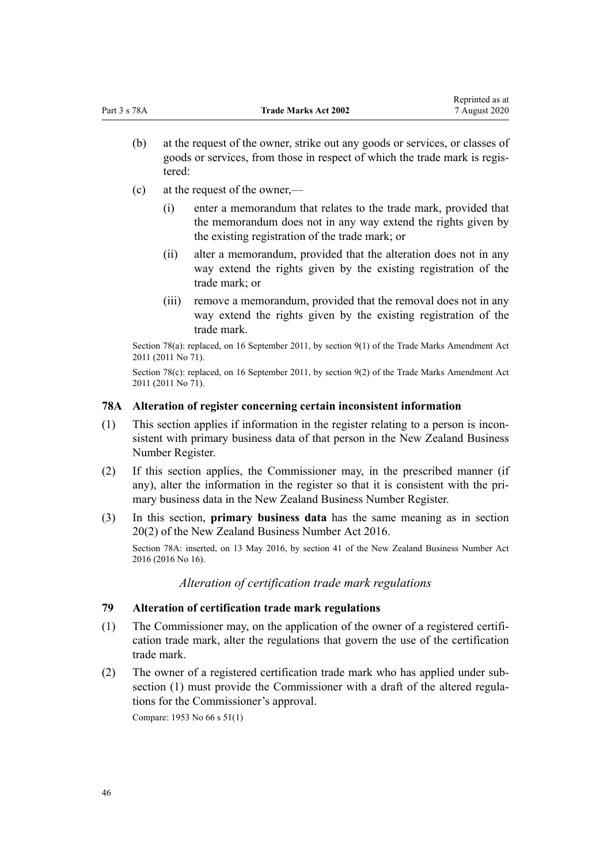- (b) at the request of the owner, strike out any goods or services, or classes of goods or services, from those in respect of which the trade mark is registered:
- (c) at the request of the owner,—
	- (i) enter a memorandum that relates to the trade mark, provided that the memorandum does not in any way extend the rights given by the existing registration of the trade mark; or
	- (ii) alter a memorandum, provided that the alteration does not in any way extend the rights given by the existing registration of the trade mark; or
	- (iii) remove a memorandum, provided that the removal does not in any way extend the rights given by the existing registration of the trade mark.

Section 78(a): replaced, on 16 September 2011, by [section 9\(1\)](http://legislation.govt.nz/pdflink.aspx?id=DLM2290043) of the Trade Marks Amendment Act 2011 (2011 No 71).

Section 78(c): replaced, on 16 September 2011, by [section 9\(2\)](http://legislation.govt.nz/pdflink.aspx?id=DLM2290043) of the Trade Marks Amendment Act 2011 (2011 No 71).

#### **78A Alteration of register concerning certain inconsistent information**

- (1) This section applies if information in the register relating to a person is inconsistent with primary business data of that person in the New Zealand Business Number Register.
- (2) If this section applies, the Commissioner may, in the prescribed manner (if any), alter the information in the register so that it is consistent with the primary business data in the New Zealand Business Number Register.
- (3) In this section, **primary business data** has the same meaning as in [section](http://legislation.govt.nz/pdflink.aspx?id=DLM6431573) [20\(2\)](http://legislation.govt.nz/pdflink.aspx?id=DLM6431573) of the New Zealand Business Number Act 2016.

Section 78A: inserted, on 13 May 2016, by [section 41](http://legislation.govt.nz/pdflink.aspx?id=DLM6431601) of the New Zealand Business Number Act 2016 (2016 No 16).

*Alteration of certification trade mark regulations*

## **79 Alteration of certification trade mark regulations**

- (1) The Commissioner may, on the application of the owner of a registered certification trade mark, alter the regulations that govern the use of the certification trade mark.
- (2) The owner of a registered certification trade mark who has applied under subsection (1) must provide the Commissioner with a draft of the altered regulations for the Commissioner's approval.

Compare: 1953 No 66 s 51(1)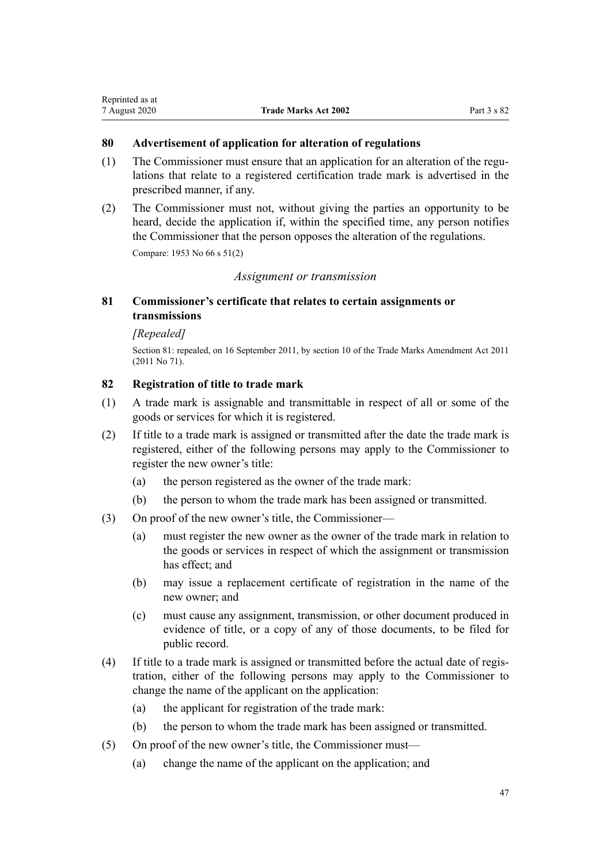#### **80 Advertisement of application for alteration of regulations**

- (1) The Commissioner must ensure that an application for an alteration of the regulations that relate to a registered certification trade mark is advertised in the prescribed manner, if any.
- (2) The Commissioner must not, without giving the parties an opportunity to be heard, decide the application if, within the specified time, any person notifies the Commissioner that the person opposes the alteration of the regulations.

Compare: 1953 No 66 s 51(2)

#### *Assignment or transmission*

## **81 Commissioner's certificate that relates to certain assignments or transmissions**

#### *[Repealed]*

Section 81: repealed, on 16 September 2011, by [section 10](http://legislation.govt.nz/pdflink.aspx?id=DLM2290044) of the Trade Marks Amendment Act 2011 (2011 No 71).

#### **82 Registration of title to trade mark**

- (1) A trade mark is assignable and transmittable in respect of all or some of the goods or services for which it is registered.
- (2) If title to a trade mark is assigned or transmitted after the date the trade mark is registered, either of the following persons may apply to the Commissioner to register the new owner's title:
	- (a) the person registered as the owner of the trade mark:
	- (b) the person to whom the trade mark has been assigned or transmitted.
- (3) On proof of the new owner's title, the Commissioner—
	- (a) must register the new owner as the owner of the trade mark in relation to the goods or services in respect of which the assignment or transmission has effect; and
	- (b) may issue a replacement certificate of registration in the name of the new owner; and
	- (c) must cause any assignment, transmission, or other document produced in evidence of title, or a copy of any of those documents, to be filed for public record.
- (4) If title to a trade mark is assigned or transmitted before the actual date of registration, either of the following persons may apply to the Commissioner to change the name of the applicant on the application:
	- (a) the applicant for registration of the trade mark:
	- (b) the person to whom the trade mark has been assigned or transmitted.
- (5) On proof of the new owner's title, the Commissioner must—
	- (a) change the name of the applicant on the application; and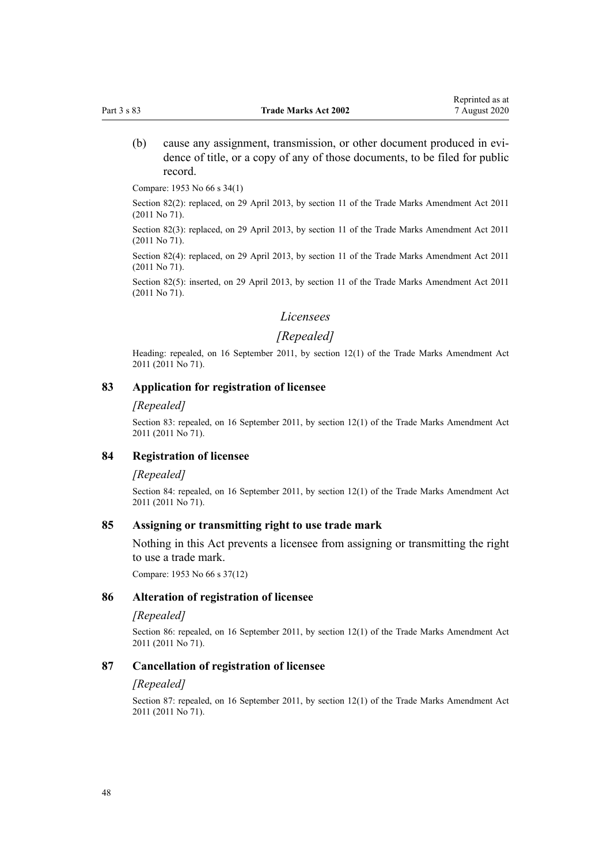(b) cause any assignment, transmission, or other document produced in evidence of title, or a copy of any of those documents, to be filed for public record.

Compare: 1953 No 66 s 34(1)

Section 82(2): replaced, on 29 April 2013, by [section 11](http://legislation.govt.nz/pdflink.aspx?id=DLM2290045) of the Trade Marks Amendment Act 2011 (2011 No 71).

Section 82(3): replaced, on 29 April 2013, by [section 11](http://legislation.govt.nz/pdflink.aspx?id=DLM2290045) of the Trade Marks Amendment Act 2011 (2011 No 71).

Section 82(4): replaced, on 29 April 2013, by [section 11](http://legislation.govt.nz/pdflink.aspx?id=DLM2290045) of the Trade Marks Amendment Act 2011 (2011 No 71).

Section 82(5): inserted, on 29 April 2013, by [section 11](http://legislation.govt.nz/pdflink.aspx?id=DLM2290045) of the Trade Marks Amendment Act 2011 (2011 No 71).

#### *Licensees*

## *[Repealed]*

Heading: repealed, on 16 September 2011, by [section 12\(1\)](http://legislation.govt.nz/pdflink.aspx?id=DLM2290046) of the Trade Marks Amendment Act 2011 (2011 No 71).

#### **83 Application for registration of licensee**

#### *[Repealed]*

Section 83: repealed, on 16 September 2011, by [section 12\(1\)](http://legislation.govt.nz/pdflink.aspx?id=DLM2290046) of the Trade Marks Amendment Act 2011 (2011 No 71).

#### **84 Registration of licensee**

#### *[Repealed]*

Section 84: repealed, on 16 September 2011, by [section 12\(1\)](http://legislation.govt.nz/pdflink.aspx?id=DLM2290046) of the Trade Marks Amendment Act 2011 (2011 No 71).

#### **85 Assigning or transmitting right to use trade mark**

Nothing in this Act prevents a licensee from assigning or transmitting the right to use a trade mark.

Compare: 1953 No 66 s 37(12)

#### **86 Alteration of registration of licensee**

#### *[Repealed]*

Section 86: repealed, on 16 September 2011, by [section 12\(1\)](http://legislation.govt.nz/pdflink.aspx?id=DLM2290046) of the Trade Marks Amendment Act 2011 (2011 No 71).

#### **87 Cancellation of registration of licensee**

#### *[Repealed]*

Section 87: repealed, on 16 September 2011, by [section 12\(1\)](http://legislation.govt.nz/pdflink.aspx?id=DLM2290046) of the Trade Marks Amendment Act 2011 (2011 No 71).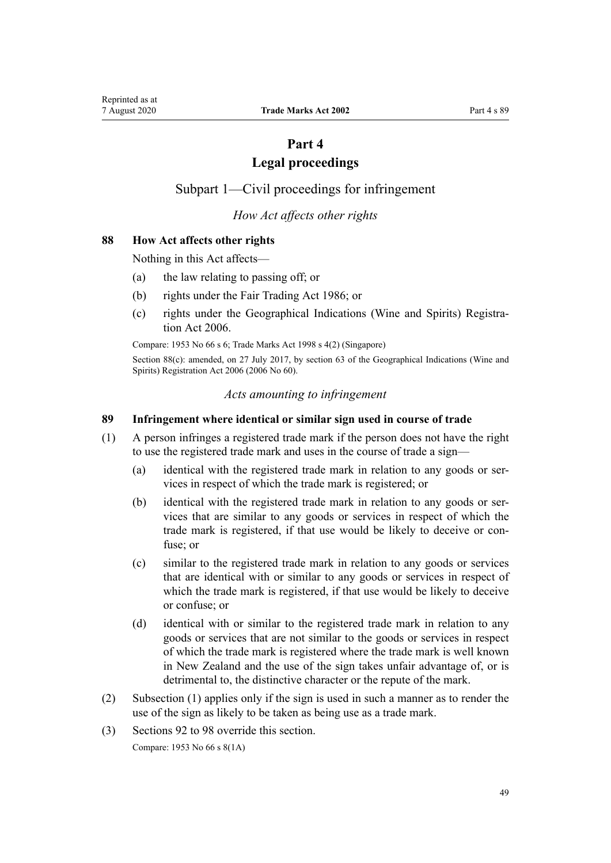# **Part 4**

# **Legal proceedings**

<span id="page-48-0"></span>Subpart 1—Civil proceedings for infringement

## *How Act affects other rights*

## **88 How Act affects other rights**

Nothing in this Act affects—

- (a) the law relating to passing off; or
- (b) rights under the [Fair Trading Act 1986](http://legislation.govt.nz/pdflink.aspx?id=DLM96438); or
- (c) rights under the [Geographical Indications \(Wine and Spirits\) Registra](http://legislation.govt.nz/pdflink.aspx?id=DLM390755)[tion Act 2006](http://legislation.govt.nz/pdflink.aspx?id=DLM390755).

Compare: 1953 No 66 s 6; Trade Marks Act 1998 s 4(2) (Singapore)

Section 88(c): amended, on 27 July 2017, by [section 63](http://legislation.govt.nz/pdflink.aspx?id=DLM390893) of the Geographical Indications (Wine and Spirits) Registration Act 2006 (2006 No 60).

#### *Acts amounting to infringement*

#### **89 Infringement where identical or similar sign used in course of trade**

- (1) A person infringes a registered trade mark if the person does not have the right to use the registered trade mark and uses in the course of trade a sign—
	- (a) identical with the registered trade mark in relation to any goods or services in respect of which the trade mark is registered; or
	- (b) identical with the registered trade mark in relation to any goods or services that are similar to any goods or services in respect of which the trade mark is registered, if that use would be likely to deceive or confuse; or
	- (c) similar to the registered trade mark in relation to any goods or services that are identical with or similar to any goods or services in respect of which the trade mark is registered, if that use would be likely to deceive or confuse; or
	- (d) identical with or similar to the registered trade mark in relation to any goods or services that are not similar to the goods or services in respect of which the trade mark is registered where the trade mark is well known in New Zealand and the use of the sign takes unfair advantage of, or is detrimental to, the distinctive character or the repute of the mark.
- (2) Subsection (1) applies only if the sign is used in such a manner as to render the use of the sign as likely to be taken as being use as a trade mark.
- (3) [Sections 92 to 98](#page-50-0) override this section.

Compare: 1953 No 66 s 8(1A)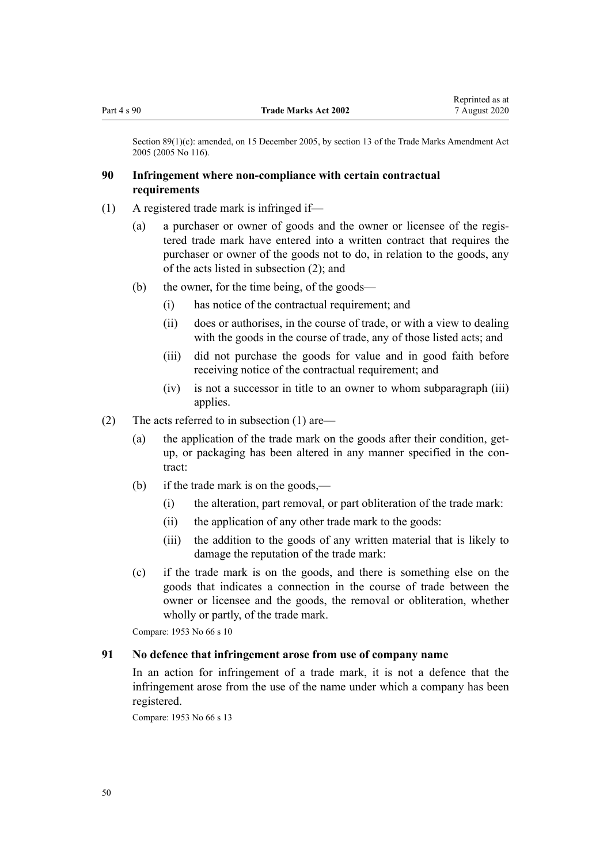Section 89(1)(c): amended, on 15 December 2005, by [section 13](http://legislation.govt.nz/pdflink.aspx?id=DLM362647) of the Trade Marks Amendment Act 2005 (2005 No 116).

## **90 Infringement where non-compliance with certain contractual requirements**

- (1) A registered trade mark is infringed if—
	- (a) a purchaser or owner of goods and the owner or licensee of the registered trade mark have entered into a written contract that requires the purchaser or owner of the goods not to do, in relation to the goods, any of the acts listed in subsection (2); and
	- (b) the owner, for the time being, of the goods—
		- (i) has notice of the contractual requirement; and
		- (ii) does or authorises, in the course of trade, or with a view to dealing with the goods in the course of trade, any of those listed acts; and
		- (iii) did not purchase the goods for value and in good faith before receiving notice of the contractual requirement; and
		- (iv) is not a successor in title to an owner to whom subparagraph (iii) applies.
- (2) The acts referred to in subsection (1) are—
	- (a) the application of the trade mark on the goods after their condition, getup, or packaging has been altered in any manner specified in the contract:
	- (b) if the trade mark is on the goods,—
		- (i) the alteration, part removal, or part obliteration of the trade mark:
		- (ii) the application of any other trade mark to the goods:
		- (iii) the addition to the goods of any written material that is likely to damage the reputation of the trade mark:
	- (c) if the trade mark is on the goods, and there is something else on the goods that indicates a connection in the course of trade between the owner or licensee and the goods, the removal or obliteration, whether wholly or partly, of the trade mark.

Compare: 1953 No 66 s 10

#### **91 No defence that infringement arose from use of company name**

In an action for infringement of a trade mark, it is not a defence that the infringement arose from the use of the name under which a company has been registered.

Compare: 1953 No 66 s 13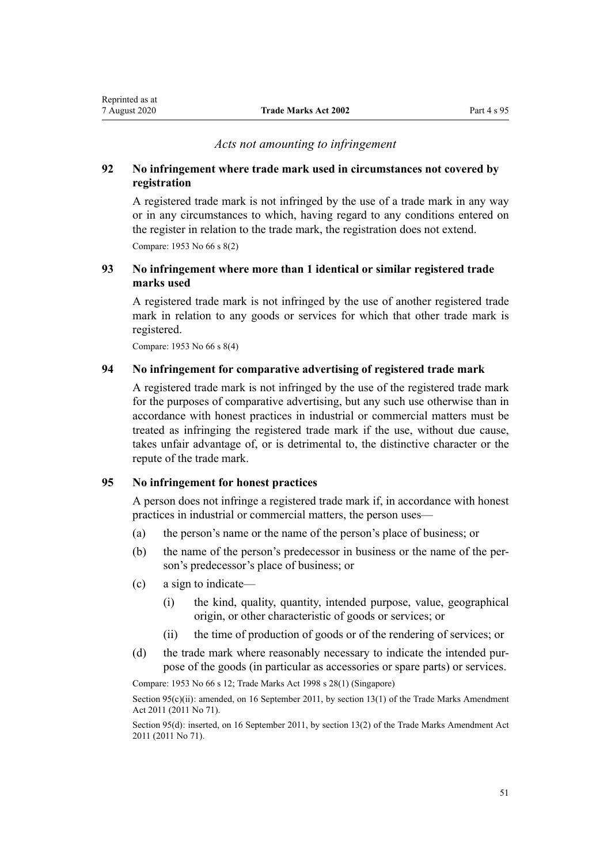#### *Acts not amounting to infringement*

## <span id="page-50-0"></span>**92 No infringement where trade mark used in circumstances not covered by registration**

A registered trade mark is not infringed by the use of a trade mark in any way or in any circumstances to which, having regard to any conditions entered on the register in relation to the trade mark, the registration does not extend. Compare: 1953 No 66 s 8(2)

## **93 No infringement where more than 1 identical or similar registered trade marks used**

A registered trade mark is not infringed by the use of another registered trade mark in relation to any goods or services for which that other trade mark is registered.

Compare: 1953 No 66 s 8(4)

#### **94 No infringement for comparative advertising of registered trade mark**

A registered trade mark is not infringed by the use of the registered trade mark for the purposes of comparative advertising, but any such use otherwise than in accordance with honest practices in industrial or commercial matters must be treated as infringing the registered trade mark if the use, without due cause, takes unfair advantage of, or is detrimental to, the distinctive character or the repute of the trade mark.

## **95 No infringement for honest practices**

A person does not infringe a registered trade mark if, in accordance with honest practices in industrial or commercial matters, the person uses—

- (a) the person's name or the name of the person's place of business; or
- (b) the name of the person's predecessor in business or the name of the person's predecessor's place of business; or
- (c) a sign to indicate—
	- (i) the kind, quality, quantity, intended purpose, value, geographical origin, or other characteristic of goods or services; or
	- (ii) the time of production of goods or of the rendering of services; or
- (d) the trade mark where reasonably necessary to indicate the intended purpose of the goods (in particular as accessories or spare parts) or services.

Compare: 1953 No 66 s 12; Trade Marks Act 1998 s 28(1) (Singapore)

Section 95(c)(ii): amended, on 16 September 2011, by [section 13\(1\)](http://legislation.govt.nz/pdflink.aspx?id=DLM2290047) of the Trade Marks Amendment Act 2011 (2011 No 71).

Section 95(d): inserted, on 16 September 2011, by [section 13\(2\)](http://legislation.govt.nz/pdflink.aspx?id=DLM2290047) of the Trade Marks Amendment Act 2011 (2011 No 71).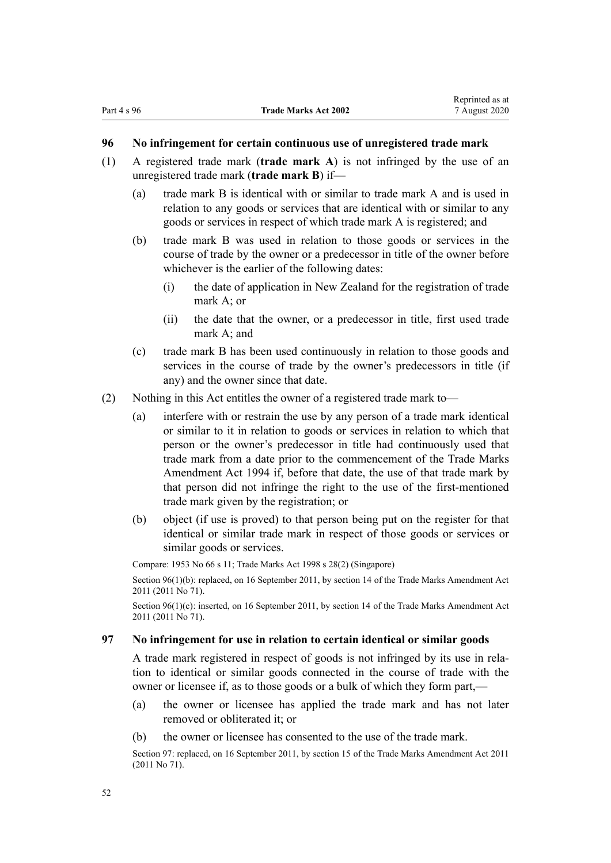## <span id="page-51-0"></span>**96 No infringement for certain continuous use of unregistered trade mark**

- (1) A registered trade mark (**trade mark A**) is not infringed by the use of an unregistered trade mark (**trade mark B**) if—
	- (a) trade mark B is identical with or similar to trade mark A and is used in relation to any goods or services that are identical with or similar to any goods or services in respect of which trade mark A is registered; and
	- (b) trade mark B was used in relation to those goods or services in the course of trade by the owner or a predecessor in title of the owner before whichever is the earlier of the following dates:
		- (i) the date of application in New Zealand for the registration of trade mark A; or
		- (ii) the date that the owner, or a predecessor in title, first used trade mark A; and
	- (c) trade mark B has been used continuously in relation to those goods and services in the course of trade by the owner's predecessors in title (if any) and the owner since that date.
- (2) Nothing in this Act entitles the owner of a registered trade mark to—
	- (a) interfere with or restrain the use by any person of a trade mark identical or similar to it in relation to goods or services in relation to which that person or the owner's predecessor in title had continuously used that trade mark from a date prior to the commencement of the Trade Marks Amendment Act 1994 if, before that date, the use of that trade mark by that person did not infringe the right to the use of the first-mentioned trade mark given by the registration; or
	- (b) object (if use is proved) to that person being put on the register for that identical or similar trade mark in respect of those goods or services or similar goods or services.

Compare: 1953 No 66 s 11; Trade Marks Act 1998 s 28(2) (Singapore) Section 96(1)(b): replaced, on 16 September 2011, by [section 14](http://legislation.govt.nz/pdflink.aspx?id=DLM2353604) of the Trade Marks Amendment Act 2011 (2011 No 71).

Section 96(1)(c): inserted, on 16 September 2011, by [section 14](http://legislation.govt.nz/pdflink.aspx?id=DLM2353604) of the Trade Marks Amendment Act 2011 (2011 No 71).

#### **97 No infringement for use in relation to certain identical or similar goods**

A trade mark registered in respect of goods is not infringed by its use in relation to identical or similar goods connected in the course of trade with the owner or licensee if, as to those goods or a bulk of which they form part,—

- (a) the owner or licensee has applied the trade mark and has not later removed or obliterated it; or
- (b) the owner or licensee has consented to the use of the trade mark.

Section 97: replaced, on 16 September 2011, by [section 15](http://legislation.govt.nz/pdflink.aspx?id=DLM2290048) of the Trade Marks Amendment Act 2011 (2011 No 71).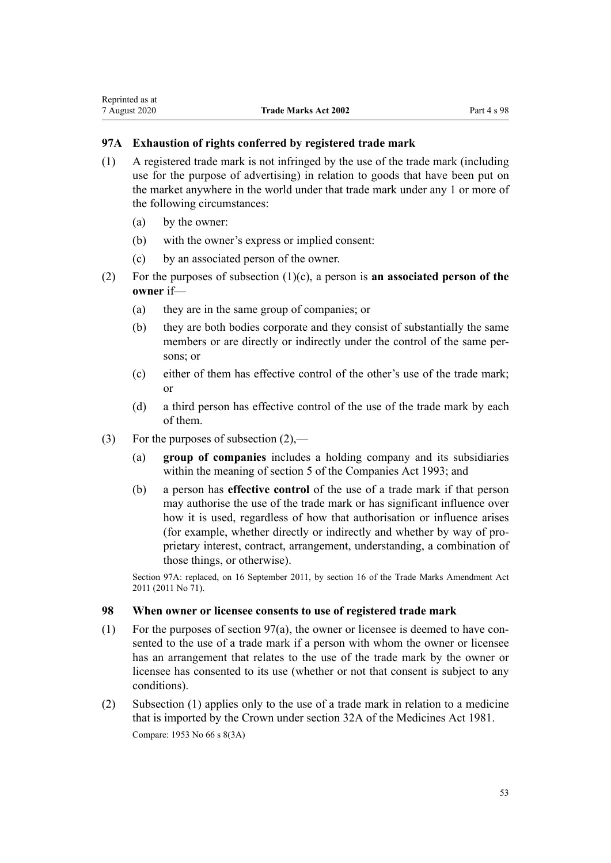#### **97A Exhaustion of rights conferred by registered trade mark**

- (1) A registered trade mark is not infringed by the use of the trade mark (including use for the purpose of advertising) in relation to goods that have been put on the market anywhere in the world under that trade mark under any 1 or more of the following circumstances:
	- (a) by the owner:
	- (b) with the owner's express or implied consent:
	- (c) by an associated person of the owner.
- (2) For the purposes of subsection (1)(c), a person is **an associated person of the owner** if—
	- (a) they are in the same group of companies; or
	- (b) they are both bodies corporate and they consist of substantially the same members or are directly or indirectly under the control of the same persons; or
	- (c) either of them has effective control of the other's use of the trade mark; or
	- (d) a third person has effective control of the use of the trade mark by each of them.
- (3) For the purposes of subsection  $(2)$ ,—
	- (a) **group of companies** includes a holding company and its subsidiaries within the meaning of [section 5](http://legislation.govt.nz/pdflink.aspx?id=DLM319999) of the Companies Act 1993; and
	- (b) a person has **effective control** of the use of a trade mark if that person may authorise the use of the trade mark or has significant influence over how it is used, regardless of how that authorisation or influence arises (for example, whether directly or indirectly and whether by way of proprietary interest, contract, arrangement, understanding, a combination of those things, or otherwise).

Section 97A: replaced, on 16 September 2011, by [section 16](http://legislation.govt.nz/pdflink.aspx?id=DLM2290050) of the Trade Marks Amendment Act 2011 (2011 No 71).

## **98 When owner or licensee consents to use of registered trade mark**

- (1) For the purposes of [section 97\(a\),](#page-51-0) the owner or licensee is deemed to have consented to the use of a trade mark if a person with whom the owner or licensee has an arrangement that relates to the use of the trade mark by the owner or licensee has consented to its use (whether or not that consent is subject to any conditions).
- (2) Subsection (1) applies only to the use of a trade mark in relation to a medicine that is imported by the Crown under [section 32A](http://legislation.govt.nz/pdflink.aspx?id=DLM55435) of the Medicines Act 1981. Compare: 1953 No 66 s 8(3A)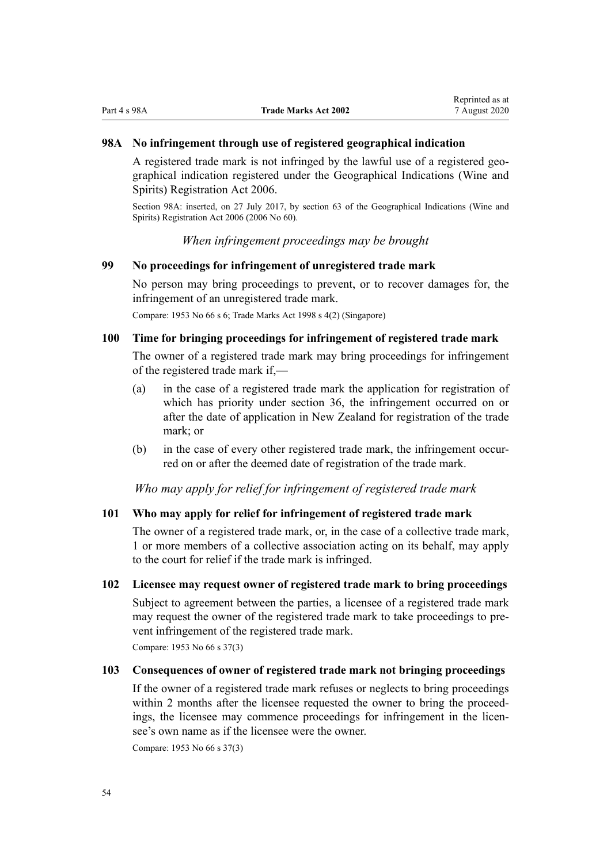## <span id="page-53-0"></span>**98A No infringement through use of registered geographical indication**

A registered trade mark is not infringed by the lawful use of a registered geographical indication registered under the [Geographical Indications \(Wine and](http://legislation.govt.nz/pdflink.aspx?id=DLM390755) [Spirits\) Registration Act 2006.](http://legislation.govt.nz/pdflink.aspx?id=DLM390755)

Section 98A: inserted, on 27 July 2017, by [section 63](http://legislation.govt.nz/pdflink.aspx?id=DLM390893) of the Geographical Indications (Wine and Spirits) Registration Act 2006 (2006 No 60).

*When infringement proceedings may be brought*

#### **99 No proceedings for infringement of unregistered trade mark**

No person may bring proceedings to prevent, or to recover damages for, the infringement of an unregistered trade mark.

Compare: 1953 No 66 s 6; Trade Marks Act 1998 s 4(2) (Singapore)

## **100 Time for bringing proceedings for infringement of registered trade mark**

The owner of a registered trade mark may bring proceedings for infringement of the registered trade mark if,—

- (a) in the case of a registered trade mark the application for registration of which has priority under [section 36,](#page-32-0) the infringement occurred on or after the date of application in New Zealand for registration of the trade mark; or
- (b) in the case of every other registered trade mark, the infringement occurred on or after the deemed date of registration of the trade mark.

*Who may apply for relief for infringement of registered trade mark*

#### **101 Who may apply for relief for infringement of registered trade mark**

The owner of a registered trade mark, or, in the case of a collective trade mark, 1 or more members of a collective association acting on its behalf, may apply to the court for relief if the trade mark is infringed.

#### **102 Licensee may request owner of registered trade mark to bring proceedings**

Subject to agreement between the parties, a licensee of a registered trade mark may request the owner of the registered trade mark to take proceedings to prevent infringement of the registered trade mark.

Compare: 1953 No 66 s 37(3)

#### **103 Consequences of owner of registered trade mark not bringing proceedings**

If the owner of a registered trade mark refuses or neglects to bring proceedings within 2 months after the licensee requested the owner to bring the proceedings, the licensee may commence proceedings for infringement in the licensee's own name as if the licensee were the owner.

Compare: 1953 No 66 s 37(3)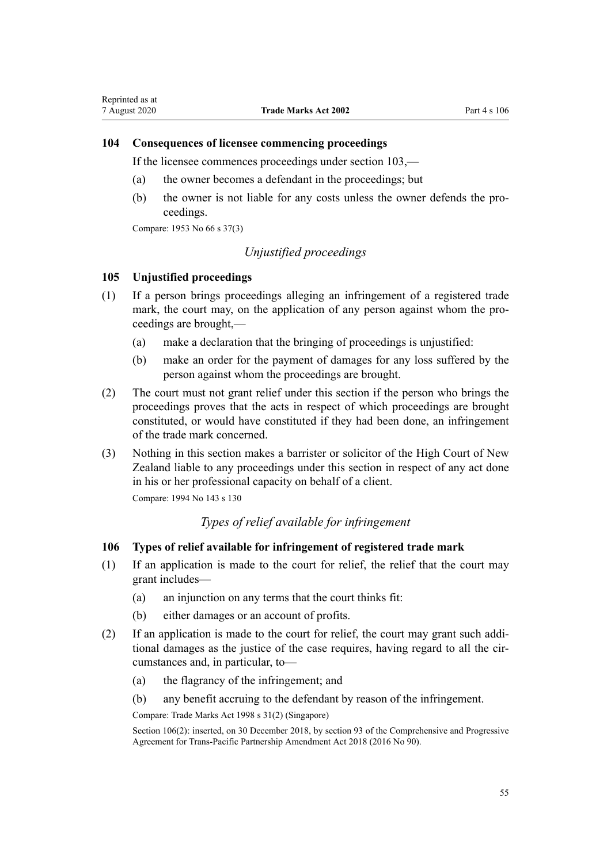## **104 Consequences of licensee commencing proceedings**

If the licensee commences proceedings under [section 103,](#page-53-0)—

- (a) the owner becomes a defendant in the proceedings; but
- (b) the owner is not liable for any costs unless the owner defends the proceedings.

Compare: 1953 No 66 s 37(3)

## *Unjustified proceedings*

#### **105 Unjustified proceedings**

- (1) If a person brings proceedings alleging an infringement of a registered trade mark, the court may, on the application of any person against whom the proceedings are brought,—
	- (a) make a declaration that the bringing of proceedings is unjustified:
	- (b) make an order for the payment of damages for any loss suffered by the person against whom the proceedings are brought.
- (2) The court must not grant relief under this section if the person who brings the proceedings proves that the acts in respect of which proceedings are brought constituted, or would have constituted if they had been done, an infringement of the trade mark concerned.
- (3) Nothing in this section makes a barrister or solicitor of the High Court of New Zealand liable to any proceedings under this section in respect of any act done in his or her professional capacity on behalf of a client.

Compare: 1994 No 143 [s 130](http://legislation.govt.nz/pdflink.aspx?id=DLM346600)

## *Types of relief available for infringement*

## **106 Types of relief available for infringement of registered trade mark**

- (1) If an application is made to the court for relief, the relief that the court may grant includes—
	- (a) an injunction on any terms that the court thinks fit:
	- (b) either damages or an account of profits.
- (2) If an application is made to the court for relief, the court may grant such additional damages as the justice of the case requires, having regard to all the circumstances and, in particular, to—
	- (a) the flagrancy of the infringement; and
	- (b) any benefit accruing to the defendant by reason of the infringement.

Compare: Trade Marks Act 1998 s 31(2) (Singapore)

Section 106(2): inserted, on 30 December 2018, by [section 93](http://legislation.govt.nz/pdflink.aspx?id=DLM6838428) of the Comprehensive and Progressive Agreement for Trans-Pacific Partnership Amendment Act 2018 (2016 No 90).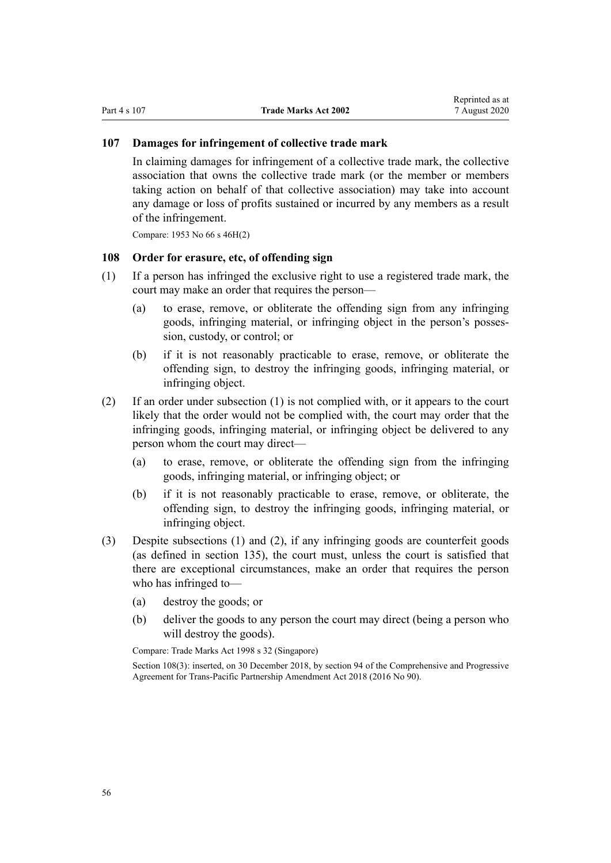#### **107 Damages for infringement of collective trade mark**

In claiming damages for infringement of a collective trade mark, the collective association that owns the collective trade mark (or the member or members taking action on behalf of that collective association) may take into account any damage or loss of profits sustained or incurred by any members as a result of the infringement.

Compare: 1953 No 66 s 46H(2)

#### **108 Order for erasure, etc, of offending sign**

- (1) If a person has infringed the exclusive right to use a registered trade mark, the court may make an order that requires the person—
	- (a) to erase, remove, or obliterate the offending sign from any infringing goods, infringing material, or infringing object in the person's possession, custody, or control; or
	- (b) if it is not reasonably practicable to erase, remove, or obliterate the offending sign, to destroy the infringing goods, infringing material, or infringing object.
- (2) If an order under subsection (1) is not complied with, or it appears to the court likely that the order would not be complied with, the court may order that the infringing goods, infringing material, or infringing object be delivered to any person whom the court may direct—
	- (a) to erase, remove, or obliterate the offending sign from the infringing goods, infringing material, or infringing object; or
	- (b) if it is not reasonably practicable to erase, remove, or obliterate, the offending sign, to destroy the infringing goods, infringing material, or infringing object.
- (3) Despite subsections (1) and (2), if any infringing goods are counterfeit goods (as defined in [section 135\)](#page-81-0), the court must, unless the court is satisfied that there are exceptional circumstances, make an order that requires the person who has infringed to—
	- (a) destroy the goods; or
	- (b) deliver the goods to any person the court may direct (being a person who will destroy the goods).

Compare: Trade Marks Act 1998 s 32 (Singapore)

Section 108(3): inserted, on 30 December 2018, by [section 94](http://legislation.govt.nz/pdflink.aspx?id=DLM6838429) of the Comprehensive and Progressive Agreement for Trans-Pacific Partnership Amendment Act 2018 (2016 No 90).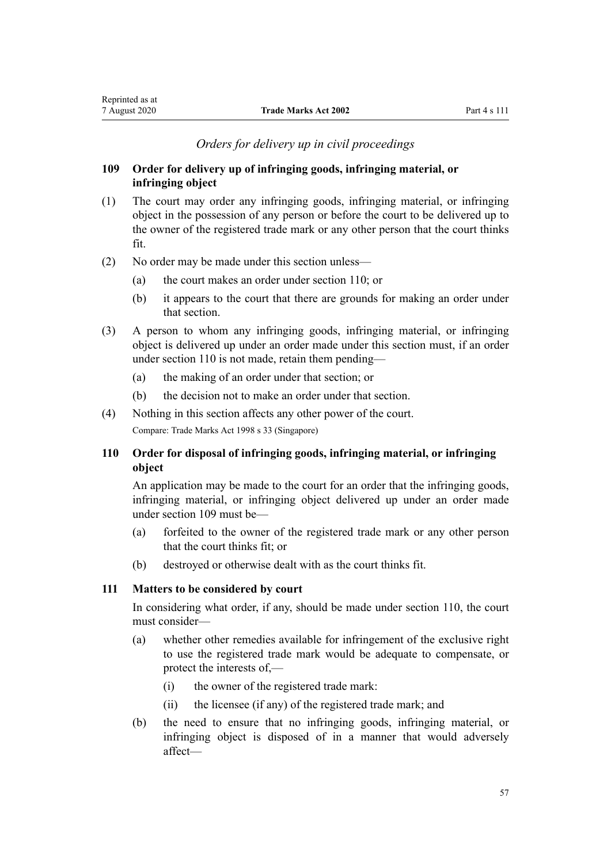## *Orders for delivery up in civil proceedings*

## <span id="page-56-0"></span>**109 Order for delivery up of infringing goods, infringing material, or infringing object**

- (1) The court may order any infringing goods, infringing material, or infringing object in the possession of any person or before the court to be delivered up to the owner of the registered trade mark or any other person that the court thinks fit.
- (2) No order may be made under this section unless—
	- (a) the court makes an order under section 110; or
	- (b) it appears to the court that there are grounds for making an order under that section.
- (3) A person to whom any infringing goods, infringing material, or infringing object is delivered up under an order made under this section must, if an order under section 110 is not made, retain them pending—
	- (a) the making of an order under that section; or
	- (b) the decision not to make an order under that section.
- (4) Nothing in this section affects any other power of the court. Compare: Trade Marks Act 1998 s 33 (Singapore)

## **110 Order for disposal of infringing goods, infringing material, or infringing object**

An application may be made to the court for an order that the infringing goods, infringing material, or infringing object delivered up under an order made under section 109 must be—

- (a) forfeited to the owner of the registered trade mark or any other person that the court thinks fit; or
- (b) destroyed or otherwise dealt with as the court thinks fit.

## **111 Matters to be considered by court**

In considering what order, if any, should be made under section 110, the court must consider—

- (a) whether other remedies available for infringement of the exclusive right to use the registered trade mark would be adequate to compensate, or protect the interests of,—
	- (i) the owner of the registered trade mark:
	- (ii) the licensee (if any) of the registered trade mark; and
- (b) the need to ensure that no infringing goods, infringing material, or infringing object is disposed of in a manner that would adversely affect—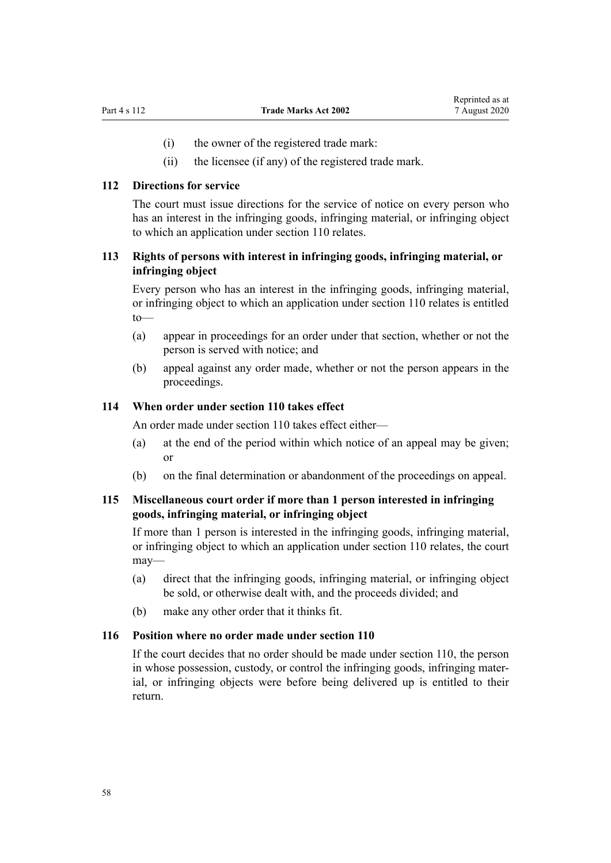- (i) the owner of the registered trade mark:
- (ii) the licensee (if any) of the registered trade mark.

#### **112 Directions for service**

The court must issue directions for the service of notice on every person who has an interest in the infringing goods, infringing material, or infringing object to which an application under [section 110](#page-56-0) relates.

## **113 Rights of persons with interest in infringing goods, infringing material, or infringing object**

Every person who has an interest in the infringing goods, infringing material, or infringing object to which an application under [section 110](#page-56-0) relates is entitled to—

- (a) appear in proceedings for an order under that section, whether or not the person is served with notice; and
- (b) appeal against any order made, whether or not the person appears in the proceedings.

#### **114 When order under section 110 takes effect**

An order made under [section 110](#page-56-0) takes effect either—

- (a) at the end of the period within which notice of an appeal may be given; or
- (b) on the final determination or abandonment of the proceedings on appeal.

## **115 Miscellaneous court order if more than 1 person interested in infringing goods, infringing material, or infringing object**

If more than 1 person is interested in the infringing goods, infringing material, or infringing object to which an application under [section 110](#page-56-0) relates, the court may—

- (a) direct that the infringing goods, infringing material, or infringing object be sold, or otherwise dealt with, and the proceeds divided; and
- (b) make any other order that it thinks fit.

#### **116 Position where no order made under section 110**

If the court decides that no order should be made under [section 110](#page-56-0), the person in whose possession, custody, or control the infringing goods, infringing material, or infringing objects were before being delivered up is entitled to their return.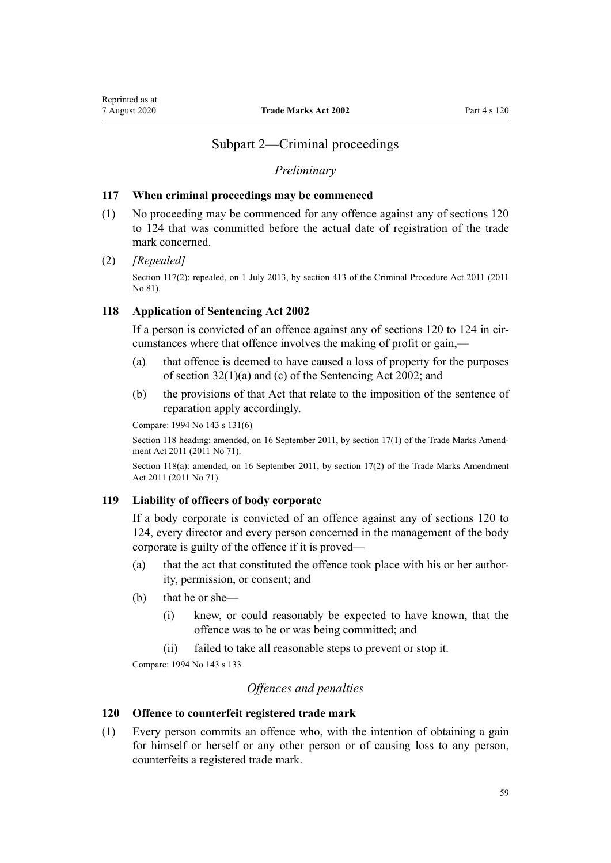## Subpart 2—Criminal proceedings

#### *Preliminary*

#### <span id="page-58-0"></span>**117 When criminal proceedings may be commenced**

(1) No proceeding may be commenced for any offence against any of sections 120 to 124 that was committed before the actual date of registration of the trade mark concerned.

#### (2) *[Repealed]*

Section 117(2): repealed, on 1 July 2013, by [section 413](http://legislation.govt.nz/pdflink.aspx?id=DLM3360714) of the Criminal Procedure Act 2011 (2011) No 81).

## **118 Application of Sentencing Act 2002**

If a person is convicted of an offence against any of sections 120 to 124 in circumstances where that offence involves the making of profit or gain,—

- (a) that offence is deemed to have caused a loss of property for the purposes of [section 32\(1\)\(a\) and \(c\)](http://legislation.govt.nz/pdflink.aspx?id=DLM135596) of the Sentencing Act 2002; and
- (b) the provisions of that Act that relate to the imposition of the sentence of reparation apply accordingly.

Compare: 1994 No 143 [s 131\(6\)](http://legislation.govt.nz/pdflink.aspx?id=DLM346602)

Section 118 heading: amended, on 16 September 2011, by [section 17\(1\)](http://legislation.govt.nz/pdflink.aspx?id=DLM2290054) of the Trade Marks Amendment Act 2011 (2011 No 71).

Section 118(a): amended, on 16 September 2011, by [section 17\(2\)](http://legislation.govt.nz/pdflink.aspx?id=DLM2290054) of the Trade Marks Amendment Act 2011 (2011 No 71).

#### **119 Liability of officers of body corporate**

If a body corporate is convicted of an offence against any of sections 120 to 124, every director and every person concerned in the management of the body corporate is guilty of the offence if it is proved—

- (a) that the act that constituted the offence took place with his or her authority, permission, or consent; and
- (b) that he or she—
	- (i) knew, or could reasonably be expected to have known, that the offence was to be or was being committed; and
	- (ii) failed to take all reasonable steps to prevent or stop it.

Compare: 1994 No 143 [s 133](http://legislation.govt.nz/pdflink.aspx?id=DLM346611)

## *Offences and penalties*

#### **120 Offence to counterfeit registered trade mark**

(1) Every person commits an offence who, with the intention of obtaining a gain for himself or herself or any other person or of causing loss to any person, counterfeits a registered trade mark.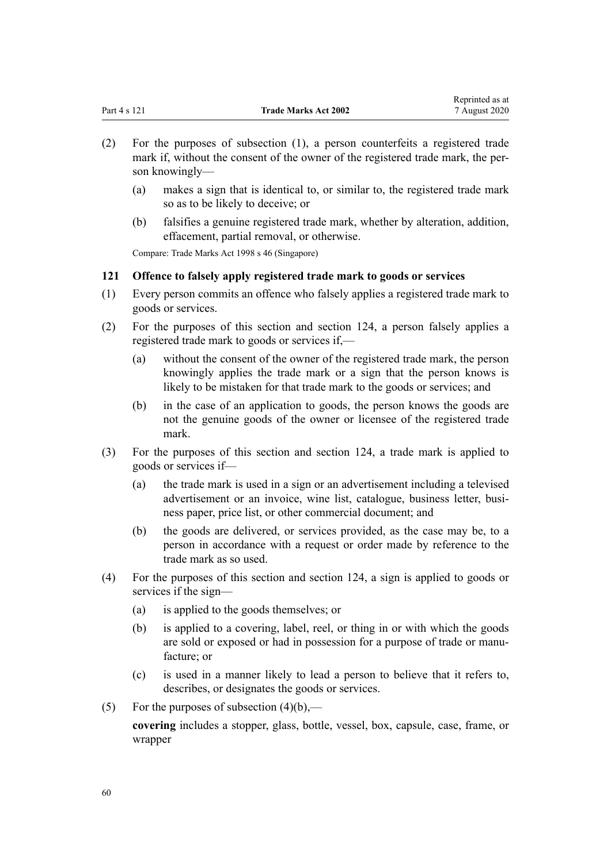<span id="page-59-0"></span>

|              |                             | 1.1           |
|--------------|-----------------------------|---------------|
| Part 4 s 121 | <b>Trade Marks Act 2002</b> | 7 August 2020 |

Reprinted as at

- (2) For the purposes of subsection (1), a person counterfeits a registered trade mark if, without the consent of the owner of the registered trade mark, the person knowingly—
	- (a) makes a sign that is identical to, or similar to, the registered trade mark so as to be likely to deceive; or
	- (b) falsifies a genuine registered trade mark, whether by alteration, addition, effacement, partial removal, or otherwise.

Compare: Trade Marks Act 1998 s 46 (Singapore)

#### **121 Offence to falsely apply registered trade mark to goods or services**

- (1) Every person commits an offence who falsely applies a registered trade mark to goods or services.
- (2) For the purposes of this section and [section 124,](#page-60-0) a person falsely applies a registered trade mark to goods or services if,—
	- (a) without the consent of the owner of the registered trade mark, the person knowingly applies the trade mark or a sign that the person knows is likely to be mistaken for that trade mark to the goods or services; and
	- (b) in the case of an application to goods, the person knows the goods are not the genuine goods of the owner or licensee of the registered trade mark.
- (3) For the purposes of this section and [section 124,](#page-60-0) a trade mark is applied to goods or services if—
	- (a) the trade mark is used in a sign or an advertisement including a televised advertisement or an invoice, wine list, catalogue, business letter, business paper, price list, or other commercial document; and
	- (b) the goods are delivered, or services provided, as the case may be, to a person in accordance with a request or order made by reference to the trade mark as so used.
- (4) For the purposes of this section and [section 124](#page-60-0), a sign is applied to goods or services if the sign—
	- (a) is applied to the goods themselves; or
	- (b) is applied to a covering, label, reel, or thing in or with which the goods are sold or exposed or had in possession for a purpose of trade or manufacture; or
	- (c) is used in a manner likely to lead a person to believe that it refers to, describes, or designates the goods or services.
- (5) For the purposes of subsection  $(4)(b)$ ,—

**covering** includes a stopper, glass, bottle, vessel, box, capsule, case, frame, or wrapper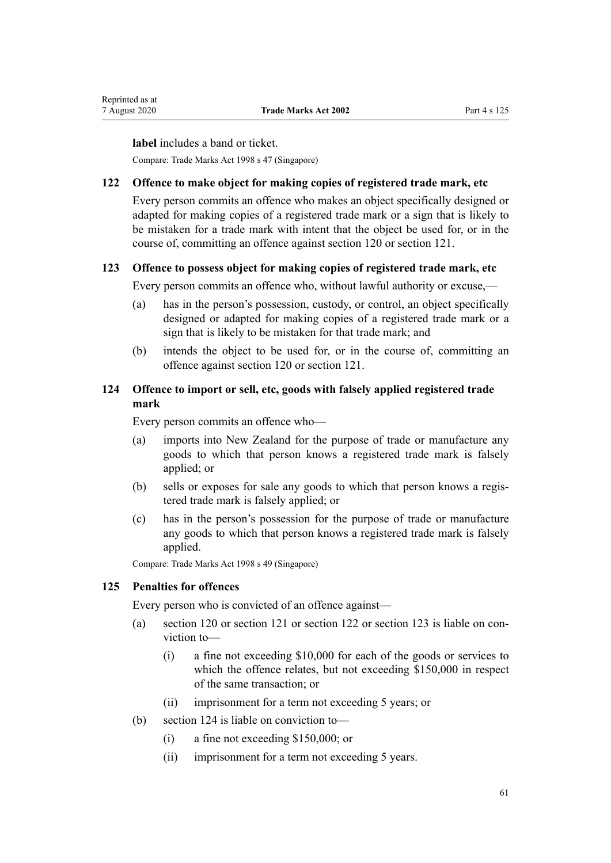<span id="page-60-0"></span>**label** includes a band or ticket.

Compare: Trade Marks Act 1998 s 47 (Singapore)

#### **122 Offence to make object for making copies of registered trade mark, etc**

Every person commits an offence who makes an object specifically designed or adapted for making copies of a registered trade mark or a sign that is likely to be mistaken for a trade mark with intent that the object be used for, or in the course of, committing an offence against [section 120](#page-58-0) or [section 121](#page-59-0).

## **123 Offence to possess object for making copies of registered trade mark, etc**

Every person commits an offence who, without lawful authority or excuse,—

- (a) has in the person's possession, custody, or control, an object specifically designed or adapted for making copies of a registered trade mark or a sign that is likely to be mistaken for that trade mark; and
- (b) intends the object to be used for, or in the course of, committing an offence against [section 120](#page-58-0) or [section 121.](#page-59-0)

## **124 Offence to import or sell, etc, goods with falsely applied registered trade mark**

Every person commits an offence who—

- (a) imports into New Zealand for the purpose of trade or manufacture any goods to which that person knows a registered trade mark is falsely applied; or
- (b) sells or exposes for sale any goods to which that person knows a registered trade mark is falsely applied; or
- (c) has in the person's possession for the purpose of trade or manufacture any goods to which that person knows a registered trade mark is falsely applied.

Compare: Trade Marks Act 1998 s 49 (Singapore)

#### **125 Penalties for offences**

Every person who is convicted of an offence against—

- (a) [section 120](#page-58-0) or [section 121](#page-59-0) or section 122 or section 123 is liable on conviction to—
	- (i) a fine not exceeding \$10,000 for each of the goods or services to which the offence relates, but not exceeding \$150,000 in respect of the same transaction; or
	- (ii) imprisonment for a term not exceeding 5 years; or
- (b) section 124 is liable on conviction to—
	- (i) a fine not exceeding \$150,000; or
	- (ii) imprisonment for a term not exceeding 5 years.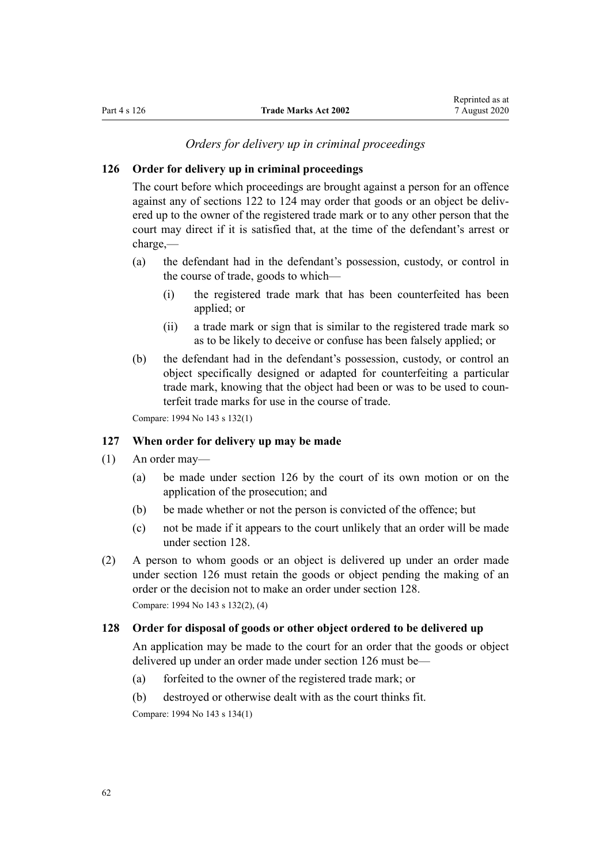#### *Orders for delivery up in criminal proceedings*

#### <span id="page-61-0"></span>**126 Order for delivery up in criminal proceedings**

The court before which proceedings are brought against a person for an offence against any of [sections 122 to 124](#page-60-0) may order that goods or an object be delivered up to the owner of the registered trade mark or to any other person that the court may direct if it is satisfied that, at the time of the defendant's arrest or charge,—

- (a) the defendant had in the defendant's possession, custody, or control in the course of trade, goods to which—
	- (i) the registered trade mark that has been counterfeited has been applied; or
	- (ii) a trade mark or sign that is similar to the registered trade mark so as to be likely to deceive or confuse has been falsely applied; or
- (b) the defendant had in the defendant's possession, custody, or control an object specifically designed or adapted for counterfeiting a particular trade mark, knowing that the object had been or was to be used to counterfeit trade marks for use in the course of trade.

Compare: 1994 No 143 [s 132\(1\)](http://legislation.govt.nz/pdflink.aspx?id=DLM346610)

#### **127 When order for delivery up may be made**

- (1) An order may—
	- (a) be made under section 126 by the court of its own motion or on the application of the prosecution; and
	- (b) be made whether or not the person is convicted of the offence; but
	- (c) not be made if it appears to the court unlikely that an order will be made under section 128.
- (2) A person to whom goods or an object is delivered up under an order made under section 126 must retain the goods or object pending the making of an order or the decision not to make an order under section 128.

Compare: 1994 No 143 [s 132\(2\), \(4\)](http://legislation.govt.nz/pdflink.aspx?id=DLM346610)

## **128 Order for disposal of goods or other object ordered to be delivered up**

An application may be made to the court for an order that the goods or object delivered up under an order made under section 126 must be—

- (a) forfeited to the owner of the registered trade mark; or
- (b) destroyed or otherwise dealt with as the court thinks fit.

Compare: 1994 No 143 [s 134\(1\)](http://legislation.govt.nz/pdflink.aspx?id=DLM346615)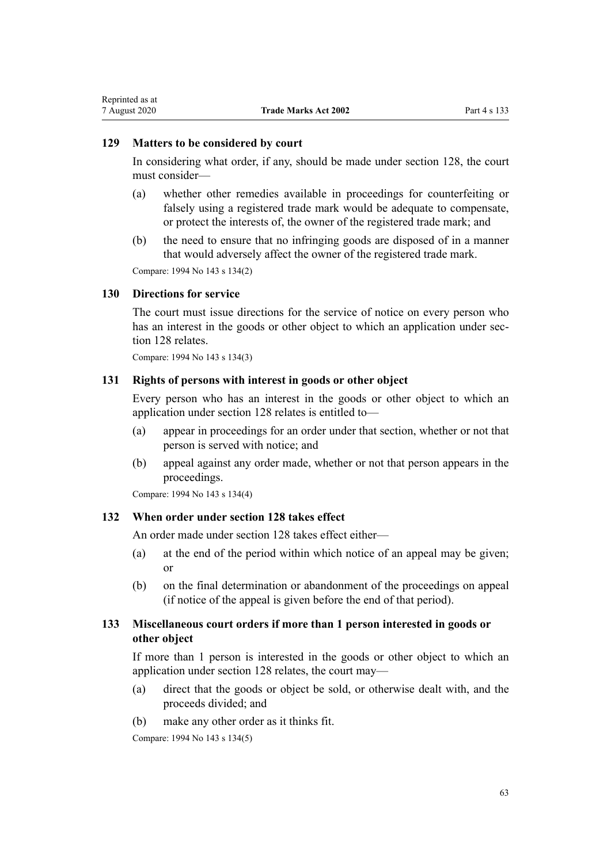#### **129 Matters to be considered by court**

In considering what order, if any, should be made under [section 128](#page-61-0), the court must consider—

- (a) whether other remedies available in proceedings for counterfeiting or falsely using a registered trade mark would be adequate to compensate, or protect the interests of, the owner of the registered trade mark; and
- (b) the need to ensure that no infringing goods are disposed of in a manner that would adversely affect the owner of the registered trade mark.

Compare: 1994 No 143 [s 134\(2\)](http://legislation.govt.nz/pdflink.aspx?id=DLM346615)

#### **130 Directions for service**

The court must issue directions for the service of notice on every person who has an interest in the goods or other object to which an application under [sec](#page-61-0)[tion 128](#page-61-0) relates.

Compare: 1994 No 143 [s 134\(3\)](http://legislation.govt.nz/pdflink.aspx?id=DLM346615)

#### **131 Rights of persons with interest in goods or other object**

Every person who has an interest in the goods or other object to which an application under [section 128](#page-61-0) relates is entitled to—

- (a) appear in proceedings for an order under that section, whether or not that person is served with notice; and
- (b) appeal against any order made, whether or not that person appears in the proceedings.

Compare: 1994 No 143 [s 134\(4\)](http://legislation.govt.nz/pdflink.aspx?id=DLM346615)

#### **132 When order under section 128 takes effect**

An order made under [section 128](#page-61-0) takes effect either—

- (a) at the end of the period within which notice of an appeal may be given; or
- (b) on the final determination or abandonment of the proceedings on appeal (if notice of the appeal is given before the end of that period).

## **133 Miscellaneous court orders if more than 1 person interested in goods or other object**

If more than 1 person is interested in the goods or other object to which an application under [section 128](#page-61-0) relates, the court may—

- (a) direct that the goods or object be sold, or otherwise dealt with, and the proceeds divided; and
- (b) make any other order as it thinks fit.

Compare: 1994 No 143 [s 134\(5\)](http://legislation.govt.nz/pdflink.aspx?id=DLM346615)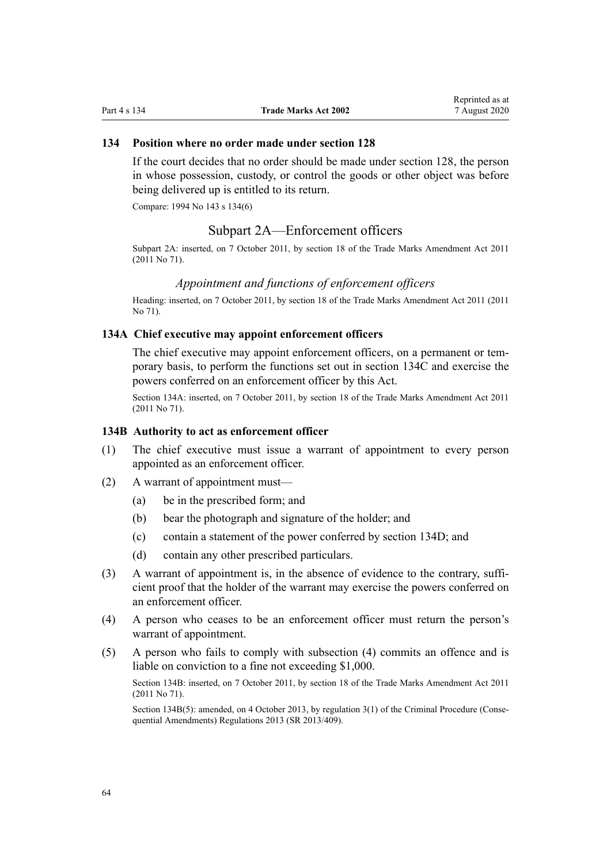#### **134 Position where no order made under section 128**

If the court decides that no order should be made under [section 128](#page-61-0), the person in whose possession, custody, or control the goods or other object was before being delivered up is entitled to its return.

Compare: 1994 No 143 [s 134\(6\)](http://legislation.govt.nz/pdflink.aspx?id=DLM346615)

#### Subpart 2A—Enforcement officers

Subpart 2A: inserted, on 7 October 2011, by [section 18](http://legislation.govt.nz/pdflink.aspx?id=DLM2290055) of the Trade Marks Amendment Act 2011 (2011 No 71).

#### *Appointment and functions of enforcement officers*

Heading: inserted, on 7 October 2011, by [section 18](http://legislation.govt.nz/pdflink.aspx?id=DLM2290055) of the Trade Marks Amendment Act 2011 (2011 No 71).

#### **134A Chief executive may appoint enforcement officers**

The chief executive may appoint enforcement officers, on a permanent or temporary basis, to perform the functions set out in [section 134C](#page-64-0) and exercise the powers conferred on an enforcement officer by this Act.

Section 134A: inserted, on 7 October 2011, by [section 18](http://legislation.govt.nz/pdflink.aspx?id=DLM2290055) of the Trade Marks Amendment Act 2011 (2011 No 71).

#### **134B Authority to act as enforcement officer**

- (1) The chief executive must issue a warrant of appointment to every person appointed as an enforcement officer.
- (2) A warrant of appointment must—
	- (a) be in the prescribed form; and
	- (b) bear the photograph and signature of the holder; and
	- (c) contain a statement of the power conferred by [section 134D](#page-64-0); and
	- (d) contain any other prescribed particulars.
- (3) A warrant of appointment is, in the absence of evidence to the contrary, sufficient proof that the holder of the warrant may exercise the powers conferred on an enforcement officer.
- (4) A person who ceases to be an enforcement officer must return the person's warrant of appointment.
- (5) A person who fails to comply with subsection (4) commits an offence and is liable on conviction to a fine not exceeding \$1,000.

Section 134B: inserted, on 7 October 2011, by [section 18](http://legislation.govt.nz/pdflink.aspx?id=DLM2290055) of the Trade Marks Amendment Act 2011 (2011 No 71).

Section 134B(5): amended, on 4 October 2013, by [regulation 3\(1\)](http://legislation.govt.nz/pdflink.aspx?id=DLM5642106) of the Criminal Procedure (Consequential Amendments) Regulations 2013 (SR 2013/409).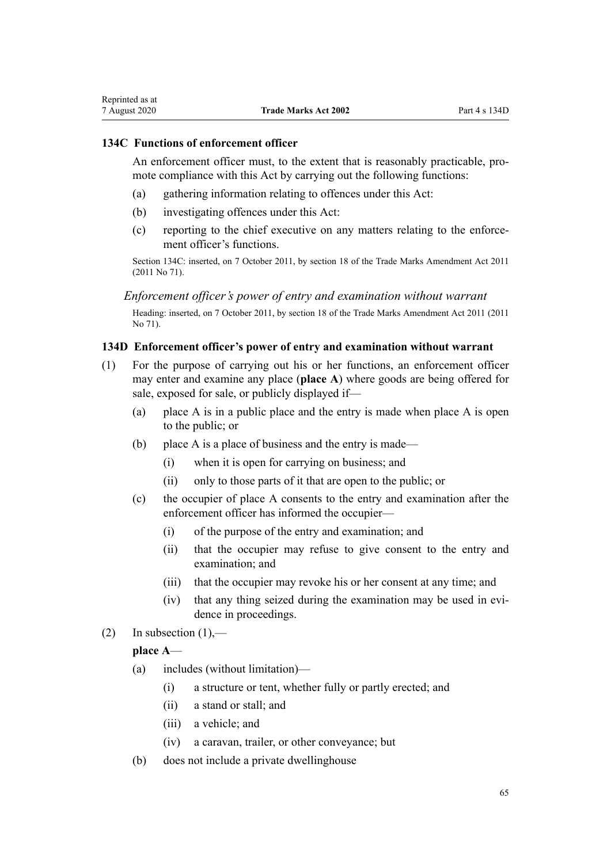## <span id="page-64-0"></span>**134C Functions of enforcement officer**

An enforcement officer must, to the extent that is reasonably practicable, promote compliance with this Act by carrying out the following functions:

- (a) gathering information relating to offences under this Act:
- (b) investigating offences under this Act:
- (c) reporting to the chief executive on any matters relating to the enforcement officer's functions.

Section 134C: inserted, on 7 October 2011, by [section 18](http://legislation.govt.nz/pdflink.aspx?id=DLM2290055) of the Trade Marks Amendment Act 2011 (2011 No 71).

*Enforcement officer's power of entry and examination without warrant*

Heading: inserted, on 7 October 2011, by [section 18](http://legislation.govt.nz/pdflink.aspx?id=DLM2290055) of the Trade Marks Amendment Act 2011 (2011 No 71).

#### **134D Enforcement officer's power of entry and examination without warrant**

- (1) For the purpose of carrying out his or her functions, an enforcement officer may enter and examine any place (**place A**) where goods are being offered for sale, exposed for sale, or publicly displayed if—
	- (a) place A is in a public place and the entry is made when place A is open to the public; or
	- (b) place A is a place of business and the entry is made—
		- (i) when it is open for carrying on business; and
		- (ii) only to those parts of it that are open to the public; or
	- (c) the occupier of place A consents to the entry and examination after the enforcement officer has informed the occupier—
		- (i) of the purpose of the entry and examination; and
		- (ii) that the occupier may refuse to give consent to the entry and examination; and
		- (iii) that the occupier may revoke his or her consent at any time; and
		- (iv) that any thing seized during the examination may be used in evidence in proceedings.
- (2) In subsection  $(1)$ ,—

## **place A**—

- (a) includes (without limitation)—
	- (i) a structure or tent, whether fully or partly erected; and
	- (ii) a stand or stall; and
	- (iii) a vehicle; and
	- (iv) a caravan, trailer, or other conveyance; but
- (b) does not include a private dwellinghouse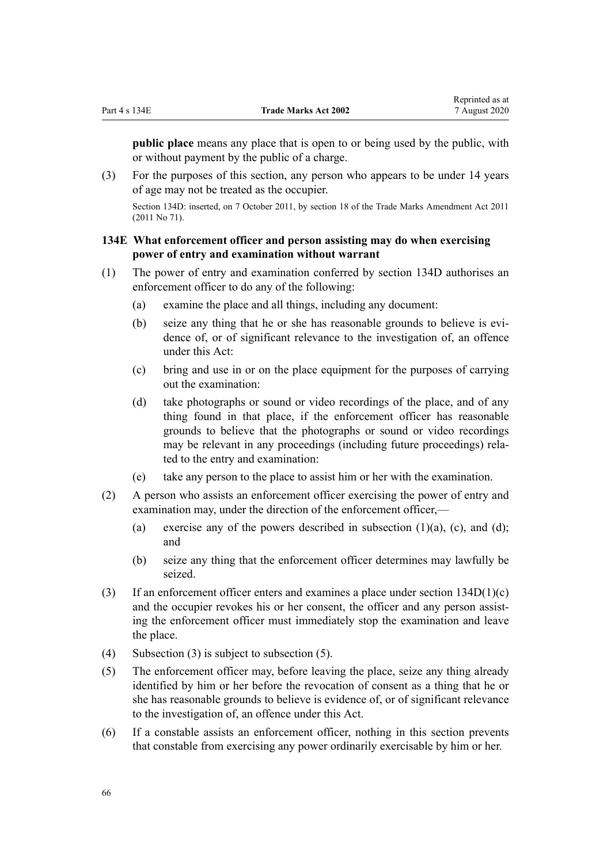**public place** means any place that is open to or being used by the public, with or without payment by the public of a charge.

(3) For the purposes of this section, any person who appears to be under 14 years of age may not be treated as the occupier.

Section 134D: inserted, on 7 October 2011, by [section 18](http://legislation.govt.nz/pdflink.aspx?id=DLM2290055) of the Trade Marks Amendment Act 2011 (2011 No 71).

## **134E What enforcement officer and person assisting may do when exercising power of entry and examination without warrant**

- (1) The power of entry and examination conferred by [section 134D](#page-64-0) authorises an enforcement officer to do any of the following:
	- (a) examine the place and all things, including any document:
	- (b) seize any thing that he or she has reasonable grounds to believe is evidence of, or of significant relevance to the investigation of, an offence under this Act:
	- (c) bring and use in or on the place equipment for the purposes of carrying out the examination:
	- (d) take photographs or sound or video recordings of the place, and of any thing found in that place, if the enforcement officer has reasonable grounds to believe that the photographs or sound or video recordings may be relevant in any proceedings (including future proceedings) related to the entry and examination:
	- (e) take any person to the place to assist him or her with the examination.
- (2) A person who assists an enforcement officer exercising the power of entry and examination may, under the direction of the enforcement officer,—
	- (a) exercise any of the powers described in subsection  $(1)(a)$ ,  $(c)$ , and  $(d)$ ; and
	- (b) seize any thing that the enforcement officer determines may lawfully be seized.
- (3) If an enforcement officer enters and examines a place under section  $134D(1)(c)$ and the occupier revokes his or her consent, the officer and any person assisting the enforcement officer must immediately stop the examination and leave the place.
- (4) Subsection (3) is subject to subsection (5).
- (5) The enforcement officer may, before leaving the place, seize any thing already identified by him or her before the revocation of consent as a thing that he or she has reasonable grounds to believe is evidence of, or of significant relevance to the investigation of, an offence under this Act.
- (6) If a constable assists an enforcement officer, nothing in this section prevents that constable from exercising any power ordinarily exercisable by him or her.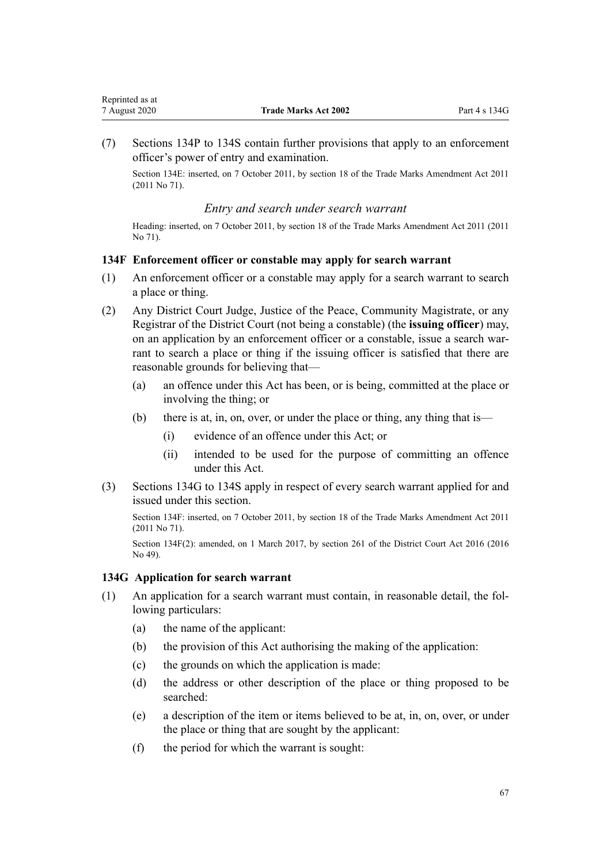<span id="page-66-0"></span>(7) [Sections 134P to 134S](#page-72-0) contain further provisions that apply to an enforcement officer's power of entry and examination.

Section 134E: inserted, on 7 October 2011, by [section 18](http://legislation.govt.nz/pdflink.aspx?id=DLM2290055) of the Trade Marks Amendment Act 2011 (2011 No 71).

## *Entry and search under search warrant*

Heading: inserted, on 7 October 2011, by [section 18](http://legislation.govt.nz/pdflink.aspx?id=DLM2290055) of the Trade Marks Amendment Act 2011 (2011 No 71).

#### **134F Enforcement officer or constable may apply for search warrant**

- (1) An enforcement officer or a constable may apply for a search warrant to search a place or thing.
- (2) Any District Court Judge, Justice of the Peace, Community Magistrate, or any Registrar of the District Court (not being a constable) (the **issuing officer**) may, on an application by an enforcement officer or a constable, issue a search warrant to search a place or thing if the issuing officer is satisfied that there are reasonable grounds for believing that—
	- (a) an offence under this Act has been, or is being, committed at the place or involving the thing; or
	- (b) there is at, in, on, over, or under the place or thing, any thing that is—
		- (i) evidence of an offence under this Act; or
		- (ii) intended to be used for the purpose of committing an offence under this Act.
- (3) Sections 134G to 134S apply in respect of every search warrant applied for and issued under this section.

Section 134F: inserted, on 7 October 2011, by [section 18](http://legislation.govt.nz/pdflink.aspx?id=DLM2290055) of the Trade Marks Amendment Act 2011 (2011 No 71).

Section 134F(2): amended, on 1 March 2017, by [section 261](http://legislation.govt.nz/pdflink.aspx?id=DLM6942680) of the District Court Act 2016 (2016 No 49).

#### **134G Application for search warrant**

- (1) An application for a search warrant must contain, in reasonable detail, the following particulars:
	- (a) the name of the applicant:
	- (b) the provision of this Act authorising the making of the application:
	- (c) the grounds on which the application is made:
	- (d) the address or other description of the place or thing proposed to be searched:
	- (e) a description of the item or items believed to be at, in, on, over, or under the place or thing that are sought by the applicant:
	- (f) the period for which the warrant is sought: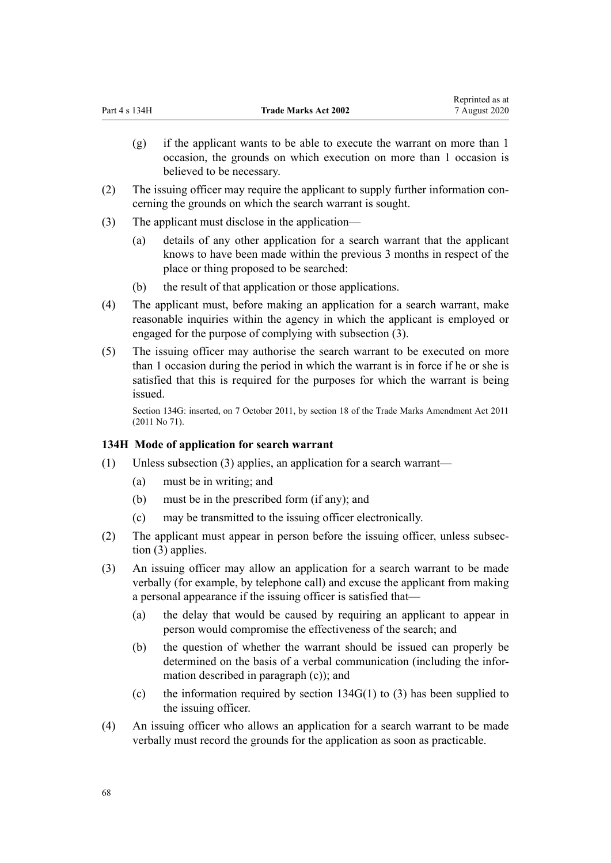(g) if the applicant wants to be able to execute the warrant on more than 1 occasion, the grounds on which execution on more than 1 occasion is believed to be necessary.

Reprinted as at

- (2) The issuing officer may require the applicant to supply further information concerning the grounds on which the search warrant is sought.
- (3) The applicant must disclose in the application—
	- (a) details of any other application for a search warrant that the applicant knows to have been made within the previous 3 months in respect of the place or thing proposed to be searched:
	- (b) the result of that application or those applications.
- (4) The applicant must, before making an application for a search warrant, make reasonable inquiries within the agency in which the applicant is employed or engaged for the purpose of complying with subsection (3).
- (5) The issuing officer may authorise the search warrant to be executed on more than 1 occasion during the period in which the warrant is in force if he or she is satisfied that this is required for the purposes for which the warrant is being issued.

Section 134G: inserted, on 7 October 2011, by [section 18](http://legislation.govt.nz/pdflink.aspx?id=DLM2290055) of the Trade Marks Amendment Act 2011 (2011 No 71).

## **134H Mode of application for search warrant**

- (1) Unless subsection (3) applies, an application for a search warrant—
	- (a) must be in writing; and
	- (b) must be in the prescribed form (if any); and
	- (c) may be transmitted to the issuing officer electronically.
- (2) The applicant must appear in person before the issuing officer, unless subsection (3) applies.
- (3) An issuing officer may allow an application for a search warrant to be made verbally (for example, by telephone call) and excuse the applicant from making a personal appearance if the issuing officer is satisfied that—
	- (a) the delay that would be caused by requiring an applicant to appear in person would compromise the effectiveness of the search; and
	- (b) the question of whether the warrant should be issued can properly be determined on the basis of a verbal communication (including the information described in paragraph (c)); and
	- (c) the information required by section  $134G(1)$  to (3) has been supplied to the issuing officer.
- (4) An issuing officer who allows an application for a search warrant to be made verbally must record the grounds for the application as soon as practicable.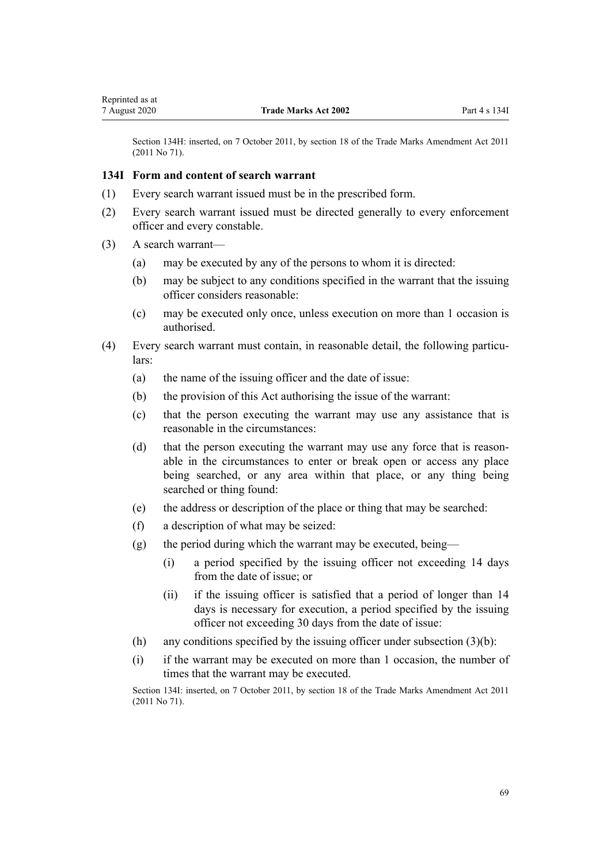<span id="page-68-0"></span>Section 134H: inserted, on 7 October 2011, by [section 18](http://legislation.govt.nz/pdflink.aspx?id=DLM2290055) of the Trade Marks Amendment Act 2011 (2011 No 71).

#### **134I Form and content of search warrant**

- (1) Every search warrant issued must be in the prescribed form.
- (2) Every search warrant issued must be directed generally to every enforcement officer and every constable.
- (3) A search warrant—
	- (a) may be executed by any of the persons to whom it is directed:
	- (b) may be subject to any conditions specified in the warrant that the issuing officer considers reasonable:
	- (c) may be executed only once, unless execution on more than 1 occasion is authorised.
- (4) Every search warrant must contain, in reasonable detail, the following particulars:
	- (a) the name of the issuing officer and the date of issue:
	- (b) the provision of this Act authorising the issue of the warrant:
	- (c) that the person executing the warrant may use any assistance that is reasonable in the circumstances:
	- (d) that the person executing the warrant may use any force that is reasonable in the circumstances to enter or break open or access any place being searched, or any area within that place, or any thing being searched or thing found:
	- (e) the address or description of the place or thing that may be searched:
	- (f) a description of what may be seized:
	- (g) the period during which the warrant may be executed, being—
		- (i) a period specified by the issuing officer not exceeding 14 days from the date of issue; or
		- (ii) if the issuing officer is satisfied that a period of longer than 14 days is necessary for execution, a period specified by the issuing officer not exceeding 30 days from the date of issue:
	- (h) any conditions specified by the issuing officer under subsection  $(3)(b)$ :
	- (i) if the warrant may be executed on more than 1 occasion, the number of times that the warrant may be executed.

Section 134I: inserted, on 7 October 2011, by [section 18](http://legislation.govt.nz/pdflink.aspx?id=DLM2290055) of the Trade Marks Amendment Act 2011 (2011 No 71).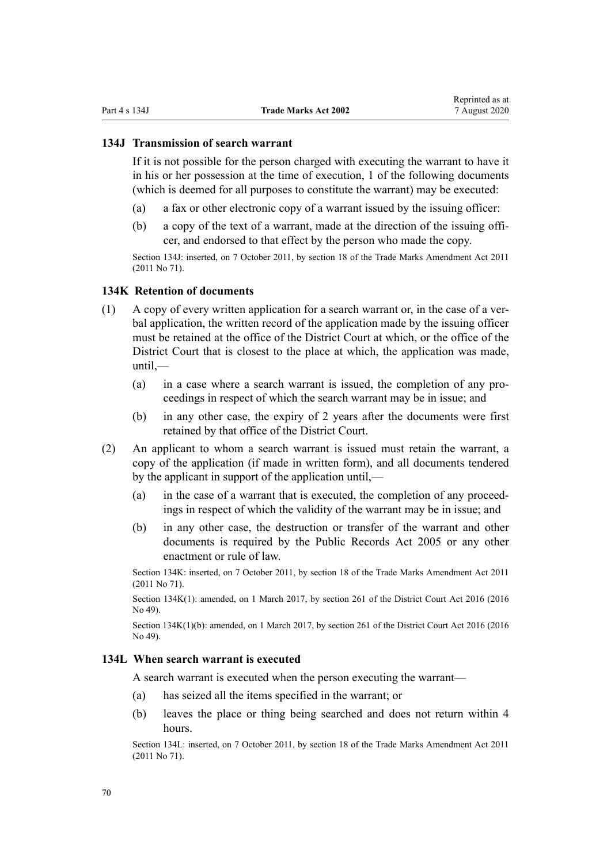#### **134J Transmission of search warrant**

If it is not possible for the person charged with executing the warrant to have it in his or her possession at the time of execution, 1 of the following documents (which is deemed for all purposes to constitute the warrant) may be executed:

- (a) a fax or other electronic copy of a warrant issued by the issuing officer:
- (b) a copy of the text of a warrant, made at the direction of the issuing officer, and endorsed to that effect by the person who made the copy.

Section 134J: inserted, on 7 October 2011, by [section 18](http://legislation.govt.nz/pdflink.aspx?id=DLM2290055) of the Trade Marks Amendment Act 2011 (2011 No 71).

#### **134K Retention of documents**

- (1) A copy of every written application for a search warrant or, in the case of a verbal application, the written record of the application made by the issuing officer must be retained at the office of the District Court at which, or the office of the District Court that is closest to the place at which, the application was made,  $until$ —
	- (a) in a case where a search warrant is issued, the completion of any proceedings in respect of which the search warrant may be in issue; and
	- (b) in any other case, the expiry of 2 years after the documents were first retained by that office of the District Court.
- (2) An applicant to whom a search warrant is issued must retain the warrant, a copy of the application (if made in written form), and all documents tendered by the applicant in support of the application until,—
	- (a) in the case of a warrant that is executed, the completion of any proceedings in respect of which the validity of the warrant may be in issue; and
	- (b) in any other case, the destruction or transfer of the warrant and other documents is required by the [Public Records Act 2005](http://legislation.govt.nz/pdflink.aspx?id=DLM345528) or any other enactment or rule of law.

Section 134K: inserted, on 7 October 2011, by [section 18](http://legislation.govt.nz/pdflink.aspx?id=DLM2290055) of the Trade Marks Amendment Act 2011 (2011 No 71).

Section 134K(1): amended, on 1 March 2017, by [section 261](http://legislation.govt.nz/pdflink.aspx?id=DLM6942680) of the District Court Act 2016 (2016 No 49).

Section 134K(1)(b): amended, on 1 March 2017, by [section 261](http://legislation.govt.nz/pdflink.aspx?id=DLM6942680) of the District Court Act 2016 (2016) No 49).

#### **134L When search warrant is executed**

A search warrant is executed when the person executing the warrant—

- (a) has seized all the items specified in the warrant; or
- (b) leaves the place or thing being searched and does not return within 4 hours.

Section 134L: inserted, on 7 October 2011, by [section 18](http://legislation.govt.nz/pdflink.aspx?id=DLM2290055) of the Trade Marks Amendment Act 2011 (2011 No 71).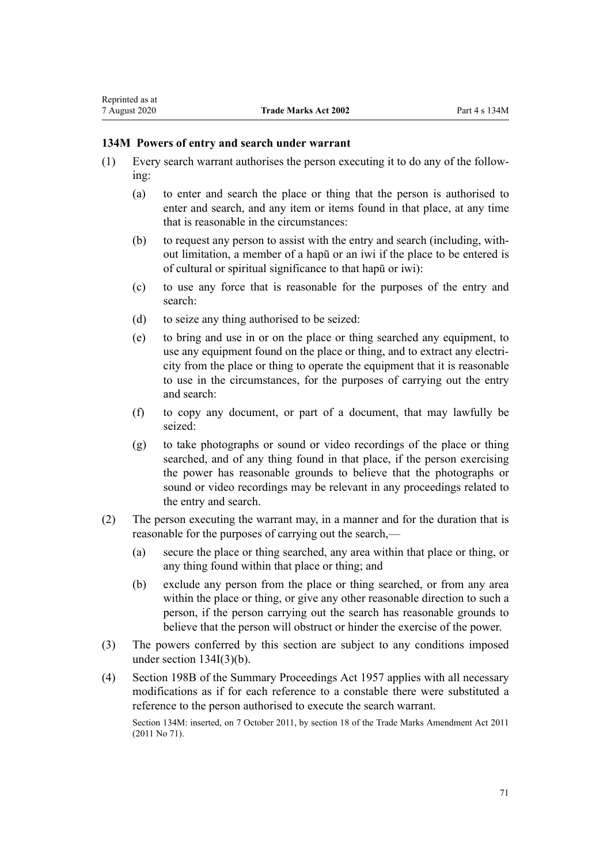#### **134M Powers of entry and search under warrant**

- (1) Every search warrant authorises the person executing it to do any of the following:
	- (a) to enter and search the place or thing that the person is authorised to enter and search, and any item or items found in that place, at any time that is reasonable in the circumstances:
	- (b) to request any person to assist with the entry and search (including, without limitation, a member of a hapū or an iwi if the place to be entered is of cultural or spiritual significance to that hapū or iwi):
	- (c) to use any force that is reasonable for the purposes of the entry and search:
	- (d) to seize any thing authorised to be seized:
	- (e) to bring and use in or on the place or thing searched any equipment, to use any equipment found on the place or thing, and to extract any electricity from the place or thing to operate the equipment that it is reasonable to use in the circumstances, for the purposes of carrying out the entry and search:
	- (f) to copy any document, or part of a document, that may lawfully be seized:
	- (g) to take photographs or sound or video recordings of the place or thing searched, and of any thing found in that place, if the person exercising the power has reasonable grounds to believe that the photographs or sound or video recordings may be relevant in any proceedings related to the entry and search.
- (2) The person executing the warrant may, in a manner and for the duration that is reasonable for the purposes of carrying out the search,—
	- (a) secure the place or thing searched, any area within that place or thing, or any thing found within that place or thing; and
	- (b) exclude any person from the place or thing searched, or from any area within the place or thing, or give any other reasonable direction to such a person, if the person carrying out the search has reasonable grounds to believe that the person will obstruct or hinder the exercise of the power.
- (3) The powers conferred by this section are subject to any conditions imposed under [section 134I\(3\)\(b\).](#page-68-0)
- (4) [Section 198B](http://legislation.govt.nz/pdflink.aspx?id=DLM314016) of the Summary Proceedings Act 1957 applies with all necessary modifications as if for each reference to a constable there were substituted a reference to the person authorised to execute the search warrant.

Section 134M: inserted, on 7 October 2011, by [section 18](http://legislation.govt.nz/pdflink.aspx?id=DLM2290055) of the Trade Marks Amendment Act 2011 (2011 No 71).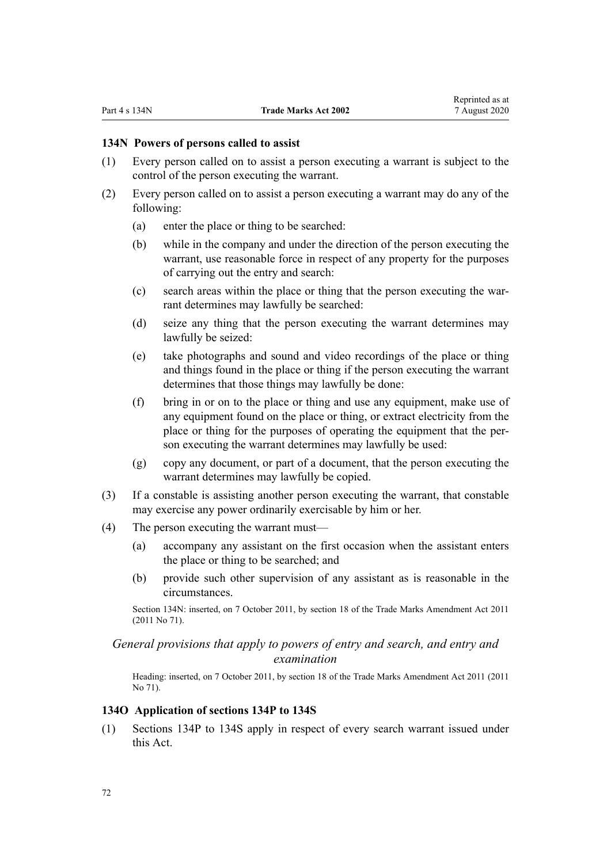#### **134N Powers of persons called to assist**

- (1) Every person called on to assist a person executing a warrant is subject to the control of the person executing the warrant.
- (2) Every person called on to assist a person executing a warrant may do any of the following:
	- (a) enter the place or thing to be searched:
	- (b) while in the company and under the direction of the person executing the warrant, use reasonable force in respect of any property for the purposes of carrying out the entry and search:
	- (c) search areas within the place or thing that the person executing the warrant determines may lawfully be searched:
	- (d) seize any thing that the person executing the warrant determines may lawfully be seized:
	- (e) take photographs and sound and video recordings of the place or thing and things found in the place or thing if the person executing the warrant determines that those things may lawfully be done:
	- (f) bring in or on to the place or thing and use any equipment, make use of any equipment found on the place or thing, or extract electricity from the place or thing for the purposes of operating the equipment that the person executing the warrant determines may lawfully be used:
	- (g) copy any document, or part of a document, that the person executing the warrant determines may lawfully be copied.
- (3) If a constable is assisting another person executing the warrant, that constable may exercise any power ordinarily exercisable by him or her.
- (4) The person executing the warrant must—
	- (a) accompany any assistant on the first occasion when the assistant enters the place or thing to be searched; and
	- (b) provide such other supervision of any assistant as is reasonable in the circumstances.

Section 134N: inserted, on 7 October 2011, by [section 18](http://legislation.govt.nz/pdflink.aspx?id=DLM2290055) of the Trade Marks Amendment Act 2011 (2011 No 71).

## *General provisions that apply to powers of entry and search, and entry and examination*

Heading: inserted, on 7 October 2011, by [section 18](http://legislation.govt.nz/pdflink.aspx?id=DLM2290055) of the Trade Marks Amendment Act 2011 (2011 No 71).

#### **134O Application of sections 134P to 134S**

(1) [Sections 134P to 134S](#page-72-0) apply in respect of every search warrant issued under this Act.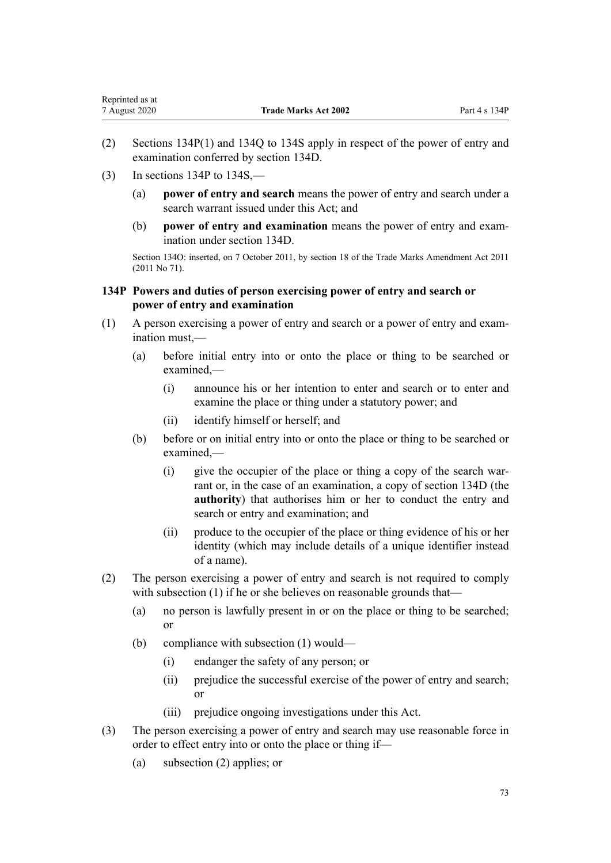$(3)$  In sections 134P to 134S.—

<span id="page-72-0"></span>Reprinted as at

- (a) **power of entry and search** means the power of entry and search under a search warrant issued under this Act; and
- (b) **power of entry and examination** means the power of entry and examination under [section 134D](#page-64-0).

Section 134O: inserted, on 7 October 2011, by [section 18](http://legislation.govt.nz/pdflink.aspx?id=DLM2290055) of the Trade Marks Amendment Act 2011 (2011 No 71).

## **134P Powers and duties of person exercising power of entry and search or power of entry and examination**

- (1) A person exercising a power of entry and search or a power of entry and examination must,—
	- (a) before initial entry into or onto the place or thing to be searched or examined,—
		- (i) announce his or her intention to enter and search or to enter and examine the place or thing under a statutory power; and
		- (ii) identify himself or herself; and
	- (b) before or on initial entry into or onto the place or thing to be searched or examined,—
		- (i) give the occupier of the place or thing a copy of the search warrant or, in the case of an examination, a copy of [section 134D](#page-64-0) (the **authority**) that authorises him or her to conduct the entry and search or entry and examination; and
		- (ii) produce to the occupier of the place or thing evidence of his or her identity (which may include details of a unique identifier instead of a name).
- (2) The person exercising a power of entry and search is not required to comply with subsection (1) if he or she believes on reasonable grounds that—
	- (a) no person is lawfully present in or on the place or thing to be searched; or
	- (b) compliance with subsection (1) would—
		- (i) endanger the safety of any person; or
		- (ii) prejudice the successful exercise of the power of entry and search; or
		- (iii) prejudice ongoing investigations under this Act.
- (3) The person exercising a power of entry and search may use reasonable force in order to effect entry into or onto the place or thing if—
	- (a) subsection (2) applies; or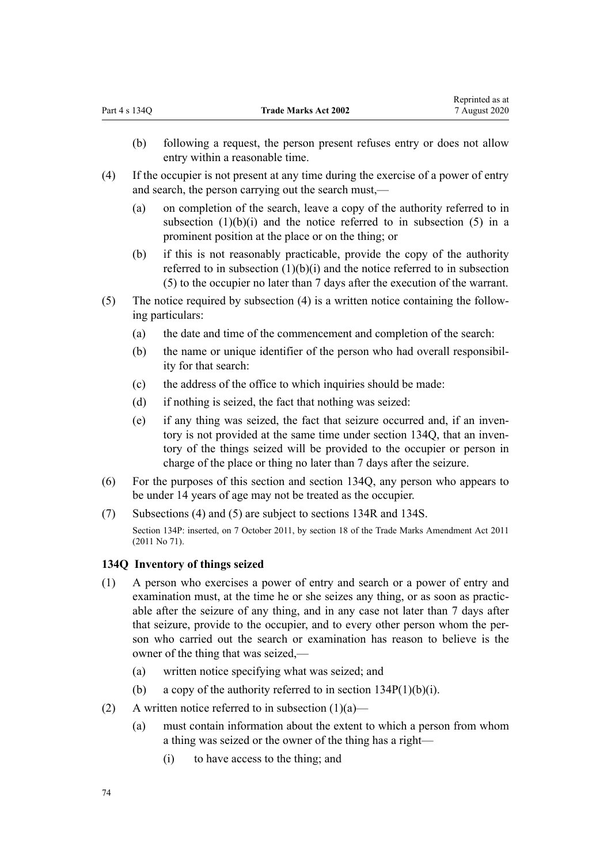- <span id="page-73-0"></span>(b) following a request, the person present refuses entry or does not allow entry within a reasonable time.
- (4) If the occupier is not present at any time during the exercise of a power of entry and search, the person carrying out the search must,—
	- (a) on completion of the search, leave a copy of the authority referred to in subsection  $(1)(b)(i)$  and the notice referred to in subsection  $(5)$  in a prominent position at the place or on the thing; or
	- (b) if this is not reasonably practicable, provide the copy of the authority referred to in subsection  $(1)(b)(i)$  and the notice referred to in subsection (5) to the occupier no later than 7 days after the execution of the warrant.
- (5) The notice required by subsection (4) is a written notice containing the following particulars:
	- (a) the date and time of the commencement and completion of the search:
	- (b) the name or unique identifier of the person who had overall responsibility for that search:
	- (c) the address of the office to which inquiries should be made:
	- (d) if nothing is seized, the fact that nothing was seized:
	- (e) if any thing was seized, the fact that seizure occurred and, if an inventory is not provided at the same time under section 134Q, that an inventory of the things seized will be provided to the occupier or person in charge of the place or thing no later than 7 days after the seizure.
- (6) For the purposes of this section and section 134Q, any person who appears to be under 14 years of age may not be treated as the occupier.
- (7) Subsections (4) and (5) are subject to [sections 134R](#page-74-0) and [134S](#page-75-0).

Section 134P: inserted, on 7 October 2011, by [section 18](http://legislation.govt.nz/pdflink.aspx?id=DLM2290055) of the Trade Marks Amendment Act 2011 (2011 No 71).

#### **134Q Inventory of things seized**

- (1) A person who exercises a power of entry and search or a power of entry and examination must, at the time he or she seizes any thing, or as soon as practicable after the seizure of any thing, and in any case not later than 7 days after that seizure, provide to the occupier, and to every other person whom the person who carried out the search or examination has reason to believe is the owner of the thing that was seized,—
	- (a) written notice specifying what was seized; and
	- (b) a copy of the authority referred to in section  $134P(1)(b)(i)$ .
- (2) A written notice referred to in subsection  $(1)(a)$ 
	- (a) must contain information about the extent to which a person from whom a thing was seized or the owner of the thing has a right—
		- (i) to have access to the thing; and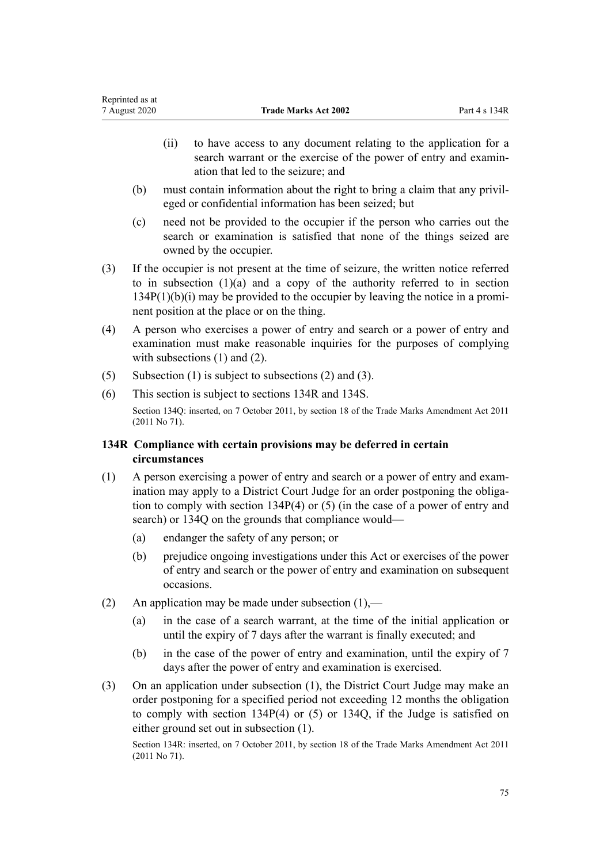- <span id="page-74-0"></span>(ii) to have access to any document relating to the application for a search warrant or the exercise of the power of entry and examination that led to the seizure; and
- (b) must contain information about the right to bring a claim that any privileged or confidential information has been seized; but
- (c) need not be provided to the occupier if the person who carries out the search or examination is satisfied that none of the things seized are owned by the occupier.
- (3) If the occupier is not present at the time of seizure, the written notice referred to in sub[section](#page-72-0)  $(1)(a)$  and a copy of the authority referred to in section [134P\(1\)\(b\)\(i\)](#page-72-0) may be provided to the occupier by leaving the notice in a prominent position at the place or on the thing.
- (4) A person who exercises a power of entry and search or a power of entry and examination must make reasonable inquiries for the purposes of complying with subsections (1) and (2).
- (5) Subsection (1) is subject to subsections (2) and (3).
- (6) This section is subject to sections 134R and [134S.](#page-75-0)

Section 134Q: inserted, on 7 October 2011, by [section 18](http://legislation.govt.nz/pdflink.aspx?id=DLM2290055) of the Trade Marks Amendment Act 2011 (2011 No 71).

# **134R Compliance with certain provisions may be deferred in certain circumstances**

- (1) A person exercising a power of entry and search or a power of entry and examination may apply to a District Court Judge for an order postponing the obligation to comply with [section 134P\(4\) or \(5\) \(](#page-72-0)in the case of a power of entry and search) or [134Q](#page-73-0) on the grounds that compliance would—
	- (a) endanger the safety of any person; or
	- (b) prejudice ongoing investigations under this Act or exercises of the power of entry and search or the power of entry and examination on subsequent occasions.
- (2) An application may be made under subsection  $(1)$ ,—
	- (a) in the case of a search warrant, at the time of the initial application or until the expiry of 7 days after the warrant is finally executed; and
	- (b) in the case of the power of entry and examination, until the expiry of 7 days after the power of entry and examination is exercised.
- (3) On an application under subsection (1), the District Court Judge may make an order postponing for a specified period not exceeding 12 months the obligation to comply with [section 134P\(4\) or \(5\)](#page-72-0) or [134Q](#page-73-0), if the Judge is satisfied on either ground set out in subsection (1).

Section 134R: inserted, on 7 October 2011, by [section 18](http://legislation.govt.nz/pdflink.aspx?id=DLM2290055) of the Trade Marks Amendment Act 2011 (2011 No 71).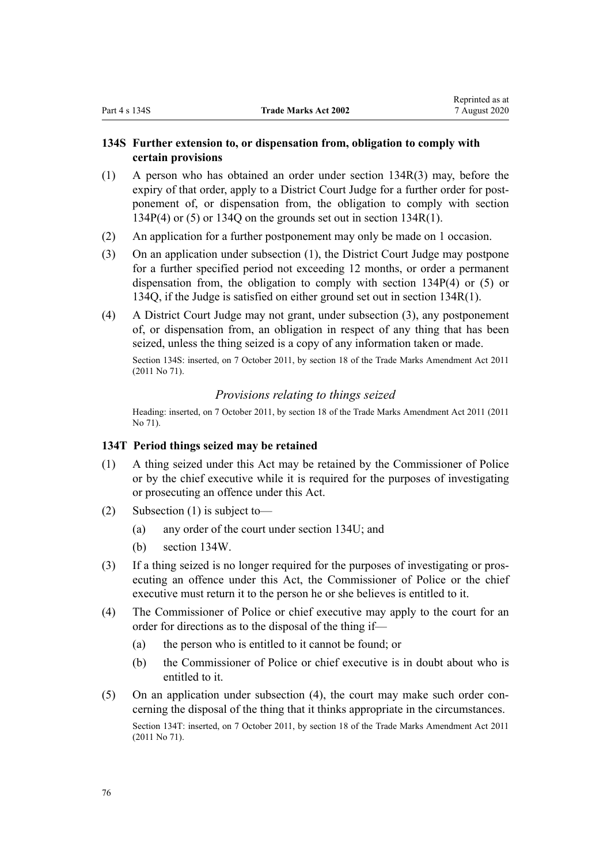## <span id="page-75-0"></span>**134S Further extension to, or dispensation from, obligation to comply with certain provisions**

- (1) A person who has obtained an order under [section 134R\(3\)](#page-74-0) may, before the expiry of that order, apply to a District Court Judge for a further order for postponement of, or dispensation from, the obligation to comply with [section](#page-72-0) [134P\(4\) or \(5\)](#page-72-0) or [134Q](#page-73-0) on the grounds set out i[n section 134R\(1\).](#page-74-0)
- (2) An application for a further postponement may only be made on 1 occasion.
- (3) On an application under subsection (1), the District Court Judge may postpone for a further specified period not exceeding 12 months, or order a permanent dispensation from, the obligation to comply with [section 134P\(4\) or \(5\)](#page-72-0) or [134Q,](#page-73-0) if the Judge is satisfied on either ground set out in [section 134R\(1\)](#page-74-0).
- (4) A District Court Judge may not grant, under subsection (3), any postponement of, or dispensation from, an obligation in respect of any thing that has been seized, unless the thing seized is a copy of any information taken or made.

Section 134S: inserted, on 7 October 2011, by [section 18](http://legislation.govt.nz/pdflink.aspx?id=DLM2290055) of the Trade Marks Amendment Act 2011 (2011 No 71).

#### *Provisions relating to things seized*

Heading: inserted, on 7 October 2011, by [section 18](http://legislation.govt.nz/pdflink.aspx?id=DLM2290055) of the Trade Marks Amendment Act 2011 (2011 No 71).

### **134T Period things seized may be retained**

- (1) A thing seized under this Act may be retained by the Commissioner of Police or by the chief executive while it is required for the purposes of investigating or prosecuting an offence under this Act.
- (2) Subsection (1) is subject to—
	- (a) any order of the court under [section 134U;](#page-76-0) and
	- (b) [section 134W.](#page-77-0)
- (3) If a thing seized is no longer required for the purposes of investigating or prosecuting an offence under this Act, the Commissioner of Police or the chief executive must return it to the person he or she believes is entitled to it.
- (4) The Commissioner of Police or chief executive may apply to the court for an order for directions as to the disposal of the thing if—
	- (a) the person who is entitled to it cannot be found; or
	- (b) the Commissioner of Police or chief executive is in doubt about who is entitled to it.
- (5) On an application under subsection (4), the court may make such order concerning the disposal of the thing that it thinks appropriate in the circumstances. Section 134T: inserted, on 7 October 2011, by [section 18](http://legislation.govt.nz/pdflink.aspx?id=DLM2290055) of the Trade Marks Amendment Act 2011 (2011 No 71).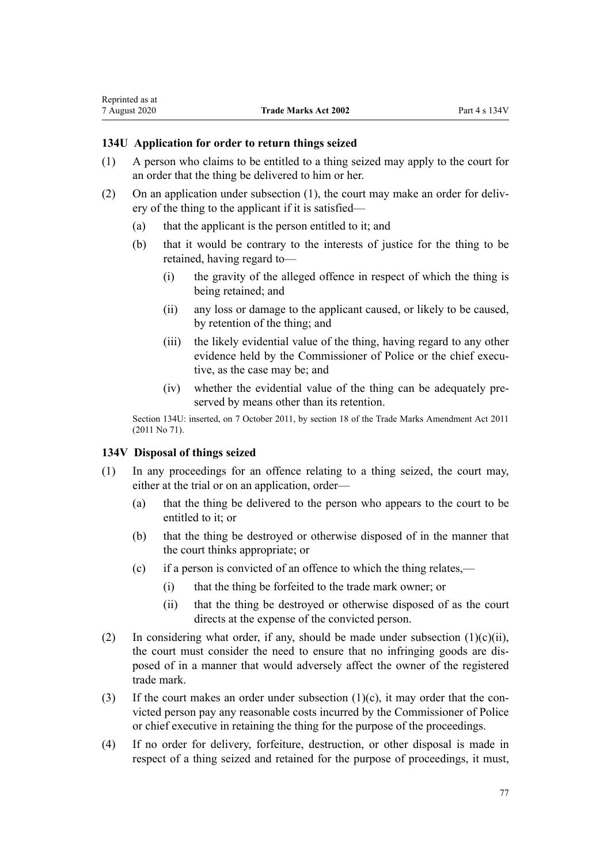## <span id="page-76-0"></span>**134U Application for order to return things seized**

- (1) A person who claims to be entitled to a thing seized may apply to the court for an order that the thing be delivered to him or her.
- (2) On an application under subsection (1), the court may make an order for delivery of the thing to the applicant if it is satisfied—
	- (a) that the applicant is the person entitled to it; and
	- (b) that it would be contrary to the interests of justice for the thing to be retained, having regard to—
		- (i) the gravity of the alleged offence in respect of which the thing is being retained; and
		- (ii) any loss or damage to the applicant caused, or likely to be caused, by retention of the thing; and
		- (iii) the likely evidential value of the thing, having regard to any other evidence held by the Commissioner of Police or the chief executive, as the case may be; and
		- (iv) whether the evidential value of the thing can be adequately preserved by means other than its retention.

Section 134U: inserted, on 7 October 2011, by [section 18](http://legislation.govt.nz/pdflink.aspx?id=DLM2290055) of the Trade Marks Amendment Act 2011 (2011 No 71).

### **134V Disposal of things seized**

- (1) In any proceedings for an offence relating to a thing seized, the court may, either at the trial or on an application, order—
	- (a) that the thing be delivered to the person who appears to the court to be entitled to it; or
	- (b) that the thing be destroyed or otherwise disposed of in the manner that the court thinks appropriate; or
	- (c) if a person is convicted of an offence to which the thing relates,—
		- (i) that the thing be forfeited to the trade mark owner; or
		- (ii) that the thing be destroyed or otherwise disposed of as the court directs at the expense of the convicted person.
- (2) In considering what order, if any, should be made under subsection  $(1)(c)(ii)$ , the court must consider the need to ensure that no infringing goods are disposed of in a manner that would adversely affect the owner of the registered trade mark.
- (3) If the court makes an order under subsection  $(1)(c)$ , it may order that the convicted person pay any reasonable costs incurred by the Commissioner of Police or chief executive in retaining the thing for the purpose of the proceedings.
- (4) If no order for delivery, forfeiture, destruction, or other disposal is made in respect of a thing seized and retained for the purpose of proceedings, it must,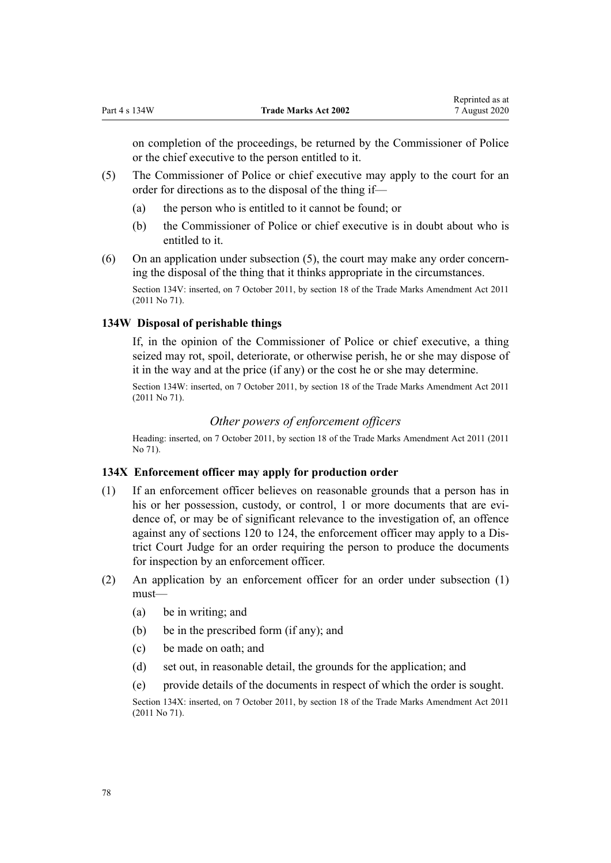<span id="page-77-0"></span>on completion of the proceedings, be returned by the Commissioner of Police or the chief executive to the person entitled to it.

- (5) The Commissioner of Police or chief executive may apply to the court for an order for directions as to the disposal of the thing if—
	- (a) the person who is entitled to it cannot be found; or
	- (b) the Commissioner of Police or chief executive is in doubt about who is entitled to it.
- (6) On an application under subsection (5), the court may make any order concerning the disposal of the thing that it thinks appropriate in the circumstances.

Section 134V: inserted, on 7 October 2011, by [section 18](http://legislation.govt.nz/pdflink.aspx?id=DLM2290055) of the Trade Marks Amendment Act 2011 (2011 No 71).

## **134W Disposal of perishable things**

If, in the opinion of the Commissioner of Police or chief executive, a thing seized may rot, spoil, deteriorate, or otherwise perish, he or she may dispose of it in the way and at the price (if any) or the cost he or she may determine.

Section 134W: inserted, on 7 October 2011, by [section 18](http://legislation.govt.nz/pdflink.aspx?id=DLM2290055) of the Trade Marks Amendment Act 2011 (2011 No 71).

## *Other powers of enforcement officers*

Heading: inserted, on 7 October 2011, by [section 18](http://legislation.govt.nz/pdflink.aspx?id=DLM2290055) of the Trade Marks Amendment Act 2011 (2011 No 71).

### **134X Enforcement officer may apply for production order**

- (1) If an enforcement officer believes on reasonable grounds that a person has in his or her possession, custody, or control, 1 or more documents that are evidence of, or may be of significant relevance to the investigation of, an offence against any of [sections 120 to 124](#page-58-0), the enforcement officer may apply to a District Court Judge for an order requiring the person to produce the documents for inspection by an enforcement officer.
- (2) An application by an enforcement officer for an order under subsection (1) must—
	- (a) be in writing; and
	- (b) be in the prescribed form (if any); and
	- (c) be made on oath; and
	- (d) set out, in reasonable detail, the grounds for the application; and
	- (e) provide details of the documents in respect of which the order is sought.

Section 134X: inserted, on 7 October 2011, by [section 18](http://legislation.govt.nz/pdflink.aspx?id=DLM2290055) of the Trade Marks Amendment Act 2011 (2011 No 71).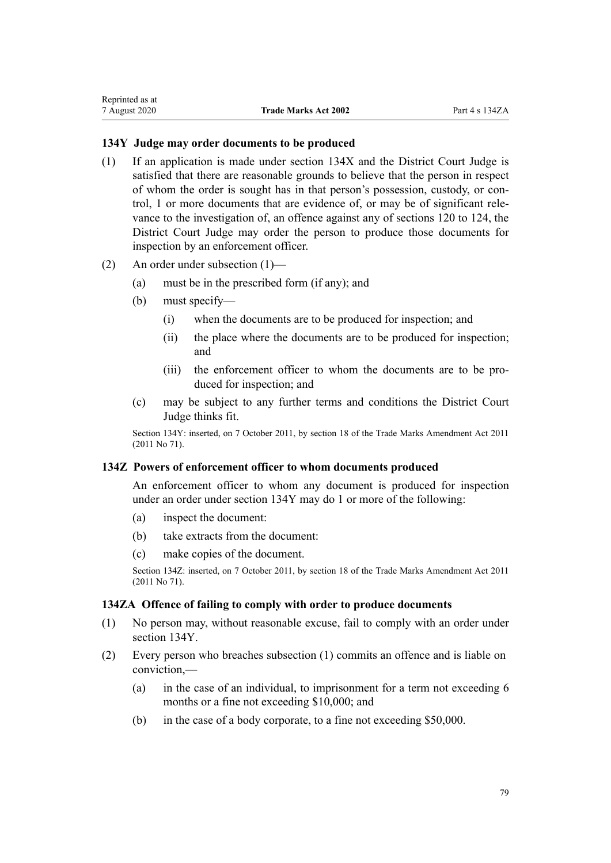## <span id="page-78-0"></span>**134Y Judge may order documents to be produced**

- (1) If an application is made under [section 134X](#page-77-0) and the District Court Judge is satisfied that there are reasonable grounds to believe that the person in respect of whom the order is sought has in that person's possession, custody, or control, 1 or more documents that are evidence of, or may be of significant relevance to the investigation of, an offence against any of [sections 120 to 124](#page-58-0), the District Court Judge may order the person to produce those documents for inspection by an enforcement officer.
- (2) An order under subsection (1)—
	- (a) must be in the prescribed form (if any); and
	- (b) must specify—
		- (i) when the documents are to be produced for inspection; and
		- (ii) the place where the documents are to be produced for inspection; and
		- (iii) the enforcement officer to whom the documents are to be produced for inspection; and
	- (c) may be subject to any further terms and conditions the District Court Judge thinks fit.

Section 134Y: inserted, on 7 October 2011, by [section 18](http://legislation.govt.nz/pdflink.aspx?id=DLM2290055) of the Trade Marks Amendment Act 2011 (2011 No 71).

### **134Z Powers of enforcement officer to whom documents produced**

An enforcement officer to whom any document is produced for inspection under an order under section 134Y may do 1 or more of the following:

- (a) inspect the document:
- (b) take extracts from the document:
- (c) make copies of the document.

Section 134Z: inserted, on 7 October 2011, by [section 18](http://legislation.govt.nz/pdflink.aspx?id=DLM2290055) of the Trade Marks Amendment Act 2011 (2011 No 71).

## **134ZA Offence of failing to comply with order to produce documents**

- (1) No person may, without reasonable excuse, fail to comply with an order under section 134Y.
- (2) Every person who breaches subsection (1) commits an offence and is liable on conviction,—
	- (a) in the case of an individual, to imprisonment for a term not exceeding 6 months or a fine not exceeding \$10,000; and
	- (b) in the case of a body corporate, to a fine not exceeding \$50,000.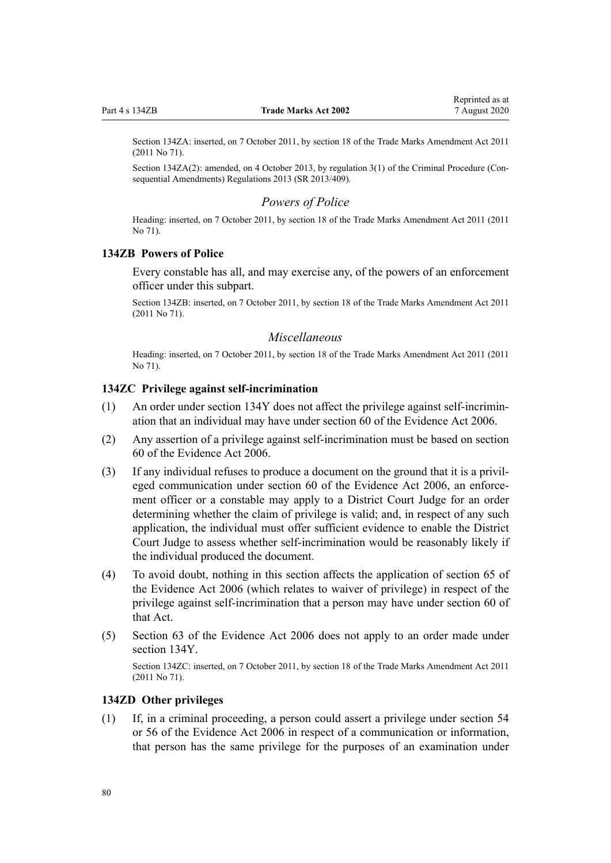Section 134ZA: inserted, on 7 October 2011, by [section 18](http://legislation.govt.nz/pdflink.aspx?id=DLM2290055) of the Trade Marks Amendment Act 2011 (2011 No 71).

Section 134ZA(2): amended, on 4 October 2013, by [regulation 3\(1\)](http://legislation.govt.nz/pdflink.aspx?id=DLM5642106) of the Criminal Procedure (Consequential Amendments) Regulations 2013 (SR 2013/409).

#### *Powers of Police*

Heading: inserted, on 7 October 2011, by [section 18](http://legislation.govt.nz/pdflink.aspx?id=DLM2290055) of the Trade Marks Amendment Act 2011 (2011 No 71).

#### **134ZB Powers of Police**

Every constable has all, and may exercise any, of the powers of an enforcement officer under this subpart.

Section 134ZB: inserted, on 7 October 2011, by [section 18](http://legislation.govt.nz/pdflink.aspx?id=DLM2290055) of the Trade Marks Amendment Act 2011 (2011 No 71).

### *Miscellaneous*

Heading: inserted, on 7 October 2011, by [section 18](http://legislation.govt.nz/pdflink.aspx?id=DLM2290055) of the Trade Marks Amendment Act 2011 (2011 No 71).

## **134ZC Privilege against self-incrimination**

- (1) An order under [section 134Y](#page-78-0) does not affect the privilege against self-incrimination that an individual may have under [section 60](http://legislation.govt.nz/pdflink.aspx?id=DLM393672) of the Evidence Act 2006.
- (2) Any assertion of a privilege against self-incrimination must be based on [section](http://legislation.govt.nz/pdflink.aspx?id=DLM393672) [60](http://legislation.govt.nz/pdflink.aspx?id=DLM393672) of the Evidence Act 2006.
- (3) If any individual refuses to produce a document on the ground that it is a privileged communication under [section 60](http://legislation.govt.nz/pdflink.aspx?id=DLM393672) of the Evidence Act 2006, an enforcement officer or a constable may apply to a District Court Judge for an order determining whether the claim of privilege is valid; and, in respect of any such application, the individual must offer sufficient evidence to enable the District Court Judge to assess whether self-incrimination would be reasonably likely if the individual produced the document.
- (4) To avoid doubt, nothing in this section affects the application of [section 65](http://legislation.govt.nz/pdflink.aspx?id=DLM393677) of the Evidence Act 2006 (which relates to waiver of privilege) in respect of the privilege against self-incrimination that a person may have under [section 60](http://legislation.govt.nz/pdflink.aspx?id=DLM393672) of that Act.
- (5) [Section 63](http://legislation.govt.nz/pdflink.aspx?id=DLM393675) of the Evidence Act 2006 does not apply to an order made under [section 134Y](#page-78-0).

Section 134ZC: inserted, on 7 October 2011, by [section 18](http://legislation.govt.nz/pdflink.aspx?id=DLM2290055) of the Trade Marks Amendment Act 2011 (2011 No 71).

## **134ZD Other privileges**

(1) If, in a criminal proceeding, a person could assert a privilege under [section 54](http://legislation.govt.nz/pdflink.aspx?id=DLM393659) or [56](http://legislation.govt.nz/pdflink.aspx?id=DLM393663) of the Evidence Act 2006 in respect of a communication or information, that person has the same privilege for the purposes of an examination under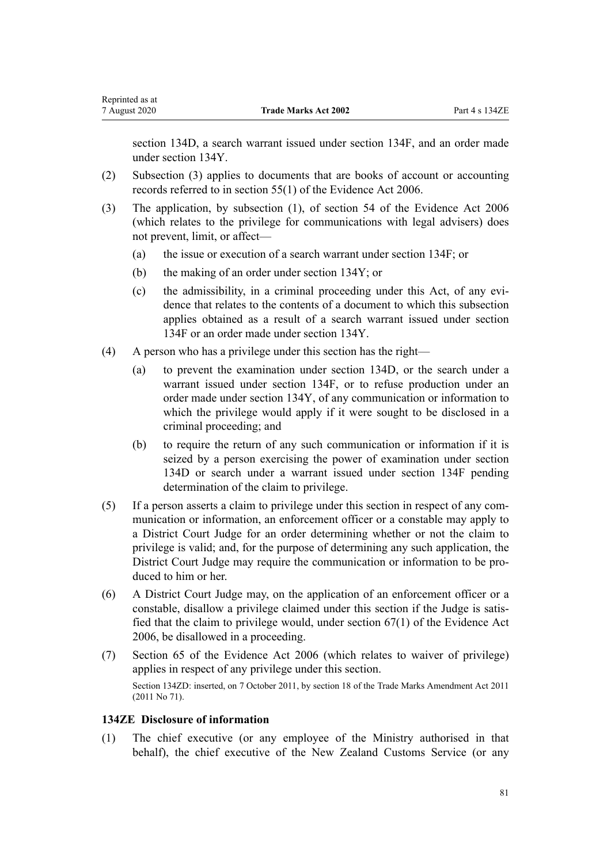[section 134D](#page-64-0), a search warrant issued under [section 134F](#page-66-0), and an order made under [section 134Y](#page-78-0).

- (2) Subsection (3) applies to documents that are books of account or accounting records referred to in [section 55\(1\)](http://legislation.govt.nz/pdflink.aspx?id=DLM393662) of the Evidence Act 2006.
- (3) The application, by subsection (1), of [section 54](http://legislation.govt.nz/pdflink.aspx?id=DLM393659) of the Evidence Act 2006 (which relates to the privilege for communications with legal advisers) does not prevent, limit, or affect—
	- (a) the issue or execution of a search warrant under [section 134F;](#page-66-0) or
	- (b) the making of an order under [section 134Y;](#page-78-0) or
	- (c) the admissibility, in a criminal proceeding under this Act, of any evidence that relates to the contents of a document to which this subsection applies obtained as a result of a search warrant issued under [section](#page-66-0) [134F](#page-66-0) or an order made under [section 134Y.](#page-78-0)
- (4) A person who has a privilege under this section has the right—
	- (a) to prevent the examination under [section 134D,](#page-64-0) or the search under a warrant issued under [section 134F](#page-66-0), or to refuse production under an order made under [section 134Y,](#page-78-0) of any communication or information to which the privilege would apply if it were sought to be disclosed in a criminal proceeding; and
	- (b) to require the return of any such communication or information if it is seized by a person exercising the power of examination under [section](#page-64-0) [134D](#page-64-0) or search under a warrant issued under [section 134F](#page-66-0) pending determination of the claim to privilege.
- (5) If a person asserts a claim to privilege under this section in respect of any communication or information, an enforcement officer or a constable may apply to a District Court Judge for an order determining whether or not the claim to privilege is valid; and, for the purpose of determining any such application, the District Court Judge may require the communication or information to be produced to him or her.
- (6) A District Court Judge may, on the application of an enforcement officer or a constable, disallow a privilege claimed under this section if the Judge is satisfied that the claim to privilege would, under [section 67\(1\)](http://legislation.govt.nz/pdflink.aspx?id=DLM393679) of the Evidence Act 2006, be disallowed in a proceeding.
- (7) [Section 65](http://legislation.govt.nz/pdflink.aspx?id=DLM393677) of the Evidence Act 2006 (which relates to waiver of privilege) applies in respect of any privilege under this section. Section 134ZD: inserted, on 7 October 2011, by [section 18](http://legislation.govt.nz/pdflink.aspx?id=DLM2290055) of the Trade Marks Amendment Act 2011 (2011 No 71).

## **134ZE Disclosure of information**

(1) The chief executive (or any employee of the Ministry authorised in that behalf), the chief executive of the New Zealand Customs Service (or any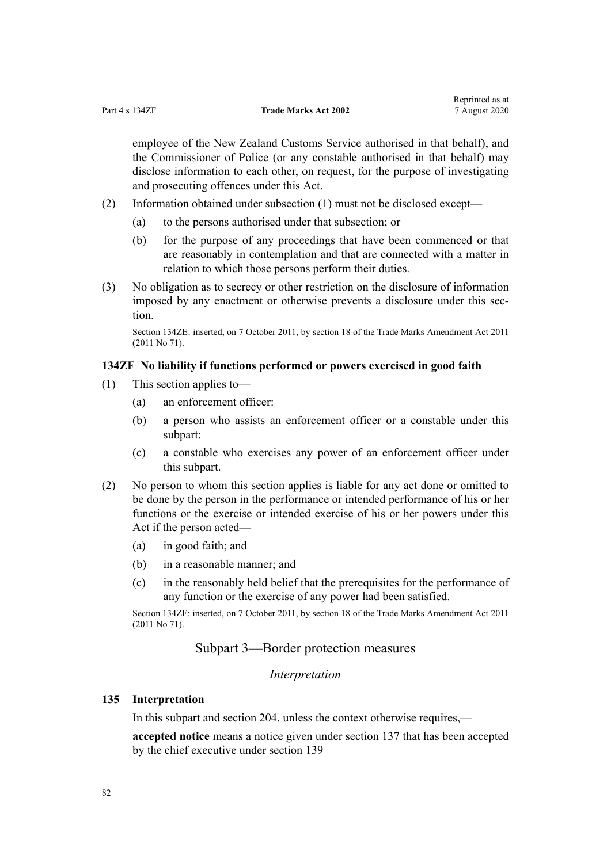employee of the New Zealand Customs Service authorised in that behalf), and the Commissioner of Police (or any constable authorised in that behalf) may disclose information to each other, on request, for the purpose of investigating and prosecuting offences under this Act.

- (2) Information obtained under subsection (1) must not be disclosed except—
	- (a) to the persons authorised under that subsection; or
	- (b) for the purpose of any proceedings that have been commenced or that are reasonably in contemplation and that are connected with a matter in relation to which those persons perform their duties.
- (3) No obligation as to secrecy or other restriction on the disclosure of information imposed by any enactment or otherwise prevents a disclosure under this section.

Section 134ZE: inserted, on 7 October 2011, by [section 18](http://legislation.govt.nz/pdflink.aspx?id=DLM2290055) of the Trade Marks Amendment Act 2011 (2011 No 71).

#### **134ZF No liability if functions performed or powers exercised in good faith**

- (1) This section applies to—
	- (a) an enforcement officer:
	- (b) a person who assists an enforcement officer or a constable under this subpart:
	- (c) a constable who exercises any power of an enforcement officer under this subpart.
- (2) No person to whom this section applies is liable for any act done or omitted to be done by the person in the performance or intended performance of his or her functions or the exercise or intended exercise of his or her powers under this Act if the person acted—
	- (a) in good faith; and
	- (b) in a reasonable manner; and
	- (c) in the reasonably held belief that the prerequisites for the performance of any function or the exercise of any power had been satisfied.

Section 134ZF: inserted, on 7 October 2011, by [section 18](http://legislation.govt.nz/pdflink.aspx?id=DLM2290055) of the Trade Marks Amendment Act 2011 (2011 No 71).

# Subpart 3—Border protection measures

#### *Interpretation*

## **135 Interpretation**

In this subpart and [section 204](#page-118-0), unless the context otherwise requires,—

**accepted notice** means a notice given under [section 137](#page-84-0) that has been accepted by the chief executive under [section 139](#page-85-0)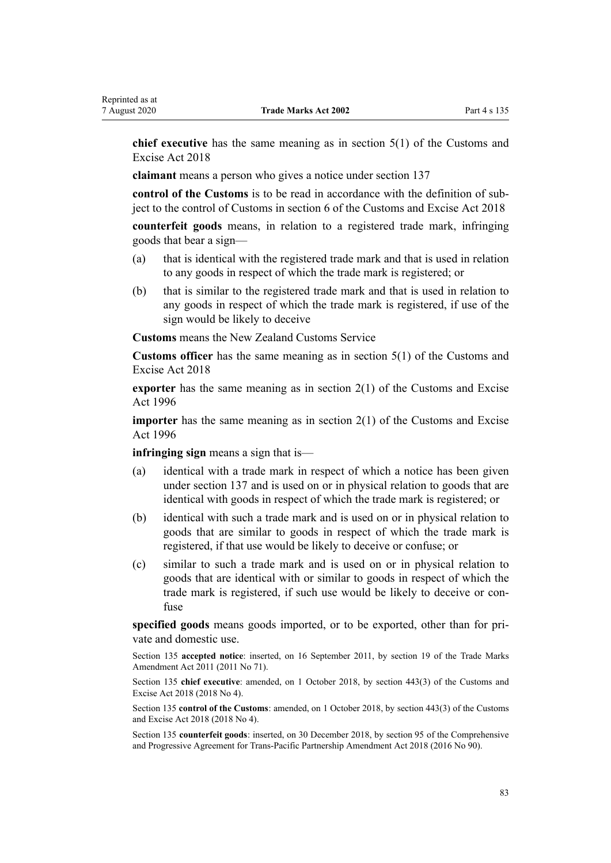**chief executive** has the same meaning as in [section 5\(1\)](http://legislation.govt.nz/pdflink.aspx?id=DLM7038971) of the Customs and Excise Act 2018

**claimant** means a person who gives a notice under [section 137](#page-84-0)

**control of the Customs** is to be read in accordance with the definition of subject to the control of Customs in [section 6](http://legislation.govt.nz/pdflink.aspx?id=DLM7039191) of the Customs and Excise Act 2018

**counterfeit goods** means, in relation to a registered trade mark, infringing goods that bear a sign—

- (a) that is identical with the registered trade mark and that is used in relation to any goods in respect of which the trade mark is registered; or
- (b) that is similar to the registered trade mark and that is used in relation to any goods in respect of which the trade mark is registered, if use of the sign would be likely to deceive

**Customs** means the New Zealand Customs Service

**Customs officer** has the same meaning as in [section 5\(1\)](http://legislation.govt.nz/pdflink.aspx?id=DLM7038971) of the Customs and Excise Act 2018

**exporter** has the same meaning as in [section 2\(1\)](http://legislation.govt.nz/pdflink.aspx?id=DLM377342) of the Customs and Excise Act 1996

**importer** has the same meaning as in [section 2\(1\)](http://legislation.govt.nz/pdflink.aspx?id=DLM377342) of the Customs and Excise Act 1996

**infringing sign** means a sign that is—

- (a) identical with a trade mark in respect of which a notice has been given under [section 137](#page-84-0) and is used on or in physical relation to goods that are identical with goods in respect of which the trade mark is registered; or
- (b) identical with such a trade mark and is used on or in physical relation to goods that are similar to goods in respect of which the trade mark is registered, if that use would be likely to deceive or confuse; or
- (c) similar to such a trade mark and is used on or in physical relation to goods that are identical with or similar to goods in respect of which the trade mark is registered, if such use would be likely to deceive or confuse

**specified goods** means goods imported, or to be exported, other than for private and domestic use.

Section 135 **accepted notice**: inserted, on 16 September 2011, by [section 19](http://legislation.govt.nz/pdflink.aspx?id=DLM2290099) of the Trade Marks Amendment Act 2011 (2011 No 71).

Section 135 **chief executive**: amended, on 1 October 2018, by [section 443\(3\)](http://legislation.govt.nz/pdflink.aspx?id=DLM7039957) of the Customs and Excise Act 2018 (2018 No 4).

Section 135 **control of the Customs**: amended, on 1 October 2018, by [section 443\(3\)](http://legislation.govt.nz/pdflink.aspx?id=DLM7039957) of the Customs and Excise Act 2018 (2018 No 4).

Section 135 **counterfeit goods**: inserted, on 30 December 2018, by [section 95](http://legislation.govt.nz/pdflink.aspx?id=DLM6838430) of the Comprehensive and Progressive Agreement for Trans-Pacific Partnership Amendment Act 2018 (2016 No 90).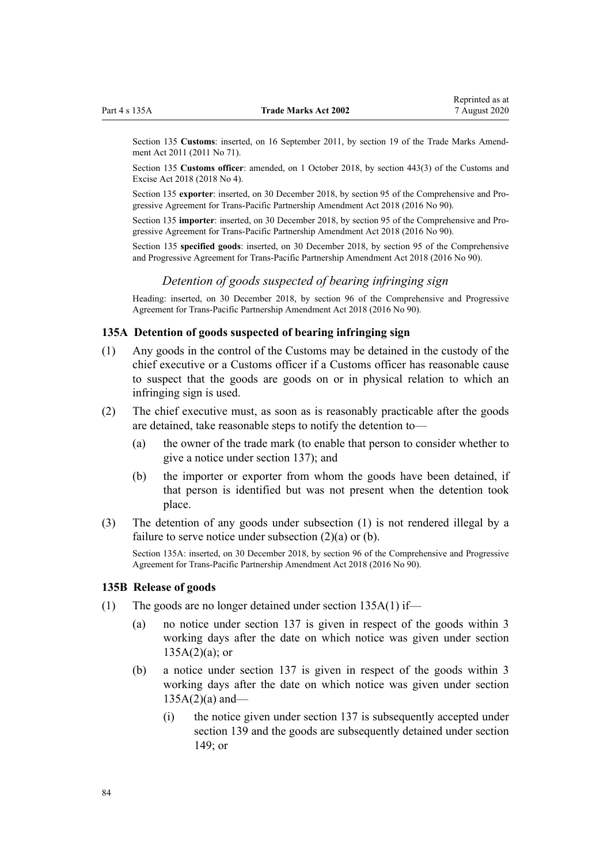<span id="page-83-0"></span>Section 135 **Customs**: inserted, on 16 September 2011, by [section 19](http://legislation.govt.nz/pdflink.aspx?id=DLM2290099) of the Trade Marks Amendment Act 2011 (2011 No 71).

Section 135 **Customs officer**: amended, on 1 October 2018, by [section 443\(3\)](http://legislation.govt.nz/pdflink.aspx?id=DLM7039957) of the Customs and Excise Act 2018 (2018 No 4).

Section 135 **exporter**: inserted, on 30 December 2018, by [section 95](http://legislation.govt.nz/pdflink.aspx?id=DLM6838430) of the Comprehensive and Progressive Agreement for Trans-Pacific Partnership Amendment Act 2018 (2016 No 90).

Section 135 **importer**: inserted, on 30 December 2018, by [section 95](http://legislation.govt.nz/pdflink.aspx?id=DLM6838430) of the Comprehensive and Progressive Agreement for Trans-Pacific Partnership Amendment Act 2018 (2016 No 90).

Section 135 **specified goods**: inserted, on 30 December 2018, by [section 95](http://legislation.govt.nz/pdflink.aspx?id=DLM6838430) of the Comprehensive and Progressive Agreement for Trans-Pacific Partnership Amendment Act 2018 (2016 No 90).

## *Detention of goods suspected of bearing infringing sign*

Heading: inserted, on 30 December 2018, by [section 96](http://legislation.govt.nz/pdflink.aspx?id=DLM6838439) of the Comprehensive and Progressive Agreement for Trans-Pacific Partnership Amendment Act 2018 (2016 No 90).

## **135A Detention of goods suspected of bearing infringing sign**

- (1) Any goods in the control of the Customs may be detained in the custody of the chief executive or a Customs officer if a Customs officer has reasonable cause to suspect that the goods are goods on or in physical relation to which an infringing sign is used.
- (2) The chief executive must, as soon as is reasonably practicable after the goods are detained, take reasonable steps to notify the detention to—
	- (a) the owner of the trade mark (to enable that person to consider whether to give a notice under [section 137\)](#page-84-0); and
	- (b) the importer or exporter from whom the goods have been detained, if that person is identified but was not present when the detention took place.
- (3) The detention of any goods under subsection (1) is not rendered illegal by a failure to serve notice under subsection (2)(a) or (b).

Section 135A: inserted, on 30 December 2018, by [section 96](http://legislation.govt.nz/pdflink.aspx?id=DLM6838439) of the Comprehensive and Progressive Agreement for Trans-Pacific Partnership Amendment Act 2018 (2016 No 90).

#### **135B Release of goods**

- (1) The goods are no longer detained under section 135A(1) if—
	- (a) no notice under [section 137](#page-84-0) is given in respect of the goods within 3 working days after the date on which notice was given under section  $135A(2)(a)$ ; or
	- (b) a notice under [section 137](#page-84-0) is given in respect of the goods within 3 working days after the date on which notice was given under section  $135A(2)(a)$  and—
		- (i) the notice given under [section 137](#page-84-0) is subsequently accepted under [section 139](#page-85-0) and the goods are subsequently detained under [section](#page-89-0) [149](#page-89-0); or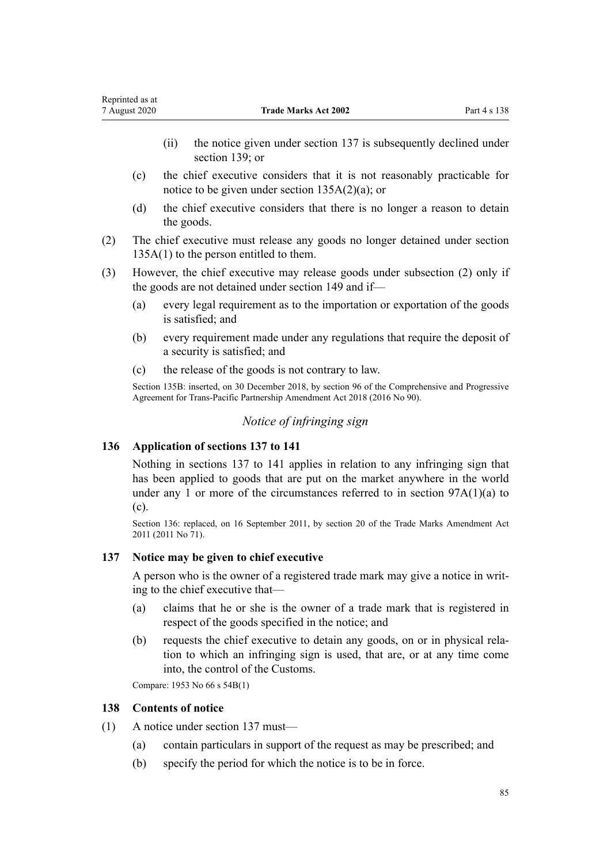- <span id="page-84-0"></span>(ii) the notice given under section 137 is subsequently declined under [section 139;](#page-85-0) or
- (c) the chief executive considers that it is not reasonably practicable for notice to be given under [section 135A\(2\)\(a\)](#page-83-0); or
- (d) the chief executive considers that there is no longer a reason to detain the goods.
- (2) The chief executive must release any goods no longer detained under [section](#page-83-0) [135A\(1\)](#page-83-0) to the person entitled to them.
- (3) However, the chief executive may release goods under subsection (2) only if the goods are not detained under [section 149](#page-89-0) and if—
	- (a) every legal requirement as to the importation or exportation of the goods is satisfied; and
	- (b) every requirement made under any regulations that require the deposit of a security is satisfied; and
	- (c) the release of the goods is not contrary to law.

Section 135B: inserted, on 30 December 2018, by [section 96](http://legislation.govt.nz/pdflink.aspx?id=DLM6838439) of the Comprehensive and Progressive Agreement for Trans-Pacific Partnership Amendment Act 2018 (2016 No 90).

# *Notice of infringing sign*

# **136 Application of sections 137 to 141**

Nothing in sections 137 to 141 applies in relation to any infringing sign that has been applied to goods that are put on the market anywhere in the world under any 1 or more of the circumstances referred to in section  $97A(1)(a)$  to [\(c\).](#page-52-0)

Section 136: replaced, on 16 September 2011, by [section 20](http://legislation.govt.nz/pdflink.aspx?id=DLM2353611) of the Trade Marks Amendment Act 2011 (2011 No 71).

#### **137 Notice may be given to chief executive**

A person who is the owner of a registered trade mark may give a notice in writing to the chief executive that—

- (a) claims that he or she is the owner of a trade mark that is registered in respect of the goods specified in the notice; and
- (b) requests the chief executive to detain any goods, on or in physical relation to which an infringing sign is used, that are, or at any time come into, the control of the Customs.

Compare: 1953 No 66 s 54B(1)

### **138 Contents of notice**

- (1) A notice under section 137 must—
	- (a) contain particulars in support of the request as may be prescribed; and
	- (b) specify the period for which the notice is to be in force.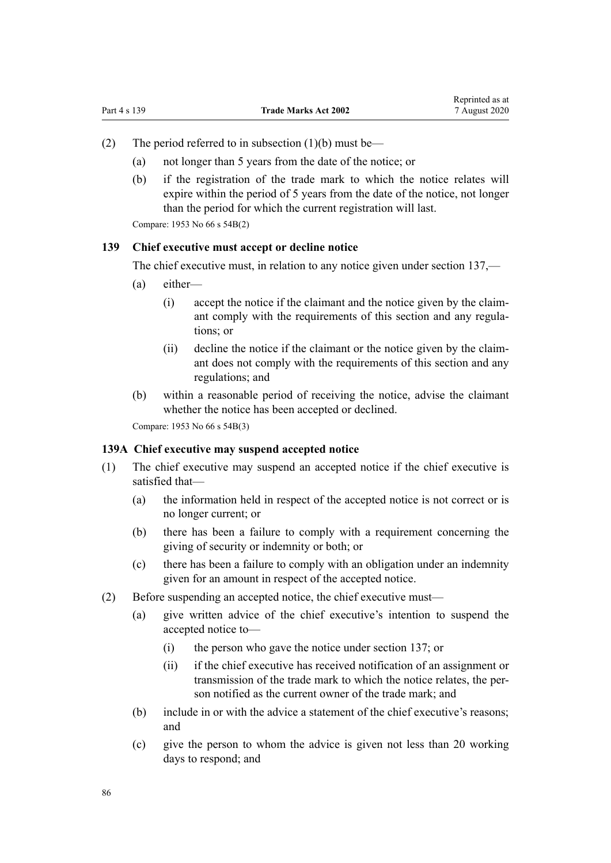- <span id="page-85-0"></span>(2) The period referred to in subsection  $(1)(b)$  must be—
	- (a) not longer than 5 years from the date of the notice; or
	- (b) if the registration of the trade mark to which the notice relates will expire within the period of 5 years from the date of the notice, not longer than the period for which the current registration will last.

Compare: 1953 No 66 s 54B(2)

#### **139 Chief executive must accept or decline notice**

The chief executive must, in relation to any notice given under [section 137](#page-84-0),—

- (a) either—
	- (i) accept the notice if the claimant and the notice given by the claimant comply with the requirements of this section and any regulations; or
	- (ii) decline the notice if the claimant or the notice given by the claimant does not comply with the requirements of this section and any regulations; and
- (b) within a reasonable period of receiving the notice, advise the claimant whether the notice has been accepted or declined.

Compare: 1953 No 66 s 54B(3)

#### **139A Chief executive may suspend accepted notice**

- (1) The chief executive may suspend an accepted notice if the chief executive is satisfied that—
	- (a) the information held in respect of the accepted notice is not correct or is no longer current; or
	- (b) there has been a failure to comply with a requirement concerning the giving of security or indemnity or both; or
	- (c) there has been a failure to comply with an obligation under an indemnity given for an amount in respect of the accepted notice.
- (2) Before suspending an accepted notice, the chief executive must—
	- (a) give written advice of the chief executive's intention to suspend the accepted notice to—
		- (i) the person who gave the notice under [section 137;](#page-84-0) or
		- (ii) if the chief executive has received notification of an assignment or transmission of the trade mark to which the notice relates, the person notified as the current owner of the trade mark; and
	- (b) include in or with the advice a statement of the chief executive's reasons; and
	- (c) give the person to whom the advice is given not less than 20 working days to respond; and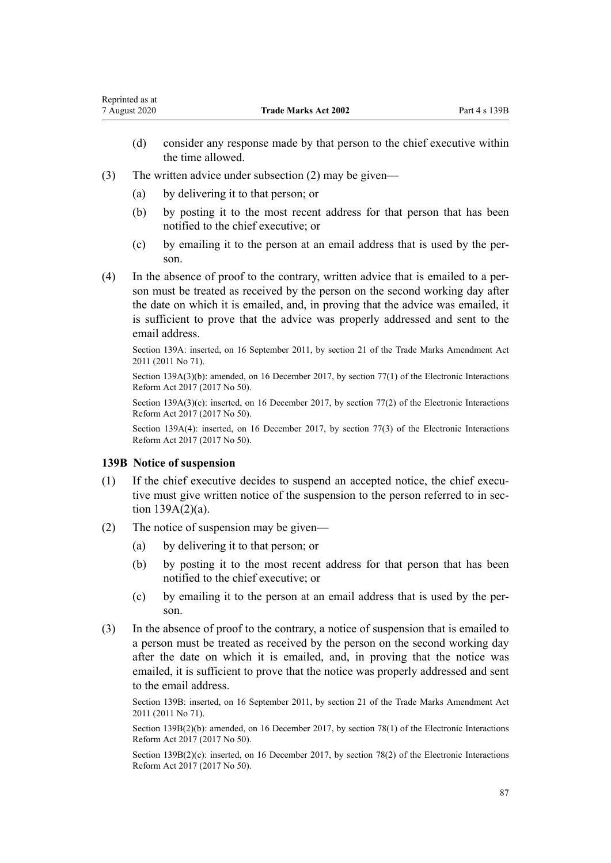- (d) consider any response made by that person to the chief executive within the time allowed.
- (3) The written advice under subsection (2) may be given—
	- (a) by delivering it to that person; or
	- (b) by posting it to the most recent address for that person that has been notified to the chief executive; or
	- (c) by emailing it to the person at an email address that is used by the person.
- (4) In the absence of proof to the contrary, written advice that is emailed to a person must be treated as received by the person on the second working day after the date on which it is emailed, and, in proving that the advice was emailed, it is sufficient to prove that the advice was properly addressed and sent to the email address.

Section 139A: inserted, on 16 September 2011, by [section 21](http://legislation.govt.nz/pdflink.aspx?id=DLM2290104) of the Trade Marks Amendment Act 2011 (2011 No 71).

Section 139A(3)(b): amended, on 16 December 2017, by [section 77\(1\)](http://legislation.govt.nz/pdflink.aspx?id=DLM6962240) of the Electronic Interactions Reform Act 2017 (2017 No 50).

Section 139A(3)(c): inserted, on 16 December 2017, by [section 77\(2\)](http://legislation.govt.nz/pdflink.aspx?id=DLM6962240) of the Electronic Interactions Reform Act 2017 (2017 No 50).

Section 139A(4): inserted, on 16 December 2017, by [section 77\(3\)](http://legislation.govt.nz/pdflink.aspx?id=DLM6962240) of the Electronic Interactions Reform Act 2017 (2017 No 50).

#### **139B Notice of suspension**

- (1) If the chief executive decides to suspend an accepted notice, the chief executive must give written notice of the suspension to the person referred to in [sec](#page-85-0)[tion 139A\(2\)\(a\).](#page-85-0)
- (2) The notice of suspension may be given—
	- (a) by delivering it to that person; or
	- (b) by posting it to the most recent address for that person that has been notified to the chief executive; or
	- (c) by emailing it to the person at an email address that is used by the person.
- (3) In the absence of proof to the contrary, a notice of suspension that is emailed to a person must be treated as received by the person on the second working day after the date on which it is emailed, and, in proving that the notice was emailed, it is sufficient to prove that the notice was properly addressed and sent to the email address.

Section 139B: inserted, on 16 September 2011, by [section 21](http://legislation.govt.nz/pdflink.aspx?id=DLM2290104) of the Trade Marks Amendment Act 2011 (2011 No 71).

Section 139B(2)(b): amended, on 16 December 2017, by [section 78\(1\)](http://legislation.govt.nz/pdflink.aspx?id=DLM6962241) of the Electronic Interactions Reform Act 2017 (2017 No 50).

Section  $139B(2)(c)$ : inserted, on 16 December 2017, by [section 78\(2\)](http://legislation.govt.nz/pdflink.aspx?id=DLM6962241) of the Electronic Interactions Reform Act 2017 (2017 No 50).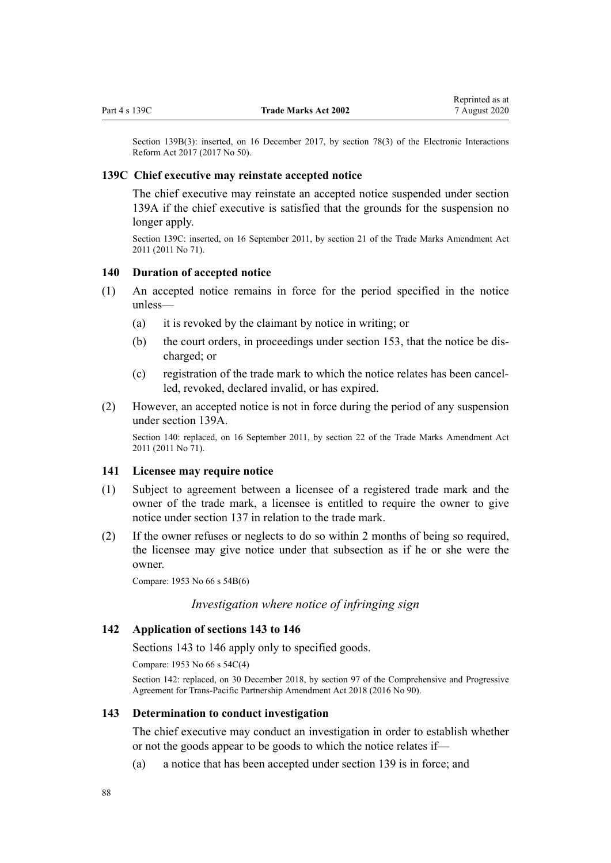<span id="page-87-0"></span>Section 139B(3): inserted, on 16 December 2017, by [section 78\(3\)](http://legislation.govt.nz/pdflink.aspx?id=DLM6962241) of the Electronic Interactions Reform Act 2017 (2017 No 50).

#### **139C Chief executive may reinstate accepted notice**

The chief executive may reinstate an accepted notice suspended under [section](#page-85-0) [139A](#page-85-0) if the chief executive is satisfied that the grounds for the suspension no longer apply.

Section 139C: inserted, on 16 September 2011, by [section 21](http://legislation.govt.nz/pdflink.aspx?id=DLM2290104) of the Trade Marks Amendment Act 2011 (2011 No 71).

#### **140 Duration of accepted notice**

- (1) An accepted notice remains in force for the period specified in the notice unless—
	- (a) it is revoked by the claimant by notice in writing; or
	- (b) the court orders, in proceedings under [section 153](#page-90-0), that the notice be discharged; or
	- (c) registration of the trade mark to which the notice relates has been cancelled, revoked, declared invalid, or has expired.
- (2) However, an accepted notice is not in force during the period of any suspension under [section 139A](#page-85-0).

Section 140: replaced, on 16 September 2011, by [section 22](http://legislation.govt.nz/pdflink.aspx?id=DLM2290108) of the Trade Marks Amendment Act 2011 (2011 No 71).

#### **141 Licensee may require notice**

- (1) Subject to agreement between a licensee of a registered trade mark and the owner of the trade mark, a licensee is entitled to require the owner to give notice under [section 137](#page-84-0) in relation to the trade mark.
- (2) If the owner refuses or neglects to do so within 2 months of being so required, the licensee may give notice under that subsection as if he or she were the owner.

Compare: 1953 No 66 s 54B(6)

## *Investigation where notice of infringing sign*

### **142 Application of sections 143 to 146**

Sections 143 to 146 apply only to specified goods.

Compare: 1953 No 66 s 54C(4)

Section 142: replaced, on 30 December 2018, by [section 97](http://legislation.govt.nz/pdflink.aspx?id=DLM6838443) of the Comprehensive and Progressive Agreement for Trans-Pacific Partnership Amendment Act 2018 (2016 No 90).

#### **143 Determination to conduct investigation**

The chief executive may conduct an investigation in order to establish whether or not the goods appear to be goods to which the notice relates if—

(a) a notice that has been accepted under [section 139](#page-85-0) is in force; and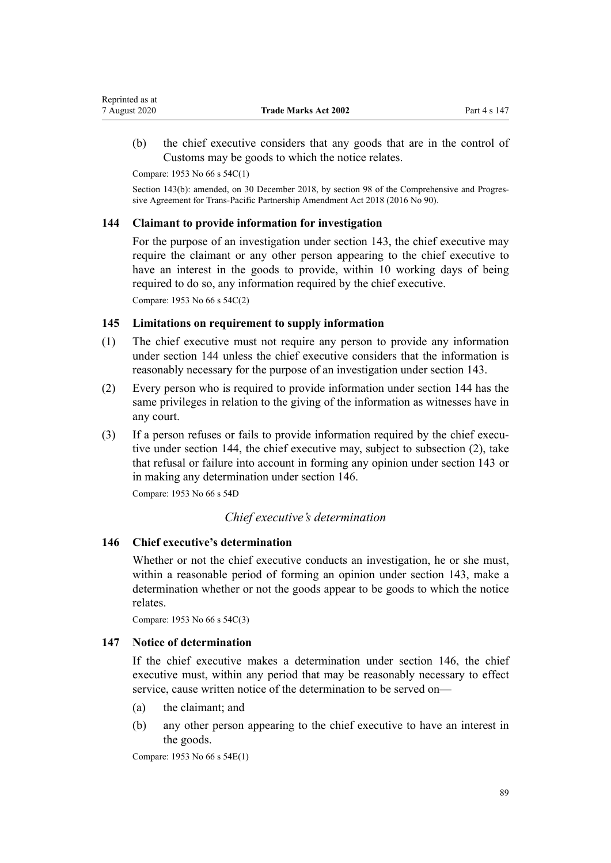<span id="page-88-0"></span>(b) the chief executive considers that any goods that are in the control of Customs may be goods to which the notice relates.

Compare: 1953 No 66 s 54C(1)

Section 143(b): amended, on 30 December 2018, by [section 98](http://legislation.govt.nz/pdflink.aspx?id=DLM6838445) of the Comprehensive and Progressive Agreement for Trans-Pacific Partnership Amendment Act 2018 (2016 No 90).

## **144 Claimant to provide information for investigation**

For the purpose of an investigation under [section 143,](#page-87-0) the chief executive may require the claimant or any other person appearing to the chief executive to have an interest in the goods to provide, within 10 working days of being required to do so, any information required by the chief executive.

Compare: 1953 No 66 s 54C(2)

## **145 Limitations on requirement to supply information**

- (1) The chief executive must not require any person to provide any information under section 144 unless the chief executive considers that the information is reasonably necessary for the purpose of an investigation under [section 143](#page-87-0).
- (2) Every person who is required to provide information under section 144 has the same privileges in relation to the giving of the information as witnesses have in any court.
- (3) If a person refuses or fails to provide information required by the chief executive under section 144, the chief executive may, subject to subsection (2), take that refusal or failure into account in forming any opinion under [section 143](#page-87-0) or in making any determination under section 146.

Compare: 1953 No 66 s 54D

# *Chief executive's determination*

# **146 Chief executive's determination**

Whether or not the chief executive conducts an investigation, he or she must, within a reasonable period of forming an opinion under [section 143](#page-87-0), make a determination whether or not the goods appear to be goods to which the notice relates.

Compare: 1953 No 66 s 54C(3)

### **147 Notice of determination**

If the chief executive makes a determination under section 146, the chief executive must, within any period that may be reasonably necessary to effect service, cause written notice of the determination to be served on—

- (a) the claimant; and
- (b) any other person appearing to the chief executive to have an interest in the goods.

Compare: 1953 No 66 s 54E(1)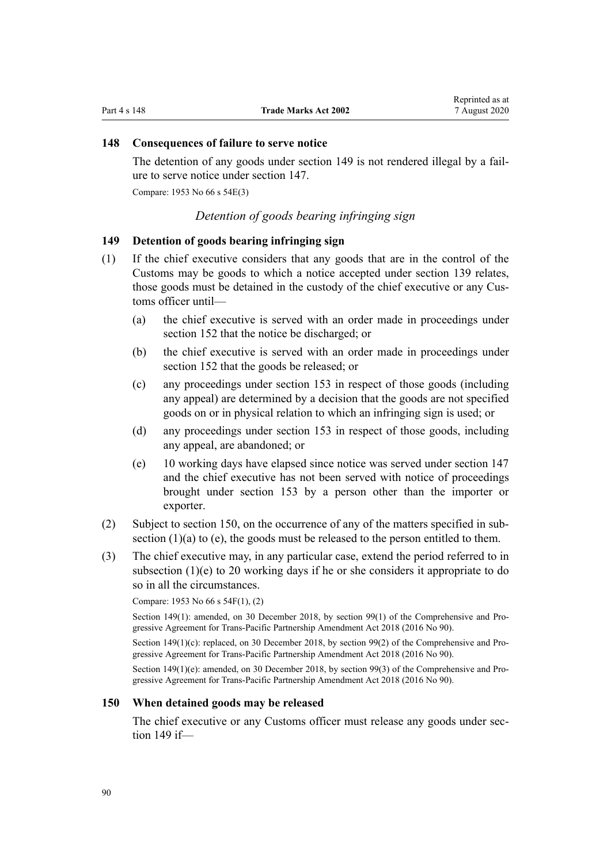# <span id="page-89-0"></span>**148 Consequences of failure to serve notice**

The detention of any goods under section 149 is not rendered illegal by a failure to serve notice under [section 147](#page-88-0).

Compare: 1953 No 66 s 54E(3)

## *Detention of goods bearing infringing sign*

## **149 Detention of goods bearing infringing sign**

- (1) If the chief executive considers that any goods that are in the control of the Customs may be goods to which a notice accepted under [section 139](#page-85-0) relates, those goods must be detained in the custody of the chief executive or any Customs officer until—
	- (a) the chief executive is served with an order made in proceedings under [section 152](#page-90-0) that the notice be discharged; or
	- (b) the chief executive is served with an order made in proceedings under [section 152](#page-90-0) that the goods be released; or
	- (c) any proceedings under [section 153](#page-90-0) in respect of those goods (including any appeal) are determined by a decision that the goods are not specified goods on or in physical relation to which an infringing sign is used; or
	- (d) any proceedings under [section 153](#page-90-0) in respect of those goods, including any appeal, are abandoned; or
	- (e) 10 working days have elapsed since notice was served under [section 147](#page-88-0) and the chief executive has not been served with notice of proceedings brought under [section 153](#page-90-0) by a person other than the importer or exporter.
- (2) Subject to section 150, on the occurrence of any of the matters specified in subsection  $(1)(a)$  to  $(e)$ , the goods must be released to the person entitled to them.
- (3) The chief executive may, in any particular case, extend the period referred to in subsection (1)(e) to 20 working days if he or she considers it appropriate to do so in all the circumstances.

Compare: 1953 No 66 s 54F(1), (2)

Section 149(1): amended, on 30 December 2018, by [section 99\(1\)](http://legislation.govt.nz/pdflink.aspx?id=DLM6838446) of the Comprehensive and Progressive Agreement for Trans-Pacific Partnership Amendment Act 2018 (2016 No 90).

Section 149(1)(c): replaced, on 30 December 2018, by [section 99\(2\)](http://legislation.govt.nz/pdflink.aspx?id=DLM6838446) of the Comprehensive and Progressive Agreement for Trans-Pacific Partnership Amendment Act 2018 (2016 No 90).

Section 149(1)(e): amended, on 30 December 2018, by [section 99\(3\)](http://legislation.govt.nz/pdflink.aspx?id=DLM6838446) of the Comprehensive and Progressive Agreement for Trans-Pacific Partnership Amendment Act 2018 (2016 No 90).

#### **150 When detained goods may be released**

The chief executive or any Customs officer must release any goods under section 149 if—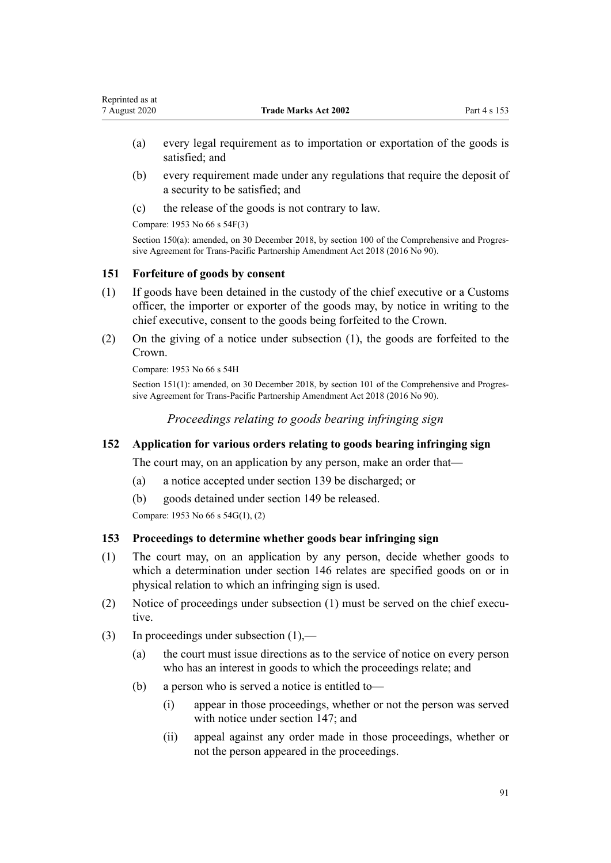- <span id="page-90-0"></span>(a) every legal requirement as to importation or exportation of the goods is satisfied; and
- (b) every requirement made under any regulations that require the deposit of a security to be satisfied; and
- (c) the release of the goods is not contrary to law.

Compare: 1953 No 66 s 54F(3)

Section 150(a): amended, on 30 December 2018, by [section 100](http://legislation.govt.nz/pdflink.aspx?id=DLM6838447) of the Comprehensive and Progressive Agreement for Trans-Pacific Partnership Amendment Act 2018 (2016 No 90).

# **151 Forfeiture of goods by consent**

- (1) If goods have been detained in the custody of the chief executive or a Customs officer, the importer or exporter of the goods may, by notice in writing to the chief executive, consent to the goods being forfeited to the Crown.
- (2) On the giving of a notice under subsection (1), the goods are forfeited to the Crown.

Compare: 1953 No 66 s 54H

Section 151(1): amended, on 30 December 2018, by [section 101](http://legislation.govt.nz/pdflink.aspx?id=DLM6838448) of the Comprehensive and Progressive Agreement for Trans-Pacific Partnership Amendment Act 2018 (2016 No 90).

*Proceedings relating to goods bearing infringing sign*

# **152 Application for various orders relating to goods bearing infringing sign**

The court may, on an application by any person, make an order that—

- (a) a notice accepted under [section 139](#page-85-0) be discharged; or
- (b) goods detained under [section 149](#page-89-0) be released.

Compare: 1953 No 66 s 54G(1), (2)

## **153 Proceedings to determine whether goods bear infringing sign**

- (1) The court may, on an application by any person, decide whether goods to which a determination under [section 146](#page-88-0) relates are specified goods on or in physical relation to which an infringing sign is used.
- (2) Notice of proceedings under subsection (1) must be served on the chief executive.
- (3) In proceedings under subsection (1),—
	- (a) the court must issue directions as to the service of notice on every person who has an interest in goods to which the proceedings relate; and
	- (b) a person who is served a notice is entitled to—
		- (i) appear in those proceedings, whether or not the person was served with notice under [section 147](#page-88-0); and
		- (ii) appeal against any order made in those proceedings, whether or not the person appeared in the proceedings.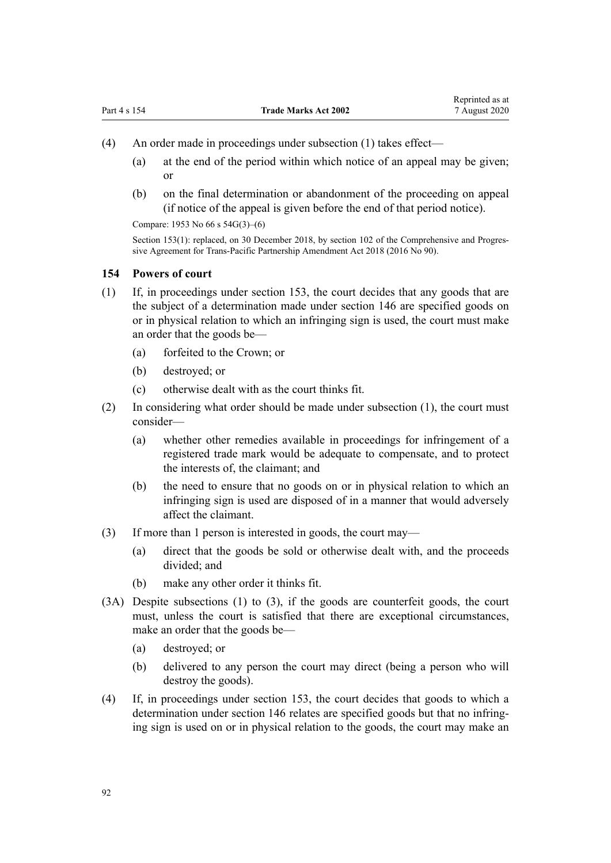- (4) An order made in proceedings under subsection (1) takes effect—
	- (a) at the end of the period within which notice of an appeal may be given; or
	- (b) on the final determination or abandonment of the proceeding on appeal (if notice of the appeal is given before the end of that period notice).

Compare: 1953 No 66 s 54G(3)–(6)

Section 153(1): replaced, on 30 December 2018, by [section 102](http://legislation.govt.nz/pdflink.aspx?id=DLM6838449) of the Comprehensive and Progressive Agreement for Trans-Pacific Partnership Amendment Act 2018 (2016 No 90).

#### **154 Powers of court**

- (1) If, in proceedings under [section 153,](#page-90-0) the court decides that any goods that are the subject of a determination made under [section 146](#page-88-0) are specified goods on or in physical relation to which an infringing sign is used, the court must make an order that the goods be—
	- (a) forfeited to the Crown; or
	- (b) destroyed; or
	- (c) otherwise dealt with as the court thinks fit.
- (2) In considering what order should be made under subsection (1), the court must consider—
	- (a) whether other remedies available in proceedings for infringement of a registered trade mark would be adequate to compensate, and to protect the interests of, the claimant; and
	- (b) the need to ensure that no goods on or in physical relation to which an infringing sign is used are disposed of in a manner that would adversely affect the claimant.
- (3) If more than 1 person is interested in goods, the court may—
	- (a) direct that the goods be sold or otherwise dealt with, and the proceeds divided; and
	- (b) make any other order it thinks fit.
- (3A) Despite subsections (1) to (3), if the goods are counterfeit goods, the court must, unless the court is satisfied that there are exceptional circumstances, make an order that the goods be—
	- (a) destroyed; or
	- (b) delivered to any person the court may direct (being a person who will destroy the goods).
- (4) If, in proceedings under [section 153,](#page-90-0) the court decides that goods to which a determination under [section 146](#page-88-0) relates are specified goods but that no infringing sign is used on or in physical relation to the goods, the court may make an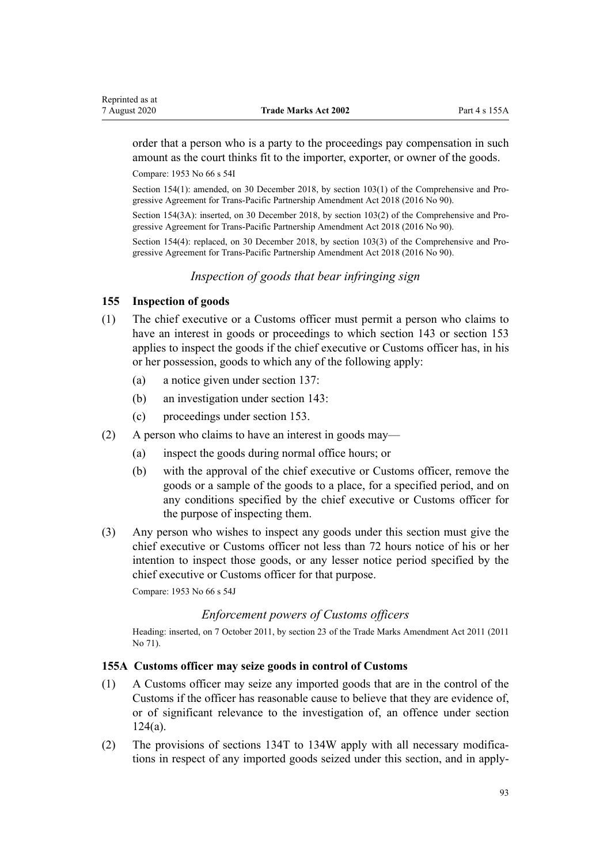<span id="page-92-0"></span>order that a person who is a party to the proceedings pay compensation in such amount as the court thinks fit to the importer, exporter, or owner of the goods.

Compare: 1953 No 66 s 54I

Section 154(1): amended, on 30 December 2018, by [section 103\(1\)](http://legislation.govt.nz/pdflink.aspx?id=DLM6838450) of the Comprehensive and Progressive Agreement for Trans-Pacific Partnership Amendment Act 2018 (2016 No 90).

Section 154(3A): inserted, on 30 December 2018, by [section 103\(2\)](http://legislation.govt.nz/pdflink.aspx?id=DLM6838450) of the Comprehensive and Progressive Agreement for Trans-Pacific Partnership Amendment Act 2018 (2016 No 90).

Section 154(4): replaced, on 30 December 2018, by [section 103\(3\)](http://legislation.govt.nz/pdflink.aspx?id=DLM6838450) of the Comprehensive and Progressive Agreement for Trans-Pacific Partnership Amendment Act 2018 (2016 No 90).

## *Inspection of goods that bear infringing sign*

## **155 Inspection of goods**

- (1) The chief executive or a Customs officer must permit a person who claims to have an interest in goods or proceedings to which [section 143](#page-87-0) or [section 153](#page-90-0) applies to inspect the goods if the chief executive or Customs officer has, in his or her possession, goods to which any of the following apply:
	- (a) a notice given under [section 137](#page-84-0):
	- (b) an investigation under [section 143:](#page-87-0)
	- (c) proceedings under [section 153](#page-90-0).
- (2) A person who claims to have an interest in goods may—
	- (a) inspect the goods during normal office hours; or
	- (b) with the approval of the chief executive or Customs officer, remove the goods or a sample of the goods to a place, for a specified period, and on any conditions specified by the chief executive or Customs officer for the purpose of inspecting them.
- (3) Any person who wishes to inspect any goods under this section must give the chief executive or Customs officer not less than 72 hours notice of his or her intention to inspect those goods, or any lesser notice period specified by the chief executive or Customs officer for that purpose.

Compare: 1953 No 66 s 54J

## *Enforcement powers of Customs officers*

Heading: inserted, on 7 October 2011, by [section 23](http://legislation.govt.nz/pdflink.aspx?id=DLM2290110) of the Trade Marks Amendment Act 2011 (2011 No 71).

## **155A Customs officer may seize goods in control of Customs**

- (1) A Customs officer may seize any imported goods that are in the control of the Customs if the officer has reasonable cause to believe that they are evidence of, or of significant relevance to the investigation of, an offence under [section](#page-60-0) [124\(a\)](#page-60-0).
- (2) The provisions of [sections 134T to 134W](#page-75-0) apply with all necessary modifications in respect of any imported goods seized under this section, and in apply-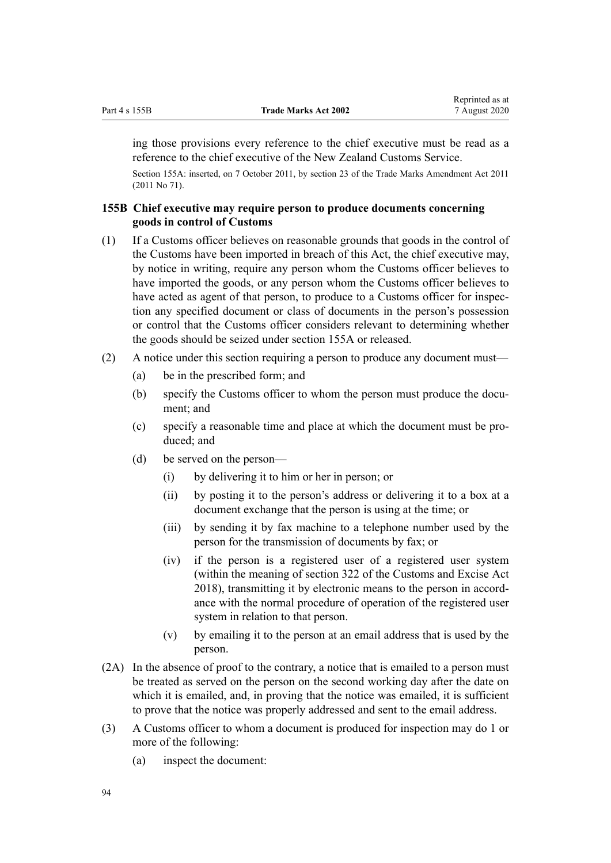<span id="page-93-0"></span>ing those provisions every reference to the chief executive must be read as a reference to the chief executive of the New Zealand Customs Service.

Section 155A: inserted, on 7 October 2011, by [section 23](http://legislation.govt.nz/pdflink.aspx?id=DLM2290110) of the Trade Marks Amendment Act 2011 (2011 No 71).

## **155B Chief executive may require person to produce documents concerning goods in control of Customs**

- (1) If a Customs officer believes on reasonable grounds that goods in the control of the Customs have been imported in breach of this Act, the chief executive may, by notice in writing, require any person whom the Customs officer believes to have imported the goods, or any person whom the Customs officer believes to have acted as agent of that person, to produce to a Customs officer for inspection any specified document or class of documents in the person's possession or control that the Customs officer considers relevant to determining whether the goods should be seized under [section 155A](#page-92-0) or released.
- (2) A notice under this section requiring a person to produce any document must—
	- (a) be in the prescribed form; and
	- (b) specify the Customs officer to whom the person must produce the document; and
	- (c) specify a reasonable time and place at which the document must be produced; and
	- (d) be served on the person—
		- (i) by delivering it to him or her in person; or
		- (ii) by posting it to the person's address or delivering it to a box at a document exchange that the person is using at the time; or
		- (iii) by sending it by fax machine to a telephone number used by the person for the transmission of documents by fax; or
		- (iv) if the person is a registered user of a registered user system (within the meaning of [section 322](http://legislation.govt.nz/pdflink.aspx?id=DLM7039763) of the Customs and Excise Act 2018), transmitting it by electronic means to the person in accordance with the normal procedure of operation of the registered user system in relation to that person.
		- (v) by emailing it to the person at an email address that is used by the person.
- (2A) In the absence of proof to the contrary, a notice that is emailed to a person must be treated as served on the person on the second working day after the date on which it is emailed, and, in proving that the notice was emailed, it is sufficient to prove that the notice was properly addressed and sent to the email address.
- (3) A Customs officer to whom a document is produced for inspection may do 1 or more of the following:
	- (a) inspect the document: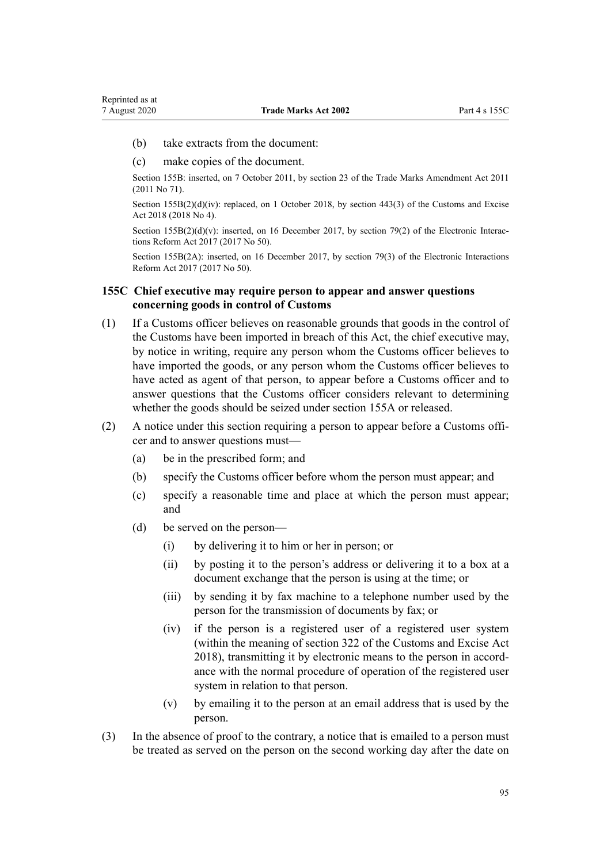- <span id="page-94-0"></span>(b) take extracts from the document:
- (c) make copies of the document.

Section 155B: inserted, on 7 October 2011, by [section 23](http://legislation.govt.nz/pdflink.aspx?id=DLM2290110) of the Trade Marks Amendment Act 2011 (2011 No 71).

Section 155B(2)(d)(iv): replaced, on 1 October 2018, by [section 443\(3\)](http://legislation.govt.nz/pdflink.aspx?id=DLM7039957) of the Customs and Excise Act 2018 (2018 No 4).

Section 155B(2)(d)(v): inserted, on 16 December 2017, by [section 79\(2\)](http://legislation.govt.nz/pdflink.aspx?id=DLM6962242) of the Electronic Interactions Reform Act 2017 (2017 No 50).

Section 155B(2A): inserted, on 16 December 2017, by [section 79\(3\)](http://legislation.govt.nz/pdflink.aspx?id=DLM6962242) of the Electronic Interactions Reform Act 2017 (2017 No 50).

## **155C Chief executive may require person to appear and answer questions concerning goods in control of Customs**

- (1) If a Customs officer believes on reasonable grounds that goods in the control of the Customs have been imported in breach of this Act, the chief executive may, by notice in writing, require any person whom the Customs officer believes to have imported the goods, or any person whom the Customs officer believes to have acted as agent of that person, to appear before a Customs officer and to answer questions that the Customs officer considers relevant to determining whether the goods should be seized under [section 155A](#page-92-0) or released.
- (2) A notice under this section requiring a person to appear before a Customs officer and to answer questions must—
	- (a) be in the prescribed form; and
	- (b) specify the Customs officer before whom the person must appear; and
	- (c) specify a reasonable time and place at which the person must appear; and
	- (d) be served on the person—
		- (i) by delivering it to him or her in person; or
		- (ii) by posting it to the person's address or delivering it to a box at a document exchange that the person is using at the time; or
		- (iii) by sending it by fax machine to a telephone number used by the person for the transmission of documents by fax; or
		- (iv) if the person is a registered user of a registered user system (within the meaning of [section 322](http://legislation.govt.nz/pdflink.aspx?id=DLM7039763) of the Customs and Excise Act 2018), transmitting it by electronic means to the person in accordance with the normal procedure of operation of the registered user system in relation to that person.
		- (v) by emailing it to the person at an email address that is used by the person.
- (3) In the absence of proof to the contrary, a notice that is emailed to a person must be treated as served on the person on the second working day after the date on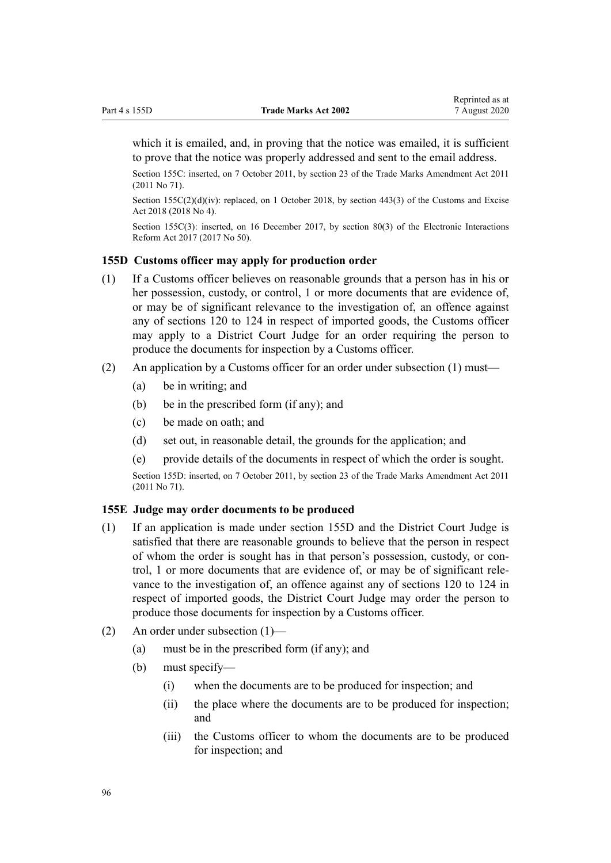<span id="page-95-0"></span>which it is emailed, and, in proving that the notice was emailed, it is sufficient to prove that the notice was properly addressed and sent to the email address.

Section 155C: inserted, on 7 October 2011, by [section 23](http://legislation.govt.nz/pdflink.aspx?id=DLM2290110) of the Trade Marks Amendment Act 2011 (2011 No 71).

Section 155C(2)(d)(iv): replaced, on 1 October 2018, by [section 443\(3\)](http://legislation.govt.nz/pdflink.aspx?id=DLM7039957) of the Customs and Excise Act 2018 (2018 No 4).

Section 155C(3): inserted, on 16 December 2017, by [section 80\(3\)](http://legislation.govt.nz/pdflink.aspx?id=DLM6962243) of the Electronic Interactions Reform Act 2017 (2017 No 50).

#### **155D Customs officer may apply for production order**

- (1) If a Customs officer believes on reasonable grounds that a person has in his or her possession, custody, or control, 1 or more documents that are evidence of, or may be of significant relevance to the investigation of, an offence against any of [sections 120 to 124](#page-58-0) in respect of imported goods, the Customs officer may apply to a District Court Judge for an order requiring the person to produce the documents for inspection by a Customs officer.
- (2) An application by a Customs officer for an order under subsection (1) must—
	- (a) be in writing; and
	- (b) be in the prescribed form (if any); and
	- (c) be made on oath; and
	- (d) set out, in reasonable detail, the grounds for the application; and
	- (e) provide details of the documents in respect of which the order is sought.

Section 155D: inserted, on 7 October 2011, by [section 23](http://legislation.govt.nz/pdflink.aspx?id=DLM2290110) of the Trade Marks Amendment Act 2011 (2011 No 71).

#### **155E Judge may order documents to be produced**

- (1) If an application is made under section 155D and the District Court Judge is satisfied that there are reasonable grounds to believe that the person in respect of whom the order is sought has in that person's possession, custody, or control, 1 or more documents that are evidence of, or may be of significant relevance to the investigation of, an offence against any of [sections 120 to 124](#page-58-0) in respect of imported goods, the District Court Judge may order the person to produce those documents for inspection by a Customs officer.
- (2) An order under subsection (1)—
	- (a) must be in the prescribed form (if any); and
	- (b) must specify—
		- (i) when the documents are to be produced for inspection; and
		- (ii) the place where the documents are to be produced for inspection; and
		- (iii) the Customs officer to whom the documents are to be produced for inspection; and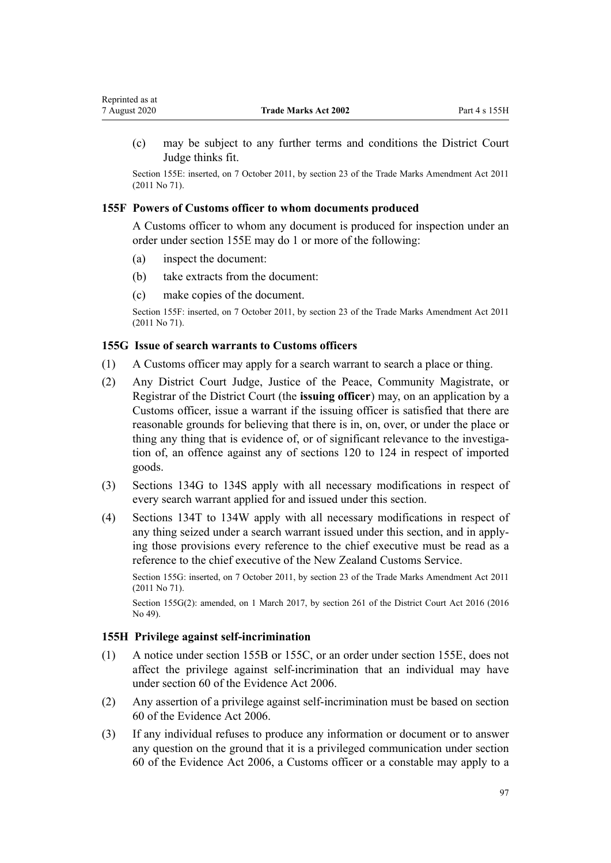<span id="page-96-0"></span>(c) may be subject to any further terms and conditions the District Court Judge thinks fit.

Section 155E: inserted, on 7 October 2011, by [section 23](http://legislation.govt.nz/pdflink.aspx?id=DLM2290110) of the Trade Marks Amendment Act 2011 (2011 No 71).

## **155F Powers of Customs officer to whom documents produced**

A Customs officer to whom any document is produced for inspection under an order under [section 155E](#page-95-0) may do 1 or more of the following:

- (a) inspect the document:
- (b) take extracts from the document:
- (c) make copies of the document.

Section 155F: inserted, on 7 October 2011, by [section 23](http://legislation.govt.nz/pdflink.aspx?id=DLM2290110) of the Trade Marks Amendment Act 2011 (2011 No 71).

#### **155G Issue of search warrants to Customs officers**

- (1) A Customs officer may apply for a search warrant to search a place or thing.
- (2) Any District Court Judge, Justice of the Peace, Community Magistrate, or Registrar of the District Court (the **issuing officer**) may, on an application by a Customs officer, issue a warrant if the issuing officer is satisfied that there are reasonable grounds for believing that there is in, on, over, or under the place or thing any thing that is evidence of, or of significant relevance to the investigation of, an offence against any of [sections 120 to 124](#page-58-0) in respect of imported goods.
- (3) [Sections 134G to 134S](#page-66-0) apply with all necessary modifications in respect of every search warrant applied for and issued under this section.
- (4) [Sections 134T to 134W](#page-75-0) apply with all necessary modifications in respect of any thing seized under a search warrant issued under this section, and in applying those provisions every reference to the chief executive must be read as a reference to the chief executive of the New Zealand Customs Service.

Section 155G: inserted, on 7 October 2011, by [section 23](http://legislation.govt.nz/pdflink.aspx?id=DLM2290110) of the Trade Marks Amendment Act 2011 (2011 No 71).

Section 155G(2): amended, on 1 March 2017, by [section 261](http://legislation.govt.nz/pdflink.aspx?id=DLM6942680) of the District Court Act 2016 (2016 No 49).

# **155H Privilege against self-incrimination**

- (1) A notice under [section 155B](#page-93-0) or [155C](#page-94-0), or an order under [section 155E](#page-95-0), does not affect the privilege against self-incrimination that an individual may have under [section 60](http://legislation.govt.nz/pdflink.aspx?id=DLM393672) of the Evidence Act 2006.
- (2) Any assertion of a privilege against self-incrimination must be based on [section](http://legislation.govt.nz/pdflink.aspx?id=DLM393672) [60](http://legislation.govt.nz/pdflink.aspx?id=DLM393672) of the Evidence Act 2006.
- (3) If any individual refuses to produce any information or document or to answer any question on the ground that it is a privileged communication under [section](http://legislation.govt.nz/pdflink.aspx?id=DLM393672) [60](http://legislation.govt.nz/pdflink.aspx?id=DLM393672) of the Evidence Act 2006, a Customs officer or a constable may apply to a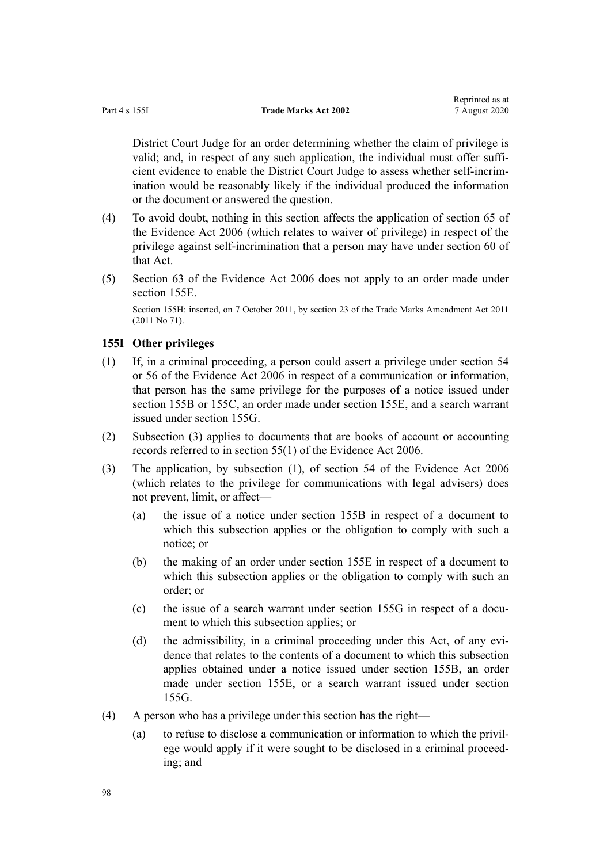District Court Judge for an order determining whether the claim of privilege is valid; and, in respect of any such application, the individual must offer sufficient evidence to enable the District Court Judge to assess whether self-incrimination would be reasonably likely if the individual produced the information or the document or answered the question.

- (4) To avoid doubt, nothing in this section affects the application of [section 65](http://legislation.govt.nz/pdflink.aspx?id=DLM393677) of the Evidence Act 2006 (which relates to waiver of privilege) in respect of the privilege against self-incrimination that a person may have under [section 60](http://legislation.govt.nz/pdflink.aspx?id=DLM393672) of that Act.
- (5) [Section 63](http://legislation.govt.nz/pdflink.aspx?id=DLM393675) of the Evidence Act 2006 does not apply to an order made under [section 155E.](#page-95-0)

Section 155H: inserted, on 7 October 2011, by [section 23](http://legislation.govt.nz/pdflink.aspx?id=DLM2290110) of the Trade Marks Amendment Act 2011 (2011 No 71).

## **155I Other privileges**

- (1) If, in a criminal proceeding, a person could assert a privilege under [section 54](http://legislation.govt.nz/pdflink.aspx?id=DLM393659) or [56](http://legislation.govt.nz/pdflink.aspx?id=DLM393663) of the Evidence Act 2006 in respect of a communication or information, that person has the same privilege for the purposes of a notice issued under [section 155B](#page-93-0) or [155C](#page-94-0), an order made under [section 155E,](#page-95-0) and a search warrant issued under [section 155G.](#page-96-0)
- (2) Subsection (3) applies to documents that are books of account or accounting records referred to in [section 55\(1\)](http://legislation.govt.nz/pdflink.aspx?id=DLM393662) of the Evidence Act 2006.
- (3) The application, by subsection (1), of section 54 of the Evidence Act 2006 (which relates to the privilege for communications with legal advisers) does not prevent, limit, or affect—
	- (a) the issue of a notice under [section 155B](#page-93-0) in respect of a document to which this subsection applies or the obligation to comply with such a notice; or
	- (b) the making of an order under [section 155E](#page-95-0) in respect of a document to which this subsection applies or the obligation to comply with such an order; or
	- (c) the issue of a search warrant under [section 155G](#page-96-0) in respect of a document to which this subsection applies; or
	- (d) the admissibility, in a criminal proceeding under this Act, of any evidence that relates to the contents of a document to which this subsection applies obtained under a notice issued under [section 155B](#page-93-0), an order made under [section 155E,](#page-95-0) or a search warrant issued under [section](#page-96-0) [155G.](#page-96-0)
- (4) A person who has a privilege under this section has the right—
	- (a) to refuse to disclose a communication or information to which the privilege would apply if it were sought to be disclosed in a criminal proceeding; and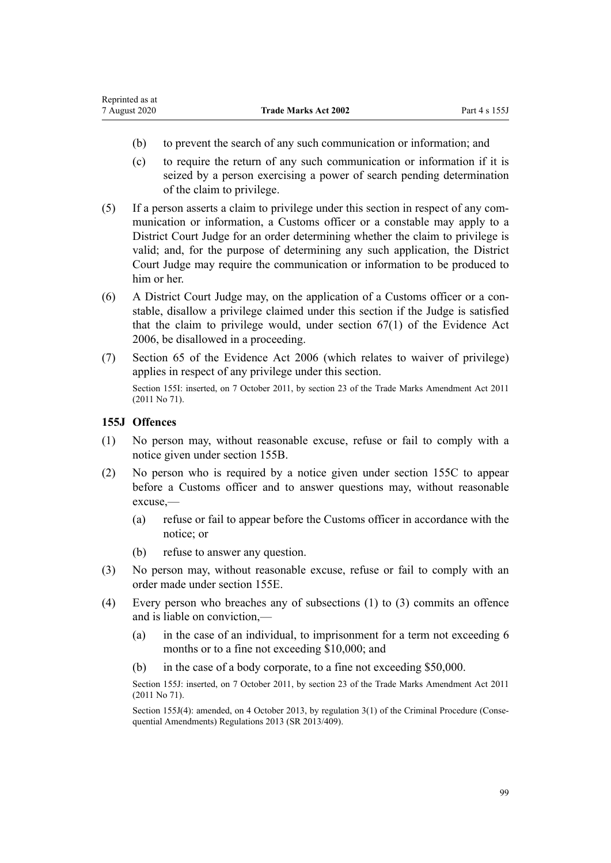- (b) to prevent the search of any such communication or information; and
- (c) to require the return of any such communication or information if it is seized by a person exercising a power of search pending determination of the claim to privilege.
- (5) If a person asserts a claim to privilege under this section in respect of any communication or information, a Customs officer or a constable may apply to a District Court Judge for an order determining whether the claim to privilege is valid; and, for the purpose of determining any such application, the District Court Judge may require the communication or information to be produced to him or her.
- (6) A District Court Judge may, on the application of a Customs officer or a constable, disallow a privilege claimed under this section if the Judge is satisfied that the claim to privilege would, under [section 67\(1\)](http://legislation.govt.nz/pdflink.aspx?id=DLM393679) of the Evidence Act 2006, be disallowed in a proceeding.
- (7) [Section 65](http://legislation.govt.nz/pdflink.aspx?id=DLM393677) of the Evidence Act 2006 (which relates to waiver of privilege) applies in respect of any privilege under this section. Section 155I: inserted, on 7 October 2011, by [section 23](http://legislation.govt.nz/pdflink.aspx?id=DLM2290110) of the Trade Marks Amendment Act 2011 (2011 No 71).

# **155J Offences**

- (1) No person may, without reasonable excuse, refuse or fail to comply with a notice given under [section 155B](#page-93-0).
- (2) No person who is required by a notice given under [section 155C](#page-94-0) to appear before a Customs officer and to answer questions may, without reasonable excuse,—
	- (a) refuse or fail to appear before the Customs officer in accordance with the notice; or
	- (b) refuse to answer any question.
- (3) No person may, without reasonable excuse, refuse or fail to comply with an order made under [section 155E.](#page-95-0)
- (4) Every person who breaches any of subsections (1) to (3) commits an offence and is liable on conviction,—
	- (a) in the case of an individual, to imprisonment for a term not exceeding 6 months or to a fine not exceeding \$10,000; and
	- (b) in the case of a body corporate, to a fine not exceeding \$50,000.

Section 155J: inserted, on 7 October 2011, by [section 23](http://legislation.govt.nz/pdflink.aspx?id=DLM2290110) of the Trade Marks Amendment Act 2011 (2011 No 71).

Section 155J(4): amended, on 4 October 2013, by [regulation 3\(1\)](http://legislation.govt.nz/pdflink.aspx?id=DLM5642106) of the Criminal Procedure (Consequential Amendments) Regulations 2013 (SR 2013/409).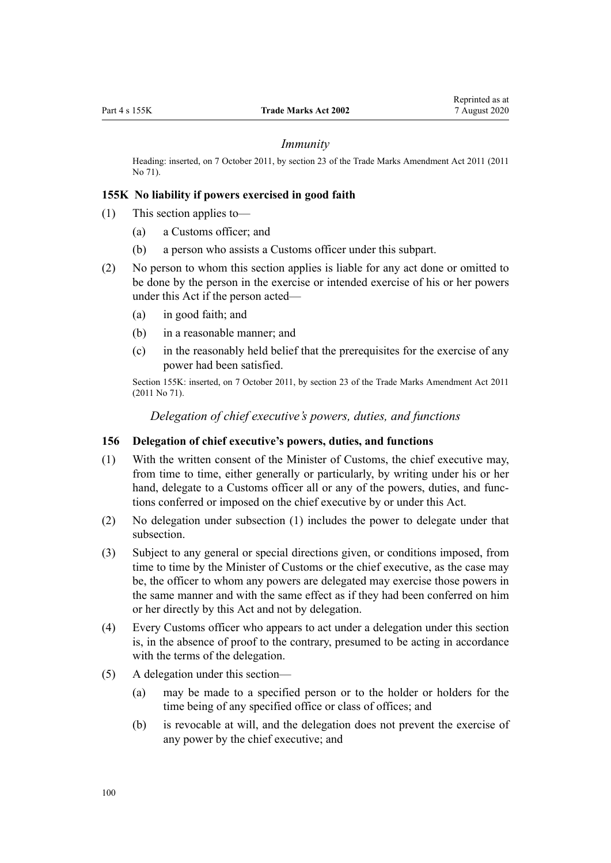#### *Immunity*

Heading: inserted, on 7 October 2011, by [section 23](http://legislation.govt.nz/pdflink.aspx?id=DLM2290110) of the Trade Marks Amendment Act 2011 (2011 No 71).

#### **155K No liability if powers exercised in good faith**

- (1) This section applies to—
	- (a) a Customs officer; and
	- (b) a person who assists a Customs officer under this subpart.
- (2) No person to whom this section applies is liable for any act done or omitted to be done by the person in the exercise or intended exercise of his or her powers under this Act if the person acted—
	- (a) in good faith; and
	- (b) in a reasonable manner; and
	- (c) in the reasonably held belief that the prerequisites for the exercise of any power had been satisfied.

Section 155K: inserted, on 7 October 2011, by [section 23](http://legislation.govt.nz/pdflink.aspx?id=DLM2290110) of the Trade Marks Amendment Act 2011 (2011 No 71).

*Delegation of chief executive's powers, duties, and functions*

#### **156 Delegation of chief executive's powers, duties, and functions**

- (1) With the written consent of the Minister of Customs, the chief executive may, from time to time, either generally or particularly, by writing under his or her hand, delegate to a Customs officer all or any of the powers, duties, and functions conferred or imposed on the chief executive by or under this Act.
- (2) No delegation under subsection (1) includes the power to delegate under that subsection.
- (3) Subject to any general or special directions given, or conditions imposed, from time to time by the Minister of Customs or the chief executive, as the case may be, the officer to whom any powers are delegated may exercise those powers in the same manner and with the same effect as if they had been conferred on him or her directly by this Act and not by delegation.
- (4) Every Customs officer who appears to act under a delegation under this section is, in the absence of proof to the contrary, presumed to be acting in accordance with the terms of the delegation.
- (5) A delegation under this section—
	- (a) may be made to a specified person or to the holder or holders for the time being of any specified office or class of offices; and
	- (b) is revocable at will, and the delegation does not prevent the exercise of any power by the chief executive; and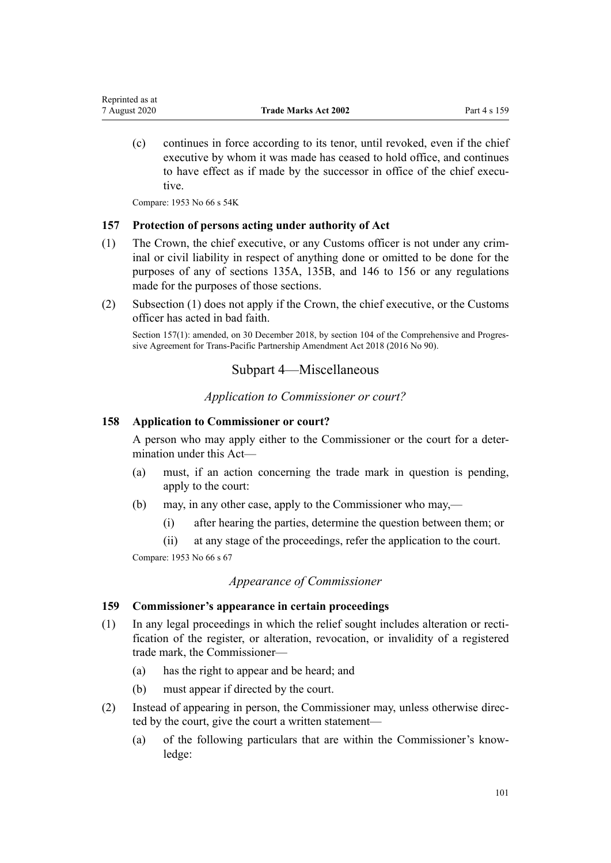(c) continues in force according to its tenor, until revoked, even if the chief executive by whom it was made has ceased to hold office, and continues to have effect as if made by the successor in office of the chief executive.

Compare: 1953 No 66 s 54K

### **157 Protection of persons acting under authority of Act**

- (1) The Crown, the chief executive, or any Customs officer is not under any criminal or civil liability in respect of anything done or omitted to be done for the purposes of any of [sections 135A](#page-83-0), [135B,](#page-83-0) and [146 to 156](#page-88-0) or any regulations made for the purposes of those sections.
- (2) Subsection (1) does not apply if the Crown, the chief executive, or the Customs officer has acted in bad faith.

Section 157(1): amended, on 30 December 2018, by [section 104](http://legislation.govt.nz/pdflink.aspx?id=DLM6838451) of the Comprehensive and Progressive Agreement for Trans-Pacific Partnership Amendment Act 2018 (2016 No 90).

# Subpart 4—Miscellaneous

*Application to Commissioner or court?*

### **158 Application to Commissioner or court?**

A person who may apply either to the Commissioner or the court for a determination under this Act—

- (a) must, if an action concerning the trade mark in question is pending, apply to the court:
- (b) may, in any other case, apply to the Commissioner who may,—
	- (i) after hearing the parties, determine the question between them; or
	- (ii) at any stage of the proceedings, refer the application to the court.

Compare: 1953 No 66 s 67

# *Appearance of Commissioner*

### **159 Commissioner's appearance in certain proceedings**

- (1) In any legal proceedings in which the relief sought includes alteration or rectification of the register, or alteration, revocation, or invalidity of a registered trade mark, the Commissioner—
	- (a) has the right to appear and be heard; and
	- (b) must appear if directed by the court.
- (2) Instead of appearing in person, the Commissioner may, unless otherwise directed by the court, give the court a written statement—
	- (a) of the following particulars that are within the Commissioner's knowledge: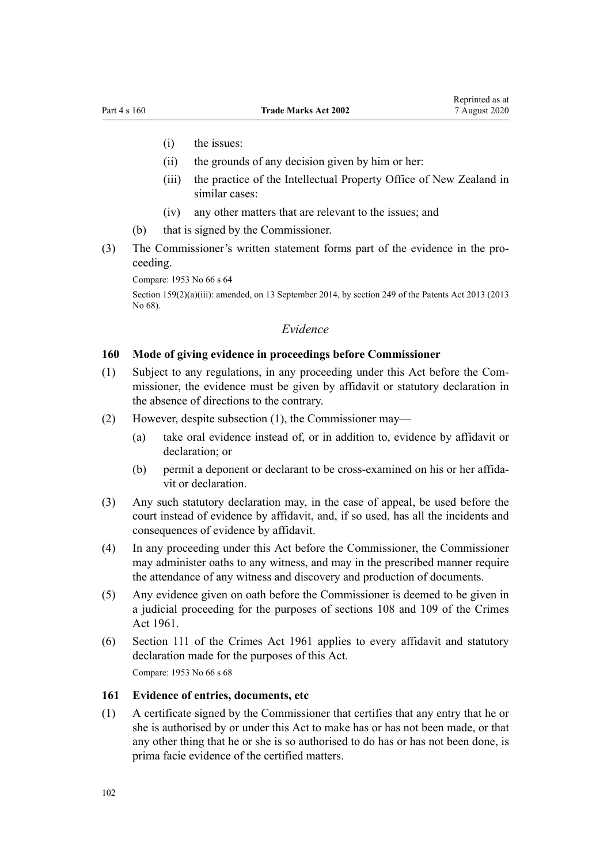- (i) the issues:
- (ii) the grounds of any decision given by him or her:
- (iii) the practice of the Intellectual Property Office of New Zealand in similar cases:
- (iv) any other matters that are relevant to the issues; and
- (b) that is signed by the Commissioner.
- (3) The Commissioner's written statement forms part of the evidence in the proceeding.

Compare: 1953 No 66 s 64

Section 159(2)(a)(iii): amended, on 13 September 2014, by [section 249](http://legislation.govt.nz/pdflink.aspx?id=DLM1419624) of the Patents Act 2013 (2013) No 68).

# *Evidence*

#### **160 Mode of giving evidence in proceedings before Commissioner**

- (1) Subject to any regulations, in any proceeding under this Act before the Commissioner, the evidence must be given by affidavit or statutory declaration in the absence of directions to the contrary.
- (2) However, despite subsection (1), the Commissioner may—
	- (a) take oral evidence instead of, or in addition to, evidence by affidavit or declaration; or
	- (b) permit a deponent or declarant to be cross-examined on his or her affidavit or declaration.
- (3) Any such statutory declaration may, in the case of appeal, be used before the court instead of evidence by affidavit, and, if so used, has all the incidents and consequences of evidence by affidavit.
- (4) In any proceeding under this Act before the Commissioner, the Commissioner may administer oaths to any witness, and may in the prescribed manner require the attendance of any witness and discovery and production of documents.
- (5) Any evidence given on oath before the Commissioner is deemed to be given in a judicial proceeding for the purposes of [sections 108](http://legislation.govt.nz/pdflink.aspx?id=DLM328793) and [109](http://legislation.govt.nz/pdflink.aspx?id=DLM328796) of the Crimes Act 1961.
- (6) [Section 111](http://legislation.govt.nz/pdflink.aspx?id=DLM328799) of the Crimes Act 1961 applies to every affidavit and statutory declaration made for the purposes of this Act. Compare: 1953 No 66 s 68

#### **161 Evidence of entries, documents, etc**

(1) A certificate signed by the Commissioner that certifies that any entry that he or she is authorised by or under this Act to make has or has not been made, or that any other thing that he or she is so authorised to do has or has not been done, is prima facie evidence of the certified matters.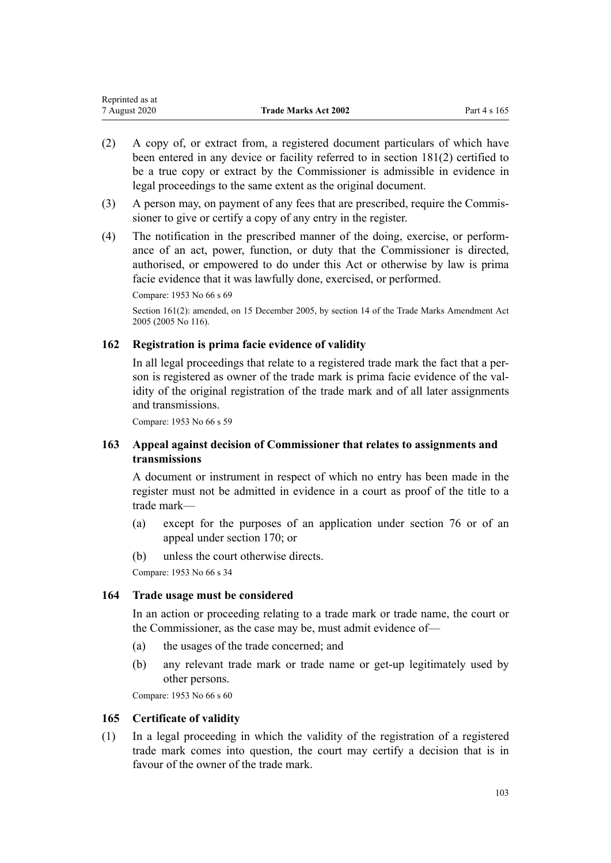| Reprinted as at |                             |              |
|-----------------|-----------------------------|--------------|
| 7 August 2020   | <b>Trade Marks Act 2002</b> | Part 4 s 165 |

- (2) A copy of, or extract from, a registered document particulars of which have been entered in any device or facility referred to in [section 181\(2\)](#page-107-0) certified to be a true copy or extract by the Commissioner is admissible in evidence in legal proceedings to the same extent as the original document.
- (3) A person may, on payment of any fees that are prescribed, require the Commissioner to give or certify a copy of any entry in the register.
- (4) The notification in the prescribed manner of the doing, exercise, or performance of an act, power, function, or duty that the Commissioner is directed, authorised, or empowered to do under this Act or otherwise by law is prima facie evidence that it was lawfully done, exercised, or performed.

Compare: 1953 No 66 s 69

Section 161(2): amended, on 15 December 2005, by [section 14](http://legislation.govt.nz/pdflink.aspx?id=DLM362648) of the Trade Marks Amendment Act 2005 (2005 No 116).

## **162 Registration is prima facie evidence of validity**

In all legal proceedings that relate to a registered trade mark the fact that a person is registered as owner of the trade mark is prima facie evidence of the validity of the original registration of the trade mark and of all later assignments and transmissions.

Compare: 1953 No 66 s 59

# **163 Appeal against decision of Commissioner that relates to assignments and transmissions**

A document or instrument in respect of which no entry has been made in the register must not be admitted in evidence in a court as proof of the title to a trade mark—

- (a) except for the purposes of an application under [section 76](#page-44-0) or of an appeal under [section 170;](#page-104-0) or
- (b) unless the court otherwise directs.

Compare: 1953 No 66 s 34

### **164 Trade usage must be considered**

In an action or proceeding relating to a trade mark or trade name, the court or the Commissioner, as the case may be, must admit evidence of—

- (a) the usages of the trade concerned; and
- (b) any relevant trade mark or trade name or get-up legitimately used by other persons.

Compare: 1953 No 66 s 60

#### **165 Certificate of validity**

(1) In a legal proceeding in which the validity of the registration of a registered trade mark comes into question, the court may certify a decision that is in favour of the owner of the trade mark.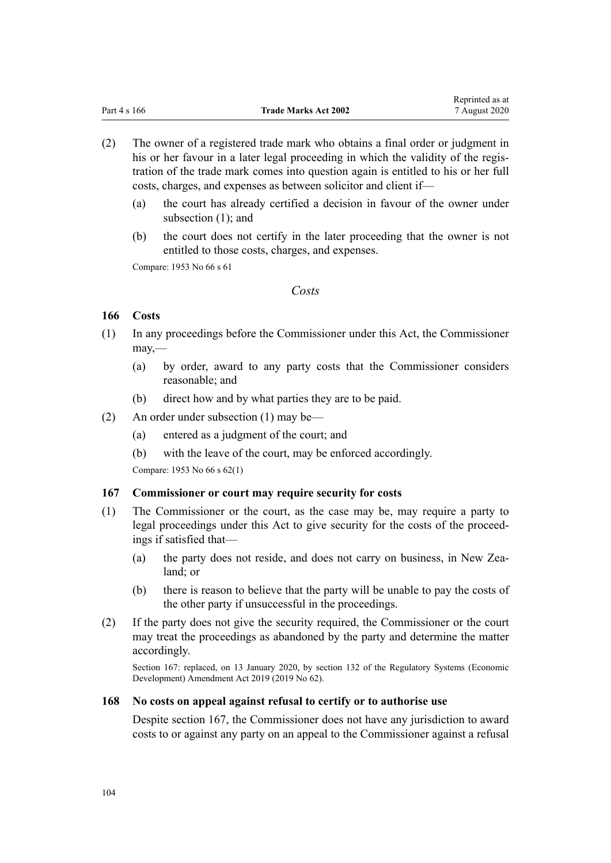Reprinted as at

- (2) The owner of a registered trade mark who obtains a final order or judgment in his or her favour in a later legal proceeding in which the validity of the registration of the trade mark comes into question again is entitled to his or her full costs, charges, and expenses as between solicitor and client if—
	- (a) the court has already certified a decision in favour of the owner under subsection (1); and
	- (b) the court does not certify in the later proceeding that the owner is not entitled to those costs, charges, and expenses.

Compare: 1953 No 66 s 61

### *Costs*

## **166 Costs**

- (1) In any proceedings before the Commissioner under this Act, the Commissioner may,—
	- (a) by order, award to any party costs that the Commissioner considers reasonable; and
	- (b) direct how and by what parties they are to be paid.
- (2) An order under subsection (1) may be—
	- (a) entered as a judgment of the court; and
	- (b) with the leave of the court, may be enforced accordingly.

Compare: 1953 No 66 s 62(1)

## **167 Commissioner or court may require security for costs**

- (1) The Commissioner or the court, as the case may be, may require a party to legal proceedings under this Act to give security for the costs of the proceedings if satisfied that—
	- (a) the party does not reside, and does not carry on business, in New Zealand; or
	- (b) there is reason to believe that the party will be unable to pay the costs of the other party if unsuccessful in the proceedings.
- (2) If the party does not give the security required, the Commissioner or the court may treat the proceedings as abandoned by the party and determine the matter accordingly.

Section 167: replaced, on 13 January 2020, by [section 132](http://legislation.govt.nz/pdflink.aspx?id=LMS85765) of the Regulatory Systems (Economic Development) Amendment Act 2019 (2019 No 62).

### **168 No costs on appeal against refusal to certify or to authorise use**

Despite section 167, the Commissioner does not have any jurisdiction to award costs to or against any party on an appeal to the Commissioner against a refusal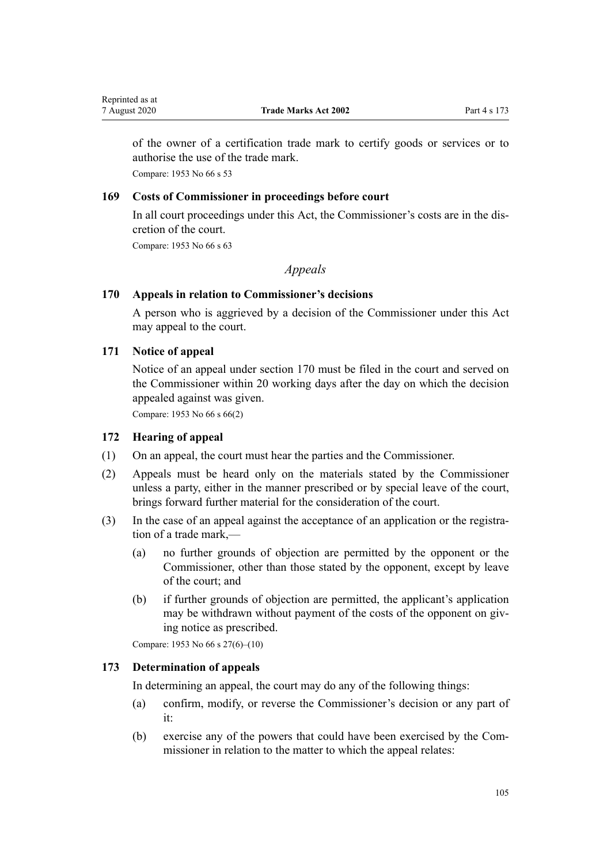<span id="page-104-0"></span>of the owner of a certification trade mark to certify goods or services or to authorise the use of the trade mark.

Compare: 1953 No 66 s 53

# **169 Costs of Commissioner in proceedings before court**

In all court proceedings under this Act, the Commissioner's costs are in the discretion of the court.

Compare: 1953 No 66 s 63

# *Appeals*

## **170 Appeals in relation to Commissioner's decisions**

A person who is aggrieved by a decision of the Commissioner under this Act may appeal to the court.

## **171 Notice of appeal**

Notice of an appeal under section 170 must be filed in the court and served on the Commissioner within 20 working days after the day on which the decision appealed against was given.

Compare: 1953 No 66 s 66(2)

## **172 Hearing of appeal**

- (1) On an appeal, the court must hear the parties and the Commissioner.
- (2) Appeals must be heard only on the materials stated by the Commissioner unless a party, either in the manner prescribed or by special leave of the court, brings forward further material for the consideration of the court.
- (3) In the case of an appeal against the acceptance of an application or the registration of a trade mark,—
	- (a) no further grounds of objection are permitted by the opponent or the Commissioner, other than those stated by the opponent, except by leave of the court; and
	- (b) if further grounds of objection are permitted, the applicant's application may be withdrawn without payment of the costs of the opponent on giving notice as prescribed.

Compare: 1953 No 66 s 27(6)–(10)

### **173 Determination of appeals**

In determining an appeal, the court may do any of the following things:

- (a) confirm, modify, or reverse the Commissioner's decision or any part of it:
- (b) exercise any of the powers that could have been exercised by the Commissioner in relation to the matter to which the appeal relates: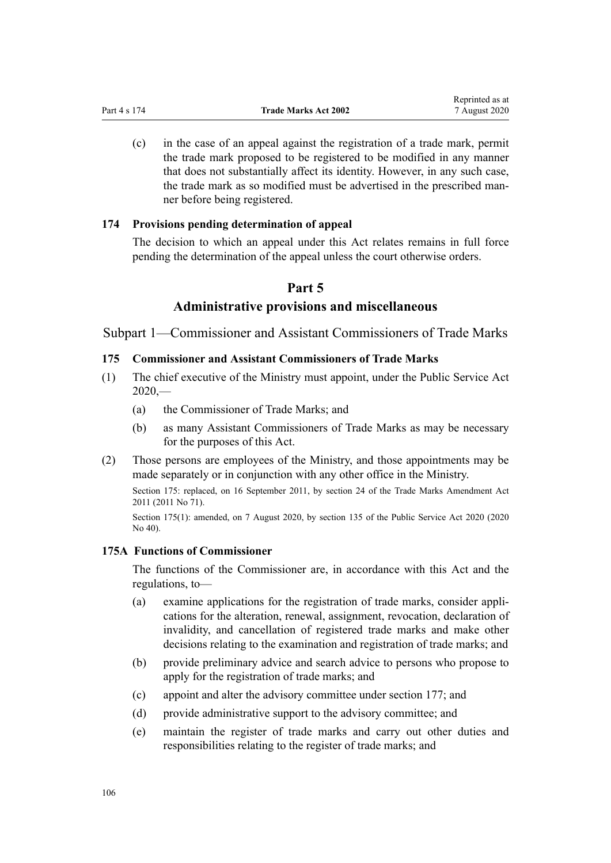(c) in the case of an appeal against the registration of a trade mark, permit the trade mark proposed to be registered to be modified in any manner that does not substantially affect its identity. However, in any such case, the trade mark as so modified must be advertised in the prescribed manner before being registered.

Reprinted as at

# **174 Provisions pending determination of appeal**

The decision to which an appeal under this Act relates remains in full force pending the determination of the appeal unless the court otherwise orders.

# **Part 5**

# **Administrative provisions and miscellaneous**

Subpart 1—Commissioner and Assistant Commissioners of Trade Marks

## **175 Commissioner and Assistant Commissioners of Trade Marks**

- (1) The chief executive of the Ministry must appoint, under the [Public Service Act](http://legislation.govt.nz/pdflink.aspx?id=LMS106157)  $2020$ , $-$ 
	- (a) the Commissioner of Trade Marks; and
	- (b) as many Assistant Commissioners of Trade Marks as may be necessary for the purposes of this Act.
- (2) Those persons are employees of the Ministry, and those appointments may be made separately or in conjunction with any other office in the Ministry.

Section 175: replaced, on 16 September 2011, by [section 24](http://legislation.govt.nz/pdflink.aspx?id=DLM2353613) of the Trade Marks Amendment Act 2011 (2011 No 71).

Section 175(1): amended, on 7 August 2020, by [section 135](http://legislation.govt.nz/pdflink.aspx?id=LMS176959) of the Public Service Act 2020 (2020) No 40).

## **175A Functions of Commissioner**

The functions of the Commissioner are, in accordance with this Act and the regulations, to—

- (a) examine applications for the registration of trade marks, consider applications for the alteration, renewal, assignment, revocation, declaration of invalidity, and cancellation of registered trade marks and make other decisions relating to the examination and registration of trade marks; and
- (b) provide preliminary advice and search advice to persons who propose to apply for the registration of trade marks; and
- (c) appoint and alter the advisory committee under [section 177;](#page-107-0) and
- (d) provide administrative support to the advisory committee; and
- (e) maintain the register of trade marks and carry out other duties and responsibilities relating to the register of trade marks; and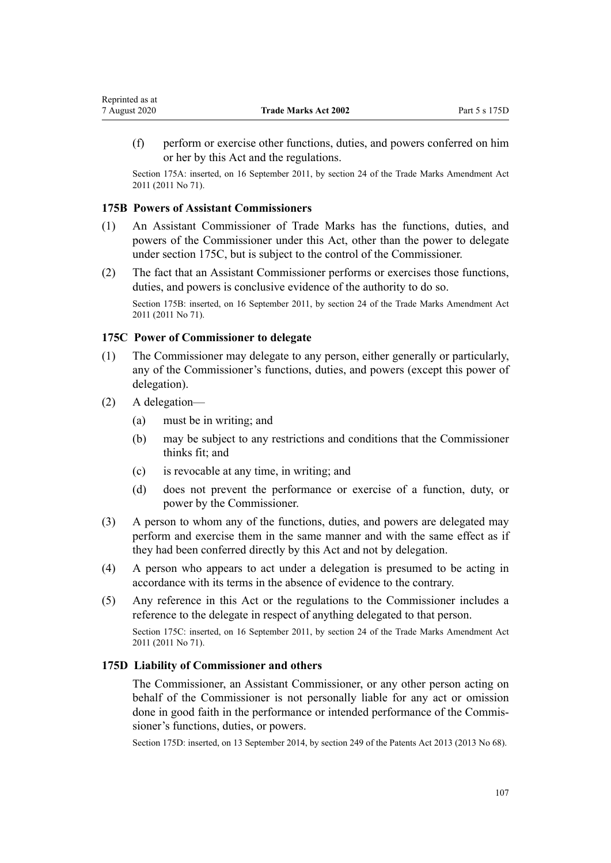(f) perform or exercise other functions, duties, and powers conferred on him or her by this Act and the regulations.

Section 175A: inserted, on 16 September 2011, by [section 24](http://legislation.govt.nz/pdflink.aspx?id=DLM2353613) of the Trade Marks Amendment Act 2011 (2011 No 71).

## **175B Powers of Assistant Commissioners**

- (1) An Assistant Commissioner of Trade Marks has the functions, duties, and powers of the Commissioner under this Act, other than the power to delegate under section 175C, but is subject to the control of the Commissioner.
- (2) The fact that an Assistant Commissioner performs or exercises those functions, duties, and powers is conclusive evidence of the authority to do so.

Section 175B: inserted, on 16 September 2011, by [section 24](http://legislation.govt.nz/pdflink.aspx?id=DLM2353613) of the Trade Marks Amendment Act 2011 (2011 No 71).

#### **175C Power of Commissioner to delegate**

- (1) The Commissioner may delegate to any person, either generally or particularly, any of the Commissioner's functions, duties, and powers (except this power of delegation).
- (2) A delegation—
	- (a) must be in writing; and
	- (b) may be subject to any restrictions and conditions that the Commissioner thinks fit; and
	- (c) is revocable at any time, in writing; and
	- (d) does not prevent the performance or exercise of a function, duty, or power by the Commissioner.
- (3) A person to whom any of the functions, duties, and powers are delegated may perform and exercise them in the same manner and with the same effect as if they had been conferred directly by this Act and not by delegation.
- (4) A person who appears to act under a delegation is presumed to be acting in accordance with its terms in the absence of evidence to the contrary.
- (5) Any reference in this Act or the regulations to the Commissioner includes a reference to the delegate in respect of anything delegated to that person.

Section 175C: inserted, on 16 September 2011, by [section 24](http://legislation.govt.nz/pdflink.aspx?id=DLM2353613) of the Trade Marks Amendment Act 2011 (2011 No 71).

#### **175D Liability of Commissioner and others**

The Commissioner, an Assistant Commissioner, or any other person acting on behalf of the Commissioner is not personally liable for any act or omission done in good faith in the performance or intended performance of the Commissioner's functions, duties, or powers.

Section 175D: inserted, on 13 September 2014, by [section 249](http://legislation.govt.nz/pdflink.aspx?id=DLM1419624) of the Patents Act 2013 (2013 No 68).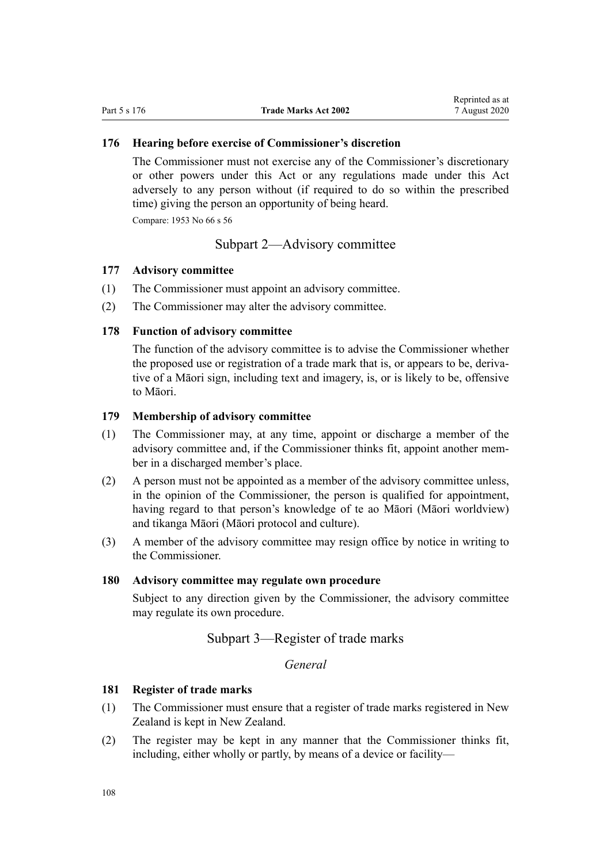#### <span id="page-107-0"></span>**176 Hearing before exercise of Commissioner's discretion**

The Commissioner must not exercise any of the Commissioner's discretionary or other powers under this Act or any regulations made under this Act adversely to any person without (if required to do so within the prescribed time) giving the person an opportunity of being heard.

Compare: 1953 No 66 s 56

## Subpart 2—Advisory committee

#### **177 Advisory committee**

- (1) The Commissioner must appoint an advisory committee.
- (2) The Commissioner may alter the advisory committee.

### **178 Function of advisory committee**

The function of the advisory committee is to advise the Commissioner whether the proposed use or registration of a trade mark that is, or appears to be, derivative of a Māori sign, including text and imagery, is, or is likely to be, offensive to Māori.

#### **179 Membership of advisory committee**

- (1) The Commissioner may, at any time, appoint or discharge a member of the advisory committee and, if the Commissioner thinks fit, appoint another member in a discharged member's place.
- (2) A person must not be appointed as a member of the advisory committee unless, in the opinion of the Commissioner, the person is qualified for appointment, having regard to that person's knowledge of te ao Māori (Māori worldview) and tikanga Māori (Māori protocol and culture).
- (3) A member of the advisory committee may resign office by notice in writing to the Commissioner.

#### **180 Advisory committee may regulate own procedure**

Subject to any direction given by the Commissioner, the advisory committee may regulate its own procedure.

# Subpart 3—Register of trade marks

*General*

## **181 Register of trade marks**

- (1) The Commissioner must ensure that a register of trade marks registered in New Zealand is kept in New Zealand.
- (2) The register may be kept in any manner that the Commissioner thinks fit, including, either wholly or partly, by means of a device or facility—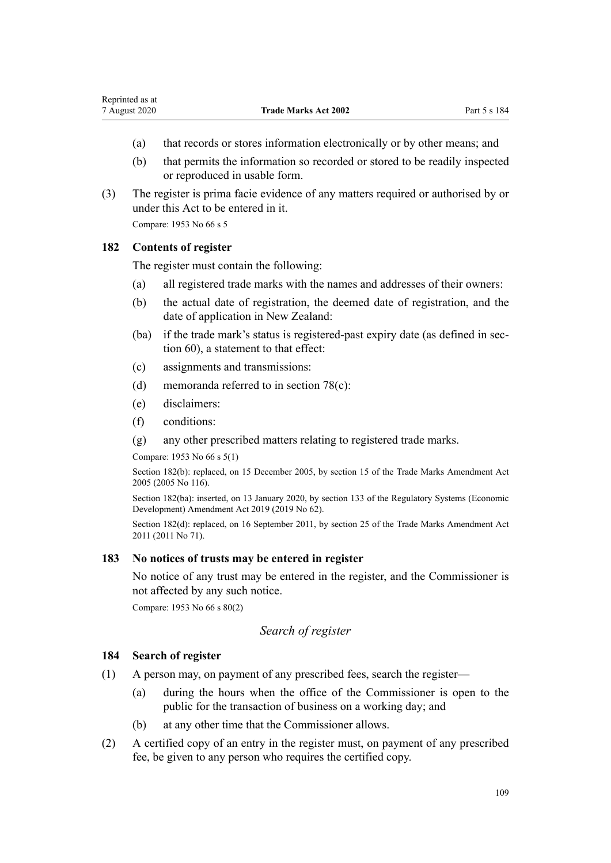- (a) that records or stores information electronically or by other means; and
- (b) that permits the information so recorded or stored to be readily inspected or reproduced in usable form.
- (3) The register is prima facie evidence of any matters required or authorised by or under this Act to be entered in it.

Compare: 1953 No 66 s 5

## **182 Contents of register**

The register must contain the following:

- (a) all registered trade marks with the names and addresses of their owners:
- (b) the actual date of registration, the deemed date of registration, and the date of application in New Zealand:
- (ba) if the trade mark's status is registered-past expiry date (as defined in [sec](#page-39-0)[tion 60](#page-39-0)), a statement to that effect:
- (c) assignments and transmissions:
- (d) memoranda referred to in [section 78\(c\):](#page-44-0)
- (e) disclaimers:
- (f) conditions:
- (g) any other prescribed matters relating to registered trade marks.

Compare: 1953 No 66 s 5(1)

Section 182(b): replaced, on 15 December 2005, by [section 15](http://legislation.govt.nz/pdflink.aspx?id=DLM362649) of the Trade Marks Amendment Act 2005 (2005 No 116).

Section 182(ba): inserted, on 13 January 2020, by [section 133](http://legislation.govt.nz/pdflink.aspx?id=LMS85766) of the Regulatory Systems (Economic Development) Amendment Act 2019 (2019 No 62).

Section 182(d): replaced, on 16 September 2011, by [section 25](http://legislation.govt.nz/pdflink.aspx?id=DLM2290126) of the Trade Marks Amendment Act 2011 (2011 No 71).

## **183 No notices of trusts may be entered in register**

No notice of any trust may be entered in the register, and the Commissioner is not affected by any such notice.

Compare: 1953 No 66 s 80(2)

# *Search of register*

## **184 Search of register**

- (1) A person may, on payment of any prescribed fees, search the register—
	- (a) during the hours when the office of the Commissioner is open to the public for the transaction of business on a working day; and
	- (b) at any other time that the Commissioner allows.
- (2) A certified copy of an entry in the register must, on payment of any prescribed fee, be given to any person who requires the certified copy.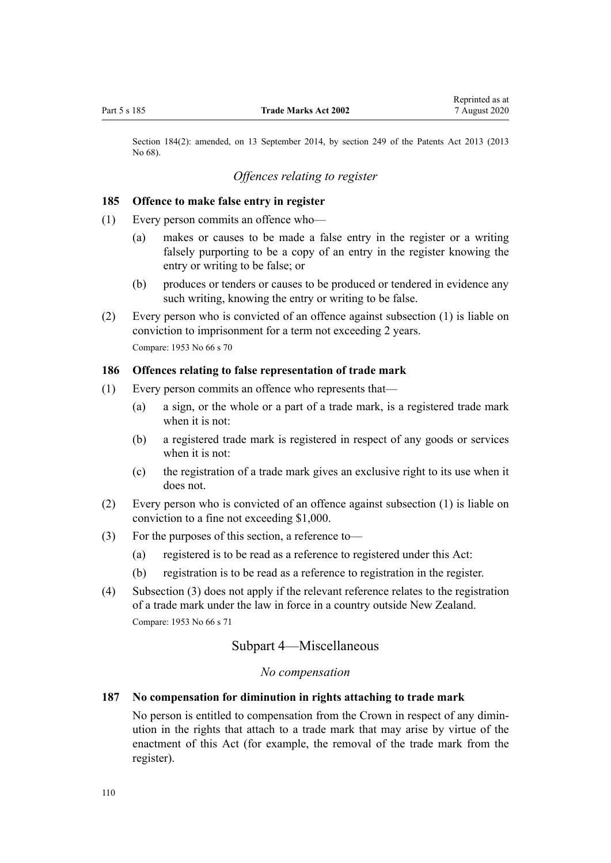Section 184(2): amended, on 13 September 2014, by [section 249](http://legislation.govt.nz/pdflink.aspx?id=DLM1419624) of the Patents Act 2013 (2013 No 68).

# *Offences relating to register*

#### **185 Offence to make false entry in register**

- (1) Every person commits an offence who—
	- (a) makes or causes to be made a false entry in the register or a writing falsely purporting to be a copy of an entry in the register knowing the entry or writing to be false; or
	- (b) produces or tenders or causes to be produced or tendered in evidence any such writing, knowing the entry or writing to be false.
- (2) Every person who is convicted of an offence against subsection (1) is liable on conviction to imprisonment for a term not exceeding 2 years. Compare: 1953 No 66 s 70

#### **186 Offences relating to false representation of trade mark**

- (1) Every person commits an offence who represents that—
	- (a) a sign, or the whole or a part of a trade mark, is a registered trade mark when it is not:
	- (b) a registered trade mark is registered in respect of any goods or services when it is not:
	- (c) the registration of a trade mark gives an exclusive right to its use when it does not.
- (2) Every person who is convicted of an offence against subsection (1) is liable on conviction to a fine not exceeding \$1,000.
- (3) For the purposes of this section, a reference to—
	- (a) registered is to be read as a reference to registered under this Act:
	- (b) registration is to be read as a reference to registration in the register.
- (4) Subsection (3) does not apply if the relevant reference relates to the registration of a trade mark under the law in force in a country outside New Zealand. Compare: 1953 No 66 s 71

# Subpart 4—Miscellaneous

## *No compensation*

## **187 No compensation for diminution in rights attaching to trade mark**

No person is entitled to compensation from the Crown in respect of any diminution in the rights that attach to a trade mark that may arise by virtue of the enactment of this Act (for example, the removal of the trade mark from the register).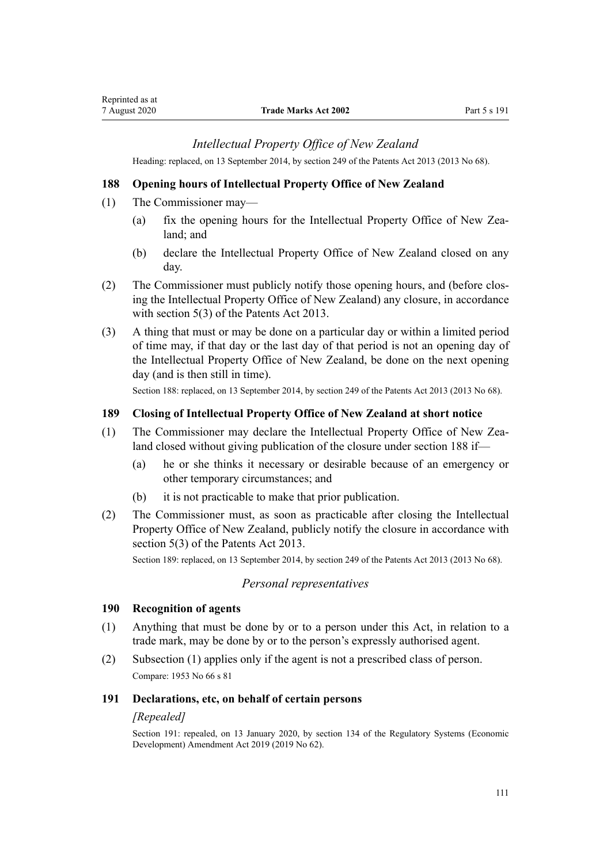# *Intellectual Property Office of New Zealand*

Heading: replaced, on 13 September 2014, by [section 249](http://legislation.govt.nz/pdflink.aspx?id=DLM1419624) of the Patents Act 2013 (2013 No 68).

## **188 Opening hours of Intellectual Property Office of New Zealand**

- (1) The Commissioner may—
	- (a) fix the opening hours for the Intellectual Property Office of New Zealand; and
	- (b) declare the Intellectual Property Office of New Zealand closed on any day.
- (2) The Commissioner must publicly notify those opening hours, and (before closing the Intellectual Property Office of New Zealand) any closure, in accordance with [section 5\(3\)](http://legislation.govt.nz/pdflink.aspx?id=DLM1419053) of the Patents Act 2013.
- (3) A thing that must or may be done on a particular day or within a limited period of time may, if that day or the last day of that period is not an opening day of the Intellectual Property Office of New Zealand, be done on the next opening day (and is then still in time).

Section 188: replaced, on 13 September 2014, by [section 249](http://legislation.govt.nz/pdflink.aspx?id=DLM1419624) of the Patents Act 2013 (2013 No 68).

### **189 Closing of Intellectual Property Office of New Zealand at short notice**

- (1) The Commissioner may declare the Intellectual Property Office of New Zealand closed without giving publication of the closure under section 188 if—
	- (a) he or she thinks it necessary or desirable because of an emergency or other temporary circumstances; and
	- (b) it is not practicable to make that prior publication.
- (2) The Commissioner must, as soon as practicable after closing the Intellectual Property Office of New Zealand, publicly notify the closure in accordance with [section 5\(3\)](http://legislation.govt.nz/pdflink.aspx?id=DLM1419053) of the Patents Act 2013.

Section 189: replaced, on 13 September 2014, by [section 249](http://legislation.govt.nz/pdflink.aspx?id=DLM1419624) of the Patents Act 2013 (2013 No 68).

#### *Personal representatives*

#### **190 Recognition of agents**

- (1) Anything that must be done by or to a person under this Act, in relation to a trade mark, may be done by or to the person's expressly authorised agent.
- (2) Subsection (1) applies only if the agent is not a prescribed class of person. Compare: 1953 No 66 s 81

#### **191 Declarations, etc, on behalf of certain persons**

#### *[Repealed]*

Section 191: repealed, on 13 January 2020, by [section 134](http://legislation.govt.nz/pdflink.aspx?id=LMS85767) of the Regulatory Systems (Economic Development) Amendment Act 2019 (2019 No 62).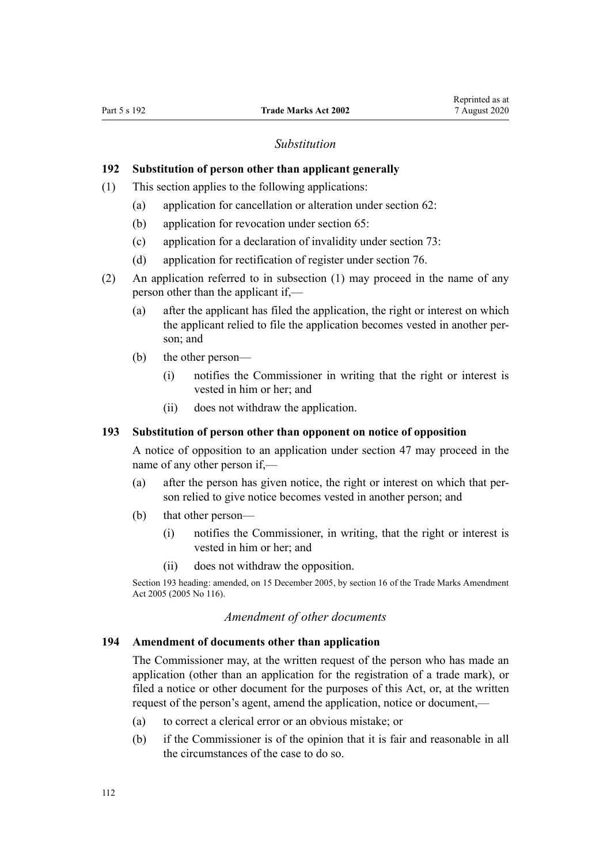### *Substitution*

# **192 Substitution of person other than applicant generally**

- (1) This section applies to the following applications:
	- (a) application for cancellation or alteration under [section 62:](#page-39-0)
	- (b) application for revocation under [section 65:](#page-40-0)
	- (c) application for a declaration of invalidity under [section 73:](#page-43-0)
	- (d) application for rectification of register under [section 76.](#page-44-0)
- (2) An application referred to in subsection (1) may proceed in the name of any person other than the applicant if,—
	- (a) after the applicant has filed the application, the right or interest on which the applicant relied to file the application becomes vested in another person; and
	- (b) the other person—
		- (i) notifies the Commissioner in writing that the right or interest is vested in him or her; and
		- (ii) does not withdraw the application.

## **193 Substitution of person other than opponent on notice of opposition**

A notice of opposition to an application under [section 47](#page-34-0) may proceed in the name of any other person if,—

- (a) after the person has given notice, the right or interest on which that person relied to give notice becomes vested in another person; and
- (b) that other person—
	- (i) notifies the Commissioner, in writing, that the right or interest is vested in him or her; and
	- (ii) does not withdraw the opposition.

Section 193 heading: amended, on 15 December 2005, by [section 16](http://legislation.govt.nz/pdflink.aspx?id=DLM362650) of the Trade Marks Amendment Act 2005 (2005 No 116).

#### *Amendment of other documents*

#### **194 Amendment of documents other than application**

The Commissioner may, at the written request of the person who has made an application (other than an application for the registration of a trade mark), or filed a notice or other document for the purposes of this Act, or, at the written request of the person's agent, amend the application, notice or document,—

- (a) to correct a clerical error or an obvious mistake; or
- (b) if the Commissioner is of the opinion that it is fair and reasonable in all the circumstances of the case to do so.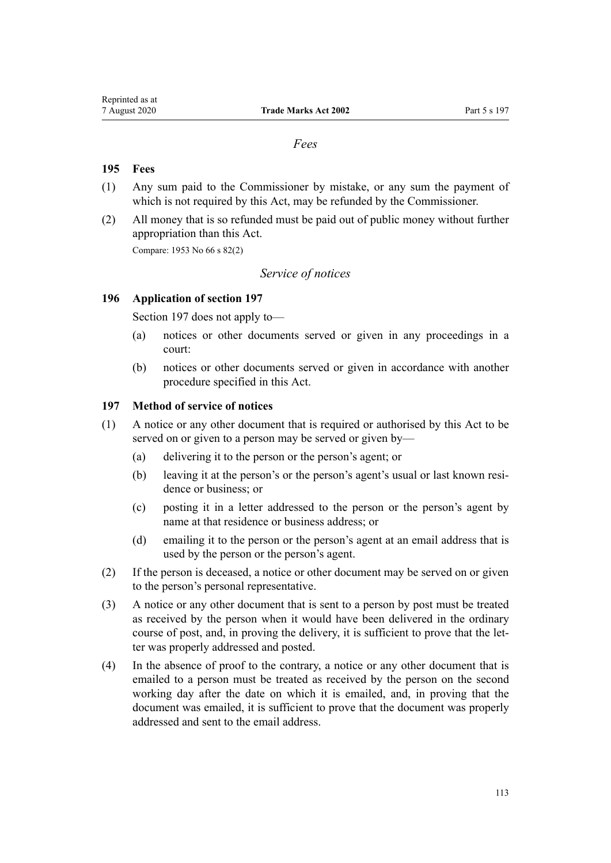## *Fees*

## **195 Fees**

- (1) Any sum paid to the Commissioner by mistake, or any sum the payment of which is not required by this Act, may be refunded by the Commissioner.
- (2) All money that is so refunded must be paid out of public money without further appropriation than this Act.

Compare: 1953 No 66 s 82(2)

# *Service of notices*

## **196 Application of section 197**

Section 197 does not apply to—

- (a) notices or other documents served or given in any proceedings in a court:
- (b) notices or other documents served or given in accordance with another procedure specified in this Act.

## **197 Method of service of notices**

- (1) A notice or any other document that is required or authorised by this Act to be served on or given to a person may be served or given by—
	- (a) delivering it to the person or the person's agent; or
	- (b) leaving it at the person's or the person's agent's usual or last known residence or business; or
	- (c) posting it in a letter addressed to the person or the person's agent by name at that residence or business address; or
	- (d) emailing it to the person or the person's agent at an email address that is used by the person or the person's agent.
- (2) If the person is deceased, a notice or other document may be served on or given to the person's personal representative.
- (3) A notice or any other document that is sent to a person by post must be treated as received by the person when it would have been delivered in the ordinary course of post, and, in proving the delivery, it is sufficient to prove that the letter was properly addressed and posted.
- (4) In the absence of proof to the contrary, a notice or any other document that is emailed to a person must be treated as received by the person on the second working day after the date on which it is emailed, and, in proving that the document was emailed, it is sufficient to prove that the document was properly addressed and sent to the email address.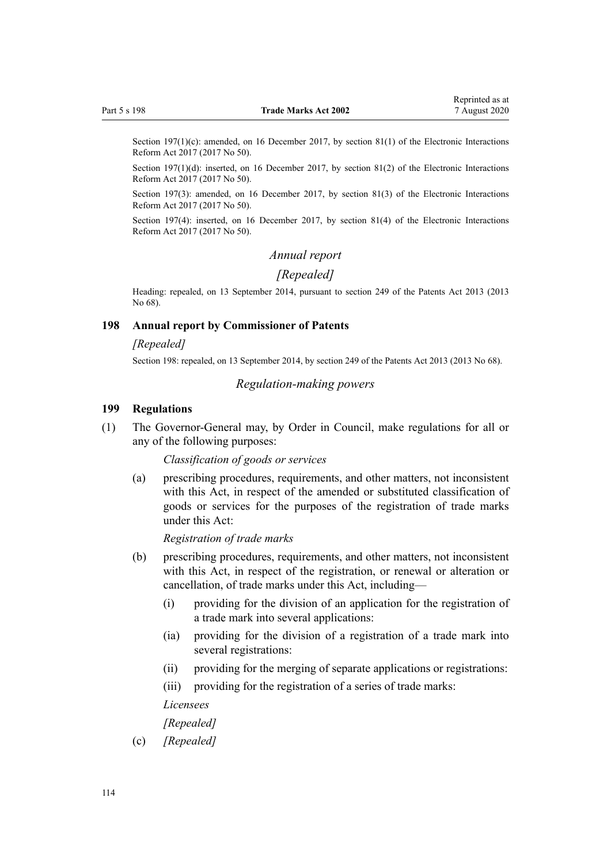Section 197(1)(c): amended, on 16 December 2017, by [section 81\(1\)](http://legislation.govt.nz/pdflink.aspx?id=DLM6962244) of the Electronic Interactions Reform Act 2017 (2017 No 50).

Section 197(1)(d): inserted, on 16 December 2017, by [section 81\(2\)](http://legislation.govt.nz/pdflink.aspx?id=DLM6962244) of the Electronic Interactions Reform Act 2017 (2017 No 50).

Section 197(3): amended, on 16 December 2017, by [section 81\(3\)](http://legislation.govt.nz/pdflink.aspx?id=DLM6962244) of the Electronic Interactions Reform Act 2017 (2017 No 50).

Section 197(4): inserted, on 16 December 2017, by [section 81\(4\)](http://legislation.govt.nz/pdflink.aspx?id=DLM6962244) of the Electronic Interactions Reform Act 2017 (2017 No 50).

#### *Annual report*

## *[Repealed]*

Heading: repealed, on 13 September 2014, pursuant to [section 249](http://legislation.govt.nz/pdflink.aspx?id=DLM1419624) of the Patents Act 2013 (2013 No 68).

#### **198 Annual report by Commissioner of Patents**

### *[Repealed]*

Section 198: repealed, on 13 September 2014, by [section 249](http://legislation.govt.nz/pdflink.aspx?id=DLM1419624) of the Patents Act 2013 (2013 No 68).

#### *Regulation-making powers*

#### **199 Regulations**

(1) The Governor-General may, by Order in Council, make regulations for all or any of the following purposes:

*Classification of goods or services*

(a) prescribing procedures, requirements, and other matters, not inconsistent with this Act, in respect of the amended or substituted classification of goods or services for the purposes of the registration of trade marks under this Act:

*Registration of trade marks*

- (b) prescribing procedures, requirements, and other matters, not inconsistent with this Act, in respect of the registration, or renewal or alteration or cancellation, of trade marks under this Act, including—
	- (i) providing for the division of an application for the registration of a trade mark into several applications:
	- (ia) providing for the division of a registration of a trade mark into several registrations:
	- (ii) providing for the merging of separate applications or registrations:
	- (iii) providing for the registration of a series of trade marks:

#### *Licensees*

#### *[Repealed]*

(c) *[Repealed]*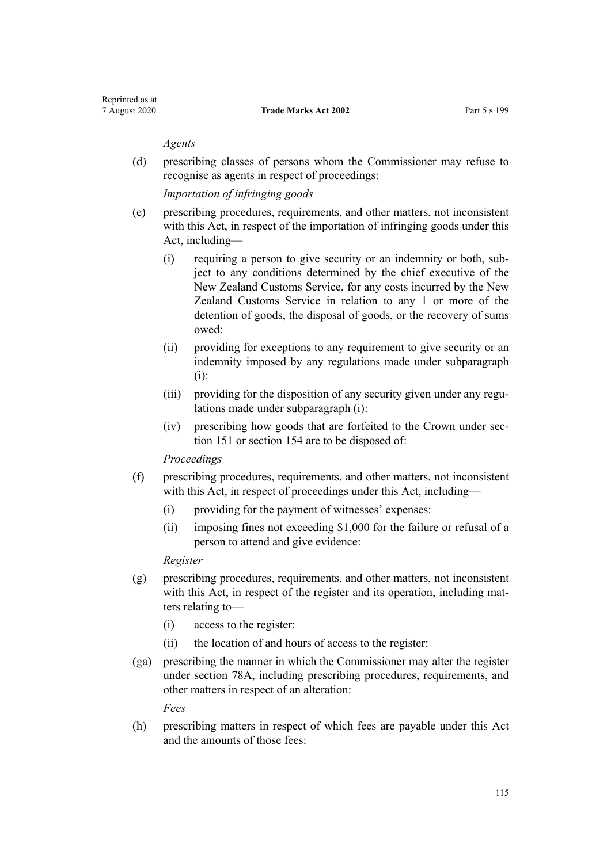#### *Agents*

(d) prescribing classes of persons whom the Commissioner may refuse to recognise as agents in respect of proceedings:

*Importation of infringing goods*

- (e) prescribing procedures, requirements, and other matters, not inconsistent with this Act, in respect of the importation of infringing goods under this Act, including—
	- (i) requiring a person to give security or an indemnity or both, subject to any conditions determined by the chief executive of the New Zealand Customs Service, for any costs incurred by the New Zealand Customs Service in relation to any 1 or more of the detention of goods, the disposal of goods, or the recovery of sums owed:
	- (ii) providing for exceptions to any requirement to give security or an indemnity imposed by any regulations made under subparagraph (i):
	- (iii) providing for the disposition of any security given under any regulations made under subparagraph (i):
	- (iv) prescribing how goods that are forfeited to the Crown under [sec](#page-90-0)[tion 151](#page-90-0) or [section 154](#page-91-0) are to be disposed of:

#### *Proceedings*

- (f) prescribing procedures, requirements, and other matters, not inconsistent with this Act, in respect of proceedings under this Act, including—
	- (i) providing for the payment of witnesses' expenses:
	- (ii) imposing fines not exceeding \$1,000 for the failure or refusal of a person to attend and give evidence:

### *Register*

- (g) prescribing procedures, requirements, and other matters, not inconsistent with this Act, in respect of the register and its operation, including matters relating to—
	- (i) access to the register:
	- (ii) the location of and hours of access to the register:
- (ga) prescribing the manner in which the Commissioner may alter the register under [section 78A,](#page-45-0) including prescribing procedures, requirements, and other matters in respect of an alteration:

*Fees*

(h) prescribing matters in respect of which fees are payable under this Act and the amounts of those fees: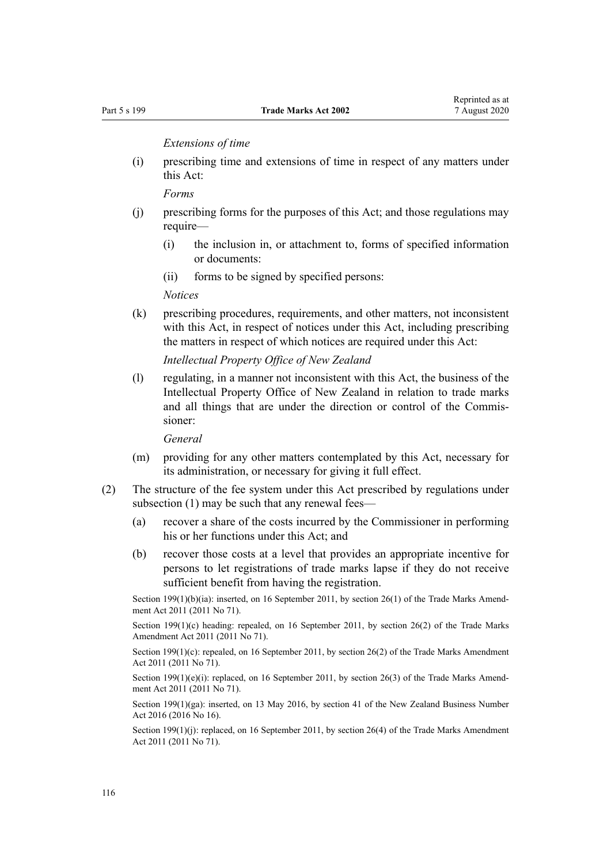*Extensions of time*

(i) prescribing time and extensions of time in respect of any matters under this Act:

*Forms*

- (j) prescribing forms for the purposes of this Act; and those regulations may require—
	- (i) the inclusion in, or attachment to, forms of specified information or documents:
	- (ii) forms to be signed by specified persons:

*Notices*

(k) prescribing procedures, requirements, and other matters, not inconsistent with this Act, in respect of notices under this Act, including prescribing the matters in respect of which notices are required under this Act:

*Intellectual Property Office of New Zealand*

(l) regulating, in a manner not inconsistent with this Act, the business of the Intellectual Property Office of New Zealand in relation to trade marks and all things that are under the direction or control of the Commissioner:

*General*

- (m) providing for any other matters contemplated by this Act, necessary for its administration, or necessary for giving it full effect.
- (2) The structure of the fee system under this Act prescribed by regulations under subsection (1) may be such that any renewal fees—
	- (a) recover a share of the costs incurred by the Commissioner in performing his or her functions under this Act; and
	- (b) recover those costs at a level that provides an appropriate incentive for persons to let registrations of trade marks lapse if they do not receive sufficient benefit from having the registration.

Section 199(1)(b)(ia): inserted, on 16 September 2011, by [section 26\(1\)](http://legislation.govt.nz/pdflink.aspx?id=DLM2290127) of the Trade Marks Amendment Act 2011 (2011 No 71).

Section 199(1)(c) heading: repealed, on 16 September 2011, by [section 26\(2\)](http://legislation.govt.nz/pdflink.aspx?id=DLM2290127) of the Trade Marks Amendment Act 2011 (2011 No 71).

Section 199(1)(c): repealed, on 16 September 2011, by [section 26\(2\)](http://legislation.govt.nz/pdflink.aspx?id=DLM2290127) of the Trade Marks Amendment Act 2011 (2011 No 71).

Section 199(1)(e)(i): replaced, on 16 September 2011, by [section 26\(3\)](http://legislation.govt.nz/pdflink.aspx?id=DLM2290127) of the Trade Marks Amendment Act 2011 (2011 No 71).

Section 199(1)(ga): inserted, on 13 May 2016, by [section 41](http://legislation.govt.nz/pdflink.aspx?id=DLM6431601) of the New Zealand Business Number Act 2016 (2016 No 16).

Section 199(1)(j): replaced, on 16 September 2011, by [section 26\(4\)](http://legislation.govt.nz/pdflink.aspx?id=DLM2290127) of the Trade Marks Amendment Act 2011 (2011 No 71).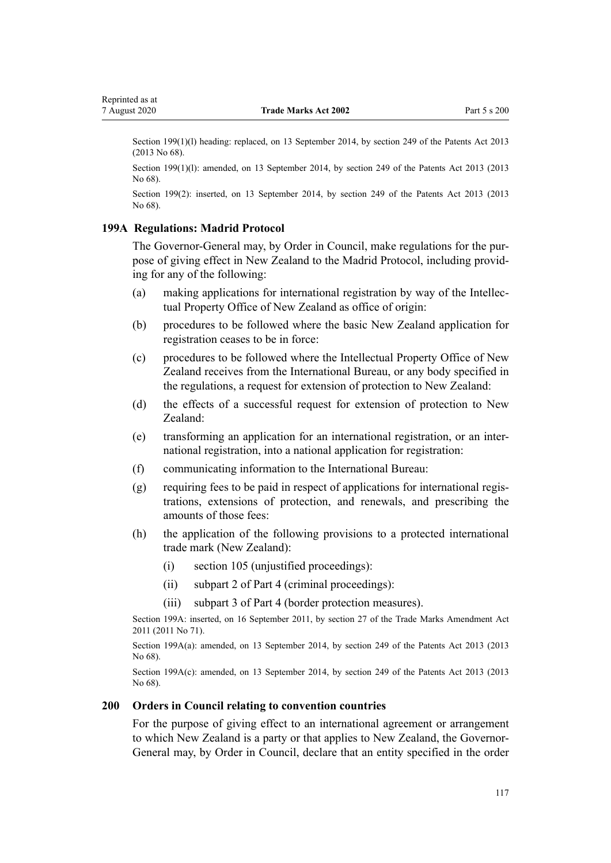<span id="page-116-0"></span>Section 199(1)(1) heading: replaced, on 13 September 2014, by [section 249](http://legislation.govt.nz/pdflink.aspx?id=DLM1419624) of the Patents Act 2013 (2013 No 68).

Section 199(1)(l): amended, on 13 September 2014, by [section 249](http://legislation.govt.nz/pdflink.aspx?id=DLM1419624) of the Patents Act 2013 (2013) No 68).

Section 199(2): inserted, on 13 September 2014, by [section 249](http://legislation.govt.nz/pdflink.aspx?id=DLM1419624) of the Patents Act 2013 (2013 No 68).

### **199A Regulations: Madrid Protocol**

The Governor-General may, by Order in Council, make regulations for the purpose of giving effect in New Zealand to the Madrid Protocol, including providing for any of the following:

- (a) making applications for international registration by way of the Intellectual Property Office of New Zealand as office of origin:
- (b) procedures to be followed where the basic New Zealand application for registration ceases to be in force:
- (c) procedures to be followed where the Intellectual Property Office of New Zealand receives from the International Bureau, or any body specified in the regulations, a request for extension of protection to New Zealand:
- (d) the effects of a successful request for extension of protection to New Zealand:
- (e) transforming an application for an international registration, or an international registration, into a national application for registration:
- (f) communicating information to the International Bureau:
- (g) requiring fees to be paid in respect of applications for international registrations, extensions of protection, and renewals, and prescribing the amounts of those fees:
- (h) the application of the following provisions to a protected international trade mark (New Zealand):
	- (i) [section 105](#page-54-0) (unjustified proceedings):
	- (ii) [subpart 2](#page-58-0) of Part 4 (criminal proceedings):
	- (iii) [subpart 3](#page-81-0) of Part 4 (border protection measures).

Section 199A: inserted, on 16 September 2011, by [section 27](http://legislation.govt.nz/pdflink.aspx?id=DLM2290128) of the Trade Marks Amendment Act 2011 (2011 No 71).

Section 199A(a): amended, on 13 September 2014, by [section 249](http://legislation.govt.nz/pdflink.aspx?id=DLM1419624) of the Patents Act 2013 (2013) No 68).

Section 199A(c): amended, on 13 September 2014, by [section 249](http://legislation.govt.nz/pdflink.aspx?id=DLM1419624) of the Patents Act 2013 (2013 No 68).

#### **200 Orders in Council relating to convention countries**

For the purpose of giving effect to an international agreement or arrangement to which New Zealand is a party or that applies to New Zealand, the Governor-General may, by Order in Council, declare that an entity specified in the order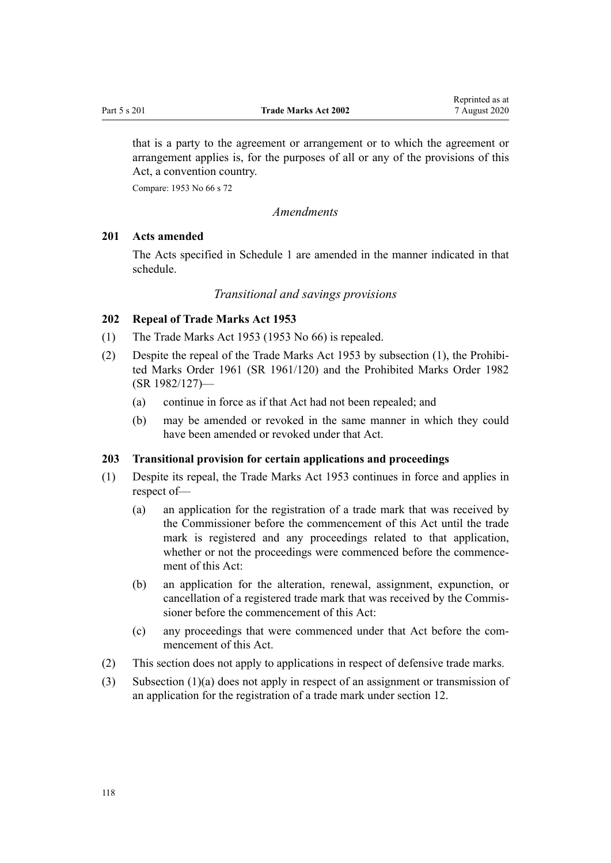<span id="page-117-0"></span>that is a party to the agreement or arrangement or to which the agreement or arrangement applies is, for the purposes of all or any of the provisions of this Act, a convention country.

Compare: 1953 No 66 s 72

*Amendments*

### **201 Acts amended**

The Acts specified in [Schedule 1](#page-121-0) are amended in the manner indicated in that schedule.

### *Transitional and savings provisions*

## **202 Repeal of Trade Marks Act 1953**

- (1) The Trade Marks Act 1953 (1953 No 66) is repealed.
- (2) Despite the repeal of the Trade Marks Act 1953 by subsection (1), the [Prohibi](http://legislation.govt.nz/pdflink.aspx?id=DLM15734)[ted Marks Order 1961](http://legislation.govt.nz/pdflink.aspx?id=DLM15734) (SR 1961/120) and the [Prohibited Marks Order 1982](http://legislation.govt.nz/pdflink.aspx?id=DLM82309) (SR 1982/127)—
	- (a) continue in force as if that Act had not been repealed; and
	- (b) may be amended or revoked in the same manner in which they could have been amended or revoked under that Act.

## **203 Transitional provision for certain applications and proceedings**

- (1) Despite its repeal, the Trade Marks Act 1953 continues in force and applies in respect of—
	- (a) an application for the registration of a trade mark that was received by the Commissioner before the commencement of this Act until the trade mark is registered and any proceedings related to that application, whether or not the proceedings were commenced before the commencement of this Act:
	- (b) an application for the alteration, renewal, assignment, expunction, or cancellation of a registered trade mark that was received by the Commissioner before the commencement of this Act:
	- (c) any proceedings that were commenced under that Act before the commencement of this Act.
- (2) This section does not apply to applications in respect of defensive trade marks.
- (3) Subsection (1)(a) does not apply in respect of an assignment or transmission of an application for the registration of a trade mark under [section 12](#page-22-0).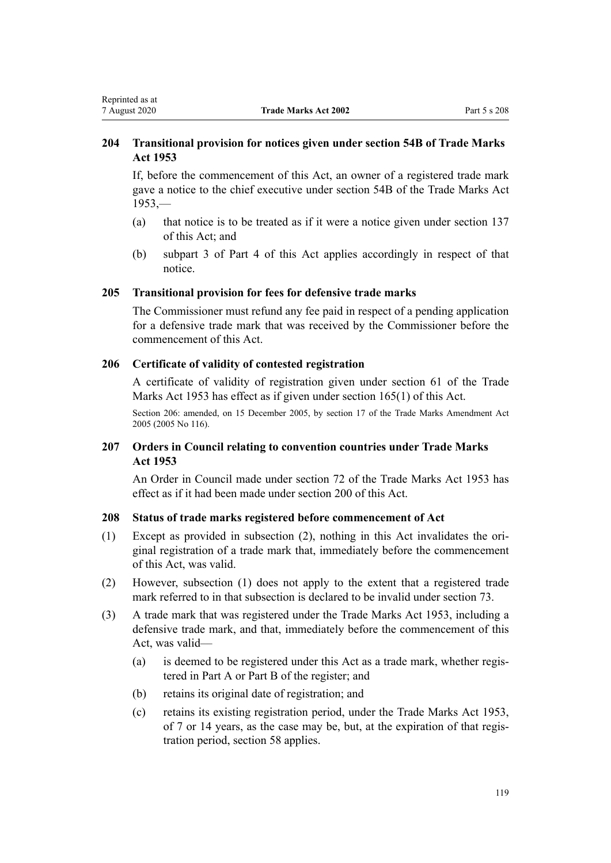# **204 Transitional provision for notices given under section 54B of Trade Marks Act 1953**

If, before the commencement of this Act, an owner of a registered trade mark gave a notice to the chief executive under section 54B of the Trade Marks Act  $1953$ ,—

- (a) that notice is to be treated as if it were a notice given under [section 137](#page-84-0) of this Act; and
- (b) subpart 3 of [Part 4](#page-48-0) of this Act applies accordingly in respect of that notice.

## **205 Transitional provision for fees for defensive trade marks**

The Commissioner must refund any fee paid in respect of a pending application for a defensive trade mark that was received by the Commissioner before the commencement of this Act.

## **206 Certificate of validity of contested registration**

A certificate of validity of registration given under section 61 of the Trade Marks Act 1953 has effect as if given under [section 165\(1\)](#page-102-0) of this Act.

Section 206: amended, on 15 December 2005, by [section 17](http://legislation.govt.nz/pdflink.aspx?id=DLM362651) of the Trade Marks Amendment Act 2005 (2005 No 116).

# **207 Orders in Council relating to convention countries under Trade Marks Act 1953**

An Order in Council made under section 72 of the Trade Marks Act 1953 has effect as if it had been made under [section 200](#page-116-0) of this Act.

## **208 Status of trade marks registered before commencement of Act**

- (1) Except as provided in subsection (2), nothing in this Act invalidates the original registration of a trade mark that, immediately before the commencement of this Act, was valid.
- (2) However, subsection (1) does not apply to the extent that a registered trade mark referred to in that subsection is declared to be invalid under [section 73.](#page-43-0)
- (3) A trade mark that was registered under the Trade Marks Act 1953, including a defensive trade mark, and that, immediately before the commencement of this Act, was valid—
	- (a) is deemed to be registered under this Act as a trade mark, whether registered in Part A or Part B of the register; and
	- (b) retains its original date of registration; and
	- (c) retains its existing registration period, under the Trade Marks Act 1953, of 7 or 14 years, as the case may be, but, at the expiration of that registration period, [section 58](#page-38-0) applies.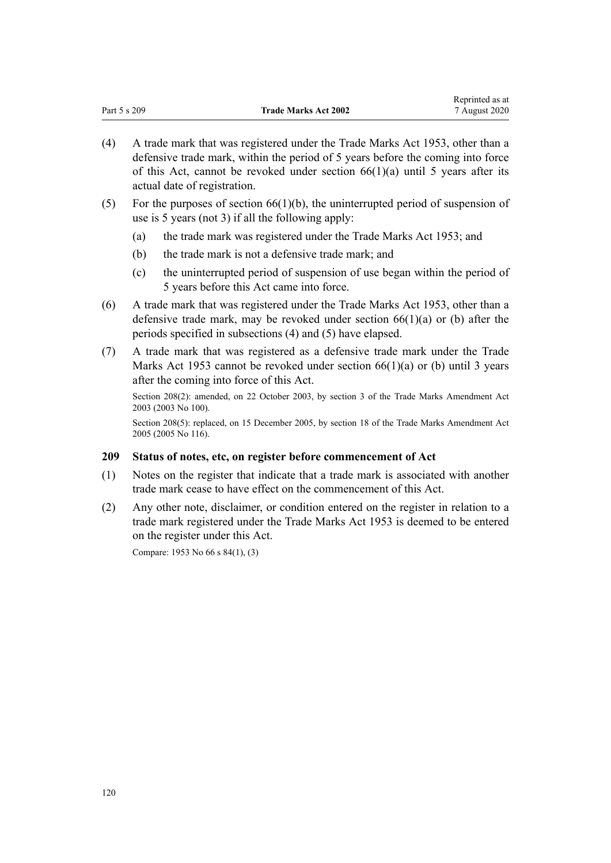| Part 5 s 209 | <b>Trade Marks Act 2002</b> | www.mwa.uv<br>7 August 2020 |
|--------------|-----------------------------|-----------------------------|
|              |                             |                             |

Reprinted as at

- (4) A trade mark that was registered under the Trade Marks Act 1953, other than a defensive trade mark, within the period of 5 years before the coming into force of this Act, cannot be revoked under section  $66(1)(a)$  until 5 years after its actual date of registration.
- (5) For the purposes of section  $66(1)(b)$ , the uninterrupted period of suspension of use is 5 years (not 3) if all the following apply:
	- (a) the trade mark was registered under the Trade Marks Act 1953; and
	- (b) the trade mark is not a defensive trade mark; and
	- (c) the uninterrupted period of suspension of use began within the period of 5 years before this Act came into force.
- (6) A trade mark that was registered under the Trade Marks Act 1953, other than a defensive trade mark, may be revoked under section  $66(1)(a)$  or (b) after the periods specified in subsections (4) and (5) have elapsed.
- (7) A trade mark that was registered as a defensive trade mark under the Trade Marks Act 1953 cannot be revoked under section  $66(1)(a)$  or (b) until 3 years after the coming into force of this Act.

Section 208(2): amended, on 22 October 2003, by [section 3](http://legislation.govt.nz/pdflink.aspx?id=DLM218849) of the Trade Marks Amendment Act 2003 (2003 No 100).

Section 208(5): replaced, on 15 December 2005, by [section 18](http://legislation.govt.nz/pdflink.aspx?id=DLM362652) of the Trade Marks Amendment Act 2005 (2005 No 116).

## **209 Status of notes, etc, on register before commencement of Act**

- (1) Notes on the register that indicate that a trade mark is associated with another trade mark cease to have effect on the commencement of this Act.
- (2) Any other note, disclaimer, or condition entered on the register in relation to a trade mark registered under the Trade Marks Act 1953 is deemed to be entered on the register under this Act.

Compare: 1953 No 66 s 84(1), (3)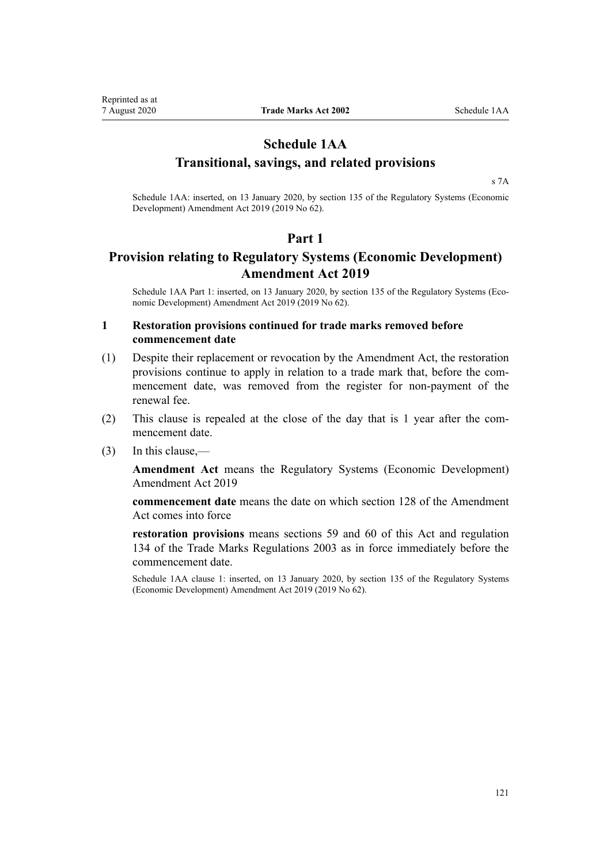# **Schedule 1AA Transitional, savings, and related provisions**

[s 7A](#page-21-0)

Schedule 1AA: inserted, on 13 January 2020, by [section 135](http://legislation.govt.nz/pdflink.aspx?id=LMS85768) of the Regulatory Systems (Economic Development) Amendment Act 2019 (2019 No 62).

# **Part 1**

# **Provision relating to Regulatory Systems (Economic Development) Amendment Act 2019**

Schedule 1AA Part 1: inserted, on 13 January 2020, by [section 135](http://legislation.govt.nz/pdflink.aspx?id=LMS85768) of the Regulatory Systems (Economic Development) Amendment Act 2019 (2019 No 62).

## **1 Restoration provisions continued for trade marks removed before commencement date**

- (1) Despite their replacement or revocation by the Amendment Act, the restoration provisions continue to apply in relation to a trade mark that, before the commencement date, was removed from the register for non-payment of the renewal fee.
- (2) This clause is repealed at the close of the day that is 1 year after the commencement date.
- (3) In this clause,—

**Amendment Act** means the [Regulatory Systems \(Economic Development\)](http://legislation.govt.nz/pdflink.aspx?id=LMS85548) [Amendment Act 2019](http://legislation.govt.nz/pdflink.aspx?id=LMS85548)

**commencement date** means the date on which [section 128](http://legislation.govt.nz/pdflink.aspx?id=LMS85760) of the Amendment Act comes into force

**restoration provisions** means sections 59 and 60 of this Act and regulation 134 of the Trade Marks Regulations 2003 as in force immediately before the commencement date.

Schedule 1AA clause 1: inserted, on 13 January 2020, by [section 135](http://legislation.govt.nz/pdflink.aspx?id=LMS85768) of the Regulatory Systems (Economic Development) Amendment Act 2019 (2019 No 62).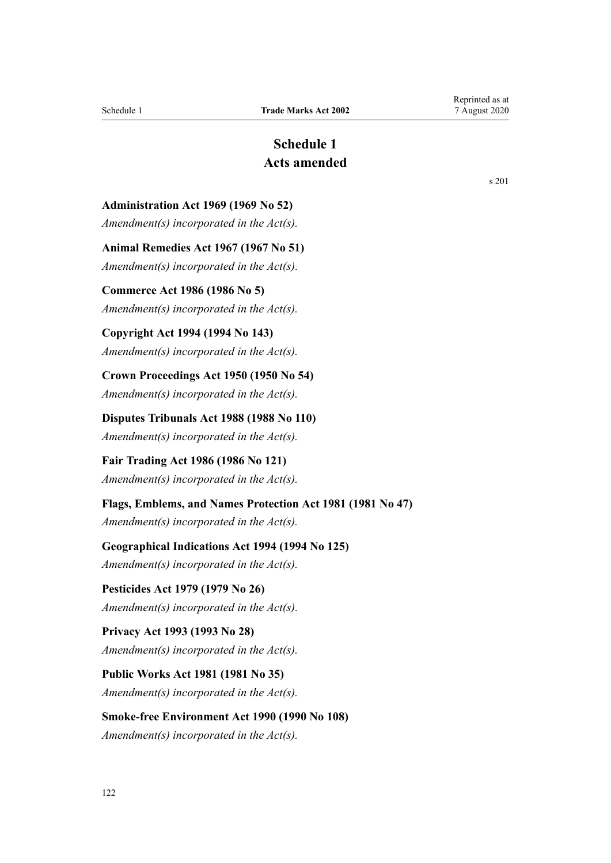# **Schedule 1 Acts amended**

<span id="page-121-0"></span>**Administration Act 1969 (1969 No 52)**

*Amendment(s) incorporated in the [Act\(s\).](http://legislation.govt.nz/pdflink.aspx?id=DLM392629)*

**Animal Remedies Act 1967 (1967 No 51)**

*Amendment(s) incorporated in the Act(s).*

# **Commerce Act 1986 (1986 No 5)**

*Amendment(s) incorporated in the [Act\(s\).](http://legislation.govt.nz/pdflink.aspx?id=DLM88410)*

# **Copyright Act 1994 (1994 No 143)**

*Amendment(s) incorporated in the [Act\(s\).](http://legislation.govt.nz/pdflink.aspx?id=DLM346602)*

**Crown Proceedings Act 1950 (1950 No 54)** *Amendment(s) incorporated in the [Act\(s\).](http://legislation.govt.nz/pdflink.aspx?id=DLM261925)*

**Disputes Tribunals Act 1988 (1988 No 110)**

*Amendment(s) incorporated in the [Act\(s\).](http://legislation.govt.nz/pdflink.aspx?id=DLM133292)*

**Fair Trading Act 1986 (1986 No 121)** *Amendment(s) incorporated in the [Act\(s\).](http://legislation.govt.nz/pdflink.aspx?id=DLM96923)*

## **Flags, Emblems, and Names Protection Act 1981 (1981 No 47)**

*Amendment(s) incorporated in the [Act\(s\).](http://legislation.govt.nz/pdflink.aspx?id=DLM51363)*

## **Geographical Indications Act 1994 (1994 No 125)**

*Amendment(s) incorporated in the [Act\(s\).](http://legislation.govt.nz/pdflink.aspx?id=DLM345232)*

**Pesticides Act 1979 (1979 No 26)** *Amendment(s) incorporated in the Act(s).*

# **Privacy Act 1993 (1993 No 28)** *Amendment(s) incorporated in the [Act\(s\).](http://legislation.govt.nz/pdflink.aspx?id=DLM298477)*

**Public Works Act 1981 (1981 No 35)** *Amendment(s) incorporated in the [Act\(s\).](http://legislation.govt.nz/pdflink.aspx?id=DLM45426)*

# **Smoke-free Environment Act 1990 (1990 No 108)**

*Amendment(s) incorporated in the [Act\(s\).](http://legislation.govt.nz/pdflink.aspx?id=DLM223905)*

[s 201](#page-117-0)

Reprinted as at 7 August 2020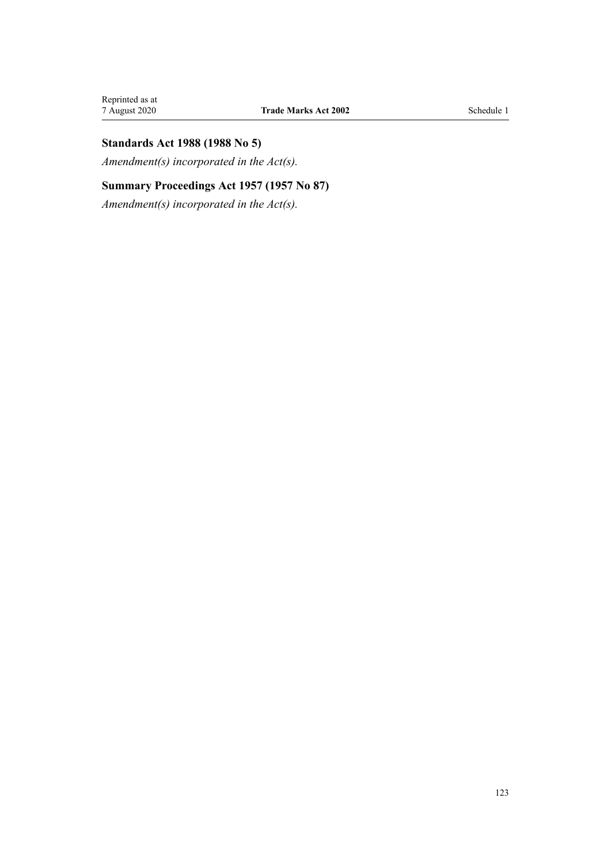# **Standards Act 1988 (1988 No 5)**

*Amendment(s) incorporated in the [Act\(s\).](http://legislation.govt.nz/pdflink.aspx?id=DLM128701)*

# **Summary Proceedings Act 1957 (1957 No 87)**

*Amendment(s) incorporated in the [Act\(s\).](http://legislation.govt.nz/pdflink.aspx?id=DLM310742)*